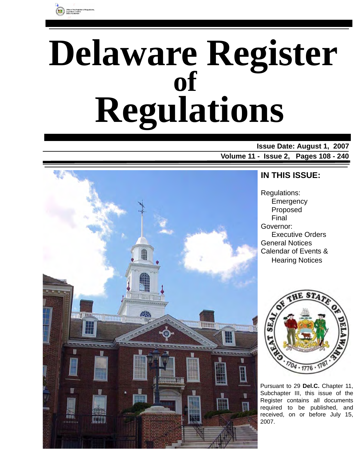

# **Delaware Register Regulations of**

**Issue Date: August 1, 2007 Volume 11 - Issue 2, Pages 108 - 240**



### **IN THIS ISSUE:**

Regulations: **Emergency** Proposed Final Governor: Executive Orders General Notices Calendar of Events & Hearing Notices



Pursuant to 29 **Del.C.** Chapter 11, Subchapter III, this issue of the Register contains all documents required to be published, and received, on or before July 15, 2007.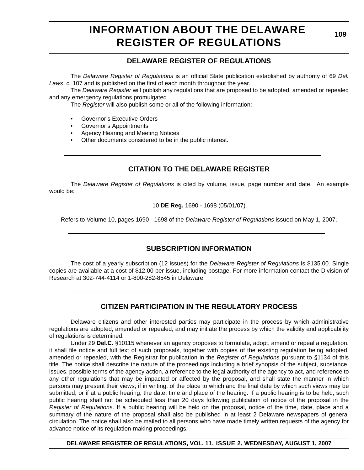### **INFORMATION ABOUT THE DELAWARE REGISTER OF REGULATIONS**

**109**

#### **DELAWARE REGISTER OF REGULATIONS**

The *Delaware Register of Regulations* is an official State publication established by authority of 69 *Del. Laws*, c. 107 and is published on the first of each month throughout the year.

The *Delaware Register* will publish any regulations that are proposed to be adopted, amended or repealed and any emergency regulations promulgated.

The *Register* will also publish some or all of the following information:

- Governor's Executive Orders
- Governor's Appointments
- Agency Hearing and Meeting Notices
- Other documents considered to be in the public interest.

#### **CITATION TO THE DELAWARE REGISTER**

The *Delaware Register of Regulations* is cited by volume, issue, page number and date. An example would be:

10 **DE Reg.** 1690 - 1698 (05/01/07)

Refers to Volume 10, pages 1690 - 1698 of the *Delaware Register of Regulations* issued on May 1, 2007.

#### **SUBSCRIPTION INFORMATION**

The cost of a yearly subscription (12 issues) for the *Delaware Register of Regulations* is \$135.00. Single copies are available at a cost of \$12.00 per issue, including postage. For more information contact the Division of Research at 302-744-4114 or 1-800-282-8545 in Delaware.

#### **CITIZEN PARTICIPATION IN THE REGULATORY PROCESS**

Delaware citizens and other interested parties may participate in the process by which administrative regulations are adopted, amended or repealed, and may initiate the process by which the validity and applicability of regulations is determined.

Under 29 **Del.C.** §10115 whenever an agency proposes to formulate, adopt, amend or repeal a regulation, it shall file notice and full text of such proposals, together with copies of the existing regulation being adopted, amended or repealed, with the Registrar for publication in the *Register of Regulations* pursuant to §1134 of this title. The notice shall describe the nature of the proceedings including a brief synopsis of the subject, substance, issues, possible terms of the agency action, a reference to the legal authority of the agency to act, and reference to any other regulations that may be impacted or affected by the proposal, and shall state the manner in which persons may present their views; if in writing, of the place to which and the final date by which such views may be submitted; or if at a public hearing, the date, time and place of the hearing. If a public hearing is to be held, such public hearing shall not be scheduled less than 20 days following publication of notice of the proposal in the *Register of Regulations*. If a public hearing will be held on the proposal, notice of the time, date, place and a summary of the nature of the proposal shall also be published in at least 2 Delaware newspapers of general circulation. The notice shall also be mailed to all persons who have made timely written requests of the agency for advance notice of its regulation-making proceedings.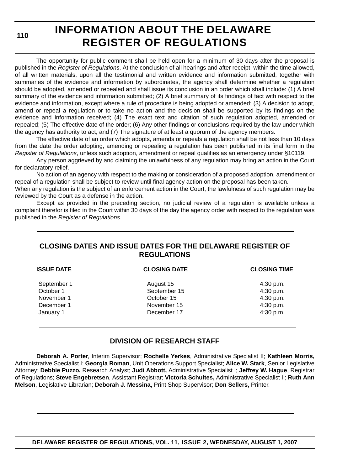**110**

### **INFORMATION ABOUT THE DELAWARE REGISTER OF REGULATIONS**

The opportunity for public comment shall be held open for a minimum of 30 days after the proposal is published in the *Register of Regulations*. At the conclusion of all hearings and after receipt, within the time allowed, of all written materials, upon all the testimonial and written evidence and information submitted, together with summaries of the evidence and information by subordinates, the agency shall determine whether a regulation should be adopted, amended or repealed and shall issue its conclusion in an order which shall include: (1) A brief summary of the evidence and information submitted; (2) A brief summary of its findings of fact with respect to the evidence and information, except where a rule of procedure is being adopted or amended; (3) A decision to adopt, amend or repeal a regulation or to take no action and the decision shall be supported by its findings on the evidence and information received; (4) The exact text and citation of such regulation adopted, amended or repealed; (5) The effective date of the order; (6) Any other findings or conclusions required by the law under which the agency has authority to act; and (7) The signature of at least a quorum of the agency members.

The effective date of an order which adopts, amends or repeals a regulation shall be not less than 10 days from the date the order adopting, amending or repealing a regulation has been published in its final form in the *Register of Regulations*, unless such adoption, amendment or repeal qualifies as an emergency under §10119.

Any person aggrieved by and claiming the unlawfulness of any regulation may bring an action in the Court for declaratory relief.

No action of an agency with respect to the making or consideration of a proposed adoption, amendment or repeal of a regulation shall be subject to review until final agency action on the proposal has been taken.

When any regulation is the subject of an enforcement action in the Court, the lawfulness of such regulation may be reviewed by the Court as a defense in the action.

Except as provided in the preceding section, no judicial review of a regulation is available unless a complaint therefor is filed in the Court within 30 days of the day the agency order with respect to the regulation was published in the *Register of Regulations*.

#### **CLOSING DATES AND ISSUE DATES FOR THE DELAWARE REGISTER OF REGULATIONS**

| <b>ISSUE DATE</b> | <b>CLOSING DATE</b> | <b>CLOSING TIME</b> |
|-------------------|---------------------|---------------------|
| September 1       | August 15           | $4:30$ p.m.         |
| October 1         | September 15        | 4:30 p.m.           |
| November 1        | October 15          | 4:30 p.m.           |
| December 1        | November 15         | 4:30 p.m.           |
| January 1         | December 17         | 4:30 p.m.           |

#### **DIVISION OF RESEARCH STAFF**

**Deborah A. Porter**, Interim Supervisor; **Rochelle Yerkes**, Administrative Specialist II; **Kathleen Morris,** Administrative Specialist I; **Georgia Roman**, Unit Operations Support Specialist; **Alice W. Stark**, Senior Legislative Attorney; **Debbie Puzzo,** Research Analyst; **Judi Abbott,** Administrative Specialist I; **Jeffrey W. Hague**, Registrar of Regulations; **Steve Engebretsen**, Assistant Registrar; **Victoria Schultes,** Administrative Specialist II; **Ruth Ann Melson**, Legislative Librarian; **Deborah J. Messina,** Print Shop Supervisor; **Don Sellers,** Printer.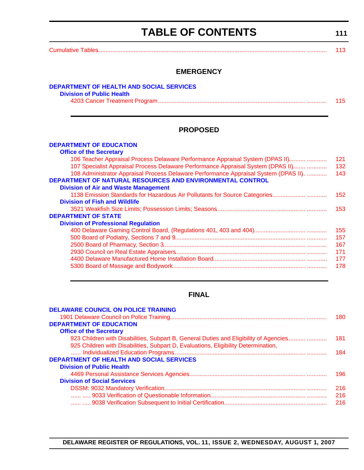### **TABLE OF CONTENTS**

<span id="page-3-0"></span>

|                                                                                                                                                          | 113        |
|----------------------------------------------------------------------------------------------------------------------------------------------------------|------------|
| <b>EMERGENCY</b>                                                                                                                                         |            |
| DEPARTMENT OF HEALTH AND SOCIAL SERVICES<br><b>Division of Public Health</b>                                                                             |            |
|                                                                                                                                                          | 115        |
| <b>PROPOSED</b>                                                                                                                                          |            |
| <b>DEPARTMENT OF EDUCATION</b>                                                                                                                           |            |
| <b>Office of the Secretary</b><br>106 Teacher Appraisal Process Delaware Performance Appraisal System (DPAS II)                                          | 121        |
| 107 Specialist Appraisal Process Delaware Performance Appraisal System (DPAS II)                                                                         | 132        |
| 108 Administrator Appraisal Process Delaware Performance Appraisal System (DPAS II).<br><b>DEPARTMENT OF NATURAL RESOURCES AND ENVIRONMENTAL CONTROL</b> | 143        |
| <b>Division of Air and Waste Management</b>                                                                                                              |            |
|                                                                                                                                                          | 152        |
| <b>Division of Fish and Wildlife</b>                                                                                                                     |            |
|                                                                                                                                                          | 153        |
| <b>DEPARTMENT OF STATE</b>                                                                                                                               |            |
| <b>Division of Professional Regulation</b>                                                                                                               |            |
|                                                                                                                                                          | 155<br>157 |
|                                                                                                                                                          | 167        |
|                                                                                                                                                          | 171        |
|                                                                                                                                                          | 177        |
|                                                                                                                                                          | 178        |

#### **FINAL**

| <b>DELAWARE COUNCIL ON POLICE TRAINING</b>                                            |     |
|---------------------------------------------------------------------------------------|-----|
|                                                                                       | 180 |
| <b>DEPARTMENT OF EDUCATION</b>                                                        |     |
| <b>Office of the Secretary</b>                                                        |     |
| 923 Children with Disabilities, Subpart B, General Duties and Eligibility of Agencies | 181 |
| 925 Children with Disabilities, Subpart D, Evaluations, Eligibility Determination,    |     |
|                                                                                       | 184 |
| <b>DEPARTMENT OF HEALTH AND SOCIAL SERVICES</b>                                       |     |
| <b>Division of Public Health</b>                                                      |     |
|                                                                                       | 196 |
| <b>Division of Social Services</b>                                                    |     |
|                                                                                       | 216 |
|                                                                                       | 216 |
|                                                                                       | 216 |
|                                                                                       |     |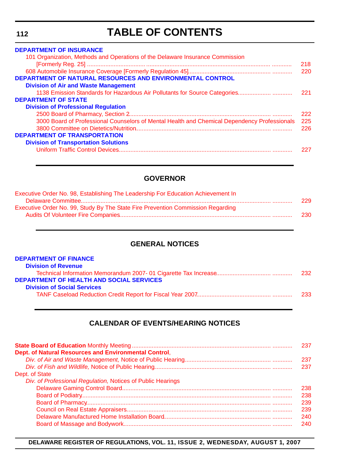### **TABLE OF CONTENTS**

| <b>DEPARTMENT OF INSURANCE</b>                                                               |      |
|----------------------------------------------------------------------------------------------|------|
| 101 Organization, Methods and Operations of the Delaware Insurance Commission                |      |
|                                                                                              | 218. |
|                                                                                              | 220  |
| <b>DEPARTMENT OF NATURAL RESOURCES AND ENVIRONMENTAL CONTROL</b>                             |      |
| <b>Division of Air and Waste Management</b>                                                  |      |
|                                                                                              | 221  |
| <b>DEPARTMENT OF STATE</b>                                                                   |      |
| <b>Division of Professional Regulation</b>                                                   |      |
|                                                                                              | 222. |
| 3000 Board of Professional Counselors of Mental Health and Chemical Dependency Professionals | 225  |
|                                                                                              | 226  |
| <b>DEPARTMENT OF TRANSPORTATION</b>                                                          |      |
| <b>Division of Transportation Solutions</b>                                                  |      |
|                                                                                              | 227  |
|                                                                                              |      |

#### **GOVERNOR**

| Executive Order No. 98, Establishing The Leadership For Education Achievement In |      |
|----------------------------------------------------------------------------------|------|
|                                                                                  | 229  |
| Executive Order No. 99, Study By The State Fire Prevention Commission Regarding  |      |
|                                                                                  | -230 |
|                                                                                  |      |

#### **GENERAL NOTICES**

| 232 |
|-----|
|     |
|     |
| 233 |
|     |

#### **CALENDAR OF EVENTS/HEARING NOTICES**

|                                                             | 237  |
|-------------------------------------------------------------|------|
| Dept. of Natural Resources and Environmental Control,       |      |
|                                                             | 237  |
|                                                             | 237  |
| Dept. of State                                              |      |
| Div. of Professional Regulation, Notices of Public Hearings |      |
|                                                             | 238. |
|                                                             | 238  |
|                                                             | 239  |
|                                                             | 239  |
|                                                             | 240. |
|                                                             | 240  |

**DELAWARE REGISTER OF REGULATIONS, VOL. 11, ISSUE 2, WEDNESDAY, AUGUST 1, 2007**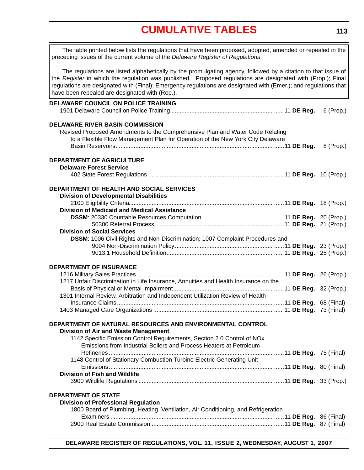### **[CUMULATIVE TABLES](#page-3-0)**

<span id="page-5-0"></span>

| The table printed below lists the regulations that have been proposed, adopted, amended or repealed in the<br>preceding issues of the current volume of the Delaware Register of Regulations.                                                                                                                                                                                                      |            |
|----------------------------------------------------------------------------------------------------------------------------------------------------------------------------------------------------------------------------------------------------------------------------------------------------------------------------------------------------------------------------------------------------|------------|
| The regulations are listed alphabetically by the promulgating agency, followed by a citation to that issue of<br>the Register in which the regulation was published. Proposed regulations are designated with (Prop.); Final<br>regulations are designated with (Final); Emergency regulations are designated with (Emer.); and regulations that<br>have been repealed are designated with (Rep.). |            |
| <b>DELAWARE COUNCIL ON POLICE TRAINING</b>                                                                                                                                                                                                                                                                                                                                                         |            |
|                                                                                                                                                                                                                                                                                                                                                                                                    | 6 (Prop.)  |
| <b>DELAWARE RIVER BASIN COMMISSION</b>                                                                                                                                                                                                                                                                                                                                                             |            |
| Revised Proposed Amendments to the Comprehensive Plan and Water Code Relating                                                                                                                                                                                                                                                                                                                      |            |
| to a Flexible Flow Management Plan for Operation of the New York City Delaware                                                                                                                                                                                                                                                                                                                     |            |
|                                                                                                                                                                                                                                                                                                                                                                                                    | 8 (Prop.)  |
| DEPARTMENT OF AGRICULTURE                                                                                                                                                                                                                                                                                                                                                                          |            |
| <b>Delaware Forest Service</b>                                                                                                                                                                                                                                                                                                                                                                     |            |
|                                                                                                                                                                                                                                                                                                                                                                                                    |            |
| DEPARTMENT OF HEALTH AND SOCIAL SERVICES                                                                                                                                                                                                                                                                                                                                                           |            |
| <b>Division of Developmental Disabilities</b>                                                                                                                                                                                                                                                                                                                                                      |            |
|                                                                                                                                                                                                                                                                                                                                                                                                    |            |
| <b>Division of Medicaid and Medical Assistance</b>                                                                                                                                                                                                                                                                                                                                                 |            |
|                                                                                                                                                                                                                                                                                                                                                                                                    |            |
|                                                                                                                                                                                                                                                                                                                                                                                                    | 21 (Prop.) |
| <b>Division of Social Services</b>                                                                                                                                                                                                                                                                                                                                                                 |            |
| DSSM: 1006 Civil Rights and Non-Discrimination; 1007 Complaint Procedures and                                                                                                                                                                                                                                                                                                                      |            |
|                                                                                                                                                                                                                                                                                                                                                                                                    | 25 (Prop.) |
|                                                                                                                                                                                                                                                                                                                                                                                                    |            |
| <b>DEPARTMENT OF INSURANCE</b>                                                                                                                                                                                                                                                                                                                                                                     |            |
|                                                                                                                                                                                                                                                                                                                                                                                                    |            |
| 1217 Unfair Discrimination in Life Insurance, Annuities and Health Insurance on the                                                                                                                                                                                                                                                                                                                |            |
|                                                                                                                                                                                                                                                                                                                                                                                                    |            |
| 1301 Internal Review, Arbitration and Independent Utilization Review of Health                                                                                                                                                                                                                                                                                                                     |            |
|                                                                                                                                                                                                                                                                                                                                                                                                    |            |
|                                                                                                                                                                                                                                                                                                                                                                                                    |            |
| DEPARTMENT OF NATURAL RESOURCES AND ENVIRONMENTAL CONTROL                                                                                                                                                                                                                                                                                                                                          |            |
| <b>Division of Air and Waste Management</b>                                                                                                                                                                                                                                                                                                                                                        |            |
| 1142 Specific Emission Control Requirements, Section 2.0 Control of NOx                                                                                                                                                                                                                                                                                                                            |            |
| Emissions from Industrial Boilers and Process Heaters at Petroleum                                                                                                                                                                                                                                                                                                                                 |            |
|                                                                                                                                                                                                                                                                                                                                                                                                    |            |
| 1148 Control of Stationary Combustion Turbine Electric Generating Unit                                                                                                                                                                                                                                                                                                                             |            |
|                                                                                                                                                                                                                                                                                                                                                                                                    |            |
| <b>Division of Fish and Wildlife</b>                                                                                                                                                                                                                                                                                                                                                               |            |
|                                                                                                                                                                                                                                                                                                                                                                                                    |            |
| <b>DEPARTMENT OF STATE</b>                                                                                                                                                                                                                                                                                                                                                                         |            |
| <b>Division of Professional Regulation</b>                                                                                                                                                                                                                                                                                                                                                         |            |
| 1800 Board of Plumbing, Heating, Ventilation, Air Conditioning, and Refrigeration                                                                                                                                                                                                                                                                                                                  |            |
|                                                                                                                                                                                                                                                                                                                                                                                                    |            |
|                                                                                                                                                                                                                                                                                                                                                                                                    |            |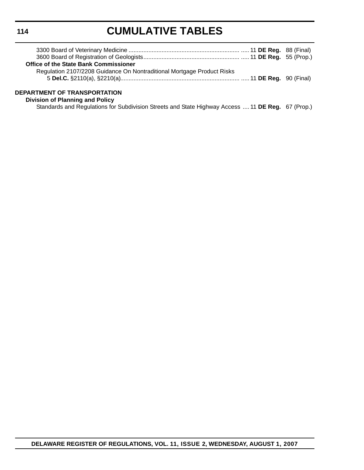## **CUMULATIVE TABLES**

| <b>Office of the State Bank Commissioner</b>                           |  |
|------------------------------------------------------------------------|--|
| Regulation 2107/2208 Guidance On Nontraditional Mortgage Product Risks |  |
| ------------------------------                                         |  |

#### **DEPARTMENT OF TRANSPORTATION**

**Division of Planning and Policy**

Standards and Regulations for Subdivision Streets and State Highway Access .... 11 **DE Reg.** 67 (Prop.)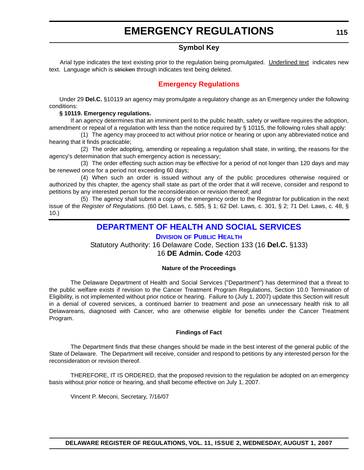#### **Symbol Key**

<span id="page-7-0"></span>Arial type indicates the text existing prior to the regulation being promulgated. Underlined text indicates new text. Language which is stricken through indicates text being deleted.

#### **[Emergency Regulations](#page-3-0)**

Under 29 **Del.C.** §10119 an agency may promulgate a regulatory change as an Emergency under the following conditions:

#### **§ 10119. Emergency regulations.**

If an agency determines that an imminent peril to the public health, safety or welfare requires the adoption, amendment or repeal of a regulation with less than the notice required by § 10115, the following rules shall apply:

(1) The agency may proceed to act without prior notice or hearing or upon any abbreviated notice and hearing that it finds practicable;

(2) The order adopting, amending or repealing a regulation shall state, in writing, the reasons for the agency's determination that such emergency action is necessary;

(3) The order effecting such action may be effective for a period of not longer than 120 days and may be renewed once for a period not exceeding 60 days;

(4) When such an order is issued without any of the public procedures otherwise required or authorized by this chapter, the agency shall state as part of the order that it will receive, consider and respond to petitions by any interested person for the reconsideration or revision thereof; and

(5) The agency shall submit a copy of the emergency order to the Registrar for publication in the next issue of the *Register of Regulations*. (60 Del. Laws, c. 585, § 1; 62 Del. Laws, c. 301, § 2; 71 Del. Laws, c. 48, § 10.)

#### **[DEPARTMENT OF HEALTH AND SOCIAL SERVICES](http://www.dhss.delaware.gov/dhss/dph/index.html)**

#### **DIVISION OF PUBLIC HEALTH**

Statutory Authority: 16 Delaware Code, Section 133 (16 **Del.C.** §133) 16 **DE Admin. Code** 4203

#### **Nature of the Proceedings**

The Delaware Department of Health and Social Services ("Department") has determined that a threat to the public welfare exists if revision to the Cancer Treatment Program Regulations, Section 10.0 Termination of Eligibility, is not implemented without prior notice or hearing. Failure to (July 1, 2007) update this Section will result in a denial of covered services, a continued barrier to treatment and pose an unnecessary health risk to all Delawareans, diagnosed with Cancer, who are otherwise eligible for benefits under the Cancer Treatment Program.

#### **Findings of Fact**

The Department finds that these changes should be made in the best interest of the general public of the State of Delaware. The Department will receive, consider and respond to petitions by any interested person for the reconsideration or revision thereof.

THEREFORE, IT IS ORDERED, that the proposed revision to the regulation be adopted on an emergency basis without prior notice or hearing, and shall become effective on July 1, 2007.

Vincent P. Meconi, Secretary, 7/16/07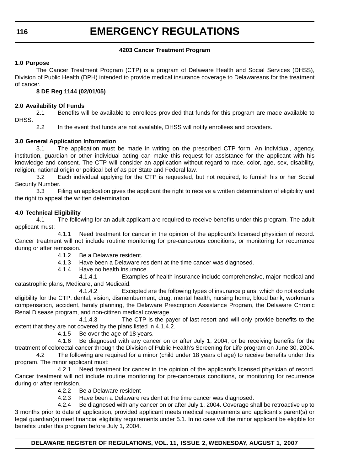#### **4203 Cancer Treatment Program**

#### **1.0 Purpose**

The Cancer Treatment Program (CTP) is a program of Delaware Health and Social Services (DHSS), Division of Public Health (DPH) intended to provide medical insurance coverage to Delawareans for the treatment of cancer.

#### **8 DE Reg 1144 (02/01/05)**

#### **2.0 Availability Of Funds**

2.1 Benefits will be available to enrollees provided that funds for this program are made available to DHSS.

2.2 In the event that funds are not available, DHSS will notify enrollees and providers.

#### **3.0 General Application Information**

3.1 The application must be made in writing on the prescribed CTP form. An individual, agency, institution, guardian or other individual acting can make this request for assistance for the applicant with his knowledge and consent. The CTP will consider an application without regard to race, color, age, sex, disability, religion, national origin or political belief as per State and Federal law.

3.2 Each individual applying for the CTP is requested, but not required, to furnish his or her Social Security Number.

3.3 Filing an application gives the applicant the right to receive a written determination of eligibility and the right to appeal the written determination.

#### **4.0 Technical Eligibility**

4.1 The following for an adult applicant are required to receive benefits under this program. The adult applicant must:

4.1.1 Need treatment for cancer in the opinion of the applicant's licensed physician of record. Cancer treatment will not include routine monitoring for pre-cancerous conditions, or monitoring for recurrence during or after remission.

4.1.2 Be a Delaware resident.

4.1.3 Have been a Delaware resident at the time cancer was diagnosed.

4.1.4 Have no health insurance.

4.1.4.1 Examples of health insurance include comprehensive, major medical and catastrophic plans, Medicare, and Medicaid.

4.1.4.2 Excepted are the following types of insurance plans, which do not exclude eligibility for the CTP: dental, vision, dismemberment, drug, mental health, nursing home, blood bank, workman's compensation, accident, family planning, the Delaware Prescription Assistance Program, the Delaware Chronic Renal Disease program, and non-citizen medical coverage.

4.1.4.3 The CTP is the payer of last resort and will only provide benefits to the extent that they are not covered by the plans listed in 4.1.4.2.

4.1.5 Be over the age of 18 years.

4.1.6 Be diagnosed with any cancer on or after July 1, 2004, or be receiving benefits for the treatment of colorectal cancer through the Division of Public Health's Screening for Life program on June 30, 2004.

4.2 The following are required for a minor (child under 18 years of age) to receive benefits under this program. The minor applicant must:

4.2.1 Need treatment for cancer in the opinion of the applicant's licensed physician of record. Cancer treatment will not include routine monitoring for pre-cancerous conditions, or monitoring for recurrence during or after remission.

4.2.2 Be a Delaware resident

4.2.3 Have been a Delaware resident at the time cancer was diagnosed.

4.2.4 Be diagnosed with any cancer on or after July 1, 2004. Coverage shall be retroactive up to 3 months prior to date of application, provided applicant meets medical requirements and applicant's parent(s) or legal guardian(s) meet financial eligibility requirements under 5.1. In no case will the minor applicant be eligible for benefits under this program before July 1, 2004.

**DELAWARE REGISTER OF REGULATIONS, VOL. 11, ISSUE 2, WEDNESDAY, AUGUST 1, 2007**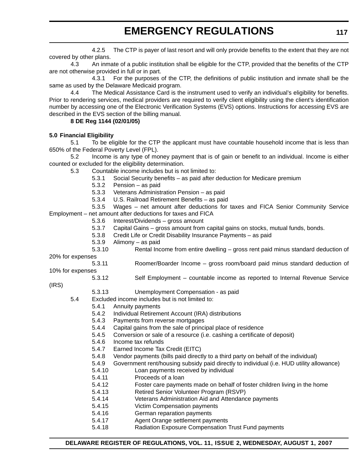4.2.5 The CTP is payer of last resort and will only provide benefits to the extent that they are not covered by other plans.

4.3 An inmate of a public institution shall be eligible for the CTP, provided that the benefits of the CTP are not otherwise provided in full or in part.

4.3.1 For the purposes of the CTP, the definitions of public institution and inmate shall be the same as used by the Delaware Medicaid program.

4.4 The Medical Assistance Card is the instrument used to verify an individual's eligibility for benefits. Prior to rendering services, medical providers are required to verify client eligibility using the client's identification number by accessing one of the Electronic Verification Systems (EVS) options. Instructions for accessing EVS are described in the EVS section of the billing manual.

#### **8 DE Reg 1144 (02/01/05)**

#### **5.0 Financial Eligibility**

5.1 To be eligible for the CTP the applicant must have countable household income that is less than 650% of the Federal Poverty Level (FPL).

5.2 Income is any type of money payment that is of gain or benefit to an individual. Income is either counted or excluded for the eligibility determination.

- 5.3 Countable income includes but is not limited to:
	- 5.3.1 Social Security benefits as paid after deduction for Medicare premium
	- 5.3.2 Pension as paid
	- 5.3.3 Veterans Administration Pension as paid
	- 5.3.4 U.S. Railroad Retirement Benefits as paid

5.3.5 Wages – net amount after deductions for taxes and FICA Senior Community Service Employment – net amount after deductions for taxes and FICA

- 5.3.6 Interest/Dividends gross amount
- 5.3.7 Capital Gains gross amount from capital gains on stocks, mutual funds, bonds.
- 5.3.8 Credit Life or Credit Disability Insurance Payments as paid
- 5.3.9 Alimony as paid
- 5.3.10 Rental Income from entire dwelling gross rent paid minus standard deduction of
- 20% for expenses
- 5.3.11 Roomer/Boarder Income gross room/board paid minus standard deduction of
- 10% for expenses

#### 5.3.12 Self Employment – countable income as reported to Internal Revenue Service

- (IRS)
- 5.3.13 Unemployment Compensation as paid
- 5.4 Excluded income includes but is not limited to:
	- 5.4.1 Annuity payments
	- 5.4.2 Individual Retirement Account (IRA) distributions
	- 5.4.3 Payments from reverse mortgages
	- 5.4.4 Capital gains from the sale of principal place of residence
	- 5.4.5 Conversion or sale of a resource (i.e. cashing a certificate of deposit)
	- 5.4.6 Income tax refunds
	- 5.4.7 Earned Income Tax Credit (EITC)
	- 5.4.8 Vendor payments (bills paid directly to a third party on behalf of the individual)
	- 5.4.9 Government rent/housing subsidy paid directly to individual (i.e. HUD utility allowance)
	- 5.4.10 Loan payments received by individual
	- 5.4.11 Proceeds of a loan
	- 5.4.12 Foster care payments made on behalf of foster children living in the home
	- 5.4.13 Retired Senior Volunteer Program (RSVP)
	- 5.4.14 Veterans Administration Aid and Attendance payments
	- 5.4.15 Victim Compensation payments
	- 5.4.16 German reparation payments
	- 5.4.17 Agent Orange settlement payments
	- 5.4.18 Radiation Exposure Compensation Trust Fund payments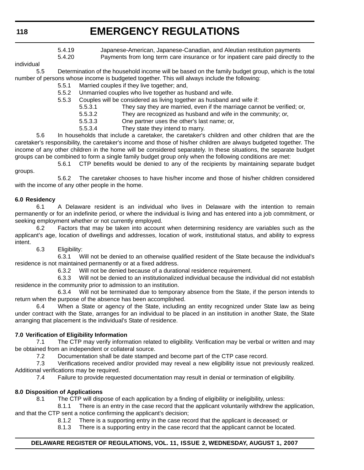- 5.4.19 Japanese-American, Japanese-Canadian, and Aleutian restitution payments
- 5.4.20 Payments from long term care insurance or for inpatient care paid directly to the

individual

5.5 Determination of the household income will be based on the family budget group, which is the total number of persons whose income is budgeted together. This will always include the following:

- 5.5.1 Married couples if they live together; and,
- 5.5.2 Unmarried couples who live together as husband and wife.
- 5.5.3 Couples will be considered as living together as husband and wife if:
	- 5.5.3.1 They say they are married, even if the marriage cannot be verified; or,
	- 5.5.3.2 They are recognized as husband and wife in the community; or,
	- 5.5.3.3 One partner uses the other's last name; or,
	- 5.5.3.4 They state they intend to marry.

5.6 In households that include a caretaker, the caretaker's children and other children that are the caretaker's responsibility, the caretaker's income and those of his/her children are always budgeted together. The income of any other children in the home will be considered separately. In these situations, the separate budget groups can be combined to form a single family budget group only when the following conditions are met:

5.6.1 CTP benefits would be denied to any of the recipients by maintaining separate budget groups.

5.6.2 The caretaker chooses to have his/her income and those of his/her children considered with the income of any other people in the home.

#### **6.0 Residency**

6.1 A Delaware resident is an individual who lives in Delaware with the intention to remain permanently or for an indefinite period, or where the individual is living and has entered into a job commitment, or seeking employment whether or not currently employed.

6.2 Factors that may be taken into account when determining residency are variables such as the applicant's age, location of dwellings and addresses, location of work, institutional status, and ability to express intent.

6.3 Eligibility:

6.3.1 Will not be denied to an otherwise qualified resident of the State because the individual's residence is not maintained permanently or at a fixed address.

6.3.2 Will not be denied because of a durational residence requirement.

6.3.3 Will not be denied to an institutionalized individual because the individual did not establish residence in the community prior to admission to an institution.

6.3.4 Will not be terminated due to temporary absence from the State, if the person intends to return when the purpose of the absence has been accomplished.

6.4 When a State or agency of the State, including an entity recognized under State law as being under contract with the State, arranges for an individual to be placed in an institution in another State, the State arranging that placement is the individual's State of residence.

#### **7.0 Verification of Eligibility Information**

7.1 The CTP may verify information related to eligibility. Verification may be verbal or written and may be obtained from an independent or collateral source.

7.2 Documentation shall be date stamped and become part of the CTP case record.

7.3 Verifications received and/or provided may reveal a new eligibility issue not previously realized. Additional verifications may be required.

7.4 Failure to provide requested documentation may result in denial or termination of eligibility.

#### **8.0 Disposition of Applications**

8.1 The CTP will dispose of each application by a finding of eligibility or ineligibility, unless:

8.1.1 There is an entry in the case record that the applicant voluntarily withdrew the application, and that the CTP sent a notice confirming the applicant's decision;

- 8.1.2 There is a supporting entry in the case record that the applicant is deceased; or
- 8.1.3 There is a supporting entry in the case record that the applicant cannot be located.

#### **DELAWARE REGISTER OF REGULATIONS, VOL. 11, ISSUE 2, WEDNESDAY, AUGUST 1, 2007**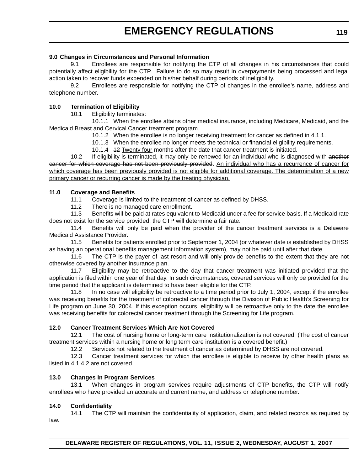#### **9.0 Changes in Circumstances and Personal Information**

9.1 Enrollees are responsible for notifying the CTP of all changes in his circumstances that could potentially affect eligibility for the CTP. Failure to do so may result in overpayments being processed and legal action taken to recover funds expended on his/her behalf during periods of ineligibility.

9.2 Enrollees are responsible for notifying the CTP of changes in the enrollee's name, address and telephone number.

#### **10.0 Termination of Eligibility**

10.1 Eligibility terminates:

10.1.1 When the enrollee attains other medical insurance, including Medicare, Medicaid, and the Medicaid Breast and Cervical Cancer treatment program.

- 10.1.2 When the enrollee is no longer receiving treatment for cancer as defined in 4.1.1.
- 10.1.3 When the enrollee no longer meets the technical or financial eligibility requirements.
- 10.1.4 12 Twenty four months after the date that cancer treatment is initiated.

10.2 If eligibility is terminated, it may only be renewed for an individual who is diagnosed with another cancer for which coverage has not been previously provided. An individual who has a recurrence of cancer for which coverage has been previously provided is not eligible for additional coverage. The determination of a new primary cancer or recurring cancer is made by the treating physician.

#### **11.0 Coverage and Benefits**

11.1 Coverage is limited to the treatment of cancer as defined by DHSS.

11.2 There is no managed care enrollment.

11.3 Benefits will be paid at rates equivalent to Medicaid under a fee for service basis. If a Medicaid rate does not exist for the service provided, the CTP will determine a fair rate.

11.4 Benefits will only be paid when the provider of the cancer treatment services is a Delaware Medicaid Assistance Provider.

11.5 Benefits for patients enrolled prior to September 1, 2004 (or whatever date is established by DHSS as having an operational benefits management information system), may not be paid until after that date.

11.6 The CTP is the payer of last resort and will only provide benefits to the extent that they are not otherwise covered by another insurance plan.

11.7 Eligibility may be retroactive to the day that cancer treatment was initiated provided that the application is filed within one year of that day. In such circumstances, covered services will only be provided for the time period that the applicant is determined to have been eligible for the CTP.

11.8 In no case will eligibility be retroactive to a time period prior to July 1, 2004, except if the enrollee was receiving benefits for the treatment of colorectal cancer through the Division of Public Health's Screening for Life program on June 30, 2004. If this exception occurs, eligibility will be retroactive only to the date the enrollee was receiving benefits for colorectal cancer treatment through the Screening for Life program.

#### **12.0 Cancer Treatment Services Which Are Not Covered**

12.1 The cost of nursing home or long-term care institutionalization is not covered. (The cost of cancer treatment services within a nursing home or long term care institution is a covered benefit.)

12.2 Services not related to the treatment of cancer as determined by DHSS are not covered.

12.3 Cancer treatment services for which the enrollee is eligible to receive by other health plans as listed in 4.1.4.2 are not covered.

#### **13.0 Changes In Program Services**

13.1 When changes in program services require adjustments of CTP benefits, the CTP will notify enrollees who have provided an accurate and current name, and address or telephone number.

#### **14.0 Confidentiality**

14.1 The CTP will maintain the confidentiality of application, claim, and related records as required by law.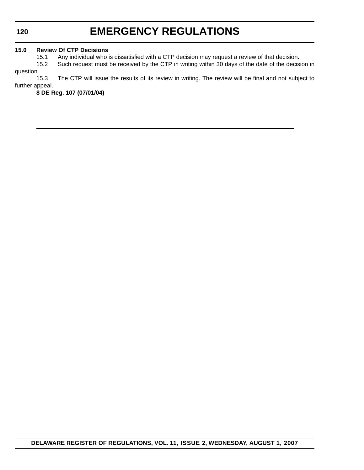**120**

### **EMERGENCY REGULATIONS**

#### **15.0 Review Of CTP Decisions**

15.1 Any individual who is dissatisfied with a CTP decision may request a review of that decision.

15.2 Such request must be received by the CTP in writing within 30 days of the date of the decision in question.

15.3 The CTP will issue the results of its review in writing. The review will be final and not subject to further appeal.

**8 DE Reg. 107 (07/01/04)**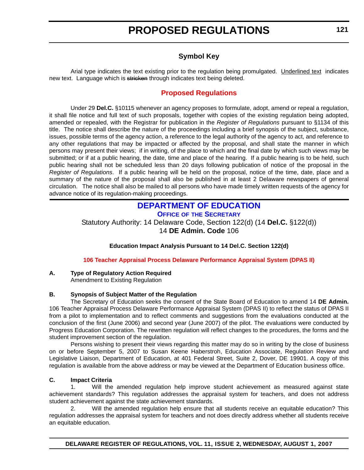#### **Symbol Key**

<span id="page-13-0"></span>Arial type indicates the text existing prior to the regulation being promulgated. Underlined text indicates new text. Language which is stricken through indicates text being deleted.

#### **[Proposed Regulations](#page-3-0)**

Under 29 **Del.C.** §10115 whenever an agency proposes to formulate, adopt, amend or repeal a regulation, it shall file notice and full text of such proposals, together with copies of the existing regulation being adopted, amended or repealed, with the Registrar for publication in the *Register of Regulations* pursuant to §1134 of this title. The notice shall describe the nature of the proceedings including a brief synopsis of the subject, substance, issues, possible terms of the agency action, a reference to the legal authority of the agency to act, and reference to any other regulations that may be impacted or affected by the proposal, and shall state the manner in which persons may present their views; if in writing, of the place to which and the final date by which such views may be submitted; or if at a public hearing, the date, time and place of the hearing. If a public hearing is to be held, such public hearing shall not be scheduled less than 20 days following publication of notice of the proposal in the *Register of Regulations*. If a public hearing will be held on the proposal, notice of the time, date, place and a summary of the nature of the proposal shall also be published in at least 2 Delaware newspapers of general circulation. The notice shall also be mailed to all persons who have made timely written requests of the agency for advance notice of its regulation-making proceedings.

#### **[DEPARTMENT OF EDUCATION](http://www.doe.k12.de.us/) OFFICE OF THE SECRETARY**

Statutory Authority: 14 Delaware Code, Section 122(d) (14 **Del.C.** §122(d)) 14 **DE Admin. Code** 106

#### **Education Impact Analysis Pursuant to 14 Del.C. Section 122(d)**

#### **[106 Teacher Appraisal Process Delaware Performance Appraisal System \(DPAS II\)](#page-3-0)**

#### **A. Type of Regulatory Action Required**

Amendment to Existing Regulation

#### **B. Synopsis of Subject Matter of the Regulation**

The Secretary of Education seeks the consent of the State Board of Education to amend 14 **DE Admin.** 106 Teacher Appraisal Process Delaware Performance Appraisal System (DPAS II) to reflect the status of DPAS II from a pilot to implementation and to reflect comments and suggestions from the evaluations conducted at the conclusion of the first (June 2006) and second year (June 2007) of the pilot. The evaluations were conducted by Progress Education Corporation. The rewritten regulation will reflect changes to the procedures, the forms and the student improvement section of the regulation.

Persons wishing to present their views regarding this matter may do so in writing by the close of business on or before September 5, 2007 to Susan Keene Haberstroh, Education Associate, Regulation Review and Legislative Liaison, Department of Education, at 401 Federal Street, Suite 2, Dover, DE 19901. A copy of this regulation is available from the above address or may be viewed at the Department of Education business office.

#### **C. Impact Criteria**

1. Will the amended regulation help improve student achievement as measured against state achievement standards? This regulation addresses the appraisal system for teachers, and does not address student achievement against the state achievement standards.

2. Will the amended regulation help ensure that all students receive an equitable education? This regulation addresses the appraisal system for teachers and not does directly address whether all students receive an equitable education.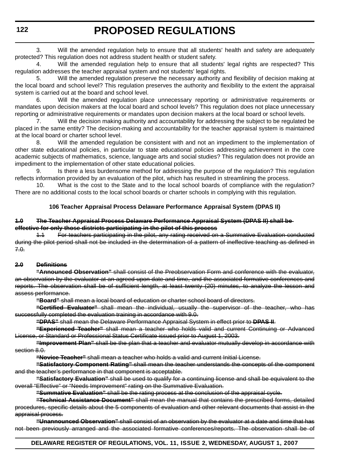3. Will the amended regulation help to ensure that all students' health and safety are adequately protected? This regulation does not address student health or student safety.

4. Will the amended regulation help to ensure that all students' legal rights are respected? This regulation addresses the teacher appraisal system and not students' legal rights.

5. Will the amended regulation preserve the necessary authority and flexibility of decision making at the local board and school level? This regulation preserves the authority and flexibility to the extent the appraisal system is carried out at the board and school level.

6. Will the amended regulation place unnecessary reporting or administrative requirements or mandates upon decision makers at the local board and school levels? This regulation does not place unnecessary reporting or administrative requirements or mandates upon decision makers at the local board or school levels.

7. Will the decision making authority and accountability for addressing the subject to be regulated be placed in the same entity? The decision-making and accountability for the teacher appraisal system is maintained at the local board or charter school level.

8. Will the amended regulation be consistent with and not an impediment to the implementation of other state educational policies, in particular to state educational policies addressing achievement in the core academic subjects of mathematics, science, language arts and social studies? This regulation does not provide an impediment to the implementation of other state educational policies.

9. Is there a less burdensome method for addressing the purpose of the regulation? This regulation reflects information provided by an evaluation of the pilot, which has resulted in streamlining the process.

10. What is the cost to the State and to the local school boards of compliance with the regulation? There are no additional costs to the local school boards or charter schools in complying with this regulation.

#### **106 Teacher Appraisal Process Delaware Performance Appraisal System (DPAS II)**

#### **1.0 The Teacher Appraisal Process Delaware Performance Appraisal System (DPAS II) shall be effective for only those districts participating in the pilot of this process**

For teachers participating in the pilot, any rating received on a Summative Evaluation conducted during the pilot period shall not be included in the determination of a pattern of ineffective teaching as defined in 7.0.

#### **2.0 Definitions**

**"Announced Observation"** shall consist of the Preobservation Form and conference with the evaluator, an observation by the evaluator at an agreed upon date and time, and the associated formative conferences and reports. The observation shall be of sufficient length, at least twenty (20) minutes, to analyze the lesson and assess performance.

**"Board"** shall mean a local board of education or charter school board of directors.

**"Certified Evaluator"** shall mean the individual, usually the supervisor of the teacher, who has successfully completed the evaluation training in accordance with 9.0.

**"DPAS"** shall mean the Delaware Performance Appraisal System in effect prior to **DPAS II**.

**"Experienced Teacher"** shall mean a teacher who holds valid and current Continuing or Advanced License, or Standard or Professional Status Certificate issued prior to August 1, 2003.

**"Improvement Plan"** shall be the plan that a teacher and evaluator mutually develop in accordance with section 8.0.

**"Novice Teacher"** shall mean a teacher who holds a valid and current Initial License.

**"Satisfactory Component Rating"** shall mean the teacher understands the concepts of the component and the teacher's performance in that component is acceptable.

**"Satisfactory Evaluation"** shall be used to qualify for a continuing license and shall be equivalent to the overall "Effective" or "Needs Improvement" rating on the Summative Evaluation.

**"Summative Evaluation"** shall be the rating process at the conclusion of the appraisal cycle.

**"Technical Assistance Document"** shall mean the manual that contains the prescribed forms, detailed procedures, specific details about the 5 components of evaluation and other relevant documents that assist in the appraisal process.

**"Unannounced Observation"** shall consist of an observation by the evaluator at a date and time that has not been previously arranged and the associated formative conferences/reports. The observation shall be of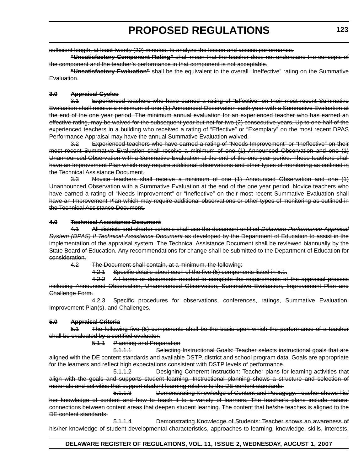sufficient length, at least twenty (20) minutes, to analyze the lesson and assess performance.

**"Unsatisfactory Component Rating"** shall mean that the teacher does not understand the concepts of the component and the teacher's performance in that component is not acceptable.

**"Unsatisfactory Evaluation"** shall be the equivalent to the overall "Ineffective" rating on the Summative Evaluation.

#### **3.0 Appraisal Cycles**

3.1 Experienced teachers who have earned a rating of "Effective" on their most recent Summative Evaluation shall receive a minimum of one (1) Announced Observation each year with a Summative Evaluation at the end of the one year period. The minimum annual evaluation for an experienced teacher who has earned an effective rating, may be waived for the subsequent year but not for two (2) consecutive years. Up to one half of the experienced teachers in a building who received a rating of "Effective" or "Exemplary" on the most recent DPAS Performance Appraisal may have the annual Summative Evaluation waived.

3.2 Experienced teachers who have earned a rating of "Needs Improvement" or "Ineffective" on their most recent Summative Evaluation shall receive a minimum of one (1) Announced Observation and one (1) Unannounced Observation with a Summative Evaluation at the end of the one year period. These teachers shall have an Improvement Plan which may require additional observations and other types of monitoring as outlined in the Technical Assistance Document.

3.3 Novice teachers shall receive a minimum of one (1) Announced Observation and one (1) Unannounced Observation with a Summative Evaluation at the end of the one year period. Novice teachers who have earned a rating of "Needs Improvement" or "Ineffective" on their most recent Summative Evaluation shall have an Improvement Plan which may require additional observations or other types of monitoring as outlined in the Technical Assistance Document.

#### **4.0 Technical Assistance Document**

4.1 All districts and charter schools shall use the document entitled *Delaware Performance Appraisal* **System (DPAS) II Technical Assistance Document as developed by the Department of Education to assist in the** implementation of the appraisal system. The Technical Assistance Document shall be reviewed biannually by the State Board of Education. Any recommendations for change shall be submitted to the Department of Education for consideration.

4.2 The Document shall contain, at a minimum, the following:

4.2.1 Specific details about each of the five (5) components listed in 5.1.

4.2.2 All forms or documents needed to complete the requirements of the appraisal process including Announced Observation, Unannounced Observation, Summative Evaluation, Improvement Plan and Challenge Form.

4.2.3 Specific procedures for observations, conferences, ratings, Summative Evaluation, Improvement Plan(s), and Challenges.

#### **5.0 Appraisal Criteria**

5.1 The following five (5) components shall be the basis upon which the performance of a teacher shall be evaluated by a certified evaluator:

5.1.1 Planning and Preparation

5.1.1.1 Selecting Instructional Goals: Teacher selects instructional goals that are aligned with the DE content standards and available DSTP, district and school program data. Goals are appropriate for the learners and reflect high expectations consistent with DSTP levels of performance.

5.1.1.2 Designing Coherent Instruction: Teacher plans for learning activities that align with the goals and supports student learning. Instructional planning shows a structure and selection of materials and activities that support student learning relative to the DE content standards.

5.1.1.3 Demonstrating Knowledge of Content and Pedagogy: Teacher shows his/ her knowledge of content and how to teach it to a variety of learners. The teacher's plans include natural connections between content areas that deepen student learning. The content that he/she teaches is aligned to the DE content standards.

5.1.1.4 Demonstrating Knowledge of Students: Teacher shows an awareness of his/her knowledge of student developmental characteristics, approaches to learning, knowledge, skills, interests,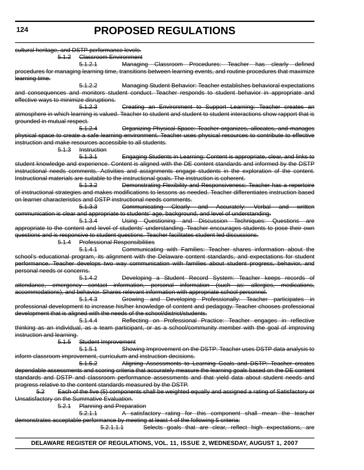| cultural heritage, and DSTP performance levels.            |                                     |                                                                                                                     |
|------------------------------------------------------------|-------------------------------------|---------------------------------------------------------------------------------------------------------------------|
|                                                            | 5.1.2 Classroom Environment         |                                                                                                                     |
|                                                            | <del>5.1.2.1</del>                  | Managing Classroom Procedures: Teacher has clearly defined                                                          |
|                                                            |                                     | procedures for managing learning time, transitions between learning events, and routine procedures that maximize    |
| learning time.                                             |                                     |                                                                                                                     |
|                                                            | 5.1.2.2                             | Managing Student Behavior: Teacher establishes behavioral expectations                                              |
|                                                            |                                     | and consequences and monitors student conduct. Teacher responds to student behavior in appropriate and              |
| effective ways to minimize disruptions.                    |                                     |                                                                                                                     |
|                                                            | 5.1.2.3                             | Creating an Environment to Support Learning: Teacher creates an                                                     |
|                                                            |                                     | atmosphere in which learning is valued. Teacher to student and student to student interactions show rapport that is |
| grounded in mutual respect.                                |                                     |                                                                                                                     |
|                                                            | 5.1.2.4                             | Organizing Physical Space: Teacher organizes, allocates, and manages                                                |
|                                                            |                                     | physical space to create a safe learning environment. Teacher uses physical resources to contribute to effective    |
| instruction and make resources accessible to all students. |                                     |                                                                                                                     |
|                                                            | 5.1.3 Instruction                   |                                                                                                                     |
|                                                            | <del>5.1.3.1</del>                  | Engaging Students in Learning: Content is appropriate, clear, and links to                                          |
|                                                            |                                     | student knowledge and experience. Content is aligned with the DE content standards and informed by the DSTP         |
|                                                            |                                     | instructional needs comments. Activities and assignments engage students in the exploration of the content.         |
|                                                            |                                     | Instructional materials are suitable to the instructional goals. The instruction is coherent.                       |
|                                                            | <del>5.1.3.2</del>                  | Demonstrating Flexibility and Responsiveness: Teacher has a repertoire                                              |
|                                                            |                                     | of instructional strategies and makes modifications to lessons as needed. Teacher differentiates instruction based  |
|                                                            |                                     | on learner characteristics and DSTP instructional needs comments.                                                   |
|                                                            | <del>5.1.3.3</del>                  | Communicating Clearly and Accurately: Verbal and written                                                            |
|                                                            |                                     | communication is clear and appropriate to students' age, background, and level of understanding.                    |
|                                                            | <del>5.1.3.4</del>                  | Using Questioning and Discussion Techniques: Questions are                                                          |
|                                                            |                                     | appropriate to the content and level of students' understanding. Teacher encourages students to pose their own      |
|                                                            |                                     | questions and is responsive to student questions. Teacher facilitates student led discussions.                      |
|                                                            | 5.1.4 Professional Responsibilities |                                                                                                                     |
|                                                            | <del>5.1.4.1</del>                  | Communicating with Families: Teacher shares information about the                                                   |
|                                                            |                                     | school's educational program, its alignment with the Delaware content standards, and expectations for student       |
|                                                            |                                     | performance. Teacher develops two way communication with families about student progress, behavior, and             |
| personal needs or concerns.                                |                                     |                                                                                                                     |
|                                                            | <del>5.1.4.2</del>                  | Developing a Student Record System: Teacher keeps records of                                                        |
|                                                            |                                     | attendance, emergency contact information, personal information (such as: allergies, medications,                   |
|                                                            |                                     | accommodations), and behavior. Shares relevant information with appropriate school personnel.                       |
|                                                            | 5.1.4.3                             | Growing and Developing Professionally: Teacher participates in                                                      |
|                                                            |                                     | professional development to increase his/her knowledge of content and pedagogy. Teacher chooses professional        |
|                                                            |                                     | development that is aligned with the needs of the school/district/students.                                         |
|                                                            | 5.1.4.4                             | Reflecting on Professional Practice: Teacher engages in reflective                                                  |
|                                                            |                                     | thinking as an individual, as a team participant, or as a school/community member with the goal of improving        |
| instruction and learning.                                  |                                     |                                                                                                                     |
| <del>5.1.5</del>                                           | Student Improvement                 |                                                                                                                     |
|                                                            | 5.1.5.1                             | Showing Improvement on the DSTP: Teacher uses DSTP data analysis to                                                 |
|                                                            |                                     | inform classroom improvement, curriculum and instruction decisions.                                                 |
|                                                            | 5.1.5.2                             | Aligning Assessments to Learning Goals and DSTP: Teacher creates                                                    |
|                                                            |                                     | dependable assessments and scoring criteria that accurately measure the learning goals based on the DE content      |
|                                                            |                                     | standards and DSTP and classroom performance assessments and that yield data about student needs and                |
|                                                            |                                     | progress relative to the content standards measured by the DSTP.                                                    |
| 5.2                                                        |                                     | Each of the five (5) components shall be weighted equally and assigned a rating of Satisfactory or                  |
| Unsatisfactory on the Summative Evaluation.                |                                     |                                                                                                                     |
|                                                            | 5.2.1 Planning and Preparation      |                                                                                                                     |
|                                                            | 5,2,1,1                             | A satisfactory rating for this component shall mean the teacher                                                     |
|                                                            |                                     | demonstrates acceptable performance by meeting at least 4 of the following 5 criteria:                              |
|                                                            |                                     |                                                                                                                     |

5.2.1.1.1 Selects goals that are clear, reflect high expectations, are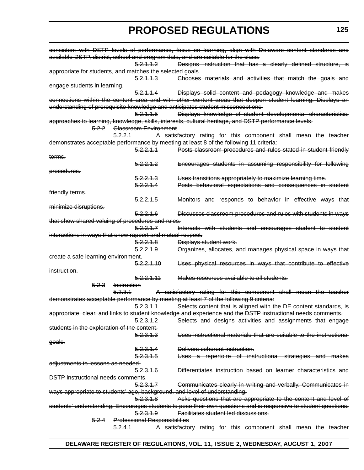|                                                            |                                      | consistent with DSTP levels of performance, focus on learning, align with Delaware content standards and         |
|------------------------------------------------------------|--------------------------------------|------------------------------------------------------------------------------------------------------------------|
|                                                            |                                      | available DSTP, district, school and program data, and are suitable for the class.                               |
|                                                            | 5.2.1.1.2                            | Designs instruction that has a clearly defined structure, is                                                     |
| appropriate for students, and matches the selected goals.  |                                      |                                                                                                                  |
|                                                            | 5.2.1.1.3                            | Chooses materials and activities that match the goals and                                                        |
| engage students in learning.                               |                                      |                                                                                                                  |
|                                                            | 5.2.1.1.4                            | Displays solid content and pedagogy knowledge and makes                                                          |
|                                                            |                                      | connections within the content area and with other content areas that deepen student learning. Displays an       |
|                                                            |                                      | understanding of prerequisite knowledge and anticipates student misconceptions.                                  |
|                                                            | 5.2.1.1.5                            | Displays knowledge of student developmental characteristics,                                                     |
|                                                            |                                      | approaches to learning, knowledge, skills, interests, cultural heritage, and DSTP performance levels.            |
|                                                            | 5.2.2 Glassroom Environment          |                                                                                                                  |
|                                                            | <del>5.2.2.1</del>                   | A satisfactory rating for this component shall mean the teacher                                                  |
|                                                            |                                      | demonstrates acceptable performance by meeting at least 8 of the following 11 criteria:                          |
|                                                            | 5.2.2.1.1                            | Posts classroom procedures and rules stated in student friendly                                                  |
|                                                            |                                      |                                                                                                                  |
| terms.                                                     | <del>5.2.2.1.2</del>                 |                                                                                                                  |
|                                                            |                                      | Encourages students in assuming responsibility for following                                                     |
| procedures.                                                |                                      |                                                                                                                  |
|                                                            | 5.2.2.1.3                            | Uses transitions appropriately to maximize learning time.                                                        |
|                                                            | 5.2.2.1.4                            | Posts behavioral expectations and consequences in student                                                        |
| friendly terms.                                            |                                      |                                                                                                                  |
|                                                            | <del>5.2.2.1.5</del>                 | Monitors and responds to behavior in effective ways that                                                         |
| minimize disruptions.                                      |                                      |                                                                                                                  |
|                                                            | 5.2.2.1.6                            | Discusses classroom procedures and rules with students in ways                                                   |
| that show shared valuing of procedures and rules.          |                                      |                                                                                                                  |
|                                                            | 5.2.2.1.7                            | Interacts with students and encourages student to student                                                        |
| interactions in ways that show rapport and mutual respect. |                                      |                                                                                                                  |
|                                                            | 5,2,2,1,8                            | Displays student work.                                                                                           |
|                                                            | <del>5.2.2.1.9</del>                 | Organizes, allocates, and manages physical space in ways that                                                    |
| create a safe learning environment.                        |                                      |                                                                                                                  |
|                                                            | 5.2.2.1.10                           | Uses physical resources in ways that contribute to effective                                                     |
| instruction.                                               |                                      |                                                                                                                  |
|                                                            | 5.2.2.1.11                           | Makes resources available to all students.                                                                       |
| 5.2.3                                                      | Instruction                          |                                                                                                                  |
|                                                            | <del>5.2.3.1</del>                   | A satisfactory rating for this component shall mean the teacher                                                  |
|                                                            |                                      | demonstrates acceptable performance by meeting at least 7 of the following 9 criteria:                           |
|                                                            | <del>5.2.3.1.1</del>                 | Selects content that is aligned with the DE content standards, is                                                |
|                                                            |                                      | appropriate, clear, and links to student knowledge and experience and the DSTP instructional needs comments.     |
|                                                            | <del>5.2.3.1.2</del>                 | Selects and designs activities and assignments that engage                                                       |
| students in the exploration of the content.                |                                      |                                                                                                                  |
|                                                            | 5.2.3.1.3                            | Uses instructional materials that are suitable to the instructional                                              |
|                                                            |                                      |                                                                                                                  |
| goals.                                                     |                                      |                                                                                                                  |
|                                                            | 5.2.3.1.4                            | Delivers coherent instruction.                                                                                   |
|                                                            | 5.2.3.1.5                            | Uses a repertoire of instructional strategies and makes                                                          |
| adjustments to lessons as needed.                          |                                      |                                                                                                                  |
|                                                            | 5.2.3.1.6                            | Differentiates instruction based on learner characteristics and                                                  |
| <b>DSTP</b> instructional needs comments.                  |                                      |                                                                                                                  |
|                                                            | 5,2,3,1,7                            | Communicates clearly in writing and verbally. Communicates in                                                    |
|                                                            |                                      | ways appropriate to students' age, background, and level of understanding.                                       |
|                                                            | 5.2.3.1.8                            | Asks questions that are appropriate to the content and level of                                                  |
|                                                            |                                      | students' understanding. Encourages students to pose their own questions and is responsive to student questions. |
|                                                            | 5.2.3.1.9                            | Facilitates student led discussions.                                                                             |
| 5.2.4                                                      | <b>Professional Responsibilities</b> |                                                                                                                  |
|                                                            | 5.2.4.1                              | A satisfactory rating for this component shall mean the teacher                                                  |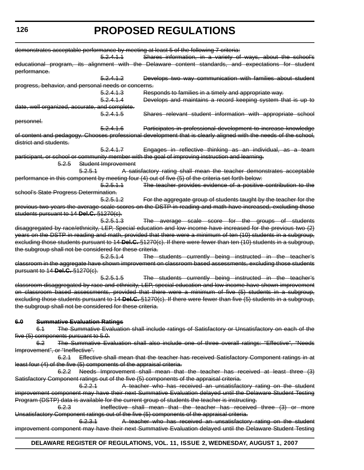| Shares information, in a variety of ways, about the school's<br>5.2.4.1.1<br>educational program, its alignment with the Delaware content standards, and expectations for student<br>performance.<br>Develops two way communication with families about student<br><del>5.2.4.1.2</del><br>progress, behavior, and personal needs or concerns.<br>Responds to families in a timely and appropriate way.<br><del>5.2.4.1.3</del><br>Develops and maintains a record keeping system that is up to<br><del>5.2.4.1.4</del><br>date, well organized, accurate, and complete.<br>Shares relevant student information with appropriate school<br><del>5.2.4.1.5</del><br>personnel.<br>Participates in professional development to increase knowledge<br>5.2.4.16<br>of content and pedagogy. Chooses professional development that is clearly aligned with the needs of the school,<br>district and students.<br>5.2.4.1.7<br>Engages in reflective thinking as an individual, as a team<br>participant, or school or community member with the goal of improving instruction and learning.<br>Student Improvement<br><del>5.2.5</del><br>5.2.5.1<br>A satisfactory rating shall mean the teacher demonstrates acceptable<br>performance in this component by meeting four (4) out of five (5) of the criteria set forth below:<br>5,2,5,1,1<br>The teacher provides evidence of a positive contribution to the<br>school's State Progress Determination.<br>For the aggregate group of students taught by the teacher for the<br><del>5.2.5.1.2</del><br>previous two years the average scale scores on the DSTP in reading and math have increased, excluding those<br>students pursuant to 14-Del.C. §1270(c).<br>The average scale score for the groups of students<br>5.2.5.1.3<br>disaggregated by race/ethnicity, LEP, Special education and low income have increased for the previous two (2)<br>years on the DSTP in reading and math, provided that there were a minimum of ten (10) students in a subgroup,<br>excluding those students pursuant to 14 Del.C. $\S$ 1270(c). If there were fewer than ten (10) students in a subgroup,<br>the subgroup shall not be considered for these criteria.<br>The students currently being instructed in the teacher's<br><del>5.2.5.1.4</del><br>classroom in the aggregate have shown improvement on classroom based assessments, excluding those students<br>pursuant to 14 Del.C. §1270(c). |
|-----------------------------------------------------------------------------------------------------------------------------------------------------------------------------------------------------------------------------------------------------------------------------------------------------------------------------------------------------------------------------------------------------------------------------------------------------------------------------------------------------------------------------------------------------------------------------------------------------------------------------------------------------------------------------------------------------------------------------------------------------------------------------------------------------------------------------------------------------------------------------------------------------------------------------------------------------------------------------------------------------------------------------------------------------------------------------------------------------------------------------------------------------------------------------------------------------------------------------------------------------------------------------------------------------------------------------------------------------------------------------------------------------------------------------------------------------------------------------------------------------------------------------------------------------------------------------------------------------------------------------------------------------------------------------------------------------------------------------------------------------------------------------------------------------------------------------------------------------------------------------------------------------------------------------------------------------------------------------------------------------------------------------------------------------------------------------------------------------------------------------------------------------------------------------------------------------------------------------------------------------------------------------------------------------------------------------------------------------------------------------------------------------------------------------------------------|
|                                                                                                                                                                                                                                                                                                                                                                                                                                                                                                                                                                                                                                                                                                                                                                                                                                                                                                                                                                                                                                                                                                                                                                                                                                                                                                                                                                                                                                                                                                                                                                                                                                                                                                                                                                                                                                                                                                                                                                                                                                                                                                                                                                                                                                                                                                                                                                                                                                               |
|                                                                                                                                                                                                                                                                                                                                                                                                                                                                                                                                                                                                                                                                                                                                                                                                                                                                                                                                                                                                                                                                                                                                                                                                                                                                                                                                                                                                                                                                                                                                                                                                                                                                                                                                                                                                                                                                                                                                                                                                                                                                                                                                                                                                                                                                                                                                                                                                                                               |
|                                                                                                                                                                                                                                                                                                                                                                                                                                                                                                                                                                                                                                                                                                                                                                                                                                                                                                                                                                                                                                                                                                                                                                                                                                                                                                                                                                                                                                                                                                                                                                                                                                                                                                                                                                                                                                                                                                                                                                                                                                                                                                                                                                                                                                                                                                                                                                                                                                               |
|                                                                                                                                                                                                                                                                                                                                                                                                                                                                                                                                                                                                                                                                                                                                                                                                                                                                                                                                                                                                                                                                                                                                                                                                                                                                                                                                                                                                                                                                                                                                                                                                                                                                                                                                                                                                                                                                                                                                                                                                                                                                                                                                                                                                                                                                                                                                                                                                                                               |
|                                                                                                                                                                                                                                                                                                                                                                                                                                                                                                                                                                                                                                                                                                                                                                                                                                                                                                                                                                                                                                                                                                                                                                                                                                                                                                                                                                                                                                                                                                                                                                                                                                                                                                                                                                                                                                                                                                                                                                                                                                                                                                                                                                                                                                                                                                                                                                                                                                               |
|                                                                                                                                                                                                                                                                                                                                                                                                                                                                                                                                                                                                                                                                                                                                                                                                                                                                                                                                                                                                                                                                                                                                                                                                                                                                                                                                                                                                                                                                                                                                                                                                                                                                                                                                                                                                                                                                                                                                                                                                                                                                                                                                                                                                                                                                                                                                                                                                                                               |
|                                                                                                                                                                                                                                                                                                                                                                                                                                                                                                                                                                                                                                                                                                                                                                                                                                                                                                                                                                                                                                                                                                                                                                                                                                                                                                                                                                                                                                                                                                                                                                                                                                                                                                                                                                                                                                                                                                                                                                                                                                                                                                                                                                                                                                                                                                                                                                                                                                               |
|                                                                                                                                                                                                                                                                                                                                                                                                                                                                                                                                                                                                                                                                                                                                                                                                                                                                                                                                                                                                                                                                                                                                                                                                                                                                                                                                                                                                                                                                                                                                                                                                                                                                                                                                                                                                                                                                                                                                                                                                                                                                                                                                                                                                                                                                                                                                                                                                                                               |
|                                                                                                                                                                                                                                                                                                                                                                                                                                                                                                                                                                                                                                                                                                                                                                                                                                                                                                                                                                                                                                                                                                                                                                                                                                                                                                                                                                                                                                                                                                                                                                                                                                                                                                                                                                                                                                                                                                                                                                                                                                                                                                                                                                                                                                                                                                                                                                                                                                               |
|                                                                                                                                                                                                                                                                                                                                                                                                                                                                                                                                                                                                                                                                                                                                                                                                                                                                                                                                                                                                                                                                                                                                                                                                                                                                                                                                                                                                                                                                                                                                                                                                                                                                                                                                                                                                                                                                                                                                                                                                                                                                                                                                                                                                                                                                                                                                                                                                                                               |
|                                                                                                                                                                                                                                                                                                                                                                                                                                                                                                                                                                                                                                                                                                                                                                                                                                                                                                                                                                                                                                                                                                                                                                                                                                                                                                                                                                                                                                                                                                                                                                                                                                                                                                                                                                                                                                                                                                                                                                                                                                                                                                                                                                                                                                                                                                                                                                                                                                               |
|                                                                                                                                                                                                                                                                                                                                                                                                                                                                                                                                                                                                                                                                                                                                                                                                                                                                                                                                                                                                                                                                                                                                                                                                                                                                                                                                                                                                                                                                                                                                                                                                                                                                                                                                                                                                                                                                                                                                                                                                                                                                                                                                                                                                                                                                                                                                                                                                                                               |
|                                                                                                                                                                                                                                                                                                                                                                                                                                                                                                                                                                                                                                                                                                                                                                                                                                                                                                                                                                                                                                                                                                                                                                                                                                                                                                                                                                                                                                                                                                                                                                                                                                                                                                                                                                                                                                                                                                                                                                                                                                                                                                                                                                                                                                                                                                                                                                                                                                               |
|                                                                                                                                                                                                                                                                                                                                                                                                                                                                                                                                                                                                                                                                                                                                                                                                                                                                                                                                                                                                                                                                                                                                                                                                                                                                                                                                                                                                                                                                                                                                                                                                                                                                                                                                                                                                                                                                                                                                                                                                                                                                                                                                                                                                                                                                                                                                                                                                                                               |
|                                                                                                                                                                                                                                                                                                                                                                                                                                                                                                                                                                                                                                                                                                                                                                                                                                                                                                                                                                                                                                                                                                                                                                                                                                                                                                                                                                                                                                                                                                                                                                                                                                                                                                                                                                                                                                                                                                                                                                                                                                                                                                                                                                                                                                                                                                                                                                                                                                               |
|                                                                                                                                                                                                                                                                                                                                                                                                                                                                                                                                                                                                                                                                                                                                                                                                                                                                                                                                                                                                                                                                                                                                                                                                                                                                                                                                                                                                                                                                                                                                                                                                                                                                                                                                                                                                                                                                                                                                                                                                                                                                                                                                                                                                                                                                                                                                                                                                                                               |
|                                                                                                                                                                                                                                                                                                                                                                                                                                                                                                                                                                                                                                                                                                                                                                                                                                                                                                                                                                                                                                                                                                                                                                                                                                                                                                                                                                                                                                                                                                                                                                                                                                                                                                                                                                                                                                                                                                                                                                                                                                                                                                                                                                                                                                                                                                                                                                                                                                               |
|                                                                                                                                                                                                                                                                                                                                                                                                                                                                                                                                                                                                                                                                                                                                                                                                                                                                                                                                                                                                                                                                                                                                                                                                                                                                                                                                                                                                                                                                                                                                                                                                                                                                                                                                                                                                                                                                                                                                                                                                                                                                                                                                                                                                                                                                                                                                                                                                                                               |
|                                                                                                                                                                                                                                                                                                                                                                                                                                                                                                                                                                                                                                                                                                                                                                                                                                                                                                                                                                                                                                                                                                                                                                                                                                                                                                                                                                                                                                                                                                                                                                                                                                                                                                                                                                                                                                                                                                                                                                                                                                                                                                                                                                                                                                                                                                                                                                                                                                               |
|                                                                                                                                                                                                                                                                                                                                                                                                                                                                                                                                                                                                                                                                                                                                                                                                                                                                                                                                                                                                                                                                                                                                                                                                                                                                                                                                                                                                                                                                                                                                                                                                                                                                                                                                                                                                                                                                                                                                                                                                                                                                                                                                                                                                                                                                                                                                                                                                                                               |
|                                                                                                                                                                                                                                                                                                                                                                                                                                                                                                                                                                                                                                                                                                                                                                                                                                                                                                                                                                                                                                                                                                                                                                                                                                                                                                                                                                                                                                                                                                                                                                                                                                                                                                                                                                                                                                                                                                                                                                                                                                                                                                                                                                                                                                                                                                                                                                                                                                               |
|                                                                                                                                                                                                                                                                                                                                                                                                                                                                                                                                                                                                                                                                                                                                                                                                                                                                                                                                                                                                                                                                                                                                                                                                                                                                                                                                                                                                                                                                                                                                                                                                                                                                                                                                                                                                                                                                                                                                                                                                                                                                                                                                                                                                                                                                                                                                                                                                                                               |
|                                                                                                                                                                                                                                                                                                                                                                                                                                                                                                                                                                                                                                                                                                                                                                                                                                                                                                                                                                                                                                                                                                                                                                                                                                                                                                                                                                                                                                                                                                                                                                                                                                                                                                                                                                                                                                                                                                                                                                                                                                                                                                                                                                                                                                                                                                                                                                                                                                               |
|                                                                                                                                                                                                                                                                                                                                                                                                                                                                                                                                                                                                                                                                                                                                                                                                                                                                                                                                                                                                                                                                                                                                                                                                                                                                                                                                                                                                                                                                                                                                                                                                                                                                                                                                                                                                                                                                                                                                                                                                                                                                                                                                                                                                                                                                                                                                                                                                                                               |
|                                                                                                                                                                                                                                                                                                                                                                                                                                                                                                                                                                                                                                                                                                                                                                                                                                                                                                                                                                                                                                                                                                                                                                                                                                                                                                                                                                                                                                                                                                                                                                                                                                                                                                                                                                                                                                                                                                                                                                                                                                                                                                                                                                                                                                                                                                                                                                                                                                               |
|                                                                                                                                                                                                                                                                                                                                                                                                                                                                                                                                                                                                                                                                                                                                                                                                                                                                                                                                                                                                                                                                                                                                                                                                                                                                                                                                                                                                                                                                                                                                                                                                                                                                                                                                                                                                                                                                                                                                                                                                                                                                                                                                                                                                                                                                                                                                                                                                                                               |
|                                                                                                                                                                                                                                                                                                                                                                                                                                                                                                                                                                                                                                                                                                                                                                                                                                                                                                                                                                                                                                                                                                                                                                                                                                                                                                                                                                                                                                                                                                                                                                                                                                                                                                                                                                                                                                                                                                                                                                                                                                                                                                                                                                                                                                                                                                                                                                                                                                               |
|                                                                                                                                                                                                                                                                                                                                                                                                                                                                                                                                                                                                                                                                                                                                                                                                                                                                                                                                                                                                                                                                                                                                                                                                                                                                                                                                                                                                                                                                                                                                                                                                                                                                                                                                                                                                                                                                                                                                                                                                                                                                                                                                                                                                                                                                                                                                                                                                                                               |
|                                                                                                                                                                                                                                                                                                                                                                                                                                                                                                                                                                                                                                                                                                                                                                                                                                                                                                                                                                                                                                                                                                                                                                                                                                                                                                                                                                                                                                                                                                                                                                                                                                                                                                                                                                                                                                                                                                                                                                                                                                                                                                                                                                                                                                                                                                                                                                                                                                               |
|                                                                                                                                                                                                                                                                                                                                                                                                                                                                                                                                                                                                                                                                                                                                                                                                                                                                                                                                                                                                                                                                                                                                                                                                                                                                                                                                                                                                                                                                                                                                                                                                                                                                                                                                                                                                                                                                                                                                                                                                                                                                                                                                                                                                                                                                                                                                                                                                                                               |
|                                                                                                                                                                                                                                                                                                                                                                                                                                                                                                                                                                                                                                                                                                                                                                                                                                                                                                                                                                                                                                                                                                                                                                                                                                                                                                                                                                                                                                                                                                                                                                                                                                                                                                                                                                                                                                                                                                                                                                                                                                                                                                                                                                                                                                                                                                                                                                                                                                               |
| The students currently being instructed in the teacher's<br><del>5.2.5.1.5</del>                                                                                                                                                                                                                                                                                                                                                                                                                                                                                                                                                                                                                                                                                                                                                                                                                                                                                                                                                                                                                                                                                                                                                                                                                                                                                                                                                                                                                                                                                                                                                                                                                                                                                                                                                                                                                                                                                                                                                                                                                                                                                                                                                                                                                                                                                                                                                              |
| classroom disaggregated by race and ethnicity, LEP, special education and low income have shown improvement                                                                                                                                                                                                                                                                                                                                                                                                                                                                                                                                                                                                                                                                                                                                                                                                                                                                                                                                                                                                                                                                                                                                                                                                                                                                                                                                                                                                                                                                                                                                                                                                                                                                                                                                                                                                                                                                                                                                                                                                                                                                                                                                                                                                                                                                                                                                   |
| on classroom based assessments, provided that there were a minimum of five (5) students in a subgroup,                                                                                                                                                                                                                                                                                                                                                                                                                                                                                                                                                                                                                                                                                                                                                                                                                                                                                                                                                                                                                                                                                                                                                                                                                                                                                                                                                                                                                                                                                                                                                                                                                                                                                                                                                                                                                                                                                                                                                                                                                                                                                                                                                                                                                                                                                                                                        |
| excluding those students pursuant to 14 Del.C. §1270(c). If there were fewer than five (5) students in a subgroup,                                                                                                                                                                                                                                                                                                                                                                                                                                                                                                                                                                                                                                                                                                                                                                                                                                                                                                                                                                                                                                                                                                                                                                                                                                                                                                                                                                                                                                                                                                                                                                                                                                                                                                                                                                                                                                                                                                                                                                                                                                                                                                                                                                                                                                                                                                                            |
| the subgroup shall not be considered for these criteria.                                                                                                                                                                                                                                                                                                                                                                                                                                                                                                                                                                                                                                                                                                                                                                                                                                                                                                                                                                                                                                                                                                                                                                                                                                                                                                                                                                                                                                                                                                                                                                                                                                                                                                                                                                                                                                                                                                                                                                                                                                                                                                                                                                                                                                                                                                                                                                                      |
|                                                                                                                                                                                                                                                                                                                                                                                                                                                                                                                                                                                                                                                                                                                                                                                                                                                                                                                                                                                                                                                                                                                                                                                                                                                                                                                                                                                                                                                                                                                                                                                                                                                                                                                                                                                                                                                                                                                                                                                                                                                                                                                                                                                                                                                                                                                                                                                                                                               |
| 6.0<br><b>Summative Evaluation Ratings</b>                                                                                                                                                                                                                                                                                                                                                                                                                                                                                                                                                                                                                                                                                                                                                                                                                                                                                                                                                                                                                                                                                                                                                                                                                                                                                                                                                                                                                                                                                                                                                                                                                                                                                                                                                                                                                                                                                                                                                                                                                                                                                                                                                                                                                                                                                                                                                                                                    |
| The Summative Evaluation shall include ratings of Satisfactory or Unsatisfactory on each of the<br>6.1                                                                                                                                                                                                                                                                                                                                                                                                                                                                                                                                                                                                                                                                                                                                                                                                                                                                                                                                                                                                                                                                                                                                                                                                                                                                                                                                                                                                                                                                                                                                                                                                                                                                                                                                                                                                                                                                                                                                                                                                                                                                                                                                                                                                                                                                                                                                        |
| five (5) components pursuant to 5.0.                                                                                                                                                                                                                                                                                                                                                                                                                                                                                                                                                                                                                                                                                                                                                                                                                                                                                                                                                                                                                                                                                                                                                                                                                                                                                                                                                                                                                                                                                                                                                                                                                                                                                                                                                                                                                                                                                                                                                                                                                                                                                                                                                                                                                                                                                                                                                                                                          |
| The Summative Evaluation shall also include one of three overall ratings: "Effective", "Needs<br>6.2                                                                                                                                                                                                                                                                                                                                                                                                                                                                                                                                                                                                                                                                                                                                                                                                                                                                                                                                                                                                                                                                                                                                                                                                                                                                                                                                                                                                                                                                                                                                                                                                                                                                                                                                                                                                                                                                                                                                                                                                                                                                                                                                                                                                                                                                                                                                          |
| Improvement", or "Ineffective".                                                                                                                                                                                                                                                                                                                                                                                                                                                                                                                                                                                                                                                                                                                                                                                                                                                                                                                                                                                                                                                                                                                                                                                                                                                                                                                                                                                                                                                                                                                                                                                                                                                                                                                                                                                                                                                                                                                                                                                                                                                                                                                                                                                                                                                                                                                                                                                                               |
| 6.2.1 Effective shall mean that the teacher has received Satisfactory Component ratings in at                                                                                                                                                                                                                                                                                                                                                                                                                                                                                                                                                                                                                                                                                                                                                                                                                                                                                                                                                                                                                                                                                                                                                                                                                                                                                                                                                                                                                                                                                                                                                                                                                                                                                                                                                                                                                                                                                                                                                                                                                                                                                                                                                                                                                                                                                                                                                 |
| least four (4) of the five (5) components of the appraisal criteria.                                                                                                                                                                                                                                                                                                                                                                                                                                                                                                                                                                                                                                                                                                                                                                                                                                                                                                                                                                                                                                                                                                                                                                                                                                                                                                                                                                                                                                                                                                                                                                                                                                                                                                                                                                                                                                                                                                                                                                                                                                                                                                                                                                                                                                                                                                                                                                          |
| 6.2.2 Needs Improvement shall mean that the teacher has received at least three (3)                                                                                                                                                                                                                                                                                                                                                                                                                                                                                                                                                                                                                                                                                                                                                                                                                                                                                                                                                                                                                                                                                                                                                                                                                                                                                                                                                                                                                                                                                                                                                                                                                                                                                                                                                                                                                                                                                                                                                                                                                                                                                                                                                                                                                                                                                                                                                           |

6.2.2.1 A teacher who has received an unsatisfactory rating on the student improvement component may have their next Summative Evaluation delayed until the Delaware Student Testing Program (DSTP) data is available for the current group of students the teacher is instructing.

Satisfactory Component ratings out of the five (5) components of the appraisal criteria.

6.2.3 Ineffective shall mean that the teacher has received three (3) or more Unsatisfactory Component ratings out of the five (5) components of the appraisal criteria.

6.2.3.1 A teacher who has received an unsatisfactory rating on the student improvement component may have their next Summative Evaluation delayed until the Delaware Student Testing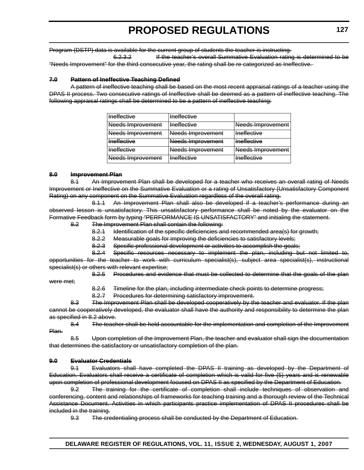Program (DSTP) data is available for the current group of students the teacher is instructing.

6.2.3.2 If the teacher's overall Summative Evaluation rating is determined to be "Needs Improvement" for the third consecutive year, the rating shall be re categorized as Ineffective.

#### **7.0 Pattern of Ineffective Teaching Defined**

A pattern of ineffective teaching shall be based on the most recent appraisal ratings of a teacher using the DPAS II process. Two consecutive ratings of Ineffective shall be deemed as a pattern of ineffective teaching. The following appraisal ratings shall be determined to be a pattern of ineffective teaching:

| Ineffective              | Ineffective        |                          |
|--------------------------|--------------------|--------------------------|
| Needs Improvement        | <b>Ineffective</b> | <b>Needs Improvement</b> |
| Needs Improvement        | Needs Improvement  | <b>Ineffective</b>       |
| <b>Ineffective</b>       | Needs Improvement  | Ineffective              |
| <b>Ineffective</b>       | Needs Improvement  | <b>Needs Improvement</b> |
| <b>Needs Improvement</b> | <b>Ineffective</b> | <b>Ineffective</b>       |

#### **8.0 Improvement Plan**

8.1 An Improvement Plan shall be developed for a teacher who receives an overall rating of Needs Improvement or Ineffective on the Summative Evaluation or a rating of Unsatisfactory (Unsatisfactory Component Rating) on any component on the Summative Evaluation regardless of the overall rating.

8.1.1 An Improvement Plan shall also be developed if a teacher's performance during an observed lesson is unsatisfactory. This unsatisfactory performance shall be noted by the evaluator on the Formative Feedback form by typing "PERFORMANCE IS UNSATISFACTORY" and initialing the statement.

8.2 The Improvement Plan shall contain the following:

8.2.1 Identification of the specific deficiencies and recommended area(s) for growth;

8.2.2 Measurable goals for improving the deficiencies to satisfactory levels;

8.2.3 Specific professional development or activities to accomplish the goals;

8.2.4 Specific resources necessary to implement the plan, including but not limited to, opportunities for the teacher to work with curriculum specialist(s), subject area specialist(s), instructional specialist(s) or others with relevant expertise;

8.2.5 Procedures and evidence that must be collected to determine that the goals of the plan

8.2.6 Timeline for the plan, including intermediate check points to determine progress;

8.2.7 Procedures for determining satisfactory improvement.

8.3 The Improvement Plan shall be developed cooperatively by the teacher and evaluator. If the plan cannot be cooperatively developed, the evaluator shall have the authority and responsibility to determine the plan as specified in 8.2 above.

8.4 The teacher shall be held accountable for the implementation and completion of the Improvement Plan.

8.5 Upon completion of the Improvement Plan, the teacher and evaluator shall sign the documentation that determines the satisfactory or unsatisfactory completion of the plan.

#### **9.0 Evaluator Credentials**

were met;

9.1 Evaluators shall have completed the DPAS II training as developed by the Department of Education. Evaluators shall receive a certificate of completion which is valid for five (5) years and is renewable upon completion of professional development focused on DPAS II as specified by the Department of Education.

9.2 The training for the certificate of completion shall include techniques of observation and conferencing, content and relationships of frameworks for teaching training and a thorough review of the Technical Assistance Document. Activities in which participants practice implementation of DPAS II procedures shall be included in the training.

9.3 The credentialing process shall be conducted by the Department of Education.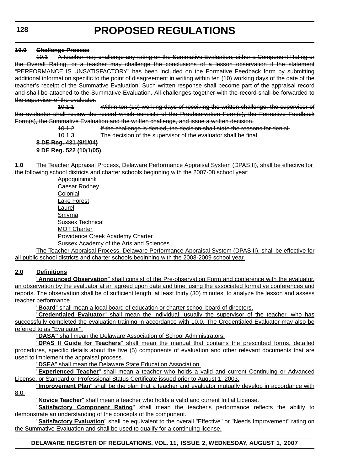#### **10.0 Challenge Process**

10.1 A teacher may challenge any rating on the Summative Evaluation, either a Component Rating or the Overall Rating, or a teacher may challenge the conclusions of a lesson observation if the statement "PERFORMANCE IS UNSATISFACTORY" has been included on the Formative Feedback form by submitting additional information specific to the point of disagreement in writing within ten (10) working days of the date of the teacher's receipt of the Summative Evaluation. Such written response shall become part of the appraisal record and shall be attached to the Summative Evaluation. All challenges together with the record shall be forwarded to the supervisor of the evaluator.

10.1.1 Within ten (10) working days of receiving the written challenge, the supervisor of the evaluator shall review the record which consists of the Preobservation Form(s), the Formative Feedback Form(s), the Summative Evaluation and the written challenge, and issue a written decision.

10.1.2 If the challenge is denied, the decision shall state the reasons for denial.

10.1.3 The decision of the supervisor of the evaluator shall be final.

#### **8 DE Reg. 431 (9/1/04) 9 DE Reg. 522 (10/1/05)**

**1.0** The Teacher Appraisal Process, Delaware Performance Appraisal System (DPAS II), shall be effective for the following school districts and charter schools beginning with the 2007-08 school year:

Appoquinimink Caesar Rodney Colonial Lake Forest Laurel **Smyrna** Sussex Technical MOT Charter Providence Creek Academy Charter Sussex Academy of the Arts and Sciences

The Teacher Appraisal Process, Delaware Performance Appraisal System (DPAS II), shall be effective for all public school districts and charter schools beginning with the 2008-2009 school year.

#### **2.0 Definitions**

"**Announced Observation**" shall consist of the Pre-observation Form and conference with the evaluator, an observation by the evaluator at an agreed upon date and time, using the associated formative conferences and reports. The observation shall be of sufficient length, at least thirty (30) minutes, to analyze the lesson and assess teacher performance.

"**Board**" shall mean a local board of education or charter school board of directors.

"**Credentialed Evaluator**" shall mean the individual, usually the supervisor of the teacher, who has successfully completed the evaluation training in accordance with 10.0. The Credentialed Evaluator may also be referred to as "Evaluator".

"**DASA"** shall mean the Delaware Association of School Administrators.

"**DPAS II Guide for Teachers**" shall mean the manual that contains the prescribed forms, detailed procedures, specific details about the five (5) components of evaluation and other relevant documents that are used to implement the appraisal process.

"**DSEA**" shall mean the Delaware State Education Association.

"**Experienced Teacher**" shall mean a teacher who holds a valid and current Continuing or Advanced License, or Standard or Professional Status Certificate issued prior to August 1, 2003.

"**Improvement Plan**" shall be the plan that a teacher and evaluator mutually develop in accordance with 8.0.

"**Novice Teacher**" shall mean a teacher who holds a valid and current Initial License.

"**Satisfactory Component Rating**" shall mean the teacher's performance reflects the ability to demonstrate an understanding of the concepts of the component.

"**Satisfactory Evaluation**" shall be equivalent to the overall "Effective" or "Needs Improvement" rating on the Summative Evaluation and shall be used to qualify for a continuing license.

#### **DELAWARE REGISTER OF REGULATIONS, VOL. 11, ISSUE 2, WEDNESDAY, AUGUST 1, 2007**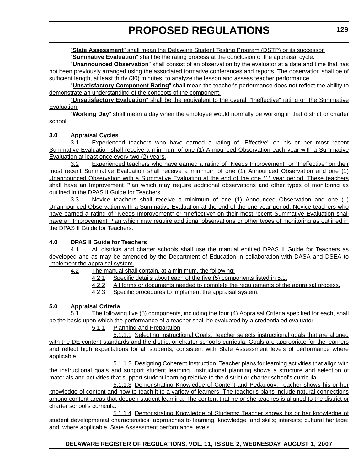"**State Assessment**" shall mean the Delaware Student Testing Program (DSTP) or its successor.

"**Summative Evaluation**" shall be the rating process at the conclusion of the appraisal cycle.

"**Unannounced Observation**" shall consist of an observation by the evaluator at a date and time that has not been previously arranged using the associated formative conferences and reports. The observation shall be of sufficient length, at least thirty (30) minutes, to analyze the lesson and assess teacher performance.

"**Unsatisfactory Component Rating**" shall mean the teacher's performance does not reflect the ability to demonstrate an understanding of the concepts of the component.

"**Unsatisfactory Evaluation**" shall be the equivalent to the overall "Ineffective" rating on the Summative Evaluation.

"**Working Day**" shall mean a day when the employee would normally be working in that district or charter school.

#### **3.0 Appraisal Cycles**

3.1 Experienced teachers who have earned a rating of "Effective" on his or her most recent Summative Evaluation shall receive a minimum of one (1) Announced Observation each year with a Summative Evaluation at least once every two (2) years.

3.2 Experienced teachers who have earned a rating of "Needs Improvement" or "Ineffective" on their most recent Summative Evaluation shall receive a minimum of one (1) Announced Observation and one (1) Unannounced Observation with a Summative Evaluation at the end of the one (1) year period. These teachers shall have an Improvement Plan which may require additional observations and other types of monitoring as outlined in the DPAS II Guide for Teachers.

3.3 Novice teachers shall receive a minimum of one (1) Announced Observation and one (1) Unannounced Observation with a Summative Evaluation at the end of the one year period. Novice teachers who have earned a rating of "Needs Improvement" or "Ineffective" on their most recent Summative Evaluation shall have an Improvement Plan which may require additional observations or other types of monitoring as outlined in the DPAS II Guide for Teachers.

#### **4.0 DPAS II Guide for Teachers**

4.1 All districts and charter schools shall use the manual entitled DPAS II Guide for Teachers as developed and as may be amended by the Department of Education in collaboration with DASA and DSEA to implement the appraisal system.

4.2 The manual shall contain, at a minimum, the following:

- 4.2.1 Specific details about each of the five (5) components listed in 5.1.
- 4.2.2 All forms or documents needed to complete the requirements of the appraisal process.
- 4.2.3 Specific procedures to implement the appraisal system.

#### **5.0 Appraisal Criteria**

5.1 The following five (5) components, including the four (4) Appraisal Criteria specified for each, shall be the basis upon which the performance of a teacher shall be evaluated by a credentialed evaluator:

#### 5.1.1 Planning and Preparation

5.1.1.1 Selecting Instructional Goals: Teacher selects instructional goals that are aligned with the DE content standards and the district or charter school's curricula. Goals are appropriate for the learners and reflect high expectations for all students, consistent with State Assessment levels of performance where applicable.

5.1.1.2 Designing Coherent Instruction: Teacher plans for learning activities that align with the instructional goals and support student learning. Instructional planning shows a structure and selection of materials and activities that support student learning relative to the district or charter school's curricula.

5.1.1.3 Demonstrating Knowledge of Content and Pedagogy: Teacher shows his or her knowledge of content and how to teach it to a variety of learners. The teacher's plans include natural connections among content areas that deepen student learning. The content that he or she teaches is aligned to the district or charter school's curricula.

5.1.1.4 Demonstrating Knowledge of Students: Teacher shows his or her knowledge of student developmental characteristics; approaches to learning, knowledge, and skills; interests; cultural heritage; and, where applicable, State Assessment performance levels.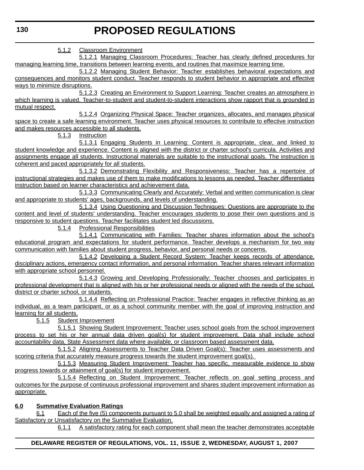5.1.2 Classroom Environment

5.1.2.1 Managing Classroom Procedures: Teacher has clearly defined procedures for managing learning time, transitions between learning events, and routines that maximize learning time.

5.1.2.2 Managing Student Behavior: Teacher establishes behavioral expectations and consequences and monitors student conduct. Teacher responds to student behavior in appropriate and effective ways to minimize disruptions.

5.1.2.3 Creating an Environment to Support Learning: Teacher creates an atmosphere in which learning is valued. Teacher-to-student and student-to-student interactions show rapport that is grounded in mutual respect.

5.1.2.4 Organizing Physical Space: Teacher organizes, allocates, and manages physical space to create a safe learning environment. Teacher uses physical resources to contribute to effective instruction and makes resources accessible to all students.

5.1.3 Instruction

5.1.3.1 Engaging Students in Learning: Content is appropriate, clear, and linked to student knowledge and experience. Content is aligned with the district or charter school's curricula. Activities and assignments engage all students. Instructional materials are suitable to the instructional goals. The instruction is coherent and paced appropriately for all students.

5.1.3.2 Demonstrating Flexibility and Responsiveness: Teacher has a repertoire of instructional strategies and makes use of them to make modifications to lessons as needed. Teacher differentiates instruction based on learner characteristics and achievement data.

5.1.3.3 Communicating Clearly and Accurately: Verbal and written communication is clear and appropriate to students' ages, backgrounds, and levels of understanding.

5.1.3.4 Using Questioning and Discussion Techniques: Questions are appropriate to the content and level of students' understanding. Teacher encourages students to pose their own questions and is responsive to student questions. Teacher facilitates student led discussions.

5.1.4 Professional Responsibilities

5.1.4.1 Communicating with Families: Teacher shares information about the school's educational program and expectations for student performance. Teacher develops a mechanism for two way communication with families about student progress, behavior, and personal needs or concerns.

5.1.4.2 Developing a Student Record System: Teacher keeps records of attendance, disciplinary actions, emergency contact information, and personal information. Teacher shares relevant information with appropriate school personnel.

5.1.4.3 Growing and Developing Professionally: Teacher chooses and participates in professional development that is aligned with his or her professional needs or aligned with the needs of the school, district or charter school, or students.

5.1.4.4 Reflecting on Professional Practice: Teacher engages in reflective thinking as an individual, as a team participant, or as a school community member with the goal of improving instruction and learning for all students.

5.1.5 Student Improvement

5.1.5.1 Showing Student Improvement: Teacher uses school goals from the school improvement process to set his or her annual data driven goal(s) for student improvement. Data shall include school accountability data, State Assessment data where available, or classroom based assessment data.

5.1.5.2 Aligning Assessments to Teacher Data Driven Goal(s): Teacher uses assessments and scoring criteria that accurately measure progress towards the student improvement goal(s).

5.1.5.3 Measuring Student Improvement: Teacher has specific, measurable evidence to show progress towards or attainment of goal(s) for student improvement.

5.1.5.4 Reflecting on Student Improvement: Teacher reflects on goal setting process and outcomes for the purpose of continuous professional improvement and shares student improvement information as appropriate.

#### **6.0 Summative Evaluation Ratings**

6.1 Each of the five (5) components pursuant to 5.0 shall be weighted equally and assigned a rating of Satisfactory or Unsatisfactory on the Summative Evaluation.

6.1.1 A satisfactory rating for each component shall mean the teacher demonstrates acceptable

#### **DELAWARE REGISTER OF REGULATIONS, VOL. 11, ISSUE 2, WEDNESDAY, AUGUST 1, 2007**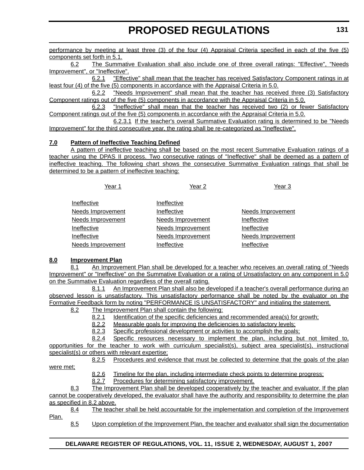performance by meeting at least three (3) of the four (4) Appraisal Criteria specified in each of the five (5) components set forth in 5.1.

6.2 The Summative Evaluation shall also include one of three overall ratings: "Effective", "Needs Improvement", or "Ineffective".

6.2.1 "Effective" shall mean that the teacher has received Satisfactory Component ratings in at least four (4) of the five (5) components in accordance with the Appraisal Criteria in 5.0.

6.2.2 "Needs Improvement" shall mean that the teacher has received three (3) Satisfactory Component ratings out of the five (5) components in accordance with the Appraisal Criteria in 5.0.

6.2.3 "Ineffective" shall mean that the teacher has received two (2) or fewer Satisfactory Component ratings out of the five (5) components in accordance with the Appraisal Criteria in 5.0.

6.2.3.1 If the teacher's overall Summative Evaluation rating is determined to be "Needs Improvement" for the third consecutive year, the rating shall be re-categorized as "Ineffective".

#### **7.0 Pattern of Ineffective Teaching Defined**

A pattern of ineffective teaching shall be based on the most recent Summative Evaluation ratings of a teacher using the DPAS II process. Two consecutive ratings of "Ineffective" shall be deemed as a pattern of ineffective teaching. The following chart shows the consecutive Summative Evaluation ratings that shall be determined to be a pattern of ineffective teaching:

| Year 1                   | Year 2                   | Year <sub>3</sub> |
|--------------------------|--------------------------|-------------------|
| Ineffective              | Ineffective              |                   |
| <b>Needs Improvement</b> | Ineffective              | Needs Improvement |
| <b>Needs Improvement</b> | <b>Needs Improvement</b> | Ineffective       |
| Ineffective              | <b>Needs Improvement</b> | Ineffective       |
| Ineffective              | Needs Improvement        | Needs Improvement |
| Needs Improvement        | Ineffective              | Ineffective       |

#### **8.0 Improvement Plan**

8.1 An Improvement Plan shall be developed for a teacher who receives an overall rating of "Needs Improvement" or "Ineffective" on the Summative Evaluation or a rating of Unsatisfactory on any component in 5.0 on the Summative Evaluation regardless of the overall rating.

8.1.1 An Improvement Plan shall also be developed if a teacher's overall performance during an observed lesson is unsatisfactory. This unsatisfactory performance shall be noted by the evaluator on the Formative Feedback form by noting "PERFORMANCE IS UNSATISFACTORY" and initialing the statement.

8.2 The Improvement Plan shall contain the following:

8.2.1 Identification of the specific deficiencies and recommended area(s) for growth;

8.2.2 Measurable goals for improving the deficiencies to satisfactory levels;

8.2.3 Specific professional development or activities to accomplish the goals;

8.2.4 Specific resources necessary to implement the plan, including but not limited to, opportunities for the teacher to work with curriculum specialist(s), subject area specialist(s), instructional specialist(s) or others with relevant expertise;

8.2.5 Procedures and evidence that must be collected to determine that the goals of the plan

were met;

8.2.6 Timeline for the plan, including intermediate check points to determine progress;

8.2.7 Procedures for determining satisfactory improvement.

8.3 The Improvement Plan shall be developed cooperatively by the teacher and evaluator. If the plan cannot be cooperatively developed, the evaluator shall have the authority and responsibility to determine the plan as specified in 8.2 above.

8.4 The teacher shall be held accountable for the implementation and completion of the Improvement Plan.

8.5 Upon completion of the Improvement Plan, the teacher and evaluator shall sign the documentation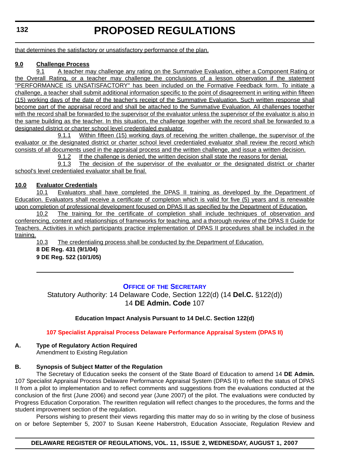<span id="page-24-0"></span>that determines the satisfactory or unsatisfactory performance of the plan.

#### **9.0 [Challenge Process](#page-3-0)**

9.1 A teacher may challenge any rating on the Summative Evaluation, either a Component Rating or the Overall Rating, or a teacher may challenge the conclusions of a lesson observation if the statement "PERFORMANCE IS UNSATISFACTORY" has been included on the Formative Feedback form. To initiate a challenge, a teacher shall submit additional information specific to the point of disagreement in writing within fifteen (15) working days of the date of the teacher's receipt of the Summative Evaluation. Such written response shall become part of the appraisal record and shall be attached to the Summative Evaluation. All challenges together with the record shall be forwarded to the supervisor of the evaluator unless the supervisor of the evaluator is also in the same building as the teacher. In this situation, the challenge together with the record shall be forwarded to a designated district or charter school level credentialed evaluator.

9.1.1 Within fifteen (15) working days of receiving the written challenge, the supervisor of the evaluator or the designated district or charter school level credentialed evaluator shall review the record which consists of all documents used in the appraisal process and the written challenge, and issue a written decision.

9.1.2 If the challenge is denied, the written decision shall state the reasons for denial.

9.1.3 The decision of the supervisor of the evaluator or the designated district or charter school's level credentialed evaluator shall be final.

#### **10.0 Evaluator Credentials**

10.1 Evaluators shall have completed the DPAS II training as developed by the Department of Education. Evaluators shall receive a certificate of completion which is valid for five (5) years and is renewable upon completion of professional development focused on DPAS II as specified by the Department of Education.

10.2 The training for the certificate of completion shall include techniques of observation and conferencing, content and relationships of frameworks for teaching, and a thorough review of the DPAS II Guide for Teachers. Activities in which participants practice implementation of DPAS II procedures shall be included in the training.

10.3 The credentialing process shall be conducted by the Department of Education.

**8 DE Reg. 431 (9/1/04) 9 DE Reg. 522 (10/1/05)**

#### **OFFICE OF THE SECRETARY**

Statutory Authority: 14 Delaware Code, Section 122(d) (14 **Del.C.** §122(d)) 14 **DE Admin. Code** 107

#### **Education Impact Analysis Pursuant to 14 Del.C. Section 122(d)**

#### **[107 Specialist Appraisal Process Delaware Performance Appraisal System \(DPAS II\)](#page-3-0)**

### **A. Type of Regulatory Action Required**

Amendment to Existing Regulation

#### **B. Synopsis of Subject Matter of the Regulation**

The Secretary of Education seeks the consent of the State Board of Education to amend 14 **DE Admin.** 107 Specialist Appraisal Process Delaware Performance Appraisal System (DPAS II) to reflect the status of DPAS II from a pilot to implementation and to reflect comments and suggestions from the evaluations conducted at the conclusion of the first (June 2006) and second year (June 2007) of the pilot. The evaluations were conducted by Progress Education Corporation. The rewritten regulation will reflect changes to the procedures, the forms and the student improvement section of the regulation.

Persons wishing to present their views regarding this matter may do so in writing by the close of business on or before September 5, 2007 to Susan Keene Haberstroh, Education Associate, Regulation Review and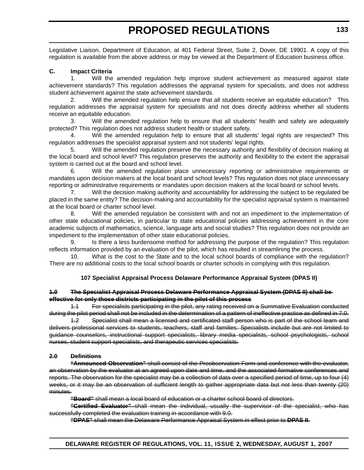Legislative Liaison, Department of Education, at 401 Federal Street, Suite 2, Dover, DE 19901. A copy of this regulation is available from the above address or may be viewed at the Department of Education business office.

#### **C. Impact Criteria**

1. Will the amended regulation help improve student achievement as measured against state achievement standards? This regulation addresses the appraisal system for specialists, and does not address student achievement against the state achievement standards.

Will the amended regulation help ensure that all students receive an equitable education? This regulation addresses the appraisal system for specialists and not does directly address whether all students receive an equitable education.

3. Will the amended regulation help to ensure that all students' health and safety are adequately protected? This regulation does not address student health or student safety.

4. Will the amended regulation help to ensure that all students' legal rights are respected? This regulation addresses the specialist appraisal system and not students' legal rights.

5. Will the amended regulation preserve the necessary authority and flexibility of decision making at the local board and school level? This regulation preserves the authority and flexibility to the extent the appraisal system is carried out at the board and school level.

6. Will the amended regulation place unnecessary reporting or administrative requirements or mandates upon decision makers at the local board and school levels? This regulation does not place unnecessary reporting or administrative requirements or mandates upon decision makers at the local board or school levels.

7. Will the decision making authority and accountability for addressing the subject to be regulated be placed in the same entity? The decision-making and accountability for the specialist appraisal system is maintained at the local board or charter school level.

8. Will the amended regulation be consistent with and not an impediment to the implementation of other state educational policies, in particular to state educational policies addressing achievement in the core academic subjects of mathematics, science, language arts and social studies? This regulation does not provide an impediment to the implementation of other state educational policies.

9. Is there a less burdensome method for addressing the purpose of the regulation? This regulation reflects information provided by an evaluation of the pilot, which has resulted in streamlining the process.

10. What is the cost to the State and to the local school boards of compliance with the regulation? There are no additional costs to the local school boards or charter schools in complying with this regulation.

#### **107 Specialist Appraisal Process Delaware Performance Appraisal System (DPAS II)**

#### **1.0 The Specialist Appraisal Process Delaware Performance Appraisal System (DPAS II) shall be effective for only those districts participating in the pilot of this process**

1.1 For specialists participating in the pilot, any rating received on a Summative Evaluation conducted during the pilot period shall not be included in the determination of a pattern of ineffective practice as defined in 7.0.

1.2 Specialist shall mean a licensed and certificated staff person who is part of the school team and delivers professional services to students, teachers, staff and families. Specialists include but are not limited to guidance counselors, instructional support specialists, library media specialists, school psychologists, school nurses, student support specialists, and therapeutic services specialists.

#### **2.0 Definitions**

**"Announced Observation"** shall consist of the Preobservation Form and conference with the evaluator, an observation by the evaluator at an agreed upon date and time, and the associated formative conferences and reports. The observation for the specialist may be a collection of data over a specified period of time, up to four (4) weeks, or it may be an observation of sufficient length to gather appropriate data but not less than twenty (20) minutes.

**"Board"** shall mean a local board of education or a charter school board of directors.

**"Certified Evaluator"** shall mean the individual, usually the supervisor of the specialist, who has successfully completed the evaluation training in accordance with 9.0.

**"DPAS"** shall mean the Delaware Performance Appraisal System in effect prior to **DPAS II**.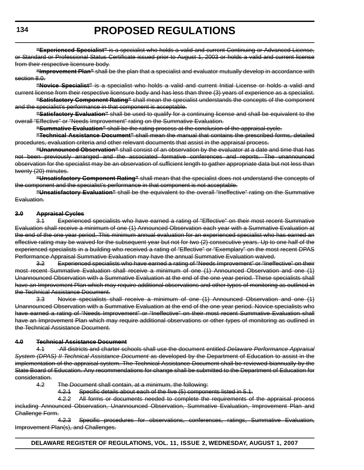**"Experienced Specialist"** is a specialist who holds a valid and current Continuing or Advanced License, or Standard or Professional Status Certificate issued prior to August 1, 2003 or holds a valid and current license from their respective licensure body.

**"Improvement Plan"** shall be the plan that a specialist and evaluator mutually develop in accordance with section 8.0.

**"Novice Specialist"** is a specialist who holds a valid and current Initial License or holds a valid and current license from their respective licensure body and has less than three (3) years of experience as a specialist.

**"Satisfactory Component Rating"** shall mean the specialist understands the concepts of the component and the specialist's performance in that component is acceptable.

**"Satisfactory Evaluation"** shall be used to qualify for a continuing license and shall be equivalent to the overall "Effective" or "Needs Improvement" rating on the Summative Evaluation.

**"Summative Evaluation"** shall be the rating process at the conclusion of the appraisal cycle.

**"Technical Assistance Document"** shall mean the manual that contains the prescribed forms, detailed procedures, evaluation criteria and other relevant documents that assist in the appraisal process.

**"Unannounced Observation"** shall consist of an observation by the evaluator at a date and time that has not been previously arranged and the associated formative conferences and reports. The unannounced observation for the specialist may be an observation of sufficient length to gather appropriate data but not less than twenty (20) minutes.

**"Unsatisfactory Component Rating"** shall mean that the specialist does not understand the concepts of the component and the specialist's performance in that component is not acceptable.

**"Unsatisfactory Evaluation"** shall be the equivalent to the overall "Ineffective" rating on the Summative Evaluation.

#### **3.0 Appraisal Cycles**

3.1 Experienced specialists who have earned a rating of "Effective" on their most recent Summative Evaluation shall receive a minimum of one (1) Announced Observation each year with a Summative Evaluation at the end of the one year period. This minimum annual evaluation for an experienced specialist who has earned an effective rating may be waived for the subsequent year but not for two (2) consecutive years. Up to one half of the experienced specialists in a building who received a rating of "Effective" or "Exemplary" on the most recent DPAS Performance Appraisal Summative Evaluation may have the annual Summative Evaluation waived.

3.2 Experienced specialists who have earned a rating of "Needs Improvement" or "Ineffective" on their most recent Summative Evaluation shall receive a minimum of one (1) Announced Observation and one (1) Unannounced Observation with a Summative Evaluation at the end of the one year period. These specialists shall have an Improvement Plan which may require additional observations and other types of monitoring as outlined in the Technical Assistance Document.

3.3 Novice specialists shall receive a minimum of one (1) Announced Observation and one (1) Unannounced Observation with a Summative Evaluation at the end of the one year period. Novice specialists who have earned a rating of "Needs Improvement" or "Ineffective" on their most recent Summative Evaluation shall have an Improvement Plan which may require additional observations or other types of monitoring as outlined in the Technical Assistance Document.

#### **4.0 Technical Assistance Document**

4.1 All districts and charter schools shall use the document entitled *Delaware Performance Appraisal* **System (DPAS) II Technical Assistance Document as developed by the Department of Education to assist in the** implementation of the appraisal system. The Technical Assistance Document shall be reviewed biannually by the State Board of Education. Any recommendations for change shall be submitted to the Department of Education for consideration.

4.2 The Document shall contain, at a minimum, the following:

4.2.1 Specific details about each of the five (5) components listed in 5.1.

4.2.2 All forms or documents needed to complete the requirements of the appraisal process including Announced Observation, Unannounced Observation, Summative Evaluation, Improvement Plan and Challenge Form.

4.2.3 Specific procedures for observations, conferences, ratings, Summative Evaluation, Improvement Plan(s), and Challenges.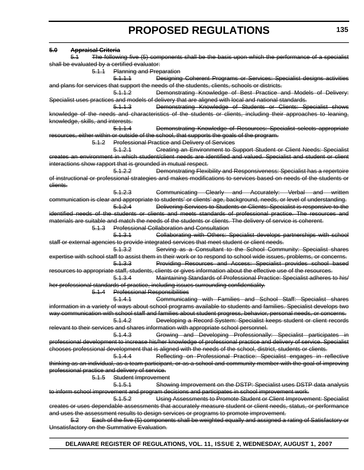#### **5.0 Appraisal Criteria** 5.1 The following five (5) components shall be the basis upon which the performance of a specialist shall be evaluated by a certified evaluator: 5.1.1 Planning and Preparation 5.1.1.1 Designing Coherent Programs or Services: Specialist designs activities and plans for services that support the needs of the students, clients, schools or districts. 5.1.1.2 Demonstrating Knowledge of Best Practice and Models of Delivery: Specialist uses practices and models of delivery that are aligned with local and national standards. 5.1.1.3 Demonstrating Knowledge of Students or Clients: Specialist shows knowledge of the needs and characteristics of the students or clients, including their approaches to leaning, knowledge, skills, and interests. 5.1.1.4 Demonstrating Knowledge of Resources: Specialist selects appropriate resources, either within or outside of the school, that supports the goals of the program. 5.1.2 Professional Practice and Delivery of Services 5.1.2.1 Creating an Environment to Support Student or Client Needs: Specialist creates an environment in which student/client needs are identified and valued. Specialist and student or client interactions show rapport that is grounded in mutual respect. 5.1.2.2 Demonstrating Flexibility and Responsiveness: Specialist has a repertoire of instructional or professional strategies and makes modifications to services based on needs of the students or clients. 5.1.2.3 Communicating Clearly and Accurately: Verbal and written communication is clear and appropriate to students' or clients' age, background, needs, or level of understanding. 5.1.2.4 Delivering Services to Students or Clients: Specialist is responsive to the identified needs of the students or clients and meets standards of professional practice. The resources and materials are suitable and match the needs of the students or clients. The delivery of service is coherent. 5.1.3 Professional Collaboration and Consultation 5.1.3.1 Collaborating with Others: Specialist develops partnerships with school staff or external agencies to provide integrated services that meet student or client needs. 5.1.3.2 Serving as a Consultant to the School Community: Specialist shares expertise with school staff to assist them in their work or to respond to school wide issues, problems, or concerns. 5.1.3.3 Providing Resources and Access: Specialist provides school based resources to appropriate staff, students, clients or gives information about the effective use of the resources. 5.1.3.4 Maintaining Standards of Professional Practice: Specialist adheres to his/ her professional standards of practice, including issues surrounding confidentiality. 5.1.4 Professional Responsibilities 5.1.4.1 Communicating with Families and School Staff: Specialist shares information in a variety of ways about school programs available to students and families. Specialist develops two way communication with school staff and families about student progress, behavior, personal needs, or concerns. 5.1.4.2 Developing a Record System: Specialist keeps student or client records relevant to their services and shares information with appropriate school personnel. 5.1.4.3 Growing and Developing Professionally: Specialist participates in professional development to increase his/her knowledge of professional practice and delivery of service. Specialist chooses professional development that is aligned with the needs of the school, district, students or clients. 5.1.4.4 Reflecting on Professional Practice: Specialist engages in reflective thinking as an individual, as a team participant, or as a school and community member with the goal of improving professional practice and delivery of service. 5.1.5 Student Improvement 5.1.5.1 Showing Improvement on the DSTP: Specialist uses DSTP data analysis to inform school improvement and program decisions and participates in school improvement work. 5.1.5.2 Using Assessments to Promote Student or Client Improvement: Specialist creates or uses dependable assessments that accurately measure student or client needs, status, or performance and uses the assessment results to design services or programs to promote improvement. 5.2 Each of the five (5) components shall be weighted equally and assigned a rating of Satisfactory or Unsatisfactory on the Summative Evaluation.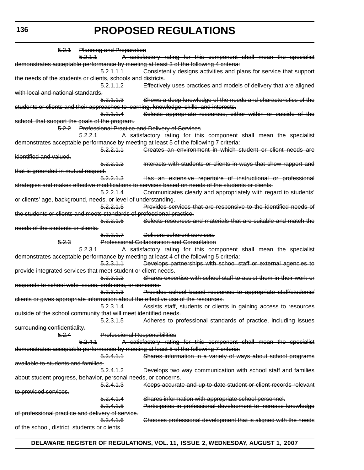5.2.1 Planning and Preparation 5.2.1.1 A satisfactory rating for this component shall mean the specialist demonstrates acceptable performance by meeting at least 3 of the following 4 criteria: 5.2.1.1.1 Consistently designs activities and plans for service that support the needs of the students or clients, schools and districts. 5.2.1.1.2 Effectively uses practices and models of delivery that are aligned with local and national standards. 5.2.1.1.3 Shows a deep knowledge of the needs and characteristics of the students or clients and their approaches to learning, knowledge, skills, and interests. 5.2.1.1.4 Selects appropriate resources, either within or outside of the school, that support the goals of the program. 5.2.2 Professional Practice and Delivery of Services 5.2.2.1 A satisfactory rating for this component shall mean the specialist demonstrates acceptable performance by meeting at least 5 of the following 7 criteria: 5.2.2.1.1 Creates an environment in which student or client needs are identified and valued. 5.2.2.1.2 Interacts with students or clients in ways that show rapport and that is grounded in mutual respect. 5.2.2.1.3 Has an extensive repertoire of instructional or professional strategies and makes effective modifications to services based on needs of the students or clients. 5.2.2.1.4 Communicates clearly and appropriately with regard to students' or clients' age, background, needs, or level of understanding. 5.2.2.1.5 Provides services that are responsive to the identified needs of the students or clients and meets standards of professional practice. 5.2.2.1.6 Selects resources and materials that are suitable and match the needs of the students or clients. 5.2.2.1.7 Delivers coherent services. 5.2.3 Professional Collaboration and Consultation 5.2.3.1 A satisfactory rating for this component shall mean the specialist demonstrates acceptable performance by meeting at least 4 of the following 5 criteria: 5.2.3.1.1 Develops partnerships with school staff or external agencies to provide integrated services that meet student or client needs. 5.2.3.1.2 Shares expertise with school staff to assist them in their work or responds to school wide issues, problems, or concerns. 5.2.3.1.3 Provides school based resources to appropriate staff/students/ clients or gives appropriate information about the effective use of the resources. 5.2.3.1.4 Assists staff, students or clients in gaining access to resources outside of the school community that will meet identified needs. 5.2.3.1.5 Adheres to professional standards of practice, including issues surrounding confidentiality. 5.2.4 Professional Responsibilities 5.2.4.1 A satisfactory rating for this component shall mean the specialist demonstrates acceptable performance by meeting at least 5 of the following 7 criteria: 5.2.4.1.1 Shares information in a variety of ways about school programs available to students and families. 5.2.4.1.2 Develops two way communication with school staff and families about student progress, behavior, personal needs, or concerns. 5.2.4.1.3 Keeps accurate and up to date student or client records relevant to provided services. 5.2.4.1.4 Shares information with appropriate school personnel. 5.2.4.1.5 Participates in professional development to increase knowledge of professional practice and delivery of service. 5.2.4.1.6 Chooses professional development that is aligned with the needs of the school, district, students or clients.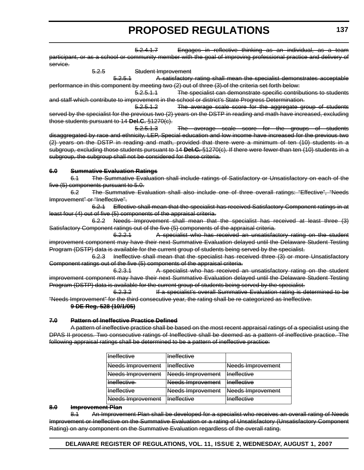5.2.4.1.7 Engages in reflective thinking as an individual, as a team participant, or as a school or community member with the goal of improving professional practice and delivery of service.

5.2.5 Student Improvement 5.2.5.1 A satisfactory rating shall mean the specialist demonstrates acceptable performance in this component by meeting two (2) out of three (3) of the criteria set forth below:

5.2.5.1.1 The specialist can demonstrate specific contributions to students and staff which contribute to improvement in the school or district's State Progress Determination.

5.2.5.1.2 The average scale score for the aggregate group of students served by the specialist for the previous two (2) years on the DSTP in reading and math have increased, excluding those students pursuant to 14 **Del.C.** §1270(c).

5.2.5.1.3 The average scale score for the groups of students disaggregated by race and ethnicity, LEP, Special education and low income have increased for the previous two (2) years on the DSTP in reading and math, provided that there were a minimum of ten (10) students in a subgroup, excluding those students pursuant to 14 **Del.C.** §1270(c). If there were fewer than ten (10) students in a subgroup, the subgroup shall not be considered for these criteria.

#### **6.0 Summative Evaluation Ratings**

6.1 The Summative Evaluation shall include ratings of Satisfactory or Unsatisfactory on each of the five (5) components pursuant to 5.0.

6.2 The Summative Evaluation shall also include one of three overall ratings: "Effective", "Needs Improvement" or "Ineffective".

6.2.1 Effective shall mean that the specialist has received Satisfactory Component ratings in at least four (4) out of five (5) components of the appraisal criteria.

6.2.2 Needs Improvement shall mean that the specialist has received at least three (3) Satisfactory Component ratings out of the five (5) components of the appraisal criteria.

6.2.2.1 A specialist who has received an unsatisfactory rating on the student improvement component may have their next Summative Evaluation delayed until the Delaware Student Testing Program (DSTP) data is available for the current group of students being served by the specialist.

6.2.3 Ineffective shall mean that the specialist has received three (3) or more Unsatisfactory Component ratings out of the five (5) components of the appraisal criteria.

6.2.3.1 A specialist who has received an unsatisfactory rating on the student improvement component may have their next Summative Evaluation delayed until the Delaware Student Testing Program (DSTP) data is available for the current group of students being served by the specialist.

6.2.3.2 If a specialist's overall Summative Evaluation rating is determined to be "Needs Improvement" for the third consecutive year, the rating shall be re categorized as Ineffective.

#### **9 DE Reg. 528 (10/1/05)**

#### **7.0 Pattern of Ineffective Practice Defined**

A pattern of ineffective practice shall be based on the most recent appraisal ratings of a specialist using the DPAS II process. Two consecutive ratings of Ineffective shall be deemed as a pattern of ineffective practice. The following appraisal ratings shall be determined to be a pattern of ineffective practice:

| <b>Ineffective</b> | <b>Ineffective</b> |                    |
|--------------------|--------------------|--------------------|
| Needs Improvement  | Ineffective        | Needs Improvement  |
| Needs Improvement  | Needs Improvement  | <b>Ineffective</b> |
| Ineffective        | Needs Improvement  | <b>Ineffective</b> |
| <b>Ineffective</b> | Needs Improvement  | Needs Improvement  |
| Needs Improvement  | <b>Ineffective</b> | <b>Ineffective</b> |

#### **8.0 Improvement Plan**

8.1 An Improvement Plan shall be developed for a specialist who receives an overall rating of Needs Improvement or Ineffective on the Summative Evaluation or a rating of Unsatisfactory (Unsatisfactory Component Rating) on any component on the Summative Evaluation regardless of the overall rating.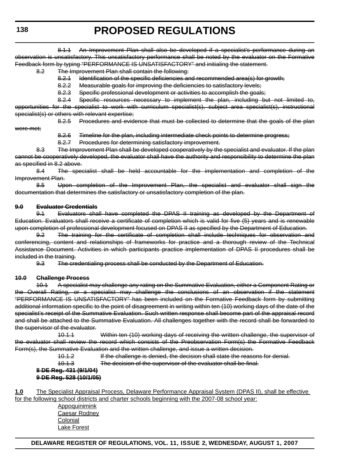8.1.1 An Improvement Plan shall also be developed if a specialist's performance during an observation is unsatisfactory. This unsatisfactory performance shall be noted by the evaluator on the Formative Feedback form by typing "PERFORMANCE IS UNSATISFACTORY" and initialing the statement.

#### 8.2 The Improvement Plan shall contain the following:

8.2.1 Identification of the specific deficiencies and recommended area(s) for growth;

- 8.2.2 Measurable goals for improving the deficiencies to satisfactory levels;
- 8.2.3 Specific professional development or activities to accomplish the goals;

8.2.4 Specific resources necessary to implement the plan, including but not limited to, opportunities for the specialist to work with curriculum specialist(s), subject area specialist(s), instructional specialist(s) or others with relevant expertise;

were met;

8.2.5 Procedures and evidence that must be collected to determine that the goals of the plan

8.2.6 Timeline for the plan, including intermediate check points to determine progress;

8.2.7 Procedures for determining satisfactory improvement.

8.3 The Improvement Plan shall be developed cooperatively by the specialist and evaluator. If the plan cannot be cooperatively developed, the evaluator shall have the authority and responsibility to determine the plan as specified in 8.2 above.

8.4 The specialist shall be held accountable for the implementation and completion of the Improvement Plan.

8.5 Upon completion of the Improvement Plan, the specialist and evaluator shall sign the documentation that determines the satisfactory or unsatisfactory completion of the plan.

#### **9.0 Evaluator Credentials**

9.1 Evaluators shall have completed the DPAS II training as developed by the Department of Education. Evaluators shall receive a certificate of completion which is valid for five (5) years and is renewable upon completion of professional development focused on DPAS II as specified by the Department of Education.

9.2 The training for the certificate of completion shall include techniques for observation and conferencing, content and relationships of frameworks for practice and a thorough review of the Technical Assistance Document. Activities in which participants practice implementation of DPAS II procedures shall be included in the training.

9.3 The credentialing process shall be conducted by the Department of Education.

#### **10.0 Challenge Process**

10.1 A specialist may challenge any rating on the Summative Evaluation, either a Component Rating or the Overall Rating, or a specialist may challenge the conclusions of an observation if the statement "PERFORMANCE IS UNSATISFACTORY" has been included on the Formative Feedback form by submitting additional information specific to the point of disagreement in writing within ten (10) working days of the date of the specialist's receipt of the Summative Evaluation. Such written response shall become part of the appraisal record and shall be attached to the Summative Evaluation. All challenges together with the record shall be forwarded to the supervisor of the evaluator.

10.1.1 Within ten (10) working days of receiving the written challenge, the supervisor of the evaluator shall review the record which consists of the Preobservation Form(s) the Formative Feedback Form(s), the Summative Evaluation and the written challenge, and issue a written decision.

10.1.2 If the challenge is denied, the decision shall state the reasons for denial.

10.1.3 The decision of the supervisor of the evaluator shall be final.

#### **8 DE Reg. 431 (9/1/04) 9 DE Reg. 528 (10/1/05)**

**1.0** The Specialist Appraisal Process, Delaware Performance Appraisal System (DPAS II), shall be effective for the following school districts and charter schools beginning with the 2007-08 school year:

> Appoquinimink Caesar Rodney Colonial Lake Forest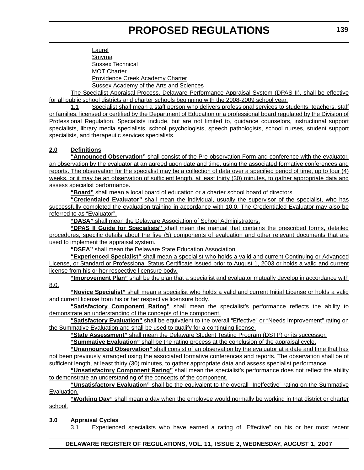Laurel Smyrna Sussex Technical MOT Charter Providence Creek Academy Charter Sussex Academy of the Arts and Sciences

The Specialist Appraisal Process, Delaware Performance Appraisal System (DPAS II), shall be effective for all public school districts and charter schools beginning with the 2008-2009 school year.

1.1 Specialist shall mean a staff person who delivers professional services to students, teachers, staff or families, licensed or certified by the Department of Education or a professional board regulated by the Division of Professional Regulation. Specialists include, but are not limited to, guidance counselors, instructional support specialists, library media specialists, school psychologists, speech pathologists, school nurses, student support specialists, and therapeutic services specialists.

#### **2.0 Definitions**

**"Announced Observation"** shall consist of the Pre-observation Form and conference with the evaluator, an observation by the evaluator at an agreed upon date and time, using the associated formative conferences and reports. The observation for the specialist may be a collection of data over a specified period of time, up to four (4) weeks, or it may be an observation of sufficient length, at least thirty (30) minutes, to gather appropriate data and assess specialist performance.

**"Board"** shall mean a local board of education or a charter school board of directors.

**"Credentialed Evaluator"** shall mean the individual, usually the supervisor of the specialist, who has successfully completed the evaluation training in accordance with 10.0. The Credentialed Evaluator may also be referred to as "Evaluator".

**"DASA"** shall mean the Delaware Association of School Administrators.

**"DPAS II Guide for Specialists"** shall mean the manual that contains the prescribed forms, detailed procedures, specific details about the five (5) components of evaluation and other relevant documents that are used to implement the appraisal system.

**"DSEA"** shall mean the Delaware State Education Association.

**"Experienced Specialist"** shall mean a specialist who holds a valid and current Continuing or Advanced License, or Standard or Professional Status Certificate issued prior to August 1, 2003 or holds a valid and current license from his or her respective licensure body.

**"Improvement Plan"** shall be the plan that a specialist and evaluator mutually develop in accordance with 8.0.

**"Novice Specialist"** shall mean a specialist who holds a valid and current Initial License or holds a valid and current license from his or her respective licensure body.

**"Satisfactory Component Rating"** shall mean the specialist's performance reflects the ability to demonstrate an understanding of the concepts of the component.

**"Satisfactory Evaluation"** shall be equivalent to the overall "Effective" or "Needs Improvement" rating on the Summative Evaluation and shall be used to qualify for a continuing license.

**"State Assessment"** shall mean the Delaware Student Testing Program (DSTP) or its successor.

**"Summative Evaluation"** shall be the rating process at the conclusion of the appraisal cycle.

**"Unannounced Observation"** shall consist of an observation by the evaluator at a date and time that has not been previously arranged using the associated formative conferences and reports. The observation shall be of sufficient length, at least thirty (30) minutes, to gather appropriate data and assess specialist performance.

**"Unsatisfactory Component Rating"** shall mean the specialist's performance does not reflect the ability to demonstrate an understanding of the concepts of the component.

**"Unsatisfactory Evaluation"** shall be the equivalent to the overall "Ineffective" rating on the Summative Evaluation.

**"Working Day"** shall mean a day when the employee would normally be working in that district or charter school.

#### **3.0 Appraisal Cycles**

3.1 Experienced specialists who have earned a rating of "Effective" on his or her most recent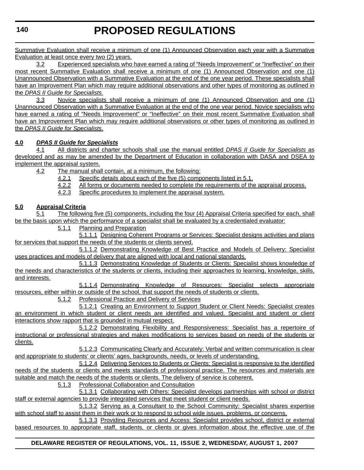Summative Evaluation shall receive a minimum of one (1) Announced Observation each year with a Summative Evaluation at least once every two (2) years.

3.2 Experienced specialists who have earned a rating of "Needs Improvement" or "Ineffective" on their most recent Summative Evaluation shall receive a minimum of one (1) Announced Observation and one (1) Unannounced Observation with a Summative Evaluation at the end of the one year period. These specialists shall have an Improvement Plan which may require additional observations and other types of monitoring as outlined in the *DPAS II Guide for Specialists.*

3.3 Novice specialists shall receive a minimum of one (1) Announced Observation and one (1) Unannounced Observation with a Summative Evaluation at the end of the one year period. Novice specialists who have earned a rating of "Needs Improvement" or "Ineffective" on their most recent Summative Evaluation shall have an Improvement Plan which may require additional observations or other types of monitoring as outlined in the *DPAS II Guide for Specialists*.

#### **4.0** *DPAS II Guide for Specialists*

4.1 All districts and charter schools shall use the manual entitled *DPAS II Guide for Specialists* as developed and as may be amended by the Department of Education in collaboration with DASA and DSEA to implement the appraisal system.

- 4.2 The manual shall contain, at a minimum, the following:
	- 4.2.1 Specific details about each of the five (5) components listed in 5.1.
	- 4.2.2 All forms or documents needed to complete the requirements of the appraisal process.
	- 4.2.3 Specific procedures to implement the appraisal system.

#### **5.0 Appraisal Criteria**

5.1 The following five (5) components, including the four (4) Appraisal Criteria specified for each, shall be the basis upon which the performance of a specialist shall be evaluated by a credentialed evaluator:

5.1.1 Planning and Preparation

5.1.1.1 Designing Coherent Programs or Services: Specialist designs activities and plans for services that support the needs of the students or clients served.

5.1.1.2 Demonstrating Knowledge of Best Practice and Models of Delivery: Specialist uses practices and models of delivery that are aligned with local and national standards.

5.1.1.3 Demonstrating Knowledge of Students or Clients: Specialist shows knowledge of the needs and characteristics of the students or clients, including their approaches to learning, knowledge, skills, and interests.

5.1.1.4 Demonstrating Knowledge of Resources: Specialist selects appropriate resources, either within or outside of the school, that support the needs of students or clients.

5.1.2 Professional Practice and Delivery of Services

5.1.2.1 Creating an Environment to Support Student or Client Needs: Specialist creates an environment in which student or client needs are identified and valued. Specialist and student or client interactions show rapport that is grounded in mutual respect.

5.1.2.2 Demonstrating Flexibility and Responsiveness: Specialist has a repertoire of instructional or professional strategies and makes modifications to services based on needs of the students or clients.

5.1.2.3 Communicating Clearly and Accurately: Verbal and written communication is clear and appropriate to students' or clients' ages, backgrounds, needs, or levels of understanding.

5.1.2.4 Delivering Services to Students or Clients: Specialist is responsive to the identified needs of the students or clients and meets standards of professional practice. The resources and materials are suitable and match the needs of the students or clients. The delivery of service is coherent.

5.1.3 Professional Collaboration and Consultation

5.1.3.1 Collaborating with Others: Specialist develops partnerships with school or district staff or external agencies to provide integrated services that meet student or client needs.

5.1.3.2 Serving as a Consultant to the School Community: Specialist shares expertise with school staff to assist them in their work or to respond to school wide issues, problems, or concerns.

5.1.3.3 Providing Resources and Access: Specialist provides school, district or external based resources to appropriate staff, students, or clients or gives information about the effective use of the

#### **DELAWARE REGISTER OF REGULATIONS, VOL. 11, ISSUE 2, WEDNESDAY, AUGUST 1, 2007**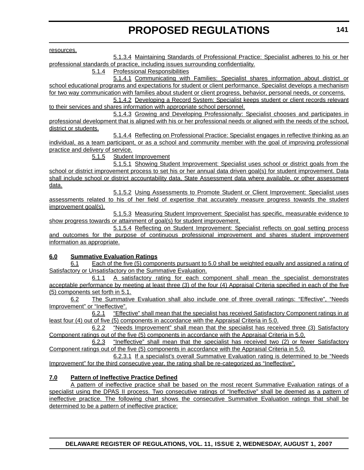resources.

5.1.3.4 Maintaining Standards of Professional Practice: Specialist adheres to his or her professional standards of practice, including issues surrounding confidentiality.

5.1.4 Professional Responsibilities

5.1.4.1 Communicating with Families: Specialist shares information about district or school educational programs and expectations for student or client performance. Specialist develops a mechanism for two way communication with families about student or client progress, behavior, personal needs, or concerns.

5.1.4.2 Developing a Record System: Specialist keeps student or client records relevant to their services and shares information with appropriate school personnel.

5.1.4.3 Growing and Developing Professionally: Specialist chooses and participates in professional development that is aligned with his or her professional needs or aligned with the needs of the school, district or students.

5.1.4.4 Reflecting on Professional Practice: Specialist engages in reflective thinking as an individual, as a team participant, or as a school and community member with the goal of improving professional practice and delivery of service.

5.1.5 Student Improvement

5.1.5.1 Showing Student Improvement: Specialist uses school or district goals from the school or district improvement process to set his or her annual data driven goal(s) for student improvement. Data shall include school or district accountability data, State Assessment data where available, or other assessment data.

5.1.5.2 Using Assessments to Promote Student or Client Improvement: Specialist uses assessments related to his of her field of expertise that accurately measure progress towards the student improvement goal(s).

5.1.5.3 Measuring Student Improvement: Specialist has specific, measurable evidence to show progress towards or attainment of goal(s) for student improvement.

5.1.5.4 Reflecting on Student Improvement: Specialist reflects on goal setting process and outcomes for the purpose of continuous professional improvement and shares student improvement information as appropriate.

#### **6.0 Summative Evaluation Ratings**

6.1 Each of the five (5) components pursuant to 5.0 shall be weighted equally and assigned a rating of Satisfactory or Unsatisfactory on the Summative Evaluation.

6.1.1 A satisfactory rating for each component shall mean the specialist demonstrates acceptable performance by meeting at least three (3) of the four (4) Appraisal Criteria specified in each of the five (5) components set forth in 5.1.

6.2 The Summative Evaluation shall also include one of three overall ratings: "Effective", "Needs Improvement" or "Ineffective".

6.2.1 "Effective" shall mean that the specialist has received Satisfactory Component ratings in at least four (4) out of five (5) components in accordance with the Appraisal Criteria in 5.0.

6.2.2 "Needs Improvement" shall mean that the specialist has received three (3) Satisfactory Component ratings out of the five (5) components in accordance with the Appraisal Criteria in 5.0.

6.2.3 "Ineffective" shall mean that the specialist has received two (2) or fewer Satisfactory Component ratings out of the five (5) components in accordance with the Appraisal Criteria in 5.0.

6.2.3.1 If a specialist's overall Summative Evaluation rating is determined to be "Needs Improvement" for the third consecutive year, the rating shall be re-categorized as "Ineffective".

#### **7.0 Pattern of Ineffective Practice Defined**

A pattern of ineffective practice shall be based on the most recent Summative Evaluation ratings of a specialist using the DPAS II process. Two consecutive ratings of "Ineffective" shall be deemed as a pattern of ineffective practice. The following chart shows the consecutive Summative Evaluation ratings that shall be determined to be a pattern of ineffective practice: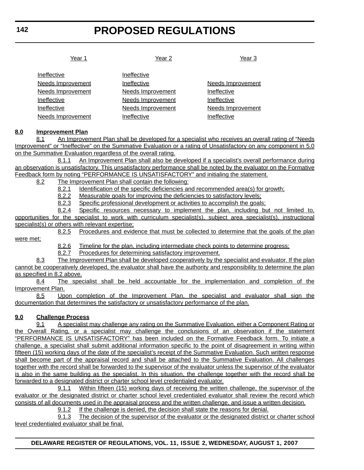Year 1 Year 2 Year 3

| Ineffective              | Ineffective              |                          |
|--------------------------|--------------------------|--------------------------|
| <b>Needs Improvement</b> | Ineffective              | <b>Needs Improvement</b> |
| <b>Needs Improvement</b> | <b>Needs Improvement</b> | Ineffective              |
| Ineffective              | <b>Needs Improvement</b> | Ineffective              |
| Ineffective              | <b>Needs Improvement</b> | <b>Needs Improvement</b> |
| <b>Needs Improvement</b> | Ineffective              | Ineffective              |

#### **8.0 Improvement Plan**

8.1 An Improvement Plan shall be developed for a specialist who receives an overall rating of "Needs Improvement" or "Ineffective" on the Summative Evaluation or a rating of Unsatisfactory on any component in 5.0 on the Summative Evaluation regardless of the overall rating.

8.1.1 An Improvement Plan shall also be developed if a specialist's overall performance during an observation is unsatisfactory. This unsatisfactory performance shall be noted by the evaluator on the Formative Feedback form by noting "PERFORMANCE IS UNSATISFACTORY" and initialing the statement.

8.2 The Improvement Plan shall contain the following:

8.2.1 Identification of the specific deficiencies and recommended area(s) for growth;

8.2.2 Measurable goals for improving the deficiencies to satisfactory levels;

8.2.3 Specific professional development or activities to accomplish the goals;

8.2.4 Specific resources necessary to implement the plan, including but not limited to, opportunities for the specialist to work with curriculum specialist(s), subject area specialist(s), instructional specialist(s) or others with relevant expertise;

8.2.5 Procedures and evidence that must be collected to determine that the goals of the plan were met;

8.2.6 Timeline for the plan, including intermediate check points to determine progress;

8.2.7 Procedures for determining satisfactory improvement.

8.3 The Improvement Plan shall be developed cooperatively by the specialist and evaluator. If the plan cannot be cooperatively developed, the evaluator shall have the authority and responsibility to determine the plan as specified in 8.2 above.

8.4 The specialist shall be held accountable for the implementation and completion of the Improvement Plan.

8.5 Upon completion of the Improvement Plan, the specialist and evaluator shall sign the documentation that determines the satisfactory or unsatisfactory performance of the plan.

#### **9.0 Challenge Process**

9.1 A specialist may challenge any rating on the Summative Evaluation, either a Component Rating or the Overall Rating, or a specialist may challenge the conclusions of an observation if the statement "PERFORMANCE IS UNSATISFACTORY" has been included on the Formative Feedback form. To initiate a challenge, a specialist shall submit additional information specific to the point of disagreement in writing within fifteen (15) working days of the date of the specialist's receipt of the Summative Evaluation. Such written response shall become part of the appraisal record and shall be attached to the Summative Evaluation. All challenges together with the record shall be forwarded to the supervisor of the evaluator unless the supervisor of the evaluator is also in the same building as the specialist. In this situation, the challenge together with the record shall be forwarded to a designated district or charter school level credentialed evaluator.

9.1.1 Within fifteen (15) working days of receiving the written challenge, the supervisor of the evaluator or the designated district or charter school level credentialed evaluator shall review the record which consists of all documents used in the appraisal process and the written challenge, and issue a written decision.

9.1.2 If the challenge is denied, the decision shall state the reasons for denial.

9.1.3 The decision of the supervisor of the evaluator or the designated district or charter school level credentialed evaluator shall be final.

**DELAWARE REGISTER OF REGULATIONS, VOL. 11, ISSUE 2, WEDNESDAY, AUGUST 1, 2007**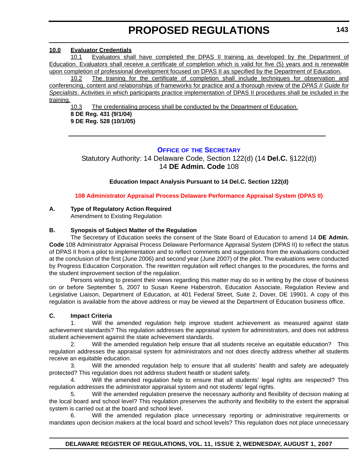#### <span id="page-35-0"></span>**10.0 [Evaluator Credentials](#page-3-0)**

10.1 Evaluators shall have completed the DPAS II training as developed by the Department of Education. Evaluators shall receive a certificate of completion which is valid for five (5) years and is renewable upon completion of professional development focused on DPAS II as specified by the Department of Education.

10.2 The training for the certificate of completion shall include techniques for observation and conferencing, content and relationships of frameworks for practice and a thorough review of the *DPAS II Guide for Specialists*. Activities in which participants practice implementation of DPAS II procedures shall be included in the training.

10.3 The credentialing process shall be conducted by the Department of Education. **8 DE Reg. 431 (9/1/04) 9 DE Reg. 528 (10/1/05)**

#### **OFFICE OF THE SECRETARY**

Statutory Authority: 14 Delaware Code, Section 122(d) (14 **Del.C.** §122(d)) 14 **DE Admin. Code** 108

#### **Education Impact Analysis Pursuant to 14 Del.C. Section 122(d)**

#### **[108 Administrator Appraisal Process Delaware Performance Appraisal System \(DPAS II\)](#page-3-0)**

#### **A. Type of Regulatory Action Required**

Amendment to Existing Regulation

#### **B. Synopsis of Subject Matter of the Regulation**

The Secretary of Education seeks the consent of the State Board of Education to amend 14 **DE Admin. Code** 108 Administrator Appraisal Process Delaware Performance Appraisal System (DPAS II) to reflect the status of DPAS II from a pilot to implementation and to reflect comments and suggestions from the evaluations conducted at the conclusion of the first (June 2006) and second year (June 2007) of the pilot. The evaluations were conducted by Progress Education Corporation. The rewritten regulation will reflect changes to the procedures, the forms and the student improvement section of the regulation.

Persons wishing to present their views regarding this matter may do so in writing by the close of business on or before September 5, 2007 to Susan Keene Haberstroh, Education Associate, Regulation Review and Legislative Liaison, Department of Education, at 401 Federal Street, Suite 2, Dover, DE 19901. A copy of this regulation is available from the above address or may be viewed at the Department of Education business office.

#### **C. Impact Criteria**

1. Will the amended regulation help improve student achievement as measured against state achievement standards? This regulation addresses the appraisal system for administrators, and does not address student achievement against the state achievement standards.

2. Will the amended regulation help ensure that all students receive an equitable education? This regulation addresses the appraisal system for administrators and not does directly address whether all students receive an equitable education.

3. Will the amended regulation help to ensure that all students' health and safety are adequately protected? This regulation does not address student health or student safety.

4. Will the amended regulation help to ensure that all students' legal rights are respected? This regulation addresses the administrator appraisal system and not students' legal rights.

5. Will the amended regulation preserve the necessary authority and flexibility of decision making at the local board and school level? This regulation preserves the authority and flexibility to the extent the appraisal system is carried out at the board and school level.

6. Will the amended regulation place unnecessary reporting or administrative requirements or mandates upon decision makers at the local board and school levels? This regulation does not place unnecessary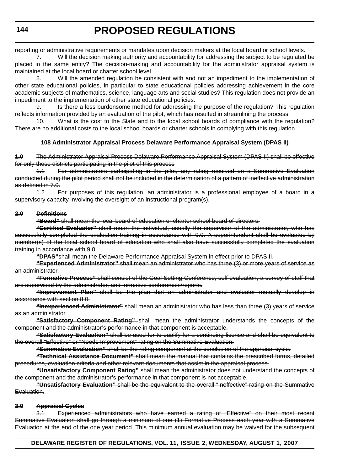reporting or administrative requirements or mandates upon decision makers at the local board or school levels.

7. Will the decision making authority and accountability for addressing the subject to be regulated be placed in the same entity? The decision-making and accountability for the administrator appraisal system is maintained at the local board or charter school level.

8. Will the amended regulation be consistent with and not an impediment to the implementation of other state educational policies, in particular to state educational policies addressing achievement in the core academic subjects of mathematics, science, language arts and social studies? This regulation does not provide an impediment to the implementation of other state educational policies.

9. Is there a less burdensome method for addressing the purpose of the regulation? This regulation reflects information provided by an evaluation of the pilot, which has resulted in streamlining the process.

10. What is the cost to the State and to the local school boards of compliance with the regulation? There are no additional costs to the local school boards or charter schools in complying with this regulation.

# **108 Administrator Appraisal Process Delaware Performance Appraisal System (DPAS II)**

**1.0** The Administrator Appraisal Process Delaware Performance Appraisal System (DPAS II) shall be effective for only those districts participating in the pilot of this process

1.1 For administrators participating in the pilot, any rating received on a Summative Evaluation conducted during the pilot period shall not be included in the determination of a pattern of ineffective administration as defined in 7.0.

1.2 For purposes of this regulation, an administrator is a professional employee of a board in a supervisory capacity involving the oversight of an instructional program(s).

## **2.0 Definitions**

**"Board"** shall mean the local board of education or charter school board of directors.

**"Certified Evaluator"** shall mean the individual, usually the supervisor of the administrator, who has successfully completed the evaluation training in accordance with 9.0. A superintendent shall be evaluated by member(s) of the local school board of education who shall also have successfully completed the evaluation training in accordance with 9.0.

**"DPAS"**shall mean the Delaware Performance Appraisal System in effect prior to DPAS II.

**"Experienced Administrator"** shall mean an administrator who has three (3) or more years of service as an administrator.

**"Formative Process"** shall consist of the Goal Setting Conference, self evaluation, a survey of staff that are supervised by the administrator, and formative conferences/reports.

**"Improvement Plan"** shall be the plan that an administrator and evaluator mutually develop in accordance with section 8.0.

**"Inexperienced Administrator"** shall mean an administrator who has less than three (3) years of service as an administrator.

**"Satisfactory Component Rating"** shall mean the administrator understands the concepts of the component and the administrator's performance in that component is acceptable.

**"Satisfactory Evaluation"** shall be used for to qualify for a continuing license and shall be equivalent to the overall "Effective" or "Needs Improvement" rating on the Summative Evaluation.

**"Summative Evaluation"** shall be the rating component at the conclusion of the appraisal cycle.

**"Technical Assistance Document"** shall mean the manual that contains the prescribed forms, detailed procedures, evaluation criteria and other relevant documents that assist in the appraisal process.

**"Unsatisfactory Component Rating"** shall mean the administrator does not understand the concepts of the component and the administrator's performance in that component is not acceptable.

**"Unsatisfactory Evaluation"** shall be the equivalent to the overall "Ineffective" rating on the Summative Evaluation.

## **3.0 Appraisal Cycles**

3.1 Experienced administrators who have earned a rating of "Effective" on their most recent Summative Evaluation shall go through a minimum of one (1) Formative Process each year with a Summative Evaluation at the end of the one year period. This minimum annual evaluation may be waived for the subsequent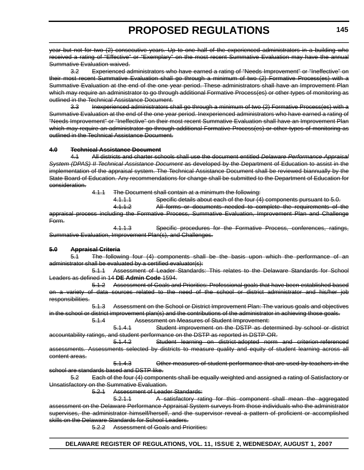year but not for two (2) consecutive years. Up to one half of the experienced administrators in a building who received a rating of "Effective" or "Exemplary" on the most recent Summative Evaluation may have the annual Summative Evaluation waived.

3.2 Experienced administrators who have earned a rating of "Needs Improvement" or "Ineffective" on their most recent Summative Evaluation shall go through a minimum of two (2) Formative Process(es) with a Summative Evaluation at the end of the one year period. These administrators shall have an Improvement Plan which may require an administrator to go through additional Formative Process(es) or other types of monitoring as outlined in the Technical Assistance Document.

3.3 Inexperienced administrators shall go through a minimum of two (2) Formative Process(es) with a Summative Evaluation at the end of the one year period. Inexperienced administrators who have earned a rating of "Needs Improvement" or "Ineffective" on their most recent Summative Evaluation shall have an Improvement Plan which may require an administrator go through additional Formative Process(es) or other types of monitoring as outlined in the Technical Assistance Document.

#### **4.0 Technical Assistance Document**

4.1 All districts and charter schools shall use the document entitled *Delaware Performance Appraisal* **System (DPAS) II Technical Assistance Document as developed by the Department of Education to assist in the** implementation of the appraisal system. The Technical Assistance Document shall be reviewed biannually by the State Board of Education. Any recommendations for change shall be submitted to the Department of Education for consideration.

4.1.1 The Document shall contain at a minimum the following:

4.1.1.1 Specific details about each of the four (4) components pursuant to 5.0.

4.1.1.2 All forms or documents needed to complete the requirements of the appraisal process including the Formative Process, Summative Evaluation, Improvement Plan and Challenge Form.

4.1.1.3 Specific procedures for the Formative Process, conferences, ratings, Summative Evaluation, Improvement Plan(s), and Challenges.

## **5.0 Appraisal Criteria**

5.1 The following four (4) components shall be the basis upon which the performance of an administrator shall be evaluated by a certified evaluator(s):

5.1.1 Assessment of Leader Standards: This relates to the Delaware Standards for School Leaders as defined in 14 **DE Admin Code** 1594.

5.1.2 Assessment of Goals and Priorities: Professional goals that have been established based on a variety of data sources related to the need of the school or district administrator and his/her job responsibilities.

5.1.3 Assessment on the School or District Improvement Plan: The various goals and objectives in the school or district improvement plan(s) and the contributions of the administrator in achieving those goals.

5.1.4 Assessment on Measures of Student Improvement:

5.1.4.1 Student improvement on the DSTP as determined by school or district accountability ratings, and student performance on the DSTP as reported in DSTP-OR.

5.1.4.2 Student learning on district-adopted norm and criterion-referenced assessments. Assessments selected by districts to measure quality and equity of student learning across all content areas.

5.1.4.3 Other measures of student performance that are used by teachers in the school are standards based and DSTP like.

5.2 Each of the four (4) components shall be equally weighted and assigned a rating of Satisfactory or Unsatisfactory on the Summative Evaluation.

5.2.1 Assessment of Leader Standards:

5.2.1.1 A satisfactory rating for this component shall mean the aggregated assessment on the Delaware Performance Appraisal System surveys from those individuals who the administrator supervises, the administrator himself/herself, and the supervisor reveal a pattern of proficient or accomplished skills on the Delaware Standards for School Leaders.

5.2.2 Assessment of Goals and Priorities: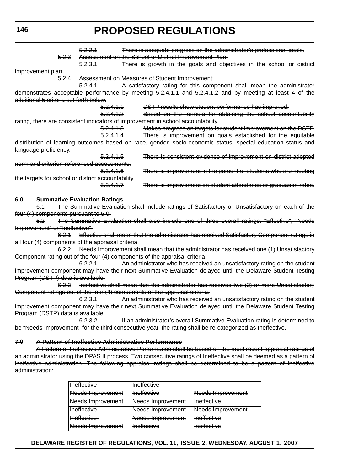**146**

# **PROPOSED REGULATIONS**

|     |                                                    | 5.2.2.1                             |                      | There is adequate progress on the administrator's professional goals.                                        |
|-----|----------------------------------------------------|-------------------------------------|----------------------|--------------------------------------------------------------------------------------------------------------|
|     | 5.2.3                                              |                                     |                      | Assessment on the School or District Improvement Plan:                                                       |
|     |                                                    | 5.2.3.1                             |                      | There is growth in the goals and objectives in the school or district                                        |
|     | improvement plan.                                  |                                     |                      |                                                                                                              |
|     | <del>5.2.4</del>                                   |                                     |                      | Assessment on Measures of Student Improvement:                                                               |
|     |                                                    | 5.2.4.1                             |                      | A satisfactory rating for this component shall mean the administrator                                        |
|     | additional 5 criteria set forth below.             |                                     |                      | demonstrates acceptable performance by meeting 5.2.4.1.1 and 5.2.4.1.2 and by meeting at least 4 of the      |
|     |                                                    |                                     | <del>5.2.4.1.1</del> | DSTP results show student performance has improved.                                                          |
|     |                                                    |                                     | 5.2.4.1.2            |                                                                                                              |
|     |                                                    |                                     |                      | Based on the formula for obtaining the school accountability                                                 |
|     |                                                    |                                     |                      | rating, there are consistent indicators of improvement in school accountability.                             |
|     |                                                    |                                     | 5.2.4.1.3            | Makes progress on targets for student improvement on the DSTP.                                               |
|     |                                                    |                                     | 5.2.4.1.4            | There is improvement on goals established for the equitable                                                  |
|     |                                                    |                                     |                      | distribution of learning outcomes based on race, gender, socio economic status, special education status and |
|     | language proficiency.                              |                                     |                      |                                                                                                              |
|     |                                                    |                                     | <del>5.2.4.1.5</del> | There is consistent evidence of improvement on district-adopted                                              |
|     | norm and criterion-referenced assessments.         |                                     |                      |                                                                                                              |
|     |                                                    |                                     | <del>5.2.4.1.6</del> | There is improvement in the percent of students who are meeting                                              |
|     | the targets for school or district accountability. |                                     |                      |                                                                                                              |
|     |                                                    |                                     | 5.2.4.1.7            | There is improvement on student attendance or graduation rates.                                              |
| 6.0 |                                                    | <b>Summative Evaluation Ratings</b> |                      |                                                                                                              |
|     | 6.1                                                |                                     |                      | The Summative Evaluation shall include ratings of Satisfactory or Unsatisfactory on each of the              |
|     | four (4) components pursuant to 5.0.               |                                     |                      |                                                                                                              |
|     | 6.2                                                |                                     |                      | The Summative Evaluation shall also include one of three overall ratings: "Effective", "Needs                |
|     | Improvement" or "Ineffective".                     |                                     |                      |                                                                                                              |
|     | 6.2.1                                              |                                     |                      | Effective shall mean that the administrator has received Satisfactory Component ratings in                   |
|     | all four (4) components of the appraisal criteria. |                                     |                      |                                                                                                              |
|     |                                                    |                                     |                      | 6.2.2 Needs Improvement shall mean that the administrator has received one (1) Unsatisfactory                |
|     |                                                    |                                     |                      | Component rating out of the four (4) components of the appraisal criteria.                                   |
|     |                                                    | 6.2.2.1                             |                      | An administrator who has received an unsatisfactory rating on the student                                    |
|     |                                                    |                                     |                      | improvement component may have their next Summative Evaluation delayed until the Delaware Student Testing    |
|     | Program (DSTP) data is available.                  |                                     |                      |                                                                                                              |
|     | <del>6.2.3</del>                                   |                                     |                      | Ineffective shall mean that the administrator has received two (2) or more Unsatisfactory                    |
|     |                                                    |                                     |                      | Component ratings out of the four (4) components of the appraisal criteria.                                  |
|     |                                                    | 6231                                |                      | An administrator who has received an unsatisfactory rating on the student                                    |
|     |                                                    |                                     |                      | improvement component may have their next Summative Evaluation delayed until the Delaware Student Testing    |
|     | Program (DSTP) data is available.                  |                                     |                      |                                                                                                              |
|     |                                                    | ດ ? ? ?                             |                      | If an administrator's overall Summative Evaluation rating is determined to                                   |

6.2.3.2 If an administrator's overall Summative Evaluation rating is determined to be "Needs Improvement" for the third consecutive year, the rating shall be re-categorized as Ineffective.

#### **7.0 A Pattern of Ineffective Administrative Performance**

A Pattern of Ineffective Administrative Performance shall be based on the most recent appraisal ratings of an administrator using the DPAS II process. Two consecutive ratings of Ineffective shall be deemed as a pattern of ineffective administration. The following appraisal ratings shall be determined to be a pattern of ineffective administration:

| <b>Ineffective</b> | <b>Ineffective</b>                                |                    |
|--------------------|---------------------------------------------------|--------------------|
| Needs Improvement  | <b>Ineffective</b>                                | Needs Improvement  |
| Needs Improvement  | Needs Improvement                                 | Ineffective        |
| <b>Ineffective</b> | Needs Improvement                                 | Needs Improvement  |
| Ineffective        | Naade Improvament<br><del>nccus improvement</del> | <b>Ineffective</b> |
| Needs Improvement  | Ineffective                                       | Ineffective        |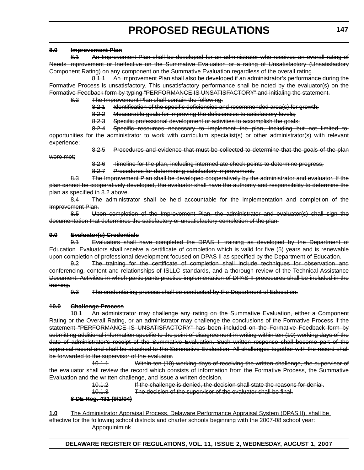#### **8.0 Improvement Plan**

8.1 An Improvement Plan shall be developed for an administrator who receives an overall rating of Needs Improvement or Ineffective on the Summative Evaluation or a rating of Unsatisfactory (Unsatisfactory Component Rating) on any component on the Summative Evaluation regardless of the overall rating.

8.1.1 An Improvement Plan shall also be developed if an administrator's performance during the Formative Process is unsatisfactory. This unsatisfactory performance shall be noted by the evaluator(s) on the Formative Feedback form by typing "PERFORMANCE IS UNSATISFACTORY" and initialing the statement.

8.2 The Improvement Plan shall contain the following:

- 8.2.1 Identification of the specific deficiencies and recommended area(s) for growth;
- 8.2.2 Measurable goals for improving the deficiencies to satisfactory levels;
- 8.2.3 Specific professional development or activities to accomplish the goals;

8.2.4 Specific resources necessary to implement the plan, including but not limited to, opportunities for the administrator to work with curriculum specialist(s) or other administrator(s) with relevant experience;

were met;

8.2.5 Procedures and evidence that must be collected to determine that the goals of the plan

8.2.6 Timeline for the plan, including intermediate check points to determine progress;

8.2.7 Procedures for determining satisfactory improvement.

8.3 The Improvement Plan shall be developed cooperatively by the administrator and evaluator. If the plan cannot be cooperatively developed, the evaluator shall have the authority and responsibility to determine the plan as specified in 8.2 above.

8.4 The administrator shall be held accountable for the implementation and completion of the Improvement Plan.

8.5 Upon completion of the Improvement Plan, the administrator and evaluator(s) shall sign the documentation that determines the satisfactory or unsatisfactory completion of the plan.

#### **9.0 Evaluator(s) Credentials**

9.1 Evaluators shall have completed the DPAS II training as developed by the Department of Education. Evaluators shall receive a certificate of completion which is valid for five (5) years and is renewable upon completion of professional development focused on DPAS II as specified by the Department of Education.

9.2 The training for the certificate of completion shall include techniques for observation and conferencing, content and relationships of ISLLC standards, and a thorough review of the Technical Assistance Document. Activities in which participants practice implementation of DPAS II procedures shall be included in the training.

9.3 The credentialing process shall be conducted by the Department of Education.

## **10.0 Challenge Process**

10.1 An administrator may challenge any rating on the Summative Evaluation, either a Component Rating or the Overall Rating, or an administrator may challenge the conclusions of the Formative Process if the statement "PERFORMANCE IS UNSATISFACTORY" has been included on the Formative Feedback form by submitting additional information specific to the point of disagreement in writing within ten (10) working days of the date of administrator's receipt of the Summative Evaluation. Such written response shall become part of the appraisal record and shall be attached to the Summative Evaluation. All challenges together with the record shall be forwarded to the supervisor of the evaluator.

10.1.1 Within ten (10) working days of receiving the written challenge, the supervisor of the evaluator shall review the record which consists of information from the Formative Process, the Summative Evaluation and the written challenge, and issue a written decision.

10.1.2 If the challenge is denied, the decision shall state the reasons for denial.

10.1.3 The decision of the supervisor of the evaluator shall be final.

## **8 DE Reg. 431 (9/1/04)**

**1.0** The Administrator Appraisal Process, Delaware Performance Appraisal System (DPAS II), shall be effective for the following school districts and charter schools beginning with the 2007-08 school year: Appoquinimink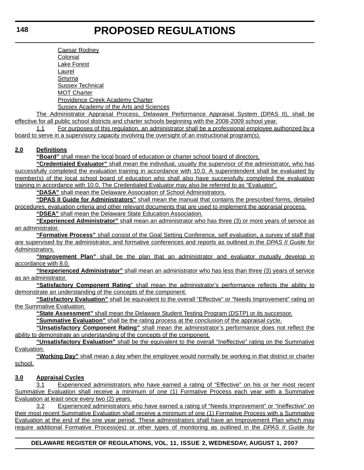Caesar Rodney Colonial Lake Forest Laurel Smyrna Sussex Technical MOT Charter Providence Creek Academy Charter Sussex Academy of the Arts and Sciences

The Administrator Appraisal Process, Delaware Performance Appraisal System (DPAS II), shall be effective for all public school districts and charter schools beginning with the 2008-2009 school year.

1.1 For purposes of this regulation, an administrator shall be a professional employee authorized by a board to serve in a supervisory capacity involving the oversight of an instructional program(s).

# **2.0 Definitions**

**"Board"** shall mean the local board of education or charter school board of directors.

**"Credentialed Evaluator"** shall mean the individual, usually the supervisor of the administrator, who has successfully completed the evaluation training in accordance with 10.0. A superintendent shall be evaluated by member(s) of the local school board of education who shall also have successfully completed the evaluation training in accordance with 10.0. The Credentialed Evaluator may also be referred to as "Evaluator".

**"DASA"** shall mean the Delaware Association of School Administrators.

**"DPAS II Guide for Administrators"** shall mean the manual that contains the prescribed forms, detailed procedures, evaluation criteria and other relevant documents that are used to implement the appraisal process.

**"DSEA"** shall mean the Delaware State Education Association.

**"Experienced Administrator"** shall mean an administrator who has three (3) or more years of service as an administrator.

**"Formative Process"** shall consist of the Goal Setting Conference, self evaluation, a survey of staff that are supervised by the administrator, and formative conferences and reports as outlined in the *DPAS II Guide for Administrators*.

**"Improvement Plan"** shall be the plan that an administrator and evaluator mutually develop in accordance with 8.0.

**"Inexperienced Administrator"** shall mean an administrator who has less than three (3) years of service as an administrator.

**"Satisfactory Component Rating**" shall mean the administrator's performance reflects the ability to demonstrate an understanding of the concepts of the component.

**"Satisfactory Evaluation"** shall be equivalent to the overall "Effective" or "Needs Improvement" rating on the Summative Evaluation.

**"State Assessment"** shall mean the Delaware Student Testing Program (DSTP) or its successor.

**"Summative Evaluation"** shall be the rating process at the conclusion of the appraisal cycle.

**"Unsatisfactory Component Rating"** shall mean the administrator's performance does not reflect the ability to demonstrate an understanding of the concepts of the component.

**"Unsatisfactory Evaluation"** shall be the equivalent to the overall "Ineffective" rating on the Summative Evaluation.

**"Working Day"** shall mean a day when the employee would normally be working in that district or charter school.

# **3.0 Appraisal Cycles**

3.1 Experienced administrators who have earned a rating of "Effective" on his or her most recent Summative Evaluation shall receive a minimum of one (1) Formative Process each year with a Summative Evaluation at least once every two (2) years.

3.2 Experienced administrators who have earned a rating of "Needs Improvement" or "Ineffective" on their most recent Summative Evaluation shall receive a minimum of one (1) Formative Process with a Summative Evaluation at the end of the one year period. These administrators shall have an Improvement Plan which may require additional Formative Process(es) or other types of monitoring as outlined in the *DPAS II Guide for*

# **DELAWARE REGISTER OF REGULATIONS, VOL. 11, ISSUE 2, WEDNESDAY, AUGUST 1, 2007**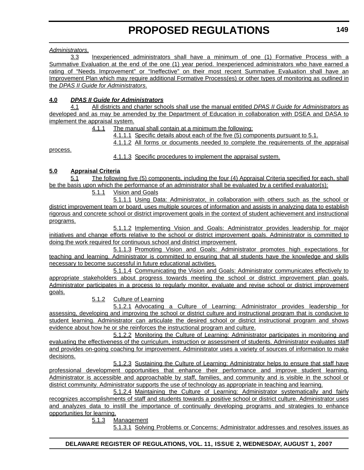*Administrators*.

3.3 Inexperienced administrators shall have a minimum of one (1) Formative Process with a Summative Evaluation at the end of the one (1) year period. Inexperienced administrators who have earned a rating of "Needs Improvement" or "Ineffective" on their most recent Summative Evaluation shall have an Improvement Plan which may require additional Formative Process(es) or other types of monitoring as outlined in the *DPAS II Guide for Administrators*.

# **4.0** *DPAS II Guide for Administrators*

4.1 All districts and charter schools shall use the manual entitled *DPAS II Guide for Administrators* as developed and as may be amended by the Department of Education in collaboration with DSEA and DASA to implement the appraisal system.

4.1.1 The manual shall contain at a minimum the following:

4.1.1.1 Specific details about each of the five (5) components pursuant to 5.1.

4.1.1.2 All forms or documents needed to complete the requirements of the appraisal

process.

4.1.1.3 Specific procedures to implement the appraisal system.

# **5.0 Appraisal Criteria**

5.1 The following five (5) components, including the four (4) Appraisal Criteria specified for each, shall be the basis upon which the performance of an administrator shall be evaluated by a certified evaluator(s):

5.1.1 Vision and Goals

5.1.1.1 Using Data: Administrator, in collaboration with others such as the school or district improvement team or board, uses multiple sources of information and assists in analyzing data to establish rigorous and concrete school or district improvement goals in the context of student achievement and instructional programs.

5.1.1.2 Implementing Vision and Goals: Administrator provides leadership for major initiatives and change efforts relative to the school or district improvement goals. Administrator is committed to doing the work required for continuous school and district improvement.

5.1.1.3 Promoting Vision and Goals: Administrator promotes high expectations for teaching and learning. Administrator is committed to ensuring that all students have the knowledge and skills necessary to become successful in future educational activities.

5.1.1.4 Communicating the Vision and Goals: Administrator communicates effectively to appropriate stakeholders about progress towards meeting the school or district improvement plan goals. Administrator participates in a process to regularly monitor, evaluate and revise school or district improvement goals.

5.1.2 Culture of Learning

5.1.2.1 Advocating a Culture of Learning: Administrator provides leadership for assessing, developing and improving the school or district culture and instructional program that is conducive to student learning. Administrator can articulate the desired school or district instructional program and shows evidence about how he or she reinforces the instructional program and culture.

5.1.2.2 Monitoring the Culture of Learning: Administrator participates in monitoring and evaluating the effectiveness of the curriculum, instruction or assessment of students. Administrator evaluates staff and provides on-going coaching for improvement. Administrator uses a variety of sources of information to make decisions.

5.1.2.3 Sustaining the Culture of Learning: Administrator helps to ensure that staff have professional development opportunities that enhance their performance and improve student learning. Administrator is accessible and approachable by staff, families, and community and is visible in the school or district community. Administrator supports the use of technology as appropriate in teaching and learning.

5.1.2.4 Maintaining the Culture of Learning: Administrator systematically and fairly recognizes accomplishments of staff and students towards a positive school or district culture. Administrator uses and analyzes data to instill the importance of continually developing programs and strategies to enhance opportunities for learning.

5.1.3 Management

5.1.3.1 Solving Problems or Concerns: Administrator addresses and resolves issues as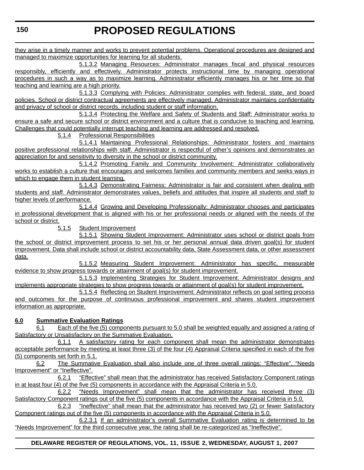they arise in a timely manner and works to prevent potential problems. Operational procedures are designed and managed to maximize opportunities for learning for all students.

5.1.3.2 Managing Resources: Administrator manages fiscal and physical resources responsibly, efficiently and effectively. Administrator protects instructional time by managing operational procedures in such a way as to maximize learning. Administrator efficiently manages his or her time so that teaching and learning are a high priority.

5.1.3.3 Complying with Policies: Administrator complies with federal, state, and board policies. School or district contractual agreements are effectively managed. Administrator maintains confidentiality and privacy of school or district records, including student or staff information.

5.1.3.4 Protecting the Welfare and Safety of Students and Staff: Administrator works to ensure a safe and secure school or district environment and a culture that is conducive to teaching and learning. Challenges that could potentially interrupt teaching and learning are addressed and resolved.

5.1.4 Professional Responsibilities

5.1.4.1 Maintaining Professional Relationships: Administrator fosters and maintains positive professional relationships with staff. Administrator is respectful of other's opinions and demonstrates an appreciation for and sensitivity to diversity in the school or district community.

5.1.4.2 Promoting Family and Community Involvement: Administrator collaboratively works to establish a culture that encourages and welcomes families and community members and seeks ways in which to engage them in student learning.

5.1.4.3 Demonstrating Fairness: Administrator is fair and consistent when dealing with students and staff. Administrator demonstrates values, beliefs and attitudes that inspire all students and staff to higher levels of performance.

5.1.4.4 Growing and Developing Professionally: Administrator chooses and participates in professional development that is aligned with his or her professional needs or aligned with the needs of the school or district.

5.1.5 Student Improvement

5.1.5.1 Showing Student Improvement: Administrator uses school or district goals from the school or district improvement process to set his or her personal annual data driven goal(s) for student improvement. Data shall include school or district accountability data, State Assessment data, or other assessment data.

5.1.5.2 Measuring Student Improvement: Administrator has specific, measurable evidence to show progress towards or attainment of goal(s) for student improvement.

5.1.5.3 Implementing Strategies for Student Improvement: Administrator designs and implements appropriate strategies to show progress towards or attainment of goal(s) for student improvement.

5.1.5.4 Reflecting on Student Improvement: Administrator reflects on goal setting process and outcomes for the purpose of continuous professional improvement and shares student improvement information as appropriate.

# **6.0 Summative Evaluation Ratings**

6.1 Each of the five (5) components pursuant to 5.0 shall be weighted equally and assigned a rating of Satisfactory or Unsatisfactory on the Summative Evaluation.

6.1.1 A satisfactory rating for each component shall mean the administrator demonstrates acceptable performance by meeting at least three (3) of the four (4) Appraisal Criteria specified in each of the five (5) components set forth in 5.1.

6.2 The Summative Evaluation shall also include one of three overall ratings: "Effective", "Needs Improvement" or "Ineffective".

6.2.1 "Effective" shall mean that the administrator has received Satisfactory Component ratings in at least four (4) of the five (5) components in accordance with the Appraisal Criteria in 5.0.

6.2.2 "Needs Improvement" shall mean that the administrator has received three (3) Satisfactory Component ratings out of the five (5) components in accordance with the Appraisal Criteria in 5.0.

6.2.3 "Ineffective" shall mean that the administrator has received two (2) or fewer Satisfactory Component ratings out of the five (5) components in accordance with the Appraisal Criteria in 5.0.

6.2.3.1 If an administrator's overall Summative Evaluation rating is determined to be "Needs Improvement" for the third consecutive year, the rating shall be re-categorized as "Ineffective".

# **DELAWARE REGISTER OF REGULATIONS, VOL. 11, ISSUE 2, WEDNESDAY, AUGUST 1, 2007**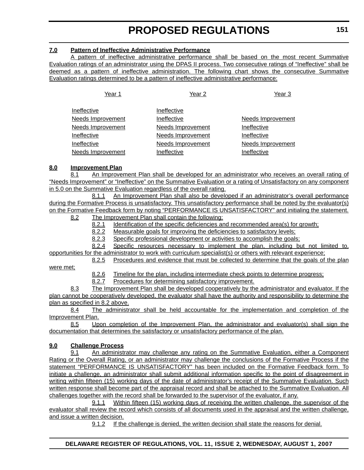# **7.0 Pattern of Ineffective Administrative Performance**

A pattern of ineffective administrative performance shall be based on the most recent Summative Evaluation ratings of an administrator using the DPAS II process. Two consecutive ratings of "Ineffective" shall be deemed as a pattern of ineffective administration. The following chart shows the consecutive Summative Evaluation ratings determined to be a pattern of ineffective administrative performance:

| Year 1                   | Year 2                   | Year <sub>3</sub> |
|--------------------------|--------------------------|-------------------|
| Ineffective              | Ineffective              |                   |
| <b>Needs Improvement</b> | Ineffective              | Needs Improvement |
| <b>Needs Improvement</b> | <b>Needs Improvement</b> | Ineffective       |
| Ineffective              | <b>Needs Improvement</b> | Ineffective       |
| Ineffective              | Needs Improvement        | Needs Improvement |
| <b>Needs Improvement</b> | Ineffective              | Ineffective       |

## **8.0 Improvement Plan**

8.1 An Improvement Plan shall be developed for an administrator who receives an overall rating of "Needs Improvement" or "Ineffective" on the Summative Evaluation or a rating of Unsatisfactory on any component in 5.0 on the Summative Evaluation regardless of the overall rating.

8.1.1 An Improvement Plan shall also be developed if an administrator's overall performance during the Formative Process is unsatisfactory. This unsatisfactory performance shall be noted by the evaluator(s) on the Formative Feedback form by noting "PERFORMANCE IS UNSATISFACTORY" and initialing the statement. 8.2 The Improvement Plan shall contain the following:

8.2.1 Identification of the specific deficiencies and recommended area(s) for growth;

- 8.2.2 Measurable goals for improving the deficiencies to satisfactory levels;
- 8.2.3 Specific professional development or activities to accomplish the goals;

8.2.4 Specific resources necessary to implement the plan, including but not limited to, opportunities for the administrator to work with curriculum specialist(s) or others with relevant experience;

8.2.5 Procedures and evidence that must be collected to determine that the goals of the plan

were met;

8.2.6 Timeline for the plan, including intermediate check points to determine progress;

8.2.7 Procedures for determining satisfactory improvement.

8.3 The Improvement Plan shall be developed cooperatively by the administrator and evaluator. If the plan cannot be cooperatively developed, the evaluator shall have the authority and responsibility to determine the plan as specified in 8.2 above.

8.4 The administrator shall be held accountable for the implementation and completion of the Improvement Plan.

8.5 Upon completion of the Improvement Plan, the administrator and evaluator(s) shall sign the documentation that determines the satisfactory or unsatisfactory performance of the plan.

# **9.0 Challenge Process**

9.1 An administrator may challenge any rating on the Summative Evaluation, either a Component Rating or the Overall Rating, or an administrator may challenge the conclusions of the Formative Process if the statement "PERFORMANCE IS UNSATISFACTORY" has been included on the Formative Feedback form. To initiate a challenge, an administrator shall submit additional information specific to the point of disagreement in writing within fifteen (15) working days of the date of administrator's receipt of the Summative Evaluation. Such written response shall become part of the appraisal record and shall be attached to the Summative Evaluation. All challenges together with the record shall be forwarded to the supervisor of the evaluator, if any.

9.1.1 Within fifteen (15) working days of receiving the written challenge, the supervisor of the evaluator shall review the record which consists of all documents used in the appraisal and the written challenge, and issue a written decision.

9.1.2 If the challenge is denied, the written decision shall state the reasons for denial.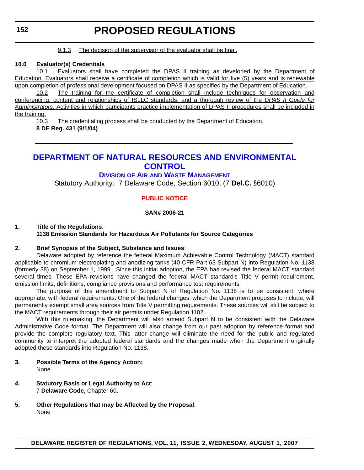#### 9.1.3 The decision of the supervisor of the evaluator shall be final.

#### **10.0 Evaluator(s) Credentials**

10.1 Evaluators shall have completed the DPAS II training as developed by the Department of Education. Evaluators shall receive a certificate of completion which is valid for five (5) years and is renewable upon completion of professional development focused on DPAS II as specified by the Department of Education.

10.2 The training for the certificate of completion shall include techniques for observation and conferencing, content and relationships of ISLLC standards, and a thorough review of the *DPAS II Guide for Administrators*. Activities in which participants practice implementation of DPAS II procedures shall be included in the training.

10.3 The credentialing process shall be conducted by the Department of Education. **8 DE Reg. 431 (9/1/04)**

# **[DEPARTMENT OF NATURAL RESOURCES AND ENVIRONMENTAL](http://www.dnrec.delaware.gov/)  CONTROL**

# **DIVISION OF AIR AND WASTE MANAGEMENT**

Statutory Authority: 7 Delaware Code, Section 6010, (7 **Del.C.** §6010)

# **[PUBLIC NOTICE](#page-3-0)**

## **SAN# 2006-21**

#### **1. Title of the Regulations**: **1138 Emission Standards for Hazardous Air Pollutants for Source Categories**

## **2. Brief Synopsis of the Subject, Substance and Issues**:

Delaware adopted by reference the federal Maximum Achievable Control Technology (MACT) standard applicable to chromium electroplating and anodizing tanks (40 CFR Part 63 Subpart N) into Regulation No. 1138 (formerly 38) on September 1, 1999. Since this initial adoption, the EPA has revised the federal MACT standard several times. These EPA revisions have changed the federal MACT standard's Title V permit requirement, emission limits, definitions, compliance provisions and performance test requirements.

The purpose of this amendment to Subpart N of Regulation No. 1138 is to be consistent, where appropriate, with federal requirements. One of the federal changes, which the Department proposes to include, will permanently exempt small area sources from Title V permitting requirements. These sources will still be subject to the MACT requirements through their air permits under Regulation 1102.

With this rulemaking, the Department will also amend Subpart N to be consistent with the Delaware Administrative Code format. The Department will also change from our past adoption by reference format and provide the complete regulatory text. This latter change will eliminate the need for the public and regulated community to interpret the adopted federal standards and the changes made when the Department originally adopted these standards into Regulation No. 1138.

- **3. Possible Terms of the Agency Action:** None
- **4. Statutory Basis or Legal Authority to Act**: 7 **Delaware Code,** Chapter 60.
- **5. Other Regulations that may be Affected by the Proposal**: None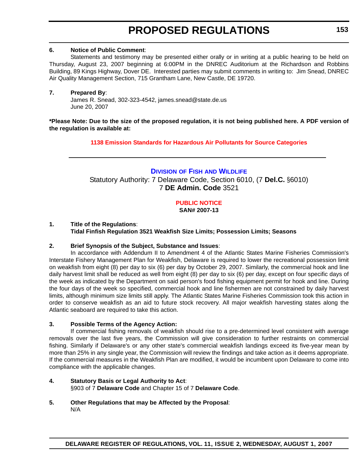## **6. Notice of Public Comment**:

Statements and testimony may be presented either orally or in writing at a public hearing to be held on Thursday, August 23, 2007 beginning at 6:00PM in the DNREC Auditorium at the Richardson and Robbins Building, 89 Kings Highway, Dover DE. Interested parties may submit comments in writing to: Jim Snead, DNREC Air Quality Management Section, 715 Grantham Lane, New Castle, DE 19720.

## **7. Prepared By**:

James R. Snead, 302-323-4542, james.snead@state.de.us June 20, 2007

**\*Please Note: Due to the size of the proposed regulation, it is not being published here. A PDF version of the regulation is available at:**

**[1138 Emission Standards for Hazardous Air Pollutants for Source Categories](http://regulations.delaware.gov/register/august2007/proposed/11 DE Reg 152 08-01-07.pdf)**

# **DIVISION OF FISH [AND WILDLIFE](http://www.dnrec.delaware.gov/)** Statutory Authority: 7 Delaware Code, Section 6010, (7 **Del.C.** §6010) 7 **DE Admin. Code** 3521

# **[PUBLIC NOTICE](#page-3-0)**

**SAN# 2007-13**

#### **1. Title of the Regulations**: **Tidal Finfish Regulation 3521 Weakfish Size Limits; Possession Limits; Seasons**

## **2. Brief Synopsis of the Subject, Substance and Issues**:

In accordance with Addendum II to Amendment 4 of the Atlantic States Marine Fisheries Commission's Interstate Fishery Management Plan for Weakfish, Delaware is required to lower the recreational possession limit on weakfish from eight (8) per day to six (6) per day by October 29, 2007. Similarly, the commercial hook and line daily harvest limit shall be reduced as well from eight (8) per day to six (6) per day, except on four specific days of the week as indicated by the Department on said person's food fishing equipment permit for hook and line. During the four days of the week so specified, commercial hook and line fishermen are not constrained by daily harvest limits, although minimum size limits still apply. The Atlantic States Marine Fisheries Commission took this action in order to conserve weakfish as an aid to future stock recovery. All major weakfish harvesting states along the Atlantic seaboard are required to take this action.

## **3. Possible Terms of the Agency Action:**

If commercial fishing removals of weakfish should rise to a pre-determined level consistent with average removals over the last five years, the Commission will give consideration to further restraints on commercial fishing. Similarly if Delaware's or any other state's commercial weakfish landings exceed its five-year mean by more than 25% in any single year, the Commission will review the findings and take action as it deems appropriate. If the commercial measures in the Weakfish Plan are modified, it would be incumbent upon Delaware to come into compliance with the applicable changes.

## **4. Statutory Basis or Legal Authority to Act**: §903 of 7 **Delaware Code** and Chapter 15 of 7 **Delaware Code**.

**5. Other Regulations that may be Affected by the Proposal**: N/A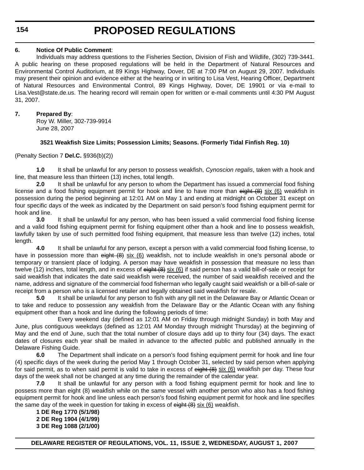**154**

# **PROPOSED REGULATIONS**

# **6. Notice Of Public Comment**:

Individuals may address questions to the Fisheries Section, Division of Fish and Wildlife, (302) 739-3441. A public hearing on these proposed regulations will be held in the Department of Natural Resources and Environmental Control Auditorium, at 89 Kings Highway, Dover, DE at 7:00 PM on August 29, 2007. Individuals may present their opinion and evidence either at the hearing or in writing to Lisa Vest, Hearing Officer, Department of Natural Resources and Environmental Control, 89 Kings Highway, Dover, DE 19901 or via e-mail to Lisa.Vest@state.de.us. The hearing record will remain open for written or e-mail comments until 4:30 PM August 31, 2007.

# **7. Prepared By**:

Roy W. Miller, 302-739-9914 June 28, 2007

# **3521 Weakfish Size Limits; Possession Limits; Seasons. (Formerly Tidal Finfish Reg. 10)**

(Penalty Section 7 **Del.C.** §936(b)(2))

**1.0** It shall be unlawful for any person to possess weakfish, *Cynoscion regalis*, taken with a hook and line, that measure less than thirteen (13) inches, total length.

**2.0** It shall be unlawful for any person to whom the Department has issued a commercial food fishing license and a food fishing equipment permit for hook and line to have more than eight (8) six (6) weakfish in possession during the period beginning at 12:01 AM on May 1 and ending at midnight on October 31 except on four specific days of the week as indicated by the Department on said person's food fishing equipment permit for hook and line.

**3.0** It shall be unlawful for any person, who has been issued a valid commercial food fishing license and a valid food fishing equipment permit for fishing equipment other than a hook and line to possess weakfish, lawfully taken by use of such permitted food fishing equipment, that measure less than twelve (12) inches, total length.

**4.0** It shall be unlawful for any person, except a person with a valid commercial food fishing license, to have in possession more than eight (8) six (6) weakfish, not to include weakfish in one's personal abode or temporary or transient place of lodging. A person may have weakfish in possession that measure no less than twelve (12) inches, total length, and in excess of eight (8) six (6) if said person has a valid bill-of-sale or receipt for said weakfish that indicates the date said weakfish were received, the number of said weakfish received and the name, address and signature of the commercial food fisherman who legally caught said weakfish or a bill-of-sale or receipt from a person who is a licensed retailer and legally obtained said weakfish for resale.

**5.0** It shall be unlawful for any person to fish with any gill net in the Delaware Bay or Atlantic Ocean or to take and reduce to possession any weakfish from the Delaware Bay or the Atlantic Ocean with any fishing equipment other than a hook and line during the following periods of time:

Every weekend day (defined as 12:01 AM on Friday through midnight Sunday) in both May and June, plus contiguous weekdays (defined as 12:01 AM Monday through midnight Thursday) at the beginning of May and the end of June, such that the total number of closure days add up to thirty four (34) days. The exact dates of closures each year shall be mailed in advance to the affected public and published annually in the Delaware Fishing Guide.

**6.0** The Department shall indicate on a person's food fishing equipment permit for hook and line four (4) specific days of the week during the period May 1 through October 31, selected by said person when applying for said permit, as to when said permit is valid to take in excess of eight (8) six (6) weakfish per day. These four days of the week shall not be changed at any time during the remainder of the calendar year.

**7.0** It shall be unlawful for any person with a food fishing equipment permit for hook and line to possess more than eight (8) weakfish while on the same vessel with another person who also has a food fishing equipment permit for hook and line unless each person's food fishing equipment permit for hook and line specifies the same day of the week in question for taking in excess of  $e$ ight  $(8)$  six  $(6)$  weakfish.

**1 DE Reg 1770 (5/1/98) 2 DE Reg 1904 (4/1/99) 3 DE Reg 1088 (2/1/00)**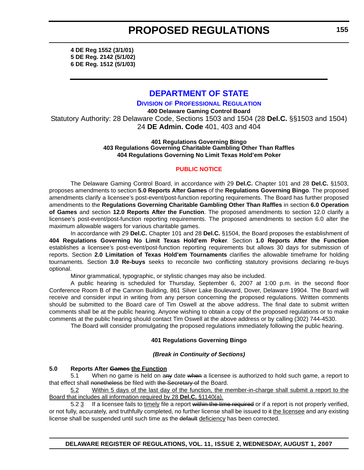**4 DE Reg 1552 (3/1/01) 5 DE Reg. 2142 (5/1/02) 6 DE Reg. 1512 (5/1/03)**

# **[DEPARTMENT OF STATE](http://dpr.delaware.gov/default.shtml)**

**DIVISION OF PROFESSIONAL REGULATION**

**400 Delaware Gaming Control Board** Statutory Authority: 28 Delaware Code, Sections 1503 and 1504 (28 **Del.C.** §§1503 and 1504) 24 **DE Admin. Code** 401, 403 and 404

#### **401 Regulations Governing Bingo 403 Regulations Governing Charitable Gambling Other Than Raffles 404 Regulations Governing No Limit Texas Hold'em Poker**

## **[PUBLIC NOTICE](#page-3-0)**

The Delaware Gaming Control Board, in accordance with 29 **Del.C.** Chapter 101 and 28 **Del.C.** §1503, proposes amendments to section **5.0 Reports After Games** of the **Regulations Governing Bingo**. The proposed amendments clarify a licensee's post-event/post-function reporting requirements. The Board has further proposed amendments to the **Regulations Governing Charitable Gambling Other Than Raffles** in section **6.0 Operation of Games** and section **12.0 Reports After the Function**. The proposed amendments to section 12.0 clarify a licensee's post-event/post-function reporting requirements. The proposed amendments to section 6.0 alter the maximum allowable wagers for various charitable games.

In accordance with 29 **Del.C.** Chapter 101 and 28 **Del.C.** §1504, the Board proposes the establishment of **404 Regulations Governing No Limit Texas Hold'em Poker**. Section **1.0 Reports After the Function** establishes a licensee's post-event/post-function reporting requirements but allows 30 days for submission of reports. Section **2.0 Limitation of Texas Hold'em Tournaments** clarifies the allowable timeframe for holding tournaments. Section **3.0 Re-buys** seeks to reconcile two conflicting statutory provisions declaring re-buys optional.

Minor grammatical, typographic, or stylistic changes may also be included.

A public hearing is scheduled for Thursday, September 6, 2007 at 1:00 p.m. in the second floor Conference Room B of the Cannon Building, 861 Silver Lake Boulevard, Dover, Delaware 19904. The Board will receive and consider input in writing from any person concerning the proposed regulations. Written comments should be submitted to the Board care of Tim Oswell at the above address. The final date to submit written comments shall be at the public hearing. Anyone wishing to obtain a copy of the proposed regulations or to make comments at the public hearing should contact Tim Oswell at the above address or by calling (302) 744-4530.

The Board will consider promulgating the proposed regulations immediately following the public hearing.

## **401 Regulations Governing Bingo**

## *(Break in Continuity of Sections)*

# **5.0 Reports After Games the Function**

5.1 When no game is held on any date when a licensee is authorized to hold such game, a report to that effect shall nonetheless be filed with the Secretary of the Board.

5.2 Within 5 days of the last day of the function, the member-in-charge shall submit a report to the Board that includes all information required by 28 **Del.C.** §1140(a).

5.2 3 If a licensee fails to timely file a report within the time required or if a report is not properly verified, or not fully, accurately, and truthfully completed, no further license shall be issued to it the licensee and any existing license shall be suspended until such time as the default deficiency has been corrected.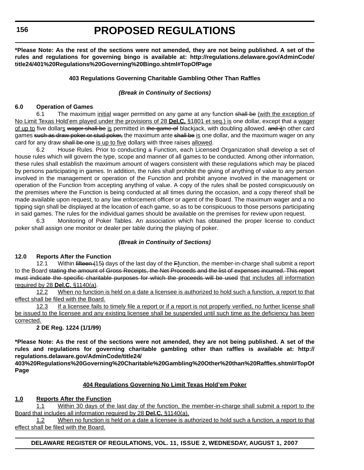**\*Please Note: As the rest of the sections were not amended, they are not being published. A set of the rules and regulations for governing bingo is available at: http://regulations.delaware.gov/AdminCode/ title24/401%20Regulations%20Governing%20Bingo.shtml#TopOfPage**

# **403 Regulations Governing Charitable Gambling Other Than Raffles**

## *(Break in Continuity of Sections)*

#### **6.0 Operation of Games**

6.1 The maximum initial wager permitted on any game at any function shall be (with the exception of No Limit Texas Hold'em played under the provisions of 28 **Del.C.** §1801 et seq.) is one dollar, except that a wager of up to five dollars wager shall be is permitted in the game of blackjack, with doubling allowed. and iin other card games such as draw poker or stud poker, the maximum ante shall be is one dollar, and the maximum wager on any card for any draw shall be one is up to five dollars with three raises allowed.

6.2 House Rules. Prior to conducting a Function, each Licensed Organization shall develop a set of house rules which will govern the type, scope and manner of all games to be conducted. Among other information, these rules shall establish the maximum amount of wagers consistent with these regulations which may be placed by persons participating in games. In addition, the rules shall prohibit the giving of anything of value to any person involved in the management or operation of the Function and prohibit anyone involved in the management or operation of the Function from accepting anything of value. A copy of the rules shall be posted conspicuously on the premises where the Function is being conducted at all times during the occasion, and a copy thereof shall be made available upon request, to any law enforcement officer or agent of the Board. The maximum wager and a no tipping sign shall be displayed at the location of each game, so as to be conspicuous to those persons participating in said games. The rules for the individual games should be available on the premises for review upon request.

6.3 Monitoring of Poker Tables. An association which has obtained the proper license to conduct poker shall assign one monitor or dealer per table during the playing of poker.

## *(Break in Continuity of Sections)*

## **12.0 Reports After the Function**

12.1 Within fifteen (15) days of the last day of the Ffunction, the member-in-charge shall submit a report to the Board stating the amount of Gross Receipts, the Net Proceeds and the list of expenses incurred. This report must indicate the specific charitable purposes for which the proceeds will be used that includes all information required by 28 **Del.C.** §1140(a).

12.2 When no function is held on a date a licensee is authorized to hold such a function, a report to that effect shall be filed with the Board.

12.3 If a licensee fails to timely file a report or if a report is not properly verified, no further license shall be issued to the licensee and any existing licensee shall be suspended until such time as the deficiency has been corrected.

## **2 DE Reg. 1224 (1/1/99)**

**\*Please Note: As the rest of the sections were not amended, they are not being published. A set of the rules and regulations for governing charitable gambling other than raffles is available at: http:// regulations.delaware.gov/AdminCode/title24/**

**403%20Regulations%20Governing%20Charitable%20Gambling%20Other%20than%20Raffles.shtml#TopOf Page**

## **404 Regulations Governing No Limit Texas Hold'em Poker**

## **1.0 Reports After the Function**

1.1 Within 30 days of the last day of the function, the member-in-charge shall submit a report to the Board that includes all information required by 28 **Del.C.** §1140(a).

1.2 When no function is held on a date a licensee is authorized to hold such a function, a report to that effect shall be filed with the Board.

**DELAWARE REGISTER OF REGULATIONS, VOL. 11, ISSUE 2, WEDNESDAY, AUGUST 1, 2007**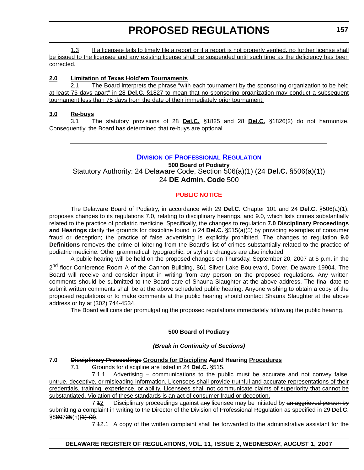1.3 If a licensee fails to timely file a report or if a report is not properly verified, no further license shall be issued to the licensee and any existing license shall be suspended until such time as the deficiency has been corrected.

## **2.0 Limitation of Texas Hold'em Tournaments**

2.1 The Board interprets the phrase "with each tournament by the sponsoring organization to be held at least 75 days apart" in 28 **Del.C.** §1827 to mean that no sponsoring organization may conduct a subsequent tournament less than 75 days from the date of their immediately prior tournament.

## **3.0 Re-buys**

3.1 The statutory provisions of 28 **Del.C.** §1825 and 28 **Del.C.** §1826(2) do not harmonize. Consequently, the Board has determined that re-buys are optional.

# **DIVISION [OF PROFESSIONAL REGULATION](http://dpr.delaware.gov/default.shtml)**

**500 Board of Podiatry** Statutory Authority: 24 Delaware Code, Section 506(a)(1) (24 **Del.C.** §506(a)(1)) 24 **DE Admin. Code** 500

# **[PUBLIC NOTICE](#page-3-0)**

The Delaware Board of Podiatry, in accordance with 29 **Del.C.** Chapter 101 and 24 **Del.C.** §506(a)(1), proposes changes to its regulations 7.0, relating to disciplinary hearings, and 9.0, which lists crimes substantially related to the practice of podiatric medicine. Specifically, the changes to regulation **7.0 Disciplinary Proceedings and Hearings** clarify the grounds for discipline found in 24 **Del.C.** §515(a)(5) by providing examples of consumer fraud or deception; the practice of false advertising is explicitly prohibited. The changes to regulation **9.0 Definitions** removes the crime of loitering from the Board's list of crimes substantially related to the practice of podiatric medicine. Other grammatical, typographic, or stylistic changes are also included.

A public hearing will be held on the proposed changes on Thursday, September 20, 2007 at 5 p.m. in the 2<sup>nd</sup> floor Conference Room A of the Cannon Building, 861 Silver Lake Boulevard, Dover, Delaware 19904. The Board will receive and consider input in writing from any person on the proposed regulations. Any written comments should be submitted to the Board care of Shauna Slaughter at the above address. The final date to submit written comments shall be at the above scheduled public hearing. Anyone wishing to obtain a copy of the proposed regulations or to make comments at the public hearing should contact Shauna Slaughter at the above address or by at (302) 744-4534.

The Board will consider promulgating the proposed regulations immediately following the public hearing.

# **500 Board of Podiatry**

## *(Break in Continuity of Sections)*

## **7.0 Disciplinary Proceedings Grounds for Discipline Aand Hearing Procedures**

7.1 Grounds for discipline are listed in 24 **Del.C.** §515.

7.1.1 Advertising – communications to the public must be accurate and not convey false, untrue, deceptive, or misleading information. Licensees shall provide truthful and accurate representations of their credentials, training, experience, or ability. Licensees shall not communicate claims of superiority that cannot be substantiated. Violation of these standards is an act of consumer fraud or deception.

7.42 Disciplinary proceedings against any licensee may be initiated by an aggrieved person by submitting a complaint in writing to the Director of the Division of Professional Regulation as specified in 29 **Del.C**.  $§880735(h)(1)-(3)$ .

7.42.1 A copy of the written complaint shall be forwarded to the administrative assistant for the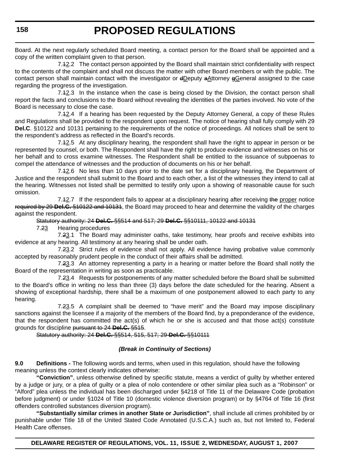Board. At the next regularly scheduled Board meeting, a contact person for the Board shall be appointed and a copy of the written complaint given to that person.

7.12.2 The contact person appointed by the Board shall maintain strict confidentiality with respect to the contents of the complaint and shall not discuss the matter with other Board members or with the public. The contact person shall maintain contact with the investigator or dDeputy aAttorney gGeneral assigned to the case regarding the progress of the investigation.

7.12.3 In the instance when the case is being closed by the Division, the contact person shall report the facts and conclusions to the Board without revealing the identities of the parties involved. No vote of the Board is necessary to close the case.

7.12.4 If a hearing has been requested by the Deputy Attorney General, a copy of these Rules and Regulations shall be provided to the respondent upon request. The notice of hearing shall fully comply with 29 **Del.C**. §10122 and 10131 pertaining to the requirements of the notice of proceedings. All notices shall be sent to the respondent's address as reflected in the Board's records.

7.12.5 At any disciplinary hearing, the respondent shall have the right to appear in person or be represented by counsel, or both. The Respondent shall have the right to produce evidence and witnesses on his or her behalf and to cross examine witnesses. The Respondent shall be entitled to the issuance of subpoenas to compel the attendance of witnesses and the production of documents on his or her behalf.

7.12.6 No less than 10 days prior to the date set for a disciplinary hearing, the Department of Justice and the respondent shall submit to the Board and to each other, a list of the witnesses they intend to call at the hearing. Witnesses not listed shall be permitted to testify only upon a showing of reasonable cause for such omission.

7.42.7 If the respondent fails to appear at a disciplinary hearing after receiving the proper notice required by 29 **Del.C.** §10122 and 10131, the Board may proceed to hear and determine the validity of the charges against the respondent.

#### Statutory authority: 24 **Del.C.** §§514 and 517; 29 **Del.C.** §§10111, 10122 and 10131

7.23 Hearing procedures

7.23.1 The Board may administer oaths, take testimony, hear proofs and receive exhibits into evidence at any hearing. All testimony at any hearing shall be under oath.

7.23.2 Strict rules of evidence shall not apply. All evidence having probative value commonly accepted by reasonably prudent people in the conduct of their affairs shall be admitted.

7.23.3 An attorney representing a party in a hearing or matter before the Board shall notify the Board of the representation in writing as soon as practicable.

7.23.4 Requests for postponements of any matter scheduled before the Board shall be submitted to the Board's office in writing no less than three (3) days before the date scheduled for the hearing. Absent a showing of exceptional hardship, there shall be a maximum of one postponement allowed to each party to any hearing.

7.23.5 A complaint shall be deemed to "have merit" and the Board may impose disciplinary sanctions against the licensee if a majority of the members of the Board find, by a preponderance of the evidence, that the respondent has committed the act(s) of which he or she is accused and that those act(s) constitute grounds for discipline pursuant to 24 **Del.C.** §515.

## Statutory authority: 24 **Del.C.** §§514, 515, 517; 29 **Del.C.** §§10111

## *(Break in Continuity of Sections)*

**9.0 Definitions -** The following words and terms, when used in this regulation, should have the following meaning unless the context clearly indicates otherwise:

**"Conviction"**, unless otherwise defined by specific statute, means a verdict of guilty by whether entered by a judge or jury, or a plea of guilty or a plea of nolo contendere or other similar plea such as a "Robinson" or "Alford" plea unless the individual has been discharged under §4218 of Title 11 of the Delaware Code (probation before judgment) or under §1024 of Title 10 (domestic violence diversion program) or by §4764 of Title 16 (first offenders controlled substances diversion program).

**"Substantially similar crimes in another State or Jurisdiction"**, shall include all crimes prohibited by or punishable under Title 18 of the United Stated Code Annotated (U.S.C.A.) such as, but not limited to, Federal Health Care offenses.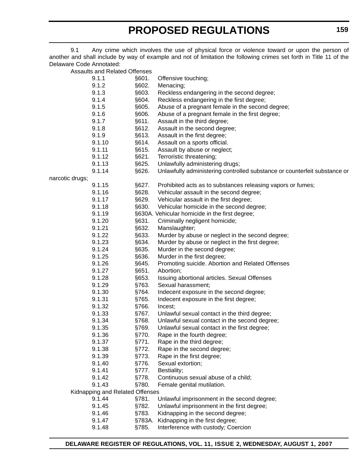9.1 Any crime which involves the use of physical force or violence toward or upon the person of another and shall include by way of example and not of limitation the following crimes set forth in Title 11 of the Delaware Code Annotated:

Assaults and Related Offenses

|                 | Roddallo di la Trolatoa Offorloos |        |                                                                           |
|-----------------|-----------------------------------|--------|---------------------------------------------------------------------------|
|                 | 9.1.1                             | §601.  | Offensive touching;                                                       |
|                 | 9.1.2                             | §602.  | Menacing;                                                                 |
|                 | 9.1.3                             | §603.  | Reckless endangering in the second degree;                                |
|                 | 9.1.4                             | §604.  | Reckless endangering in the first degree;                                 |
|                 | 9.1.5                             | §605.  | Abuse of a pregnant female in the second degree;                          |
|                 | 9.1.6                             | §606.  | Abuse of a pregnant female in the first degree;                           |
|                 | 9.1.7                             | §611.  | Assault in the third degree;                                              |
|                 | 9.1.8                             | §612.  | Assault in the second degree;                                             |
|                 | 9.1.9                             | §613.  | Assault in the first degree;                                              |
|                 | 9.1.10                            | §614.  | Assault on a sports official.                                             |
|                 | 9.1.11                            | §615.  | Assault by abuse or neglect;                                              |
|                 | 9.1.12                            | §621.  | Terroristic threatening;                                                  |
|                 | 9.1.13                            | §625.  | Unlawfully administering drugs;                                           |
|                 | 9.1.14                            | §626.  | Unlawfully administering controlled substance or counterfeit substance or |
| narcotic drugs; |                                   |        |                                                                           |
|                 | 9.1.15                            | §627.  | Prohibited acts as to substances releasing vapors or fumes;               |
|                 | 9.1.16                            | §628.  | Vehicular assault in the second degree;                                   |
|                 | 9.1.17                            | §629.  | Vehicular assault in the first degree;                                    |
|                 | 9.1.18                            | §630.  | Vehicular homicide in the second degree;                                  |
|                 | 9.1.19                            |        | §630A. Vehicular homicide in the first degree;                            |
|                 | 9.1.20                            | §631.  | Criminally negligent homicide;                                            |
|                 | 9.1.21                            | §632.  | Manslaughter;                                                             |
|                 | 9.1.22                            | §633.  | Murder by abuse or neglect in the second degree;                          |
|                 | 9.1.23                            | §634.  | Murder by abuse or neglect in the first degree;                           |
|                 | 9.1.24                            | §635.  | Murder in the second degree;                                              |
|                 | 9.1.25                            | §636.  | Murder in the first degree;                                               |
|                 | 9.1.26                            | §645.  | Promoting suicide. Abortion and Related Offenses                          |
|                 | 9.1.27                            | §651.  | Abortion;                                                                 |
|                 | 9.1.28                            | §653.  | Issuing abortional articles. Sexual Offenses                              |
|                 | 9.1.29                            | §763.  | Sexual harassment;                                                        |
|                 | 9.1.30                            | §764.  | Indecent exposure in the second degree;                                   |
|                 | 9.1.31                            | §765.  | Indecent exposure in the first degree;                                    |
|                 | 9.1.32                            | §766.  | Incest;                                                                   |
|                 | 9.1.33                            | §767.  | Unlawful sexual contact in the third degree;                              |
|                 | 9.1.34                            | §768.  | Unlawful sexual contact in the second degree;                             |
|                 | 9.1.35                            | §769.  | Unlawful sexual contact in the first degree;                              |
|                 | 9.1.36                            | §770.  | Rape in the fourth degree;                                                |
|                 | 9.1.37                            | §771.  | Rape in the third degree;                                                 |
|                 | 9.1.38                            | §772.  | Rape in the second degree;                                                |
|                 | 9.1.39                            | §773.  | Rape in the first degree;                                                 |
|                 | 9.1.40                            | §776.  | Sexual extortion;                                                         |
|                 | 9.1.41                            | §777.  | Bestiality;                                                               |
|                 | 9.1.42                            | §778.  | Continuous sexual abuse of a child;                                       |
|                 | 9.1.43                            | §780.  | Female genital mutilation.                                                |
|                 | Kidnapping and Related Offenses   |        |                                                                           |
|                 | 9.1.44                            | §781.  | Unlawful imprisonment in the second degree;                               |
|                 | 9.1.45                            | §782.  | Unlawful imprisonment in the first degree;                                |
|                 | 9.1.46                            | §783.  | Kidnapping in the second degree;                                          |
|                 | 9.1.47                            | §783A. | Kidnapping in the first degree;                                           |
|                 | 9.1.48                            | §785.  | Interference with custody; Coercion                                       |
|                 |                                   |        |                                                                           |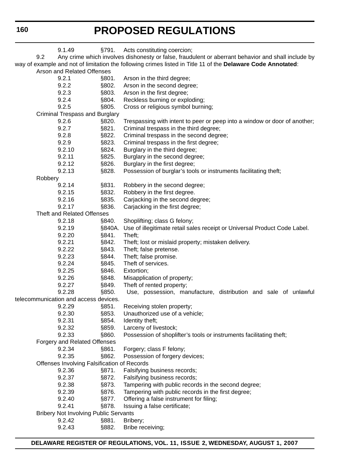|                            |         | 9.1.49                                       | §791.  | Acts constituting coercion;                                                                                  |
|----------------------------|---------|----------------------------------------------|--------|--------------------------------------------------------------------------------------------------------------|
|                            | 9.2     |                                              |        | Any crime which involves dishonesty or false, fraudulent or aberrant behavior and shall include by           |
|                            |         |                                              |        | way of example and not of limitation the following crimes listed in Title 11 of the Delaware Code Annotated: |
| Arson and Related Offenses |         |                                              |        |                                                                                                              |
|                            |         | 9.2.1                                        | §801.  | Arson in the third degree;                                                                                   |
|                            |         | 9.2.2                                        | §802.  | Arson in the second degree;                                                                                  |
|                            |         | 9.2.3                                        | §803.  | Arson in the first degree;                                                                                   |
|                            |         | 9.2.4                                        | §804.  | Reckless burning or exploding;                                                                               |
|                            |         | 9.2.5                                        | §805.  | Cross or religious symbol burning;                                                                           |
|                            |         | <b>Criminal Trespass and Burglary</b>        |        |                                                                                                              |
|                            |         | 9.2.6                                        | §820.  | Trespassing with intent to peer or peep into a window or door of another;                                    |
|                            |         | 9.2.7                                        | §821.  | Criminal trespass in the third degree;                                                                       |
|                            |         | 9.2.8                                        | §822.  | Criminal trespass in the second degree;                                                                      |
|                            |         | 9.2.9                                        | §823.  | Criminal trespass in the first degree;                                                                       |
|                            |         | 9.2.10                                       | §824.  | Burglary in the third degree;                                                                                |
|                            |         | 9.2.11                                       | §825.  | Burglary in the second degree;                                                                               |
|                            |         | 9.2.12                                       | §826.  | Burglary in the first degree;                                                                                |
|                            |         | 9.2.13                                       | §828.  | Possession of burglar's tools or instruments facilitating theft;                                             |
|                            | Robbery |                                              |        |                                                                                                              |
|                            |         | 9.2.14                                       | §831.  | Robbery in the second degree;                                                                                |
|                            |         | 9.2.15                                       | §832.  | Robbery in the first degree.                                                                                 |
|                            |         | 9.2.16                                       | §835.  | Carjacking in the second degree;                                                                             |
|                            |         | 9.2.17                                       | §836.  | Carjacking in the first degree;                                                                              |
|                            |         | <b>Theft and Related Offenses</b>            |        |                                                                                                              |
|                            |         | 9.2.18                                       | §840.  | Shoplifting; class G felony;                                                                                 |
|                            |         | 9.2.19                                       | §840A. | Use of illegitimate retail sales receipt or Universal Product Code Label.                                    |
|                            |         | 9.2.20                                       | §841.  | Theft;                                                                                                       |
|                            |         | 9.2.21                                       | §842.  | Theft; lost or mislaid property; mistaken delivery.                                                          |
|                            |         | 9.2.22                                       | §843.  | Theft; false pretense.                                                                                       |
|                            |         | 9.2.23                                       | §844.  | Theft; false promise.                                                                                        |
|                            |         | 9.2.24                                       | §845.  | Theft of services.                                                                                           |
|                            |         | 9.2.25                                       | §846.  | Extortion;                                                                                                   |
|                            |         | 9.2.26                                       | §848.  | Misapplication of property;                                                                                  |
|                            |         | 9.2.27                                       | §849.  | Theft of rented property;                                                                                    |
|                            |         | 9.2.28                                       | §850.  | Use, possession, manufacture, distribution and sale of unlawful                                              |
|                            |         | telecommunication and access devices.        |        |                                                                                                              |
|                            |         | 9.2.29                                       | §851.  | Receiving stolen property;                                                                                   |
|                            |         | 9.2.30                                       | §853.  | Unauthorized use of a vehicle;                                                                               |
|                            |         | 9.2.31                                       | §854.  | Identity theft;                                                                                              |
|                            |         | 9.2.32                                       | §859.  | Larceny of livestock;                                                                                        |
|                            |         | 9.2.33                                       | §860.  | Possession of shoplifter's tools or instruments facilitating theft;                                          |
|                            |         | Forgery and Related Offenses                 |        |                                                                                                              |
|                            |         | 9.2.34                                       | §861.  | Forgery; class F felony;                                                                                     |
|                            |         | 9.2.35                                       | §862.  | Possession of forgery devices;                                                                               |
|                            |         | Offenses Involving Falsification of Records  |        |                                                                                                              |
|                            |         | 9.2.36                                       | §871.  | Falsifying business records;                                                                                 |
|                            |         | 9.2.37                                       | §872.  | Falsifying business records;                                                                                 |
|                            |         | 9.2.38                                       | §873.  | Tampering with public records in the second degree;                                                          |
|                            |         | 9.2.39                                       | §876.  | Tampering with public records in the first degree;                                                           |
|                            |         | 9.2.40                                       | §877.  | Offering a false instrument for filing;                                                                      |
|                            |         | 9.2.41                                       | §878.  | Issuing a false certificate;                                                                                 |
|                            |         | <b>Bribery Not Involving Public Servants</b> |        |                                                                                                              |
|                            |         | 9.2.42                                       | §881.  | Bribery;                                                                                                     |
|                            |         | 9.2.43                                       | §882.  | Bribe receiving;                                                                                             |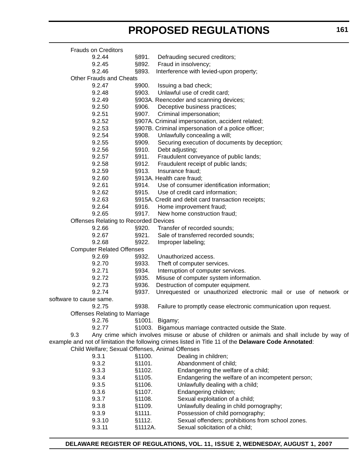| <b>Frauds on Creditors</b>                      |         |                                                                                                       |
|-------------------------------------------------|---------|-------------------------------------------------------------------------------------------------------|
| 9.2.44                                          | §891.   | Defrauding secured creditors;                                                                         |
| 9.2.45                                          | §892.   | Fraud in insolvency;                                                                                  |
| 9.2.46                                          | §893.   | Interference with levied-upon property;                                                               |
| Other Frauds and Cheats                         |         |                                                                                                       |
| 9.2.47                                          | §900.   | Issuing a bad check;                                                                                  |
| 9.2.48                                          | §903.   | Unlawful use of credit card;                                                                          |
| 9.2.49                                          |         | §903A. Reencoder and scanning devices;                                                                |
| 9.2.50                                          | §906.   | Deceptive business practices;                                                                         |
| 9.2.51                                          | §907.   | Criminal impersonation;                                                                               |
| 9.2.52                                          |         | §907A. Criminal impersonation, accident related;                                                      |
| 9.2.53                                          |         | §907B. Criminal impersonation of a police officer;                                                    |
| 9.2.54                                          | §908.   | Unlawfully concealing a will;                                                                         |
| 9.2.55                                          | §909.   | Securing execution of documents by deception;                                                         |
| 9.2.56                                          | §910.   | Debt adjusting;                                                                                       |
| 9.2.57                                          | §911.   | Fraudulent conveyance of public lands;                                                                |
| 9.2.58                                          | §912.   | Fraudulent receipt of public lands;                                                                   |
| 9.2.59                                          | §913.   | Insurance fraud;                                                                                      |
| 9.2.60                                          |         | §913A. Health care fraud;                                                                             |
| 9.2.61                                          | §914.   | Use of consumer identification information;                                                           |
| 9.2.62                                          | §915.   | Use of credit card information;                                                                       |
| 9.2.63                                          |         | §915A. Credit and debit card transaction receipts;                                                    |
| 9.2.64                                          | §916.   | Home improvement fraud;                                                                               |
| 9.2.65                                          | §917.   | New home construction fraud;                                                                          |
| <b>Offenses Relating to Recorded Devices</b>    |         |                                                                                                       |
| 9.2.66                                          | §920.   | Transfer of recorded sounds;                                                                          |
| 9.2.67                                          | §921.   | Sale of transferred recorded sounds;                                                                  |
| 9.2.68                                          | §922.   | Improper labeling;                                                                                    |
| <b>Computer Related Offenses</b>                |         |                                                                                                       |
| 9.2.69                                          | §932.   | Unauthorized access.                                                                                  |
| 9.2.70                                          | §933.   | Theft of computer services.                                                                           |
| 9.2.71                                          | §934.   | Interruption of computer services.                                                                    |
| 9.2.72                                          | §935.   | Misuse of computer system information.                                                                |
| 9.2.73                                          | §936.   | Destruction of computer equipment.                                                                    |
| 9.2.74                                          | §937.   | Unrequested or unauthorized electronic mail or use of network or                                      |
| software to cause same.                         |         |                                                                                                       |
| 9.2.75                                          | §938.   | Failure to promptly cease electronic communication upon request.                                      |
| <b>Offenses Relating to Marriage</b>            |         |                                                                                                       |
| 9.2.76                                          |         | §1001. Bigamy;                                                                                        |
| 9.2.77                                          |         | §1003. Bigamous marriage contracted outside the State.                                                |
| 9.3                                             |         | Any crime which involves misuse or abuse of children or animals and shall include by way of           |
|                                                 |         | example and not of limitation the following crimes listed in Title 11 of the Delaware Code Annotated: |
| Child Welfare; Sexual Offenses, Animal Offenses |         |                                                                                                       |
| 9.3.1                                           | §1100.  | Dealing in children;                                                                                  |
| 9.3.2                                           | §1101.  | Abandonment of child;                                                                                 |
| 9.3.3                                           | §1102.  | Endangering the welfare of a child;                                                                   |
| 9.3.4                                           | §1105.  | Endangering the welfare of an incompetent person;                                                     |
| 9.3.5                                           | §1106.  | Unlawfully dealing with a child;                                                                      |
| 9.3.6                                           | §1107.  | Endangering children;                                                                                 |
| 9.3.7                                           | §1108.  | Sexual exploitation of a child;                                                                       |
| 9.3.8                                           | §1109.  | Unlawfully dealing in child pornography;                                                              |
| 9.3.9                                           | §1111.  | Possession of child pornography;                                                                      |
| 9.3.10                                          | §1112.  | Sexual offenders; prohibitions from school zones.                                                     |
| 9.3.11                                          | §1112A. | Sexual solicitation of a child;                                                                       |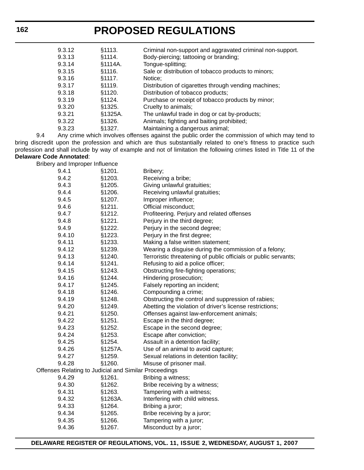| 9.3.12 | §1113.  | Criminal non-support and aggravated criminal non-support. |
|--------|---------|-----------------------------------------------------------|
| 9.3.13 | §1114.  | Body-piercing; tattooing or branding;                     |
| 9.3.14 | §1114A. | Tongue-splitting;                                         |
| 9.3.15 | \$1116. | Sale or distribution of tobacco products to minors;       |
| 9.3.16 | §1117.  | Notice:                                                   |
| 9.3.17 | §1119.  | Distribution of cigarettes through vending machines;      |
| 9.3.18 | \$1120. | Distribution of tobacco products;                         |
| 9.3.19 | §1124.  | Purchase or receipt of tobacco products by minor;         |
| 9.3.20 | §1325.  | Cruelty to animals;                                       |
| 9.3.21 | §1325A. | The unlawful trade in dog or cat by-products;             |
| 9.3.22 | \$1326. | Animals; fighting and baiting prohibited;                 |
| 9.3.23 | §1327.  | Maintaining a dangerous animal;                           |
|        |         |                                                           |

9.4 Any crime which involves offenses against the public order the commission of which may tend to bring discredit upon the profession and which are thus substantially related to one's fitness to practice such profession and shall include by way of example and not of limitation the following crimes listed in Title 11 of the **Delaware Code Annotated**:

Bribery and Improper Influence

| 9.4.2<br>§1203.<br>Receiving a bribe;<br>9.4.3<br>§1205.<br>Giving unlawful gratuities;<br>9.4.4<br>§1206.<br>Receiving unlawful gratuities;<br>9.4.5<br>§1207.<br>Improper influence;<br>9.4.6<br>§1211.<br>Official misconduct;<br>9.4.7<br>§1212.<br>Profiteering. Perjury and related offenses<br>§1221.<br>Perjury in the third degree;<br>9.4.8<br>9.4.9<br>§1222.<br>Perjury in the second degree;<br>Perjury in the first degree;<br>9.4.10<br>§1223.<br>9.4.11<br>§1233.<br>Making a false written statement;<br>9.4.12<br>§1239.<br>Wearing a disguise during the commission of a felony;<br>9.4.13<br>§1240.<br>9.4.14<br>§1241.<br>Refusing to aid a police officer;<br>9.4.15<br>§1243.<br>Obstructing fire-fighting operations;<br>§1244.<br>9.4.16<br>Hindering prosecution;<br>Falsely reporting an incident;<br>9.4.17<br>§1245.<br>9.4.18<br>§1246.<br>Compounding a crime;<br>9.4.19<br>§1248.<br>Obstructing the control and suppression of rabies;<br>9.4.20<br>§1249.<br>Abetting the violation of driver's license restrictions;<br>9.4.21<br>§1250.<br>Offenses against law-enforcement animals;<br>9.4.22<br>§1251.<br>Escape in the third degree;<br>9.4.23<br>§1252.<br>Escape in the second degree;<br>§1253.<br>9.4.24<br>Escape after conviction;<br>§1254.<br>9.4.25<br>Assault in a detention facility;<br>§1257A.<br>9.4.26<br>Use of an animal to avoid capture;<br>9.4.27<br>§1259.<br>Sexual relations in detention facility;<br>9.4.28<br>§1260.<br>Misuse of prisoner mail.<br>Offenses Relating to Judicial and Similar Proceedings<br>9.4.29<br>§1261.<br>Bribing a witness;<br>9.4.30<br>§1262.<br>Bribe receiving by a witness;<br>9.4.31<br>§1263.<br>Tampering with a witness;<br>9.4.32<br>§1263A.<br>Interfering with child witness.<br>9.4.33<br>§1264.<br>Bribing a juror;<br>§1265.<br>9.4.34<br>Bribe receiving by a juror; | 9.4.1  | §1201. | Bribery;                                                        |
|-------------------------------------------------------------------------------------------------------------------------------------------------------------------------------------------------------------------------------------------------------------------------------------------------------------------------------------------------------------------------------------------------------------------------------------------------------------------------------------------------------------------------------------------------------------------------------------------------------------------------------------------------------------------------------------------------------------------------------------------------------------------------------------------------------------------------------------------------------------------------------------------------------------------------------------------------------------------------------------------------------------------------------------------------------------------------------------------------------------------------------------------------------------------------------------------------------------------------------------------------------------------------------------------------------------------------------------------------------------------------------------------------------------------------------------------------------------------------------------------------------------------------------------------------------------------------------------------------------------------------------------------------------------------------------------------------------------------------------------------------------------------------------------------------------------------------------------------------------------------------------|--------|--------|-----------------------------------------------------------------|
|                                                                                                                                                                                                                                                                                                                                                                                                                                                                                                                                                                                                                                                                                                                                                                                                                                                                                                                                                                                                                                                                                                                                                                                                                                                                                                                                                                                                                                                                                                                                                                                                                                                                                                                                                                                                                                                                               |        |        |                                                                 |
|                                                                                                                                                                                                                                                                                                                                                                                                                                                                                                                                                                                                                                                                                                                                                                                                                                                                                                                                                                                                                                                                                                                                                                                                                                                                                                                                                                                                                                                                                                                                                                                                                                                                                                                                                                                                                                                                               |        |        |                                                                 |
|                                                                                                                                                                                                                                                                                                                                                                                                                                                                                                                                                                                                                                                                                                                                                                                                                                                                                                                                                                                                                                                                                                                                                                                                                                                                                                                                                                                                                                                                                                                                                                                                                                                                                                                                                                                                                                                                               |        |        |                                                                 |
|                                                                                                                                                                                                                                                                                                                                                                                                                                                                                                                                                                                                                                                                                                                                                                                                                                                                                                                                                                                                                                                                                                                                                                                                                                                                                                                                                                                                                                                                                                                                                                                                                                                                                                                                                                                                                                                                               |        |        |                                                                 |
|                                                                                                                                                                                                                                                                                                                                                                                                                                                                                                                                                                                                                                                                                                                                                                                                                                                                                                                                                                                                                                                                                                                                                                                                                                                                                                                                                                                                                                                                                                                                                                                                                                                                                                                                                                                                                                                                               |        |        |                                                                 |
|                                                                                                                                                                                                                                                                                                                                                                                                                                                                                                                                                                                                                                                                                                                                                                                                                                                                                                                                                                                                                                                                                                                                                                                                                                                                                                                                                                                                                                                                                                                                                                                                                                                                                                                                                                                                                                                                               |        |        |                                                                 |
|                                                                                                                                                                                                                                                                                                                                                                                                                                                                                                                                                                                                                                                                                                                                                                                                                                                                                                                                                                                                                                                                                                                                                                                                                                                                                                                                                                                                                                                                                                                                                                                                                                                                                                                                                                                                                                                                               |        |        |                                                                 |
|                                                                                                                                                                                                                                                                                                                                                                                                                                                                                                                                                                                                                                                                                                                                                                                                                                                                                                                                                                                                                                                                                                                                                                                                                                                                                                                                                                                                                                                                                                                                                                                                                                                                                                                                                                                                                                                                               |        |        |                                                                 |
|                                                                                                                                                                                                                                                                                                                                                                                                                                                                                                                                                                                                                                                                                                                                                                                                                                                                                                                                                                                                                                                                                                                                                                                                                                                                                                                                                                                                                                                                                                                                                                                                                                                                                                                                                                                                                                                                               |        |        |                                                                 |
|                                                                                                                                                                                                                                                                                                                                                                                                                                                                                                                                                                                                                                                                                                                                                                                                                                                                                                                                                                                                                                                                                                                                                                                                                                                                                                                                                                                                                                                                                                                                                                                                                                                                                                                                                                                                                                                                               |        |        |                                                                 |
|                                                                                                                                                                                                                                                                                                                                                                                                                                                                                                                                                                                                                                                                                                                                                                                                                                                                                                                                                                                                                                                                                                                                                                                                                                                                                                                                                                                                                                                                                                                                                                                                                                                                                                                                                                                                                                                                               |        |        |                                                                 |
|                                                                                                                                                                                                                                                                                                                                                                                                                                                                                                                                                                                                                                                                                                                                                                                                                                                                                                                                                                                                                                                                                                                                                                                                                                                                                                                                                                                                                                                                                                                                                                                                                                                                                                                                                                                                                                                                               |        |        | Terroristic threatening of public officials or public servants; |
|                                                                                                                                                                                                                                                                                                                                                                                                                                                                                                                                                                                                                                                                                                                                                                                                                                                                                                                                                                                                                                                                                                                                                                                                                                                                                                                                                                                                                                                                                                                                                                                                                                                                                                                                                                                                                                                                               |        |        |                                                                 |
|                                                                                                                                                                                                                                                                                                                                                                                                                                                                                                                                                                                                                                                                                                                                                                                                                                                                                                                                                                                                                                                                                                                                                                                                                                                                                                                                                                                                                                                                                                                                                                                                                                                                                                                                                                                                                                                                               |        |        |                                                                 |
|                                                                                                                                                                                                                                                                                                                                                                                                                                                                                                                                                                                                                                                                                                                                                                                                                                                                                                                                                                                                                                                                                                                                                                                                                                                                                                                                                                                                                                                                                                                                                                                                                                                                                                                                                                                                                                                                               |        |        |                                                                 |
|                                                                                                                                                                                                                                                                                                                                                                                                                                                                                                                                                                                                                                                                                                                                                                                                                                                                                                                                                                                                                                                                                                                                                                                                                                                                                                                                                                                                                                                                                                                                                                                                                                                                                                                                                                                                                                                                               |        |        |                                                                 |
|                                                                                                                                                                                                                                                                                                                                                                                                                                                                                                                                                                                                                                                                                                                                                                                                                                                                                                                                                                                                                                                                                                                                                                                                                                                                                                                                                                                                                                                                                                                                                                                                                                                                                                                                                                                                                                                                               |        |        |                                                                 |
|                                                                                                                                                                                                                                                                                                                                                                                                                                                                                                                                                                                                                                                                                                                                                                                                                                                                                                                                                                                                                                                                                                                                                                                                                                                                                                                                                                                                                                                                                                                                                                                                                                                                                                                                                                                                                                                                               |        |        |                                                                 |
|                                                                                                                                                                                                                                                                                                                                                                                                                                                                                                                                                                                                                                                                                                                                                                                                                                                                                                                                                                                                                                                                                                                                                                                                                                                                                                                                                                                                                                                                                                                                                                                                                                                                                                                                                                                                                                                                               |        |        |                                                                 |
|                                                                                                                                                                                                                                                                                                                                                                                                                                                                                                                                                                                                                                                                                                                                                                                                                                                                                                                                                                                                                                                                                                                                                                                                                                                                                                                                                                                                                                                                                                                                                                                                                                                                                                                                                                                                                                                                               |        |        |                                                                 |
|                                                                                                                                                                                                                                                                                                                                                                                                                                                                                                                                                                                                                                                                                                                                                                                                                                                                                                                                                                                                                                                                                                                                                                                                                                                                                                                                                                                                                                                                                                                                                                                                                                                                                                                                                                                                                                                                               |        |        |                                                                 |
|                                                                                                                                                                                                                                                                                                                                                                                                                                                                                                                                                                                                                                                                                                                                                                                                                                                                                                                                                                                                                                                                                                                                                                                                                                                                                                                                                                                                                                                                                                                                                                                                                                                                                                                                                                                                                                                                               |        |        |                                                                 |
|                                                                                                                                                                                                                                                                                                                                                                                                                                                                                                                                                                                                                                                                                                                                                                                                                                                                                                                                                                                                                                                                                                                                                                                                                                                                                                                                                                                                                                                                                                                                                                                                                                                                                                                                                                                                                                                                               |        |        |                                                                 |
|                                                                                                                                                                                                                                                                                                                                                                                                                                                                                                                                                                                                                                                                                                                                                                                                                                                                                                                                                                                                                                                                                                                                                                                                                                                                                                                                                                                                                                                                                                                                                                                                                                                                                                                                                                                                                                                                               |        |        |                                                                 |
|                                                                                                                                                                                                                                                                                                                                                                                                                                                                                                                                                                                                                                                                                                                                                                                                                                                                                                                                                                                                                                                                                                                                                                                                                                                                                                                                                                                                                                                                                                                                                                                                                                                                                                                                                                                                                                                                               |        |        |                                                                 |
|                                                                                                                                                                                                                                                                                                                                                                                                                                                                                                                                                                                                                                                                                                                                                                                                                                                                                                                                                                                                                                                                                                                                                                                                                                                                                                                                                                                                                                                                                                                                                                                                                                                                                                                                                                                                                                                                               |        |        |                                                                 |
|                                                                                                                                                                                                                                                                                                                                                                                                                                                                                                                                                                                                                                                                                                                                                                                                                                                                                                                                                                                                                                                                                                                                                                                                                                                                                                                                                                                                                                                                                                                                                                                                                                                                                                                                                                                                                                                                               |        |        |                                                                 |
|                                                                                                                                                                                                                                                                                                                                                                                                                                                                                                                                                                                                                                                                                                                                                                                                                                                                                                                                                                                                                                                                                                                                                                                                                                                                                                                                                                                                                                                                                                                                                                                                                                                                                                                                                                                                                                                                               |        |        |                                                                 |
|                                                                                                                                                                                                                                                                                                                                                                                                                                                                                                                                                                                                                                                                                                                                                                                                                                                                                                                                                                                                                                                                                                                                                                                                                                                                                                                                                                                                                                                                                                                                                                                                                                                                                                                                                                                                                                                                               |        |        |                                                                 |
|                                                                                                                                                                                                                                                                                                                                                                                                                                                                                                                                                                                                                                                                                                                                                                                                                                                                                                                                                                                                                                                                                                                                                                                                                                                                                                                                                                                                                                                                                                                                                                                                                                                                                                                                                                                                                                                                               |        |        |                                                                 |
|                                                                                                                                                                                                                                                                                                                                                                                                                                                                                                                                                                                                                                                                                                                                                                                                                                                                                                                                                                                                                                                                                                                                                                                                                                                                                                                                                                                                                                                                                                                                                                                                                                                                                                                                                                                                                                                                               |        |        |                                                                 |
|                                                                                                                                                                                                                                                                                                                                                                                                                                                                                                                                                                                                                                                                                                                                                                                                                                                                                                                                                                                                                                                                                                                                                                                                                                                                                                                                                                                                                                                                                                                                                                                                                                                                                                                                                                                                                                                                               |        |        |                                                                 |
|                                                                                                                                                                                                                                                                                                                                                                                                                                                                                                                                                                                                                                                                                                                                                                                                                                                                                                                                                                                                                                                                                                                                                                                                                                                                                                                                                                                                                                                                                                                                                                                                                                                                                                                                                                                                                                                                               |        |        |                                                                 |
|                                                                                                                                                                                                                                                                                                                                                                                                                                                                                                                                                                                                                                                                                                                                                                                                                                                                                                                                                                                                                                                                                                                                                                                                                                                                                                                                                                                                                                                                                                                                                                                                                                                                                                                                                                                                                                                                               |        |        |                                                                 |
|                                                                                                                                                                                                                                                                                                                                                                                                                                                                                                                                                                                                                                                                                                                                                                                                                                                                                                                                                                                                                                                                                                                                                                                                                                                                                                                                                                                                                                                                                                                                                                                                                                                                                                                                                                                                                                                                               | 9.4.35 | §1266. | Tampering with a juror;                                         |
| 9.4.36<br>§1267.<br>Misconduct by a juror;                                                                                                                                                                                                                                                                                                                                                                                                                                                                                                                                                                                                                                                                                                                                                                                                                                                                                                                                                                                                                                                                                                                                                                                                                                                                                                                                                                                                                                                                                                                                                                                                                                                                                                                                                                                                                                    |        |        |                                                                 |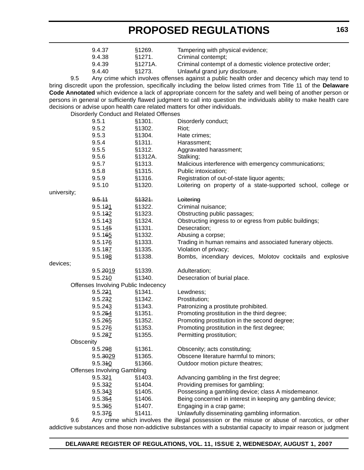|             | 9.4.37                                  | §1269.  | Tampering with physical evidence;                                                                                    |
|-------------|-----------------------------------------|---------|----------------------------------------------------------------------------------------------------------------------|
|             | 9.4.38                                  | §1271.  | Criminal contempt;                                                                                                   |
|             | 9.4.39                                  | §1271A. | Criminal contempt of a domestic violence protective order;                                                           |
|             | 9.4.40                                  | §1273.  | Unlawful grand jury disclosure.                                                                                      |
| 9.5         |                                         |         | Any crime which involves offenses against a public health order and decency which may tend to                        |
|             |                                         |         | bring discredit upon the profession, specifically including the below listed crimes from Title 11 of the Delaware    |
|             |                                         |         | Code Annotated which evidence a lack of appropriate concern for the safety and well being of another person or       |
|             |                                         |         | persons in general or sufficiently flawed judgment to call into question the individuals ability to make health care |
|             |                                         |         | decisions or advise upon health care related matters for other individuals.                                          |
|             | Disorderly Conduct and Related Offenses |         |                                                                                                                      |
|             | 9.5.1                                   | §1301.  | Disorderly conduct;                                                                                                  |
|             | 9.5.2                                   | §1302.  | Riot;                                                                                                                |
|             | 9.5.3                                   | §1304.  | Hate crimes;                                                                                                         |
|             | 9.5.4                                   | §1311.  | Harassment;                                                                                                          |
|             | 9.5.5                                   | §1312.  | Aggravated harassment;                                                                                               |
|             | 9.5.6                                   | §1312A. | Stalking;                                                                                                            |
|             | 9.5.7                                   | §1313.  | Malicious interference with emergency communications;                                                                |
|             | 9.5.8                                   | §1315.  | Public intoxication;                                                                                                 |
|             | 9.5.9                                   | §1316.  | Registration of out-of-state liquor agents;                                                                          |
|             | 9.5.10                                  | §1320.  | Loitering on property of a state-supported school, college or                                                        |
| university; |                                         |         |                                                                                                                      |
|             | 9.5.11                                  | \$1321. | Loitering                                                                                                            |
|             | 9.5.121                                 | §1322.  | Criminal nuisance;                                                                                                   |
|             | 9.5.132                                 | §1323.  | Obstructing public passages;                                                                                         |
|             | 9.5.143                                 | §1324.  | Obstructing ingress to or egress from public buildings;                                                              |
|             | 9.5.145                                 | §1331.  | Desecration;                                                                                                         |
|             | 9.5.165                                 | §1332.  | Abusing a corpse;                                                                                                    |
|             | 9.5.176                                 | §1333.  | Trading in human remains and associated funerary objects.                                                            |
|             | 9.5.187                                 | §1335.  | Violation of privacy;                                                                                                |
|             | 9.5.198                                 | §1338.  | Bombs, incendiary devices, Molotov cocktails and explosive                                                           |
| devices;    |                                         |         |                                                                                                                      |
|             | 9.5.2019                                | §1339.  | Adulteration;                                                                                                        |
|             | 9.5.240                                 | §1340.  | Desecration of burial place.                                                                                         |
|             | Offenses Involving Public Indecency     |         |                                                                                                                      |
|             | 9.5.221                                 | §1341.  | Lewdness;                                                                                                            |
|             | 9.5.232                                 | §1342.  | Prostitution;                                                                                                        |
|             | 9.5.243                                 | §1343.  | Patronizing a prostitute prohibited.                                                                                 |
|             | 9.5.254                                 | §1351.  | Promoting prostitution in the third degree;                                                                          |
|             | 9.5.265                                 | §1352.  | Promoting prostitution in the second degree;                                                                         |
|             | 9.5.276                                 | §1353.  | Promoting prostitution in the first degree;                                                                          |
|             | 9.5.287                                 | §1355.  | Permitting prostitution;                                                                                             |
| Obscenity   |                                         |         |                                                                                                                      |
|             | 9.5.298                                 | §1361.  | Obscenity; acts constituting;                                                                                        |
|             | 9.5.3029                                | §1365.  | Obscene literature harmful to minors;                                                                                |
|             | 9.5.340                                 | §1366.  | Outdoor motion picture theatres;                                                                                     |
|             | <b>Offenses Involving Gambling</b>      |         |                                                                                                                      |
|             | 9.5.321                                 | §1403.  | Advancing gambling in the first degree;                                                                              |
|             | 9.5.332                                 | §1404.  | Providing premises for gambling;                                                                                     |
|             | 9.5.343                                 | §1405.  | Possessing a gambling device; class A misdemeanor.                                                                   |
|             | 9.5.354                                 | §1406.  | Being concerned in interest in keeping any gambling device;                                                          |
|             | 9.5.365                                 | §1407.  | Engaging in a crap game;                                                                                             |
|             | 9.5.376                                 | §1411.  | Unlawfully disseminating gambling information.                                                                       |

9.6 Any crime which involves the illegal possession or the misuse or abuse of narcotics, or other addictive substances and those non-addictive substances with a substantial capacity to impair reason or judgment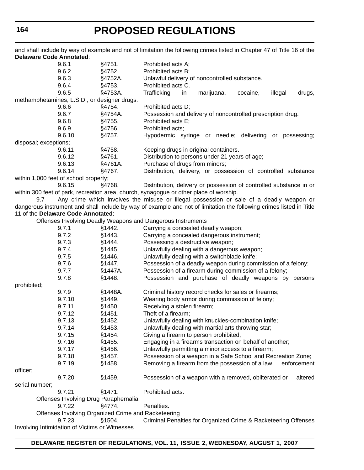and shall include by way of example and not of limitation the following crimes listed in Chapter 47 of Title 16 of the **Delaware Code Annotated**:

|                       | 9.6.1                                          | §4751.                                              | Prohibited acts A;                                                                                                  |
|-----------------------|------------------------------------------------|-----------------------------------------------------|---------------------------------------------------------------------------------------------------------------------|
|                       | 9.6.2                                          | §4752.                                              | Prohibited acts B;                                                                                                  |
|                       | 9.6.3                                          | §4752A.                                             | Unlawful delivery of noncontrolled substance.                                                                       |
|                       | 9.6.4                                          | §4753.                                              | Prohibited acts C.                                                                                                  |
|                       | 9.6.5                                          | §4753A.                                             | Trafficking<br>in<br>marijuana,<br>illegal<br>drugs,<br>cocaine,                                                    |
|                       | methamphetamines, L.S.D., or designer drugs.   |                                                     |                                                                                                                     |
|                       | 9.6.6                                          | §4754.                                              | Prohibited acts D;                                                                                                  |
|                       | 9.6.7                                          | §4754A.                                             | Possession and delivery of noncontrolled prescription drug.                                                         |
|                       | 9.6.8                                          | §4755.                                              | Prohibited acts E;                                                                                                  |
|                       | 9.6.9                                          | §4756.                                              | Prohibited acts;                                                                                                    |
|                       | 9.6.10                                         | §4757.                                              | Hypodermic syringe or needle; delivering or possessing;                                                             |
| disposal; exceptions; |                                                |                                                     |                                                                                                                     |
|                       | 9.6.11                                         | §4758.                                              | Keeping drugs in original containers.                                                                               |
|                       | 9.6.12                                         | §4761.                                              | Distribution to persons under 21 years of age;                                                                      |
|                       | 9.6.13                                         | §4761A.                                             | Purchase of drugs from minors;                                                                                      |
|                       | 9.6.14                                         | §4767.                                              | Distribution, delivery, or possession of controlled substance                                                       |
|                       | within 1,000 feet of school property;          |                                                     |                                                                                                                     |
|                       | 9.6.15                                         | §4768.                                              | Distribution, delivery or possession of controlled substance in or                                                  |
|                       |                                                |                                                     | within 300 feet of park, recreation area, church, synagogue or other place of worship.                              |
| 9.7                   |                                                |                                                     | Any crime which involves the misuse or illegal possession or sale of a deadly weapon or                             |
|                       |                                                |                                                     | dangerous instrument and shall include by way of example and not of limitation the following crimes listed in Title |
|                       | 11 of the Delaware Code Annotated:             |                                                     |                                                                                                                     |
|                       |                                                |                                                     | Offenses Involving Deadly Weapons and Dangerous Instruments                                                         |
|                       | 9.7.1                                          | §1442.                                              | Carrying a concealed deadly weapon;                                                                                 |
|                       | 9.7.2                                          | §1443.                                              | Carrying a concealed dangerous instrument;                                                                          |
|                       | 9.7.3                                          | §1444.                                              | Possessing a destructive weapon;                                                                                    |
|                       | 9.7.4                                          | §1445.                                              | Unlawfully dealing with a dangerous weapon;                                                                         |
|                       | 9.7.5                                          | §1446.                                              |                                                                                                                     |
|                       |                                                |                                                     | Unlawfully dealing with a switchblade knife;                                                                        |
|                       | 9.7.6                                          | §1447.                                              | Possession of a deadly weapon during commission of a felony;                                                        |
|                       | 9.7.7                                          | §1447A.                                             | Possession of a firearm during commission of a felony;                                                              |
|                       | 9.7.8                                          | §1448.                                              | Possession and purchase of deadly weapons by persons                                                                |
| prohibited;           |                                                |                                                     |                                                                                                                     |
|                       | 9.7.9                                          | §1448A.                                             | Criminal history record checks for sales or firearms;                                                               |
|                       | 9.7.10                                         | §1449.                                              | Wearing body armor during commission of felony;                                                                     |
|                       | 9.7.11                                         | §1450.                                              | Receiving a stolen firearm;                                                                                         |
|                       | 9.7.12                                         | §1451.                                              | Theft of a firearm;                                                                                                 |
|                       | 9.7.13                                         | §1452.                                              | Unlawfully dealing with knuckles-combination knife;                                                                 |
|                       | 9.7.14                                         | §1453.                                              | Unlawfully dealing with martial arts throwing star;                                                                 |
|                       | 9.7.15                                         | §1454.                                              | Giving a firearm to person prohibited;                                                                              |
|                       | 9.7.16                                         | §1455.                                              | Engaging in a firearms transaction on behalf of another;                                                            |
|                       | 9.7.17                                         | §1456.                                              | Unlawfully permitting a minor access to a firearm;                                                                  |
|                       | 9.7.18                                         | §1457.                                              | Possession of a weapon in a Safe School and Recreation Zone;                                                        |
|                       | 9.7.19                                         | §1458.                                              | Removing a firearm from the possession of a law<br>enforcement                                                      |
| officer;              |                                                |                                                     |                                                                                                                     |
|                       | 9.7.20                                         | §1459.                                              | Possession of a weapon with a removed, obliterated or<br>altered                                                    |
| serial number;        |                                                |                                                     |                                                                                                                     |
|                       | 9.7.21                                         | §1471.                                              | Prohibited acts.                                                                                                    |
|                       | Offenses Involving Drug Paraphernalia          |                                                     |                                                                                                                     |
|                       | 9.7.22                                         | §4774.                                              | Penalties.                                                                                                          |
|                       |                                                | Offenses Involving Organized Crime and Racketeering |                                                                                                                     |
|                       | 9.7.23                                         | §1504.                                              | Criminal Penalties for Organized Crime & Racketeering Offenses                                                      |
|                       | Involving Intimidation of Victims or Witnesses |                                                     |                                                                                                                     |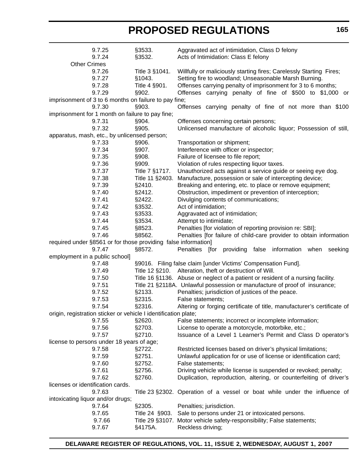| 9.7.25<br>9.7.24                                                          | §3533.<br>§3532. | Aggravated act of intimidation, Class D felony<br>Acts of Intimidation: Class E felony      |
|---------------------------------------------------------------------------|------------------|---------------------------------------------------------------------------------------------|
| <b>Other Crimes</b>                                                       |                  |                                                                                             |
| 9.7.26                                                                    | Title 3 §1041.   | Willfully or maliciously starting fires; Carelessly Starting Fires;                         |
| 9.7.27                                                                    | §1043.           | Setting fire to woodland; Unseasonable Marsh Burning.                                       |
| 9.7.28                                                                    | Title 4 §901.    | Offenses carrying penalty of imprisonment for 3 to 6 months;                                |
| 9.7.29                                                                    | §902.            | Offenses carrying penalty of fine of \$500 to \$1,000 or                                    |
| imprisonment of 3 to 6 months on failure to pay fine;                     |                  |                                                                                             |
| 9.7.30                                                                    | §903.            | Offenses carrying penalty of fine of not more than \$100                                    |
| imprisonment for 1 month on failure to pay fine;                          |                  |                                                                                             |
| 9.7.31                                                                    | §904.            | Offenses concerning certain persons;                                                        |
| 9.7.32                                                                    | §905.            | Unlicensed manufacture of alcoholic liquor; Possession of still,                            |
| apparatus, mash, etc., by unlicensed person;                              |                  |                                                                                             |
| 9.7.33                                                                    | §906.            | Transportation or shipment;                                                                 |
| 9.7.34                                                                    | §907.            | Interference with officer or inspector;                                                     |
| 9.7.35                                                                    | §908.            | Failure of licensee to file report;                                                         |
| 9.7.36                                                                    | §909.            | Violation of rules respecting liquor taxes.                                                 |
| 9.7.37                                                                    | Title 7 §1717.   | Unauthorized acts against a service guide or seeing eye dog.                                |
| 9.7.38                                                                    | Title 11 §2403.  | Manufacture, possession or sale of intercepting device;                                     |
| 9.7.39                                                                    | §2410.           | Breaking and entering, etc. to place or remove equipment;                                   |
| 9.7.40                                                                    | §2412.           | Obstruction, impediment or prevention of interception;                                      |
| 9.7.41                                                                    | §2422.           | Divulging contents of communications;                                                       |
| 9.7.42                                                                    | §3532.           | Act of intimidation;                                                                        |
| 9.7.43                                                                    | §3533.           | Aggravated act of intimidation;                                                             |
| 9.7.44                                                                    | §3534.           | Attempt to intimidate;                                                                      |
| 9.7.45                                                                    | §8523.           | Penalties [for violation of reporting provision re: SBI];                                   |
| 9.7.46                                                                    | §8562.           | Penalties [for failure of child-care provider to obtain information                         |
| required under §8561 or for those providing false information]            |                  |                                                                                             |
|                                                                           |                  |                                                                                             |
| 9.7.47                                                                    |                  |                                                                                             |
|                                                                           | §8572.           | Penalties [for providing<br>information<br>false<br>when<br>seeking                         |
| employment in a public school]<br>9.7.48                                  |                  |                                                                                             |
| 9.7.49                                                                    |                  | §9016. Filing false claim [under Victims' Compensation Fund].                               |
|                                                                           | Title 12 §210.   | Alteration, theft or destruction of Will.                                                   |
| 9.7.50                                                                    |                  | Title 16 §1136. Abuse or neglect of a patient or resident of a nursing facility.            |
| 9.7.51                                                                    |                  | Title 21 §2118A. Unlawful possession or manufacture of proof of insurance;                  |
| 9.7.52                                                                    | §2133.           | Penalties; jurisdiction of justices of the peace.                                           |
| 9.7.53                                                                    | §2315.           | False statements;                                                                           |
| 9.7.54                                                                    | §2316.           | Altering or forging certificate of title, manufacturer's certificate of                     |
| origin, registration sticker or vehicle I identification plate;<br>9.7.55 |                  |                                                                                             |
|                                                                           | §2620.           | False statements; incorrect or incomplete information;                                      |
| 9.7.56                                                                    | §2703.           | License to operate a motorcycle, motorbike, etc.;                                           |
| 9.7.57                                                                    | §2710.           | Issuance of a Level 1 Learner's Permit and Class D operator's                               |
| license to persons under 18 years of age;                                 |                  |                                                                                             |
| 9.7.58                                                                    | §2722.           | Restricted licenses based on driver's physical limitations;                                 |
| 9.7.59                                                                    | §2751.           | Unlawful application for or use of license or identification card;                          |
| 9.7.60                                                                    | §2752.           | False statements;                                                                           |
| 9.7.61                                                                    | §2756.           | Driving vehicle while license is suspended or revoked; penalty;                             |
| 9.7.62                                                                    | §2760.           | Duplication, reproduction, altering, or counterfeiting of driver's                          |
| licenses or identification cards.                                         |                  |                                                                                             |
| 9.7.63                                                                    |                  | Title 23 §2302. Operation of a vessel or boat while under the influence of                  |
| intoxicating liquor and/or drugs;                                         |                  |                                                                                             |
| 9.7.64                                                                    | §2305.           | Penalties; jurisdiction.                                                                    |
| 9.7.65                                                                    | Title 24 §903.   | Sale to persons under 21 or intoxicated persons.                                            |
| 9.7.66<br>9.7.67                                                          | §4175A.          | Title 29 §3107. Motor vehicle safety-responsibility; False statements;<br>Reckless driving; |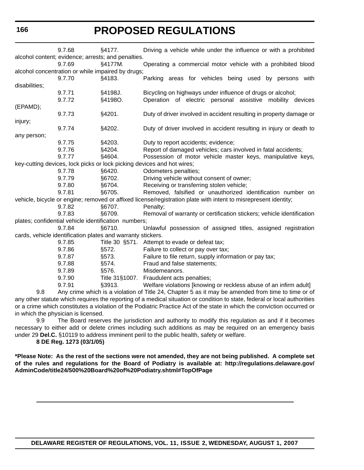**166**

# **PROPOSED REGULATIONS**

|                                                                                                                           | 9.7.68 | §4177.                                                      | Driving a vehicle while under the influence or with a prohibited                                                |  |
|---------------------------------------------------------------------------------------------------------------------------|--------|-------------------------------------------------------------|-----------------------------------------------------------------------------------------------------------------|--|
| alcohol content; evidence; arrests; and penalties.                                                                        |        |                                                             |                                                                                                                 |  |
|                                                                                                                           | 9.7.69 | §4177M.                                                     | Operating a commercial motor vehicle with a prohibited blood                                                    |  |
|                                                                                                                           |        | alcohol concentration or while impaired by drugs;           |                                                                                                                 |  |
|                                                                                                                           | 9.7.70 | §4183.                                                      | Parking areas for vehicles being used by persons with                                                           |  |
| disabilities;                                                                                                             |        |                                                             |                                                                                                                 |  |
|                                                                                                                           | 9.7.71 | §4198J.                                                     | Bicycling on highways under influence of drugs or alcohol;                                                      |  |
|                                                                                                                           | 9.7.72 | §4198O.                                                     | Operation of electric personal assistive mobility devices                                                       |  |
| (EPAMD);                                                                                                                  |        |                                                             |                                                                                                                 |  |
|                                                                                                                           | 9.7.73 | §4201.                                                      | Duty of driver involved in accident resulting in property damage or                                             |  |
| injury;                                                                                                                   |        |                                                             |                                                                                                                 |  |
|                                                                                                                           | 9.7.74 | §4202.                                                      | Duty of driver involved in accident resulting in injury or death to                                             |  |
| any person;                                                                                                               |        |                                                             |                                                                                                                 |  |
|                                                                                                                           | 9.7.75 | §4203.                                                      | Duty to report accidents; evidence;                                                                             |  |
|                                                                                                                           | 9.7.76 | §4204.                                                      | Report of damaged vehicles; cars involved in fatal accidents;                                                   |  |
|                                                                                                                           | 9.7.77 | §4604.                                                      | Possession of motor vehicle master keys, manipulative keys,                                                     |  |
|                                                                                                                           |        |                                                             | key-cutting devices, lock picks or lock picking devices and hot wires;                                          |  |
|                                                                                                                           | 9.7.78 | §6420.                                                      | Odometers penalties;                                                                                            |  |
|                                                                                                                           | 9.7.79 | §6702.                                                      | Driving vehicle without consent of owner;                                                                       |  |
|                                                                                                                           | 9.7.80 | §6704.                                                      | Receiving or transferring stolen vehicle;                                                                       |  |
|                                                                                                                           | 9.7.81 | §6705.                                                      | Removed, falsified or unauthorized identification number on                                                     |  |
|                                                                                                                           |        |                                                             | vehicle, bicycle or engine; removed or affixed license/registration plate with intent to misrepresent identity; |  |
|                                                                                                                           | 9.7.82 | §6707.                                                      | Penalty;                                                                                                        |  |
|                                                                                                                           | 9.7.83 | §6709.                                                      | Removal of warranty or certification stickers; vehicle identification                                           |  |
|                                                                                                                           |        | plates; confidential vehicle identification numbers;        |                                                                                                                 |  |
|                                                                                                                           | 9.7.84 | §6710.                                                      | Unlawful possession of assigned titles, assigned registration                                                   |  |
|                                                                                                                           |        | cards, vehicle identification plates and warranty stickers. |                                                                                                                 |  |
|                                                                                                                           | 9.7.85 |                                                             | Title 30 §571. Attempt to evade or defeat tax;                                                                  |  |
|                                                                                                                           | 9.7.86 | §572.                                                       | Failure to collect or pay over tax;                                                                             |  |
|                                                                                                                           | 9.7.87 | §573.                                                       | Failure to file return, supply information or pay tax;                                                          |  |
|                                                                                                                           | 9.7.88 | §574.                                                       | Fraud and false statements;                                                                                     |  |
|                                                                                                                           | 9.7.89 | §576.                                                       | Misdemeanors.                                                                                                   |  |
|                                                                                                                           | 9.7.90 |                                                             | Title 31§1007. Fraudulent acts penalties;                                                                       |  |
|                                                                                                                           | 9.7.91 | §3913.                                                      | Welfare violations [knowing or reckless abuse of an infirm adult]                                               |  |
| 9.8                                                                                                                       |        |                                                             | Any crime which is a violation of Title 24, Chapter 5 as it may be amended from time to time or of              |  |
| any other statute which requires the reporting of a medical situation or condition to state, federal or local authorities |        |                                                             |                                                                                                                 |  |
| or a crime which constitutes a violation of the Podiatric Practice Act of the state in which the conviction occurred or   |        |                                                             |                                                                                                                 |  |

in which the physician is licensed.

9.9 The Board reserves the jurisdiction and authority to modify this regulation as and if it becomes necessary to either add or delete crimes including such additions as may be required on an emergency basis under 29 **Del.C.** §10119 to address imminent peril to the public health, safety or welfare.

**8 DE Reg. 1273 (03/1/05)**

**\*Please Note: As the rest of the sections were not amended, they are not being published. A complete set of the rules and regulations for the Board of Podiatry is available at: http://regulations.delaware.gov/ AdminCode/title24/500%20Board%20of%20Podiatry.shtml#TopOfPage**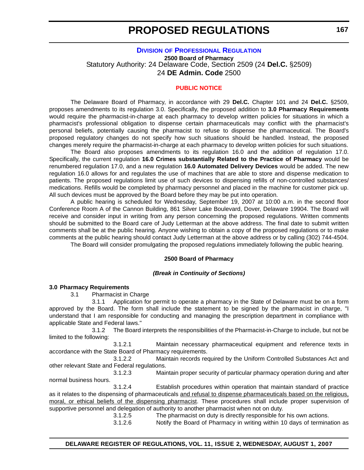#### **DIVISION [OF PROFESSIONAL REGULATION](http://dpr.delaware.gov/default.shtml)**

**2500 Board of Pharmacy** Statutory Authority: 24 Delaware Code, Section 2509 (24 **Del.C.** §2509) 24 **DE Admin. Code** 2500

#### **[PUBLIC NOTICE](#page-3-0)**

The Delaware Board of Pharmacy, in accordance with 29 **Del.C.** Chapter 101 and 24 **Del.C.** §2509, proposes amendments to its regulation 3.0. Specifically, the proposed addition to **3.0 Pharmacy Requirements** would require the pharmacist-in-charge at each pharmacy to develop written policies for situations in which a pharmacist's professional obligation to dispense certain pharmaceuticals may conflict with the pharmacist's personal beliefs, potentially causing the pharmacist to refuse to dispense the pharmaceutical. The Board's proposed regulatory changes do not specify how such situations should be handled. Instead, the proposed changes merely require the pharmacist-in-charge at each pharmacy to develop written policies for such situations.

The Board also proposes amendments to its regulation 16.0 and the addition of regulation 17.0. Specifically, the current regulation **16.0 Crimes substantially Related to the Practice of Pharmacy** would be renumbered regulation 17.0, and a new regulation **16.0 Automated Delivery Devices** would be added. The new regulation 16.0 allows for and regulates the use of machines that are able to store and dispense medication to patients. The proposed regulations limit use of such devices to dispensing refills of non-controlled substances/ medications. Refills would be completed by pharmacy personnel and placed in the machine for customer pick up. All such devices must be approved by the Board before they may be put into operation.

A public hearing is scheduled for Wednesday, September 19, 2007 at 10:00 a.m. in the second floor Conference Room A of the Cannon Building, 861 Silver Lake Boulevard, Dover, Delaware 19904. The Board will receive and consider input in writing from any person concerning the proposed regulations. Written comments should be submitted to the Board care of Judy Letterman at the above address. The final date to submit written comments shall be at the public hearing. Anyone wishing to obtain a copy of the proposed regulations or to make comments at the public hearing should contact Judy Letterman at the above address or by calling (302) 744-4504.

The Board will consider promulgating the proposed regulations immediately following the public hearing.

#### **2500 Board of Pharmacy**

#### *(Break in Continuity of Sections)*

#### **3.0 Pharmacy Requirements**

3.1 Pharmacist in Charge

3.1.1 Application for permit to operate a pharmacy in the State of Delaware must be on a form approved by the Board. The form shall include the statement to be signed by the pharmacist in charge, "I understand that I am responsible for conducting and managing the prescription department in compliance with applicable State and Federal laws."

3.1.2 The Board interprets the responsibilities of the Pharmacist-in-Charge to include, but not be limited to the following:

3.1.2.1 Maintain necessary pharmaceutical equipment and reference texts in accordance with the State Board of Pharmacy requirements.

3.1.2.2 Maintain records required by the Uniform Controlled Substances Act and other relevant State and Federal regulations.

3.1.2.3 Maintain proper security of particular pharmacy operation during and after normal business hours.

3.1.2.4 Establish procedures within operation that maintain standard of practice as it relates to the dispensing of pharmaceuticals and refusal to dispense pharmaceuticals based on the religious, moral, or ethical beliefs of the dispensing pharmacist. These procedures shall include proper supervision of supportive personnel and delegation of authority to another pharmacist when not on duty.

3.1.2.5 The pharmacist on duty is directly responsible for his own actions.

3.1.2.6 Notify the Board of Pharmacy in writing within 10 days of termination as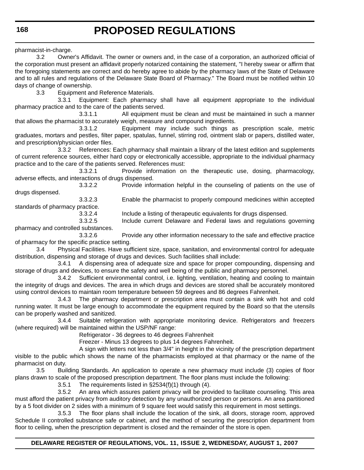pharmacist-in-charge.

3.2 Owner's Affidavit. The owner or owners and, in the case of a corporation, an authorized official of the corporation must present an affidavit properly notarized containing the statement, "I hereby swear or affirm that the foregoing statements are correct and do hereby agree to abide by the pharmacy laws of the State of Delaware and to all rules and regulations of the Delaware State Board of Pharmacy." The Board must be notified within 10 days of change of ownership.

3.3 Equipment and Reference Materials.

3.3.1 Equipment: Each pharmacy shall have all equipment appropriate to the individual pharmacy practice and to the care of the patients served.

3.3.1.1 All equipment must be clean and must be maintained in such a manner that allows the pharmacist to accurately weigh, measure and compound ingredients.

3.3.1.2 Equipment may include such things as prescription scale, metric graduates, mortars and pestles, filter paper, spatulas, funnel, stirring rod, ointment slab or papers, distilled water, and prescription/physician order files.

3.3.2 References: Each pharmacy shall maintain a library of the latest edition and supplements of current reference sources, either hard copy or electronically accessible, appropriate to the individual pharmacy practice and to the care of the patients served. References must:

3.3.2.1 Provide information on the therapeutic use, dosing, pharmacology, adverse effects, and interactions of drugs dispensed.

3.3.2.2 Provide information helpful in the counseling of patients on the use of drugs dispensed.

3.3.2.3 Enable the pharmacist to properly compound medicines within accepted standards of pharmacy practice.

3.3.2.4 Include a listing of therapeutic equivalents for drugs dispensed.

3.3.2.5 Include current Delaware and Federal laws and regulations governing pharmacy and controlled substances.

3.3.2.6 Provide any other information necessary to the safe and effective practice of pharmacy for the specific practice setting.

3.4 Physical Facilities. Have sufficient size, space, sanitation, and environmental control for adequate distribution, dispensing and storage of drugs and devices. Such facilities shall include:

3.4.1 A dispensing area of adequate size and space for proper compounding, dispensing and storage of drugs and devices, to ensure the safety and well being of the public and pharmacy personnel.

3.4.2 Sufficient environmental control, i.e. lighting, ventilation, heating and cooling to maintain the integrity of drugs and devices. The area in which drugs and devices are stored shall be accurately monitored using control devices to maintain room temperature between 59 degrees and 86 degrees Fahrenheit.

3.4.3 The pharmacy department or prescription area must contain a sink with hot and cold running water. It must be large enough to accommodate the equipment required by the Board so that the utensils can be properly washed and sanitized.

3.4.4 Suitable refrigeration with appropriate monitoring device. Refrigerators and freezers (where required) will be maintained within the USP/NF range:

Refrigerator - 36 degrees to 46 degrees Fahrenheit

Freezer - Minus 13 degrees to plus 14 degrees Fahrenheit.

A sign with letters not less than 3/4" in height in the vicinity of the prescription department visible to the public which shows the name of the pharmacists employed at that pharmacy or the name of the pharmacist on duty.

3.5 Building Standards. An application to operate a new pharmacy must include (3) copies of floor plans drawn to scale of the proposed prescription department. The floor plans must include the following:

3.5.1 The requirements listed in §2534(f)(1) through (4).

3.5.2 An area which assures patient privacy will be provided to facilitate counseling. This area must afford the patient privacy from auditory detection by any unauthorized person or persons. An area partitioned by a 5 foot divider on 2 sides with a minimum of 9 square feet would satisfy this requirement in most settings.

3.5.3 The floor plans shall include the location of the sink, all doors, storage room, approved Schedule II controlled substance safe or cabinet, and the method of securing the prescription department from floor to ceiling, when the prescription department is closed and the remainder of the store is open.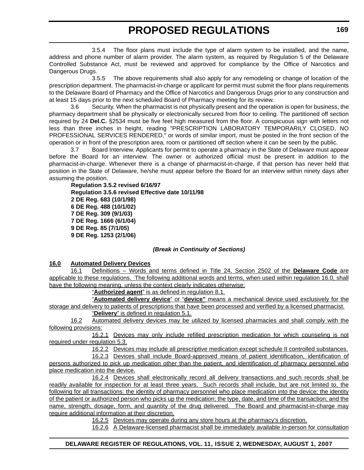3.5.4 The floor plans must include the type of alarm system to be installed, and the name, address and phone number of alarm provider. The alarm system, as required by Regulation 5 of the Delaware Controlled Substance Act, must be reviewed and approved for compliance by the Office of Narcotics and Dangerous Drugs.

3.5.5 The above requirements shall also apply for any remodeling or change of location of the prescription department. The pharmacist-in-charge or applicant for permit must submit the floor plans requirements to the Delaware Board of Pharmacy and the Office of Narcotics and Dangerous Drugs prior to any construction and at least 15 days prior to the next scheduled Board of Pharmacy meeting for its review.

3.6 Security. When the pharmacist is not physically present and the operation is open for business, the pharmacy department shall be physically or electronically secured from floor to ceiling. The partitioned off section required by 24 **Del.C.** §2534 must be five feet high measured from the floor. A conspicuous sign with letters not less than three inches in height, reading "PRESCRIPTION LABORATORY TEMPORARILY CLOSED, NO PROFESSIONAL SERVICES RENDERED," or words of similar import, must be posted in the front section of the operation or in front of the prescription area, room or partitioned off section where it can be seen by the public.

3.7 Board Interview. Applicants for permit to operate a pharmacy in the State of Delaware must appear before the Board for an interview. The owner or authorized official must be present in addition to the pharmacist-in-charge. Whenever there is a change of pharmacist-in-charge, if that person has never held that position in the State of Delaware, he/she must appear before the Board for an interview within ninety days after assuming the position.

**Regulation 3.5.2 revised 6/16/97 Regulation 3.5.6 revised Effective date 10/11/98 2 DE Reg. 683 (10/1/98) 6 DE Reg. 488 (10/1/02) 7 DE Reg. 309 (9/1/03) 7 DE Reg. 1666 (6/1/04) 9 DE Reg. 85 (7/1/05) 9 DE Reg. 1253 (2/1/06)**

## *(Break in Continuity of Sections)*

## **16.0 Automated Delivery Devices**

16.1 Definitions – Words and terms defined in Title 24, Section 2502 of the **Delaware Code** are applicable to these regulations. The following additional words and terms, when used within regulation 16.0, shall have the following meaning, unless the context clearly indicates otherwise:

"**Authorized agent**" is as defined in regulation 8.1.

"**Automated delivery device**" or "**device"** means a mechanical device used exclusively for the storage and delivery to patients of prescriptions that have been processed and verified by a licensed pharmacist.

"**Delivery**" is defined in regulation 5.1.

16.2 Automated delivery devices may be utilized by licensed pharmacies and shall comply with the following provisions:

16.2.1 Devices may only include refilled prescription medication for which counseling is not required under regulation 5.3.

16.2.2 Devices may include all prescriptive medication except schedule II controlled substances.

16.2.3 Devices shall include Board-approved means of patient identification, identification of persons authorized to pick up medication other than the patient, and identification of pharmacy personnel who place medication into the device.

16.2.4 Devices shall electronically record all delivery transactions and such records shall be readily available for inspection for at least three years. Such records shall include, but are not limited to, the following for all transactions: the identity of pharmacy personnel who place medication into the device; the identity of the patient or authorized person who picks up the medication; the type, date, and time of the transaction; and the name, strength, dosage, form, and quantity of the drug delivered. The Board and pharmacist-in-charge may require additional information at their discretion.

16.2.5 Devices may operate during any store hours at the pharmacy's discretion.

16.2.6 A Delaware-licensed pharmacist shall be immediately available in-person for consultation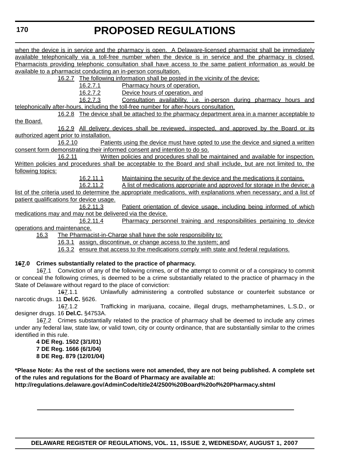when the device is in service and the pharmacy is open. A Delaware-licensed pharmacist shall be immediately available telephonically via a toll-free number when the device is in service and the pharmacy is closed. Pharmacists providing telephonic consultation shall have access to the same patient information as would be available to a pharmacist conducting an in-person consultation.

16.2.7 The following information shall be posted in the vicinity of the device:

16.2.7.1 Pharmacy hours of operation,

16.2.7.2 Device hours of operation, and

16.2.7.3 Consultation availability, i.e. in-person during pharmacy hours and telephonically after-hours, including the toll-free number for after-hours consultation.

16.2.8 The device shall be attached to the pharmacy department area in a manner acceptable to the Board.

16.2.9 All delivery devices shall be reviewed, inspected, and approved by the Board or its authorized agent prior to installation.

16.2.10 Patients using the device must have opted to use the device and signed a written consent form demonstrating their informed consent and intention to do so.

16.2.11 Written policies and procedures shall be maintained and available for inspection. Written policies and procedures shall be acceptable to the Board and shall include, but are not limited to, the following topics:

16.2.11.1 Maintaining the security of the device and the medications it contains.

16.2.11.2 A list of medications appropriate and approved for storage in the device; a list of the criteria used to determine the appropriate medications, with explanations when necessary; and a list of patient qualifications for device usage.

16.2.11.3 Patient orientation of device usage, including being informed of which medications may and may not be delivered via the device.

16.2.11.4 Pharmacy personnel training and responsibilities pertaining to device operations and maintenance.

16.3 The Pharmacist-in-Charge shall have the sole responsibility to:

16.3.1 assign, discontinue, or change access to the system; and

16.3.2 ensure that access to the medications comply with state and federal regulations.

# **167.0 Crimes substantially related to the practice of pharmacy.**

167.1 Conviction of any of the following crimes, or of the attempt to commit or of a conspiracy to commit or conceal the following crimes, is deemed to be a crime substantially related to the practice of pharmacy in the State of Delaware without regard to the place of conviction:

167.1.1 Unlawfully administering a controlled substance or counterfeit substance or narcotic drugs. 11 **Del.C.** §626.

167.1.2 Trafficking in marijuana, cocaine, illegal drugs, methamphetamines, L.S.D., or designer drugs. 16 **Del.C.** §4753A.

167.2 Crimes substantially related to the practice of pharmacy shall be deemed to include any crimes under any federal law, state law, or valid town, city or county ordinance, that are substantially similar to the crimes identified in this rule.

**4 DE Reg. 1502 (3/1/01) 7 DE Reg. 1666 (6/1/04) 8 DE Reg. 879 (12/01/04)**

**\*Please Note: As the rest of the sections were not amended, they are not being published. A complete set of the rules and regulations for the Board of Pharmacy are available at:**

**http://regulations.delaware.gov/AdminCode/title24/2500%20Board%20of%20Pharmacy.shtml**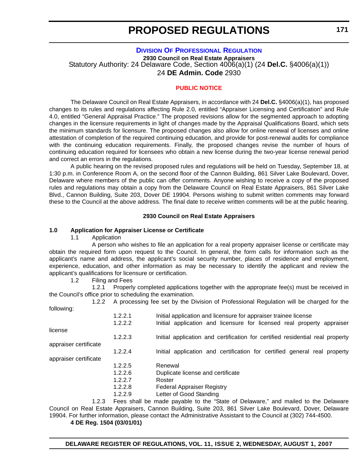# **[DIVISION OF PROFESSIONAL REGULATION](http://dpr.delaware.gov/default.shtml)**

**2930 Council on Real Estate Appraisers** Statutory Authority: 24 Delaware Code, Section 4006(a)(1) (24 **Del.C.** §4006(a)(1)) 24 **DE Admin. Code** 2930

#### **[PUBLIC NOTICE](#page-3-0)**

The Delaware Council on Real Estate Appraisers, in accordance with 24 **Del.C.** §4006(a)(1), has proposed changes to its rules and regulations affecting Rule 2.0, entitled "Appraiser Licensing and Certification" and Rule 4.0, entitled "General Appraisal Practice." The proposed revisions allow for the segmented approach to adopting changes in the licensure requirements in light of changes made by the Appraisal Qualifications Board, which sets the minimum standards for licensure. The proposed changes also allow for online renewal of licenses and online attestation of completion of the required continuing education, and provide for post-renewal audits for compliance with the continuing education requirements. Finally, the proposed changes revise the number of hours of continuing education required for licensees who obtain a new license during the two-year license renewal period and correct an errors in the regulations.

A public hearing on the revised proposed rules and regulations will be held on Tuesday, September 18, at 1:30 p.m. in Conference Room A, on the second floor of the Cannon Building, 861 Silver Lake Boulevard, Dover, Delaware where members of the public can offer comments. Anyone wishing to receive a copy of the proposed rules and regulations may obtain a copy from the Delaware Council on Real Estate Appraisers, 861 Silver Lake Blvd., Cannon Building, Suite 203, Dover DE 19904. Persons wishing to submit written comments may forward these to the Council at the above address. The final date to receive written comments will be at the public hearing.

#### **2930 Council on Real Estate Appraisers**

#### **1.0 Application for Appraiser License or Certificate**

1.1 Application

A person who wishes to file an application for a real property appraiser license or certificate may obtain the required form upon request to the Council. In general, the form calls for information such as the applicant's name and address, the applicant's social security number, places of residence and employment, experience, education, and other information as may be necessary to identify the applicant and review the applicant's qualifications for licensure or certification.

1.2 Filing and Fees

1.2.1 Properly completed applications together with the appropriate fee(s) must be received in the Council's office prior to scheduling the examination.

| 1.2.2                 | A processing fee set by the Division of Professional Regulation will be charged for the |                                                                                   |
|-----------------------|-----------------------------------------------------------------------------------------|-----------------------------------------------------------------------------------|
| following:            |                                                                                         |                                                                                   |
|                       | 1.2.2.1                                                                                 | Initial application and licensure for appraiser trainee license                   |
|                       | 1.2.2.2                                                                                 | Initial application and licensure for licensed real property appraiser            |
| license               |                                                                                         |                                                                                   |
|                       | 1.2.2.3                                                                                 | Initial application and certification for certified residential real property     |
| appraiser certificate |                                                                                         |                                                                                   |
|                       | 1.2.2.4                                                                                 | Initial application and certification for certified general real property         |
| appraiser certificate |                                                                                         |                                                                                   |
|                       | 1.2.2.5                                                                                 | Renewal                                                                           |
|                       | 1.2.2.6                                                                                 | Duplicate license and certificate                                                 |
|                       | 1.2.2.7                                                                                 | Roster                                                                            |
|                       | 1.2.2.8                                                                                 | <b>Federal Appraiser Registry</b>                                                 |
|                       | 1.2.2.9                                                                                 | Letter of Good Standing                                                           |
| 1.2.3                 |                                                                                         | Fees shall be made payable to the "State of Delaware," and mailed to the Delaware |

Council on Real Estate Appraisers, Cannon Building, Suite 203, 861 Silver Lake Boulevard, Dover, Delaware 19904. For further information, please contact the Administrative Assistant to the Council at (302) 744-4500.

**4 DE Reg. 1504 (03/01/01)**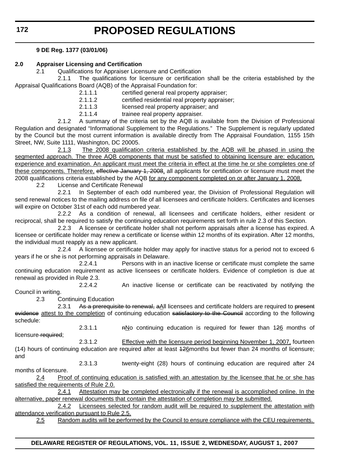# **9 DE Reg. 1377 (03/01/06)**

# **2.0 Appraiser Licensing and Certification**

2.1 Qualifications for Appraiser Licensure and Certification

2.1.1 The qualifications for licensure or certification shall be the criteria established by the Appraisal Qualifications Board (AQB) of the Appraisal Foundation for:

2.1.1.1 certified general real property appraiser;

2.1.1.2 certified residential real property appraiser;

2.1.1.3 licensed real property appraiser; and

2.1.1.4 trainee real property appraiser.

2.1.2 A summary of the criteria set by the AQB is available from the Division of Professional Regulation and designated "Informational Supplement to the Regulations." The Supplement is regularly updated by the Council but the most current information is available directly from The Appraisal Foundation, 1155 15th Street, NW, Suite 1111, Washington, DC 20005.

2.1.3 The 2008 qualification criteria established by the AQB will be phased in using the segmented approach. The three AQB components that must be satisfied to obtaining licensure are: education, experience and examination. An applicant must meet the criteria in effect at the time he or she completes one of these components. Therefore, effective January 1, 2008, all applicants for certification or licensure must meet the 2008 qualifications criteria established by the AQB for any component completed on or after January 1, 2008.

2.2 License and Certificate Renewal

2.2.1 In September of each odd numbered year, the Division of Professional Regulation will send renewal notices to the mailing address on file of all licensees and certificate holders. Certificates and licenses will expire on October 31st of each odd numbered year.

2.2.2 As a condition of renewal, all licensees and certificate holders, either resident or reciprocal, shall be required to satisfy the continuing education requirements set forth in rule 2.3 of this Section.

2.2.3 A licensee or certificate holder shall not perform appraisals after a license has expired. A licensee or certificate holder may renew a certificate or license within 12 months of its expiration. After 12 months, the individual must reapply as a new applicant.

2.2.4 A licensee or certificate holder may apply for inactive status for a period not to exceed 6 years if he or she is not performing appraisals in Delaware.

2.2.4.1 Persons with in an inactive license or certificate must complete the same continuing education requirement as active licensees or certificate holders. Evidence of completion is due at renewal as provided in Rule 2.3.

2.2.4.2 An inactive license or certificate can be reactivated by notifying the Council in writing.

2.3 Continuing Education

2.3.1 As a prerequisite to renewal, aAll licensees and certificate holders are required to present evidence attest to the completion of continuing education satisfactory to the Council according to the following schedule:

licensure required;

2.3.1.1 **hNo continuing education is required for fewer than 126 months of** 2.3.1.2 Effective with the licensure period beginning November 1, 2007, fourteen

(14) hours of continuing education are required after at least 126months but fewer than 24 months of licensure; and

2.3.1.3 twenty-eight (28) hours of continuing education are required after 24 months of licensure.

2.4 Proof of continuing education is satisfied with an attestation by the licensee that he or she has satisfied the requirements of Rule 2.0.

2.4.1 Attestation may be completed electronically if the renewal is accomplished online. In the alternative, paper renewal documents that contain the attestation of completion may be submitted.

2.4.2 Licensees selected for random audit will be required to supplement the attestation with attendance verification pursuant to Rule 2.5.

2.5 Random audits will be performed by the Council to ensure compliance with the CEU requirements.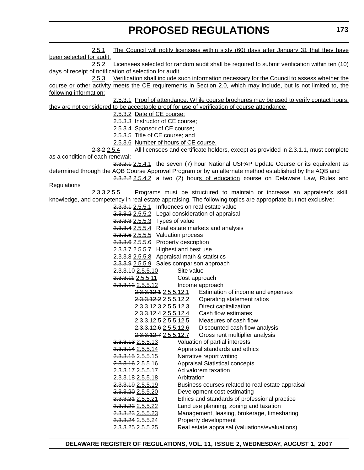2.5.1 The Council will notify licensees within sixty (60) days after January 31 that they have been selected for audit. 2.5.2 Licensees selected for random audit shall be required to submit verification within ten (10) days of receipt of notification of selection for audit. 2.5.3 Verification shall include such information necessary for the Council to assess whether the course or other activity meets the CE requirements in Section 2.0, which may include, but is not limited to, the following information: 2.5.3.1 Proof of attendance. While course brochures may be used to verify contact hours, they are not considered to be acceptable proof for use of verification of course attendance; 2.5.3.2 Date of CE course; 2.5.3.3 Instructor of CE course; 2.5.3.4 Sponsor of CE course; 2.5.3.5 Title of CE course; and 2.5.3.6 Number of hours of CE course. 2.3.2 2.5.4 All licensees and certificate holders, except as provided in 2.3.1.1, must complete as a condition of each renewal: 2.3.2.1 2.5.4.1 the seven (7) hour National USPAP Update Course or its equivalent as determined through the AQB Course Approval Program or by an alternate method established by the AQB and 2.3.2.2 2.5.4.2 a two (2) hours of education course on Delaware Law, Rules and **Regulations** 2.3.3 2.5.5 Programs must be structured to maintain or increase an appraiser's skill, knowledge, and competency in real estate appraising. The following topics are appropriate but not exclusive: 2.3.3.1 2.5.5.1 Influences on real estate value 2.3.3.2 2.5.5.2 Legal consideration of appraisal 2.3.3.3 2.5.5.3 Types of value 2.3.3.4 2.5.5.4 Real estate markets and analysis 2.3.3.5 2.5.5.5 Valuation process 2.3.3.6 2.5.5.6 Property description 2.3.3.7 2.5.5.7 Highest and best use 2.3.3.8 2.5.5.8 Appraisal math & statistics 2.3.3.9 2.5.5.9 Sales comparison approach 2.3.3.10 2.5.5.10 Site value 2.3.3.11 2.5.5.11 Cost approach 2.3.3.12 2.5.5.12 Income approach 2.3.3.12.1 2.5.5.12.1 Estimation of income and expenses 2.3.3.12.2 2.5.5.12.2 Operating statement ratios 2.3.3.12.3 2.5.5.12.3 Direct capitalization 2.3.3.12.4 2.5.5.12.4 Cash flow estimates 2.3.3.12.5 2.5.5.12.5 Measures of cash flow 2.3.3.12.6 2.5.5.12.6 Discounted cash flow analysis 2.3.3.12.7 2.5.5.12.7 Gross rent multiplier analysis 2.3.3.13 2.5.5.13 Valuation of partial interests 2.3.3.14 2.5.5.14 Appraisal standards and ethics 2.3.3.15 2.5.5.15 Narrative report writing 2.3.3.16 2.5.5.16 Appraisal Statistical concepts 2.3.3.17 2.5.5.17 Ad valorem taxation 2.3.3.18 2.5.5.18 Arbitration 2.3.3.19 2.5.5.19 Business courses related to real estate appraisal 2.3.3.20 2.5.5.20 Development cost estimating 2.3.3.21 2.5.5.21 Ethics and standards of professional practice 2.3.3.22 2.5.5.22 Land use planning, zoning and taxation 2.3.3.23 2.5.5.23 Management, leasing, brokerage, timesharing 2.3.3.24 2.5.5.24 Property development 2.3.3.25 2.5.5.25 Real estate appraisal (valuations/evaluations)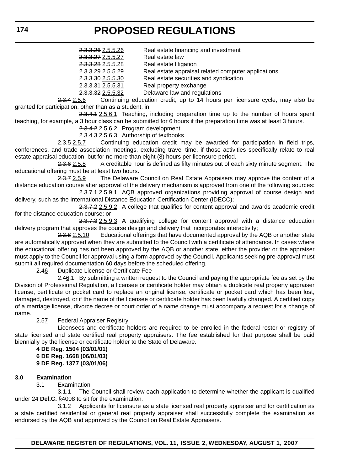2.3.3.26 2.5.5.26 Real estate financing and investment

2.3.3.27 2.5.5.27 Real estate law

2.3.3.28 2.5.5.28 Real estate litigation

2.3.3.29 2.5.5.29 Real estate appraisal related computer applications

2.3.3.30 2.5.5.30 Real estate securities and syndication

2.3.3.31 2.5.5.31 Real property exchange

2.3.3.32 2.5.5.32 Delaware law and regulations

2.3.4 2.5.6 Continuing education credit, up to 14 hours per licensure cycle, may also be granted for participation, other than as a student, in:

2.3.4.1 2.5.6.1 Teaching, including preparation time up to the number of hours spent teaching, for example, a 3 hour class can be submitted for 6 hours if the preparation time was at least 3 hours.

2.3.4.2 2.5.6.2 Program development

2.3.4.3 2.5.6.3 Authorship of textbooks

2.3.5 2.5.7 Continuing education credit may be awarded for participation in field trips, conferences, and trade association meetings, excluding travel time, if those activities specifically relate to real estate appraisal education, but for no more than eight (8) hours per licensure period.

2.3.6 2.5.8 A creditable hour is defined as fifty minutes out of each sixty minute segment. The educational offering must be at least two hours.

2.3.7 2.5.9 The Delaware Council on Real Estate Appraisers may approve the content of a distance education course after approval of the delivery mechanism is approved from one of the following sources:

2.3.7.1 2.5.9.1 AQB approved organizations providing approval of course design and delivery, such as the International Distance Education Certification Center (IDECC);

2.3.7.2 2.5.9.2 A college that qualifies for content approval and awards academic credit for the distance education course; or

2.3.7.3 2.5.9.3 A qualifying college for content approval with a distance education delivery program that approves the course design and delivery that incorporates interactivity;

2.3.8 2.5.10 Educational offerings that have documented approval by the AQB or another state are automatically approved when they are submitted to the Council with a certificate of attendance. In cases where the educational offering has not been approved by the AQB or another state, either the provider or the appraiser must apply to the Council for approval using a form approved by the Council. Applicants seeking pre-approval must submit all required documentation 60 days before the scheduled offering.

2.46 Duplicate License or Certificate Fee

2.46.1 By submitting a written request to the Council and paying the appropriate fee as set by the Division of Professional Regulation, a licensee or certificate holder may obtain a duplicate real property appraiser license, certificate or pocket card to replace an original license, certificate or pocket card which has been lost, damaged, destroyed, or if the name of the licensee or certificate holder has been lawfully changed. A certified copy of a marriage license, divorce decree or court order of a name change must accompany a request for a change of name.

2.57 Federal Appraiser Registry

Licensees and certificate holders are required to be enrolled in the federal roster or registry of state licensed and state certified real property appraisers. The fee established for that purpose shall be paid biennially by the license or certificate holder to the State of Delaware.

**4 DE Reg. 1504 (03/01/01) 6 DE Reg. 1668 (06/01/03) 9 DE Reg. 1377 (03/01/06)**

## **3.0 Examination**

3.1 Examination

3.1.1 The Council shall review each application to determine whether the applicant is qualified under 24 **Del.C.** §4008 to sit for the examination.

3.1.2 Applicants for licensure as a state licensed real property appraiser and for certification as a state certified residential or general real property appraiser shall successfully complete the examination as endorsed by the AQB and approved by the Council on Real Estate Appraisers.

**174**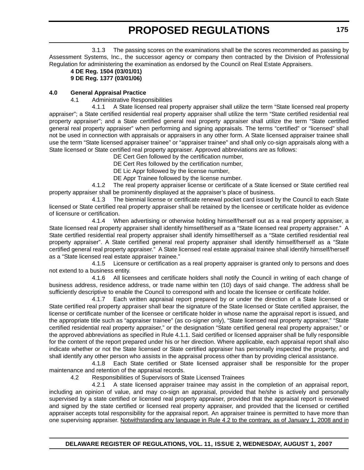3.1.3 The passing scores on the examinations shall be the scores recommended as passing by Assessment Systems, Inc., the successor agency or company then contracted by the Division of Professional Regulation for administering the examination as endorsed by the Council on Real Estate Appraisers.

#### **4 DE Reg. 1504 (03/01/01) 9 DE Reg. 1377 (03/01/06)**

# **4.0 General Appraisal Practice**

4.1 Administrative Responsibilities

4.1.1 A State licensed real property appraiser shall utilize the term "State licensed real property appraiser"; a State certified residential real property appraiser shall utilize the term "State certified residential real property appraiser"; and a State certified general real property appraiser shall utilize the term "State certified general real property appraiser" when performing and signing appraisals. The terms "certified" or "licensed" shall not be used in connection with appraisals or appraisers in any other form. A State licensed appraiser trainee shall use the term "State licensed appraiser trainee" or "appraiser trainee" and shall only co-sign appraisals along with a State licensed or State certified real property appraiser. Approved abbreviations are as follows:

DE Cert Gen followed by the certification number,

DE Cert Res followed by the certification number,

DE Lic Appr followed by the license number,

DE Appr Trainee followed by the license number.

4.1.2 The real property appraiser license or certificate of a State licensed or State certified real property appraiser shall be prominently displayed at the appraiser's place of business.

4.1.3 The biennial license or certificate renewal pocket card issued by the Council to each State licensed or State certified real property appraiser shall be retained by the licensee or certificate holder as evidence of licensure or certification.

4.1.4 When advertising or otherwise holding himself/herself out as a real property appraiser, a State licensed real property appraiser shall identify himself/herself as a "State licensed real property appraiser." A State certified residential real property appraiser shall identify himself/herself as a "State certified residential real property appraiser". A State certified general real property appraiser shall identify himself/herself as a "State certified general real property appraiser." A State licensed real estate appraisal trainee shall identify himself/herself as a "State licensed real estate appraiser trainee."

4.1.5 Licensure or certification as a real property appraiser is granted only to persons and does not extend to a business entity.

4.1.6 All licensees and certificate holders shall notify the Council in writing of each change of business address, residence address, or trade name within ten (10) days of said change. The address shall be sufficiently descriptive to enable the Council to correspond with and locate the licensee or certificate holder.

4.1.7 Each written appraisal report prepared by or under the direction of a State licensed or State certified real property appraiser shall bear the signature of the State licensed or State certified appraiser, the license or certificate number of the licensee or certificate holder in whose name the appraisal report is issued, and the appropriate title such as "appraiser trainee" (as co-signer only), "State licensed real property appraiser," "State certified residential real property appraiser," or the designation "State certified general real property appraiser," or the approved abbreviations as specified in Rule 4.1.1. Said certified or licensed appraiser shall be fully responsible for the content of the report prepared under his or her direction. Where applicable, each appraisal report shall also indicate whether or not the State licensed or State certified appraiser has personally inspected the property, and shall identify any other person who assists in the appraisal process other than by providing clerical assistance.

4.1.8 Each State certified or State licensed appraiser shall be responsible for the proper maintenance and retention of the appraisal records.

4.2 Responsibilities of Supervisors of State Licensed Trainees

4.2.1 A state licensed appraiser trainee may assist in the completion of an appraisal report, including an opinion of value, and may co-sign an appraisal, provided that he/she is actively and personally supervised by a state certified or licensed real property appraiser, provided that the appraisal report is reviewed and signed by the state certified or licensed real property appraiser, and provided that the licensed or certified appraiser accepts total responsibility for the appraisal report. An appraiser trainee is permitted to have more than one supervising appraiser. Notwithstanding any language in Rule 4.2 to the contrary, as of January 1, 2008 and in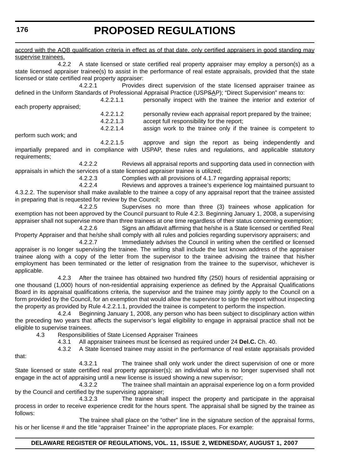**176**

# **PROPOSED REGULATIONS**

accord with the AQB qualification criteria in effect as of that date, only certified appraisers in good standing may supervise trainees. 4.2.2 A state licensed or state certified real property appraiser may employ a person(s) as a state licensed appraiser trainee(s) to assist in the performance of real estate appraisals, provided that the state licensed or state certified real property appraiser: 4.2.2.1 Provides direct supervision of the state licensed appraiser trainee as defined in the Uniform Standards of Professional Appraisal Practice (USPSAP); "Direct Supervision" means to: 4.2.2.1.1 personally inspect with the trainee the interior and exterior of each property appraised; 4.2.2.1.2 personally review each appraisal report prepared by the trainee; 4.2.2.1.3 accept full responsibility for the report; 4.2.2.1.4 assign work to the trainee only if the trainee is competent to perform such work; and 4.2.2.1.5 approve and sign the report as being independently and impartially prepared and in compliance with USPAP, these rules and regulations, and applicable statutory requirements; 4.2.2.2 Reviews all appraisal reports and supporting data used in connection with appraisals in which the services of a state licensed appraiser trainee is utilized; 4.2.2.3 Complies with all provisions of 4.1.7 regarding appraisal reports; 4.2.2.4 Reviews and approves a trainee's experience log maintained pursuant to 4.3.2.2. The supervisor shall make available to the trainee a copy of any appraisal report that the trainee assisted in preparing that is requested for review by the Council; 4.2.2.5 Supervises no more than three (3) trainees whose application for exemption has not been approved by the Council pursuant to Rule 4.2.3. Beginning January 1, 2008, a supervising appraiser shall not supervise more than three trainees at one time regardless of their status concerning exemption; 4.2.2.6 Signs an affidavit affirming that he/she is a State licensed or certified Real Property Appraiser and that he/she shall comply with all rules and policies regarding supervisory appraisers; and 4.2.2.7 Immediately advises the Council in writing when the certified or licensed appraiser is no longer supervising the trainee. The writing shall include the last known address of the appraiser trainee along with a copy of the letter from the supervisor to the trainee advising the trainee that his/her employment has been terminated or the letter of resignation from the trainee to the supervisor, whichever is applicable. 4.2.3 After the trainee has obtained two hundred fifty (250) hours of residential appraising or one thousand (1,000) hours of non-residential appraising experience as defined by the Appraisal Qualifications Board in its appraisal qualifications criteria, the supervisor and the trainee may jointly apply to the Council on a form provided by the Council, for an exemption that would allow the supervisor to sign the report without inspecting the property as provided by Rule 4.2.2.1.1, provided the trainee is competent to perform the inspection. 4.2.4 Beginning January 1, 2008, any person who has been subject to disciplinary action within the preceding two years that affects the supervisor's legal eligibility to engage in appraisal practice shall not be eligible to supervise trainees. 4.3 Responsibilities of State Licensed Appraiser Trainees 4.3.1 All appraiser trainees must be licensed as required under 24 **Del.C.** Ch. 40.

4.3.2 A State licensed trainee may assist in the performance of real estate appraisals provided

that:

4.3.2.1 The trainee shall only work under the direct supervision of one or more State licensed or state certified real property appraiser(s); an individual who is no longer supervised shall not engage in the act of appraising until a new license is issued showing a new supervisor;

4.3.2.2 The trainee shall maintain an appraisal experience log on a form provided by the Council and certified by the supervising appraiser;

4.3.2.3 The trainee shall inspect the property and participate in the appraisal process in order to receive experience credit for the hours spent. The appraisal shall be signed by the trainee as follows:

The trainee shall place on the "other" line in the signature section of the appraisal forms, his or her license # and the title "appraiser Trainee" in the appropriate places. For example: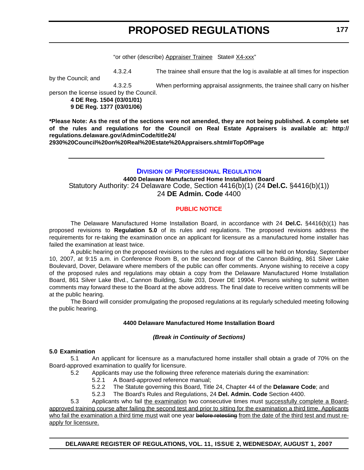"or other (describe) Appraiser Trainee State# X4-xxx"

4.3.2.4 The trainee shall ensure that the log is available at all times for inspection

by the Council; and

4.3.2.5 When performing appraisal assignments, the trainee shall carry on his/her

person the license issued by the Council.

**4 DE Reg. 1504 (03/01/01) 9 DE Reg. 1377 (03/01/06)**

**\*Please Note: As the rest of the sections were not amended, they are not being published. A complete set of the rules and regulations for the Council on Real Estate Appraisers is available at: http:// regulations.delaware.gov/AdminCode/title24/**

**2930%20Council%20on%20Real%20Estate%20Appraisers.shtml#TopOfPage**

# **DIVISION [OF PROFESSIONAL REGULATION](http://dpr.delaware.gov/default.shtml)**

**4400 Delaware Manufactured Home Installation Board** Statutory Authority: 24 Delaware Code, Section 4416(b)(1) (24 **Del.C.** §4416(b)(1)) 24 **DE Admin. Code** 4400

# **[PUBLIC NOTICE](#page-3-0)**

The Delaware Manufactured Home Installation Board, in accordance with 24 **Del.C.** §4416(b)(1) has proposed revisions to **Regulation 5.0** of its rules and regulations. The proposed revisions address the requirements for re-taking the examination once an applicant for licensure as a manufactured home installer has failed the examination at least twice.

A public hearing on the proposed revisions to the rules and regulations will be held on Monday, September 10, 2007, at 9:15 a.m. in Conference Room B, on the second floor of the Cannon Building, 861 Silver Lake Boulevard, Dover, Delaware where members of the public can offer comments. Anyone wishing to receive a copy of the proposed rules and regulations may obtain a copy from the Delaware Manufactured Home Installation Board, 861 Silver Lake Blvd., Cannon Building, Suite 203, Dover DE 19904. Persons wishing to submit written comments may forward these to the Board at the above address. The final date to receive written comments will be at the public hearing.

The Board will consider promulgating the proposed regulations at its regularly scheduled meeting following the public hearing.

## **4400 Delaware Manufactured Home Installation Board**

## *(Break in Continuity of Sections)*

## **5.0 Examination**

5.1 An applicant for licensure as a manufactured home installer shall obtain a grade of 70% on the Board-approved examination to qualify for licensure.

- 5.2 Applicants may use the following three reference materials during the examination:
	- 5.2.1 A Board-approved reference manual;
		- 5.2.2 The Statute governing this Board, Title 24, Chapter 44 of the **Delaware Code**; and
		- 5.2.3 The Board's Rules and Regulations, 24 **Del. Admin. Code** Section 4400.

5.3 Applicants who fail the examination two consecutive times must successfully complete a Boardapproved training course after failing the second test and prior to sitting for the examination a third time. Applicants who fail the examination a third time must wait one year before retesting from the date of the third test and must reapply for licensure.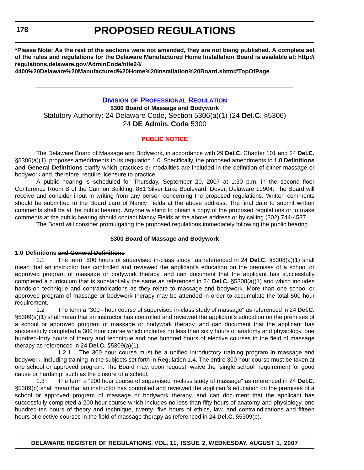**\*Please Note: As the rest of the sections were not amended, they are not being published. A complete set of the rules and regulations for the Delaware Manufactured Home Installation Board is available at: http:// regulations.delaware.gov/AdminCode/title24/**

**4400%20Delaware%20Manufactured%20Home%20Installation%20Board.shtml#TopOfPage**

# **DIVISION [OF PROFESSIONAL REGULATION](http://dpr.delaware.gov/default.shtml) 5300 Board of Massage and Bodywork**

Statutory Authority: 24 Delaware Code, Section 5306(a)(1) (24 **Del.C.** §5306) 24 **DE Admin. Code** 5300

## **[PUBLIC NOTICE](#page-3-0)**

The Delaware Board of Massage and Bodywork, in accordance with 29 **Del.C.** Chapter 101 and 24 **Del.C.** §5306(a)(1), proposes amendments to its regulation 1.0. Specifically, the proposed amendments to **1.0 Definitions and General Definitions** clarify which practices or modalities are included in the definition of either massage or bodywork and, therefore, require licensure to practice.

A public hearing is scheduled for Thursday, September 20, 2007 at 1:30 p.m. in the second floor Conference Room B of the Cannon Building, 861 Silver Lake Boulevard, Dover, Delaware 19904. The Board will receive and consider input in writing from any person concerning the proposed regulations. Written comments should be submitted to the Board care of Nancy Fields at the above address. The final date to submit written comments shall be at the public hearing. Anyone wishing to obtain a copy of the proposed regulations or to make comments at the public hearing should contact Nancy Fields at the above address or by calling (302) 744-4537.

The Board will consider promulgating the proposed regulations immediately following the public hearing.

## **5300 Board of Massage and Bodywork**

#### **1.0 Definitions and General Definitions**

1.1 The term "500 hours of supervised in-class study" as referenced in 24 **Del.C.** §5308(a)(1) shall mean that an instructor has controlled and reviewed the applicant's education on the premises of a school or approved program of massage or bodywork therapy, and can document that the applicant has successfully completed a curriculum that is substantially the same as referenced in 24 **Del.C.** §5308(a)(1) and which includes hands-on technique and contraindications as they relate to massage and bodywork. More than one school or approved program of massage or bodywork therapy may be attended in order to accumulate the total 500 hour requirement.

1.2 The term a "300 - hour course of supervised in-class study of massage" as referenced in 24 **Del.C.** §5309(a)(1) shall mean that an instructor has controlled and reviewed the applicant's education on the premises of a school or approved program of massage or bodywork therapy, and can document that the applicant has successfully completed a 300 hour course which includes no less than sixty hours of anatomy and physiology, one hundred-forty hours of theory and technique and one hundred hours of elective courses in the field of massage therapy as referenced in 24 **Del.C.** §5309(a)(1).

1.2.1 The 300 hour course must be a unified introductory training program in massage and bodywork, including training in the subjects set forth in Regulation 1.4. The entire 300 hour course must be taken at one school or approved program. The Board may, upon request, waive the "single school" requirement for good cause or hardship, such as the closure of a school.

1.3 The term a "200 hour course of supervised in-class study of massage" as referenced in 24 **Del.C.** §5309(b) shall mean that an instructor has controlled and reviewed the applicant's education on the premises of a school or approved program of massage or bodywork therapy, and can document that the applicant has successfully completed a 200 hour course which includes no less than fifty hours of anatomy and physiology, one hundred-ten hours of theory and technique, twenty- five hours of ethics, law, and contraindications and fifteen hours of elective courses in the field of massage therapy as referenced in 24 **Del.C.** §5309(b)**.**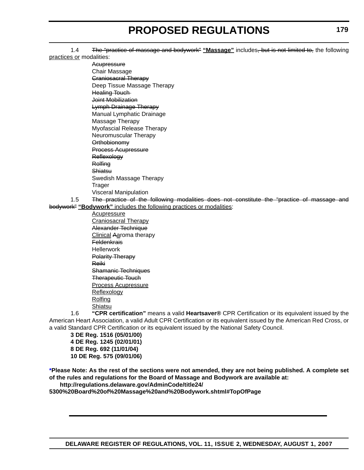1.4 The "practice of massage and bodywork" "Massage" includes, but is not limited to, the following practices or modalities:

**Acupressure** Chair Massage Craniosacral Therapy Deep Tissue Massage Therapy Healing Touch Joint Mobilization Lymph Drainage Therapy Manual Lymphatic Drainage Massage Therapy Myofascial Release Therapy Neuromuscular Therapy **Orthobionomy** Process Acupressure **Reflexology Rolfing** Shiatsu Swedish Massage Therapy **Trager** Visceral Manipulation

1.5 The practice of the following modalities does not constitute the "practice of massage and bodywork" **"Bodywork"** includes the following practices or modalities:

Acupressure Craniosacral Therapy Alexander Technique Clinical Aaroma therapy **Feldenkrais** Hellerwork Polarity Therapy Reiki Shamanic Techniques Therapeutic Touch Process Acupressure Reflexology Rolfing **Shiatsu** 

1.6 **"CPR certification"** means a valid **Heartsaver®** CPR Certification or its equivalent issued by the American Heart Association, a valid Adult CPR Certification or its equivalent issued by the American Red Cross, or a valid Standard CPR Certification or its equivalent issued by the National Safety Council.

**3 DE Reg. 1516 (05/01/00) 4 DE Reg. 1245 (02/01/01) 8 DE Reg. 692 (11/01/04) 10 DE Reg. 575 (09/01/06)**

**\*Please Note: As the rest of the sections were not amended, they are not being published. A complete set of the rules and regulations for the Board of Massage and Bodywork are available at:**

**http://regulations.delaware.gov/AdminCode/title24/ 5300%20Board%20of%20Massage%20and%20Bodywork.shtml#TopOfPage**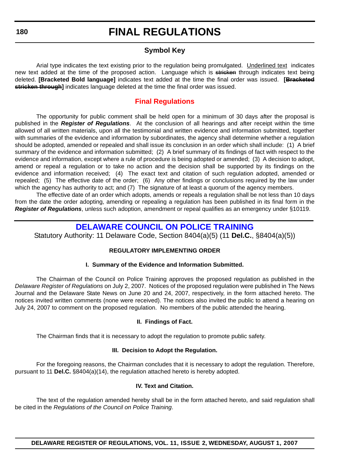### **Symbol Key**

Arial type indicates the text existing prior to the regulation being promulgated. Underlined text indicates new text added at the time of the proposed action. Language which is stricken through indicates text being deleted. **[Bracketed Bold language]** indicates text added at the time the final order was issued. **[Bracketed stricken through]** indicates language deleted at the time the final order was issued.

### **[Final Regulations](#page-3-0)**

The opportunity for public comment shall be held open for a minimum of 30 days after the proposal is published in the *Register of Regulations*. At the conclusion of all hearings and after receipt within the time allowed of all written materials, upon all the testimonial and written evidence and information submitted, together with summaries of the evidence and information by subordinates, the agency shall determine whether a regulation should be adopted, amended or repealed and shall issue its conclusion in an order which shall include: (1) A brief summary of the evidence and information submitted; (2) A brief summary of its findings of fact with respect to the evidence and information, except where a rule of procedure is being adopted or amended; (3) A decision to adopt, amend or repeal a regulation or to take no action and the decision shall be supported by its findings on the evidence and information received; (4) The exact text and citation of such regulation adopted, amended or repealed; (5) The effective date of the order; (6) Any other findings or conclusions required by the law under which the agency has authority to act; and (7) The signature of at least a quorum of the agency members.

The effective date of an order which adopts, amends or repeals a regulation shall be not less than 10 days from the date the order adopting, amending or repealing a regulation has been published in its final form in the *Register of Regulations*, unless such adoption, amendment or repeal qualifies as an emergency under §10119.

### **[DELAWARE COUNCIL ON POLICE TRAINING](http://dsp.delaware.gov/)**

Statutory Authority: 11 Delaware Code, Section 8404(a)(5) (11 **Del.C.**, §8404(a)(5))

### **REGULATORY IMPLEMENTING ORDER**

#### **I. Summary of the Evidence and Information Submitted.**

The Chairman of the Council on Police Training approves the proposed regulation as published in the *Delaware Register of Regulations* on July 2, 2007. Notices of the proposed regulation were published in The News Journal and the Delaware State News on June 20 and 24, 2007, respectively, in the form attached hereto. The notices invited written comments (none were received). The notices also invited the public to attend a hearing on July 24, 2007 to comment on the proposed regulation. No members of the public attended the hearing.

#### **II. Findings of Fact.**

The Chairman finds that it is necessary to adopt the regulation to promote public safety.

#### **III. Decision to Adopt the Regulation.**

For the foregoing reasons, the Chairman concludes that it is necessary to adopt the regulation. Therefore, pursuant to 11 **Del.C.** §8404(a)(14), the regulation attached hereto is hereby adopted.

#### **IV. Text and Citation.**

The text of the regulation amended hereby shall be in the form attached hereto, and said regulation shall be cited in the *Regulations of the Council on Police Training*.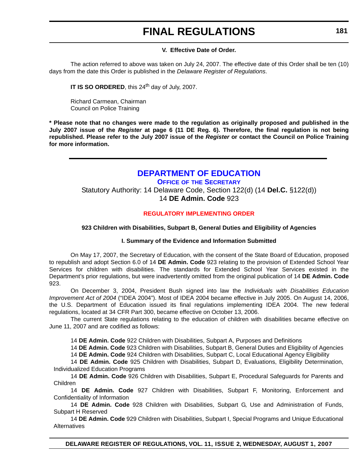#### **V. Effective Date of Order.**

The action referred to above was taken on July 24, 2007. The effective date of this Order shall be ten (10) days from the date this Order is published in the *Delaware Register of Regulations*.

**IT IS SO ORDERED**, this 24<sup>th</sup> day of July, 2007.

Richard Carmean, Chairman Council on Police Training

**\* Please note that no changes were made to the regulation as originally proposed and published in the July 2007 issue of the** *Register* **at page 6 (11 DE Reg. 6). Therefore, the final regulation is not being republished. Please refer to the July 2007 issue of the** *Register* **or contact the Council on Police Training for more information.**

### **[DEPARTMENT OF EDUCATION](http://www.doe.k12.de.us/)**

**OFFICE OF THE SECRETARY**

Statutory Authority: 14 Delaware Code, Section 122(d) (14 **Del.C.** §122(d)) 14 **DE Admin. Code** 923

### **[REGULATORY IMPLEMENTING ORDER](#page-3-0)**

#### **923 Children with Disabilities, Subpart B, General Duties and Eligibility of Agencies**

#### **I. Summary of the Evidence and Information Submitted**

On May 17, 2007, the Secretary of Education, with the consent of the State Board of Education, proposed to republish and adopt Section 6.0 of 14 **DE Admin. Code** 923 relating to the provision of Extended School Year Services for children with disabilities. The standards for Extended School Year Services existed in the Department's prior regulations, but were inadvertently omitted from the original publication of 14 **DE Admin. Code** 923.

On December 3, 2004, President Bush signed into law the *Individuals with Disabilities Education Improvement Act of 2004* ("IDEA 2004"). Most of IDEA 2004 became effective in July 2005. On August 14, 2006, the U.S. Department of Education issued its final regulations implementing IDEA 2004. The new federal regulations, located at 34 CFR Part 300, became effective on October 13, 2006.

The current State regulations relating to the education of children with disabilities became effective on June 11, 2007 and are codified as follows:

14 **DE Admin. Code** 922 Children with Disabilities, Subpart A, Purposes and Definitions

14 **DE Admin. Code** 923 Children with Disabilities, Subpart B, General Duties and Eligibility of Agencies 14 **DE Admin. Code** 924 Children with Disabilities, Subpart C, Local Educational Agency Eligibility

14 **DE Admin. Code** 925 Children with Disabilities, Subpart D, Evaluations, Eligibility Determination, Individualized Education Programs

14 **DE Admin. Code** 926 Children with Disabilities, Subpart E, Procedural Safeguards for Parents and Children

14 **DE Admin. Code** 927 Children with Disabilities, Subpart F, Monitoring, Enforcement and Confidentiality of Information

14 **DE Admin. Code** 928 Children with Disabilities, Subpart G, Use and Administration of Funds, Subpart H Reserved

14 **DE Admin. Code** 929 Children with Disabilities, Subpart I, Special Programs and Unique Educational Alternatives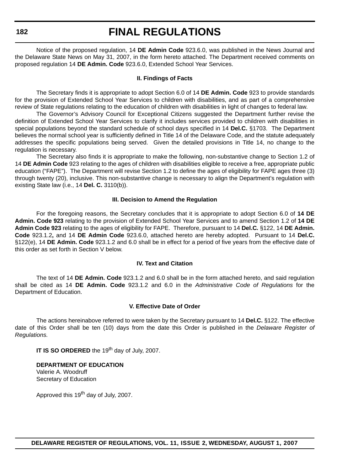**182**

## **FINAL REGULATIONS**

Notice of the proposed regulation, 14 **DE Admin Code** 923.6.0, was published in the News Journal and the Delaware State News on May 31, 2007, in the form hereto attached. The Department received comments on proposed regulation 14 **DE Admin. Code** 923.6.0, Extended School Year Services.

#### **II. Findings of Facts**

The Secretary finds it is appropriate to adopt Section 6.0 of 14 **DE Admin. Code** 923 to provide standards for the provision of Extended School Year Services to children with disabilities, and as part of a comprehensive review of State regulations relating to the education of children with disabilities in light of changes to federal law.

The Governor's Advisory Council for Exceptional Citizens suggested the Department further revise the definition of Extended School Year Services to clarify it includes services provided to children with disabilities in special populations beyond the standard schedule of school days specified in 14 **Del.C.** §1703. The Department believes the normal school year is sufficiently defined in Title 14 of the Delaware Code, and the statute adequately addresses the specific populations being served. Given the detailed provisions in Title 14, no change to the regulation is necessary.

The Secretary also finds it is appropriate to make the following, non-substantive change to Section 1.2 of 14 **DE Admin Code** 923 relating to the ages of children with disabilities eligible to receive a free, appropriate public education ("FAPE"). The Department will revise Section 1.2 to define the ages of eligibility for FAPE ages three (3) through twenty (20), inclusive. This non-substantive change is necessary to align the Department's regulation with existing State law (i.e., 14 **Del. C.** 3110(b)).

#### **III. Decision to Amend the Regulation**

For the foregoing reasons, the Secretary concludes that it is appropriate to adopt Section 6.0 of **14 DE Admin. Code 923** relating to the provision of Extended School Year Services and to amend Section 1.2 of **14 DE Admin Code 923** relating to the ages of eligibility for FAPE. Therefore, pursuant to 14 **Del.C***.* §122, 14 **DE Admin. Code** 923.1.2**,** and 14 **DE Admin Code** 923.6.0, attached hereto are hereby adopted. Pursuant to 14 **Del.C.** §122(e), 14 **DE Admin. Code** 923.1.2 and 6.0 shall be in effect for a period of five years from the effective date of this order as set forth in Section V below.

#### **IV. Text and Citation**

The text of 14 **DE Admin. Code** 923.1.2 and 6.0 shall be in the form attached hereto, and said regulation shall be cited as 14 **DE Admin. Code** 923.1.2 and 6.0 in the *Administrative Code of Regulations* for the Department of Education.

#### **V. Effective Date of Order**

The actions hereinabove referred to were taken by the Secretary pursuant to 14 **Del.C.** §122. The effective date of this Order shall be ten (10) days from the date this Order is published in the *Delaware Register of Regulations.*

**IT IS SO ORDERED** the 19<sup>th</sup> day of July, 2007.

**DEPARTMENT OF EDUCATION** Valerie A. Woodruff Secretary of Education

Approved this  $19<sup>th</sup>$  day of July, 2007.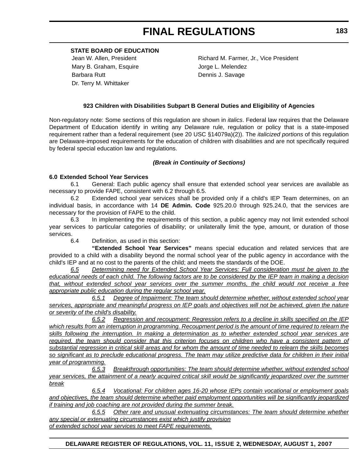**STATE BOARD OF EDUCATION**

Mary B. Graham, Esquire **Internal and Strategier Control** Jorge L. Melendez Barbara Rutt **Dennis J. Savage** Dr. Terry M. Whittaker

Jean W. Allen, President **Richard M. Farmer, Jr., Vice President** 

#### **923 Children with Disabilities Subpart B General Duties and Eligibility of Agencies**

Non-regulatory note: Some sections of this regulation are shown in *italics*. Federal law requires that the Delaware Department of Education identify in writing any Delaware rule, regulation or policy that is a state-imposed requirement rather than a federal requirement (see 20 USC §14079a)(2)). The *italicized portions* of this regulation are Delaware-imposed requirements for the education of children with disabilities and are not specifically required by federal special education law and regulations.

#### *(Break in Continuity of Sections)*

#### **6.0 Extended School Year Services**

6.1 General: Each public agency shall ensure that extended school year services are available as necessary to provide FAPE, consistent with 6.2 through 6.5.

6.2 Extended school year services shall be provided only if a child's IEP Team determines, on an individual basis, in accordance with 14 **DE Admin. Code** 925.20.0 through 925.24.0, that the services are necessary for the provision of FAPE to the child.

6.3 In implementing the requirements of this section, a public agency may not limit extended school year services to particular categories of disability; or unilaterally limit the type, amount, or duration of those services.

6.4 Definition, as used in this section:

**"Extended School Year Services"** means special education and related services that are provided to a child with a disability beyond the normal school year of the public agency in accordance with the child's IEP and at no cost to the parents of the child; and meets the standards of the DOE.

*6.5 Determining need for Extended School Year Services: Full consideration must be given to the educational needs of each child. The following factors are to be considered by the IEP team in making a decision that, without extended school year services over the summer months, the child would not receive a free appropriate public education during the regular school year.*

*6.5.1 Degree of Impairment: The team should determine whether, without extended school year services, appropriate and meaningful progress on IEP goals and objectives will not be achieved, given the nature or severity of the child's disability.*

*6.5.2 Regression and recoupment: Regression refers to a decline in skills specified on the IEP which results from an interruption in programming. Recoupment period is the amount of time required to relearn the skills following the interruption. In making a determination as to whether extended school year services are required, the team should consider that this criterion focuses on children who have a consistent pattern of substantial regression in critical skill areas and for whom the amount of time needed to relearn the skills becomes so significant as to preclude educational progress. The team may utilize predictive data for children in their initial year of programming.*

*6.5.3 Breakthrough opportunities: The team should determine whether, without extended school year services, the attainment of a nearly acquired critical skill would be significantly jeopardized over the summer break*

*6.5.4 Vocational: For children ages 16-20 whose IEPs contain vocational or employment goals and objectives, the team should determine whether paid employment opportunities will be significantly jeopardized if training and job coaching are not provided during the summer break.*

*6.5.5 Other rare and unusual extenuating circumstances: The team should determine whether any special or extenuating circumstances exist which justify provision of extended school year services to meet FAPE requirements.*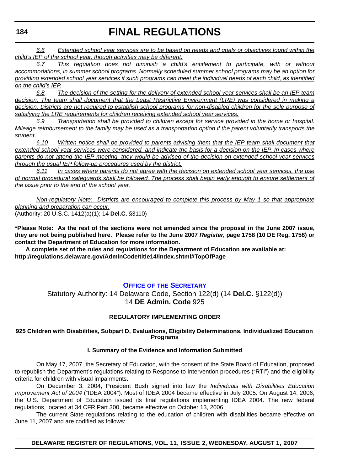*6.6 Extended school year services are to be based on needs and goals or objectives found within the child's IEP of the school year, though activities may be different.*

*6.7 This regulation does not diminish a child's entitlement to participate, with or without accommodations, in summer school programs. Normally scheduled summer school programs may be an option for providing extended school year services if such programs can meet the individual needs of each child, as identified on the child's IEP.*

*6.8 The decision of the setting for the delivery of extended school year services shall be an IEP team decision. The team shall document that the Least Restrictive Environment (LRE) was considered in making a decision. Districts are not required to establish school programs for non-disabled children for the sole purpose of satisfying the LRE requirements for children receiving extended school year services.*

*6.9 Transportation shall be provided to children except for service provided in the home or hospital. Mileage reimbursement to the family may be used as a transportation option if the parent voluntarily transports the student.*

*6.10 Written notice shall be provided to parents advising them that the IEP team shall document that extended school year services were considered, and indicate the basis for a decision on the IEP. In cases where parents do not attend the IEP meeting, they would be advised of the decision on extended school year services through the usual IEP follow-up procedures used by the district.*

*6.11 In cases where parents do not agree with the decision on extended school year services, the use of normal procedural safeguards shall be followed. The process shall begin early enough to ensure settlement of the issue prior to the end of the school year.*

*Non-regulatory Note: Districts are encouraged to complete this process by May 1 so that appropriate planning and preparation can occur.* (Authority: 20 U.S.C. 1412(a)(1); 14 **Del.C.** §3110)

**\*Please Note: As the rest of the sections were not amended since the proposal in the June 2007 issue, they are not being published here. Please refer to the June 2007** *Register***, page 1758 (10 DE Reg. 1758) or contact the Department of Education for more information.** 

**A complete set of the rules and regulations for the Department of Education are available at: http://regulations.delaware.gov/AdminCode/title14/index.shtml#TopOfPage**

### **OFFICE OF [THE SECRETARY](http://www.doe.k12.de.us/)**

Statutory Authority: 14 Delaware Code, Section 122(d) (14 **Del.C.** §122(d)) 14 **DE Admin. Code** 925

#### **REGULATORY IMPLEMENTING ORDER**

**925 Children with Disabilities, Subpart D, Evaluations, Eligibility Determinations, Individualized Education Programs**

#### **I. Summary of the Evidence and Information Submitted**

On May 17, 2007, the Secretary of Education, with the consent of the State Board of Education, proposed to republish the Department's regulations relating to Response to Intervention procedures ("RTI") and the eligibility criteria for children with visual impairments.

On December 3, 2004, President Bush signed into law the *Individuals with Disabilities Education Improvement Act of 2004* ("IDEA 2004"). Most of IDEA 2004 became effective in July 2005. On August 14, 2006, the U.S. Department of Education issued its final regulations implementing IDEA 2004. The new federal regulations, located at 34 CFR Part 300, became effective on October 13, 2006.

The current State regulations relating to the education of children with disabilities became effective on June 11, 2007 and are codified as follows:

**DELAWARE REGISTER OF REGULATIONS, VOL. 11, ISSUE 2, WEDNESDAY, AUGUST 1, 2007**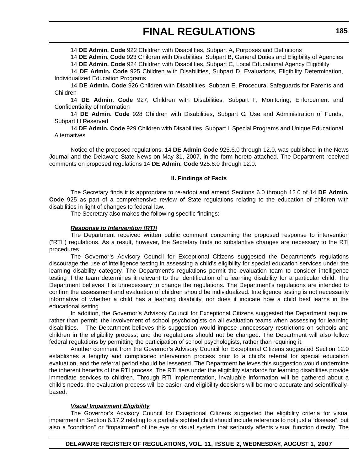14 **DE Admin. Code** 922 Children with Disabilities, Subpart A, Purposes and Definitions

14 **DE Admin. Code** 923 Children with Disabilities, Subpart B, General Duties and Eligibility of Agencies

14 **DE Admin. Code** 924 Children with Disabilities, Subpart C, Local Educational Agency Eligibility

14 **DE Admin. Code** 925 Children with Disabilities, Subpart D, Evaluations, Eligibility Determination, Individualized Education Programs

14 **DE Admin. Code** 926 Children with Disabilities, Subpart E, Procedural Safeguards for Parents and Children

14 **DE Admin. Code** 927, Children with Disabilities, Subpart F, Monitoring, Enforcement and Confidentiality of Information

14 **DE Admin. Code** 928 Children with Disabilities, Subpart G, Use and Administration of Funds, Subpart H Reserved

14 **DE Admin. Code** 929 Children with Disabilities, Subpart I, Special Programs and Unique Educational **Alternatives** 

Notice of the proposed regulations, 14 **DE Admin Code** 925.6.0 through 12.0, was published in the News Journal and the Delaware State News on May 31, 2007, in the form hereto attached. The Department received comments on proposed regulations 14 **DE Admin. Code** 925.6.0 through 12.0.

#### **II. Findings of Facts**

The Secretary finds it is appropriate to re-adopt and amend Sections 6.0 through 12.0 of 14 **DE Admin. Code** 925 as part of a comprehensive review of State regulations relating to the education of children with disabilities in light of changes to federal law.

The Secretary also makes the following specific findings:

#### *Response to Intervention (RTI)*

The Department received written public comment concerning the proposed response to intervention ("RTI") regulations. As a result, however, the Secretary finds no substantive changes are necessary to the RTI procedures.

The Governor's Advisory Council for Exceptional Citizens suggested the Department's regulations discourage the use of intelligence testing in assessing a child's eligibility for special education services under the learning disability category. The Department's regulations permit the evaluation team to consider intelligence testing if the team determines it relevant to the identification of a learning disability for a particular child. The Department believes it is unnecessary to change the regulations. The Department's regulations are intended to confirm the assessment and evaluation of children should be individualized. Intelligence testing is not necessarily informative of whether a child has a learning disability, nor does it indicate how a child best learns in the educational setting.

In addition, the Governor's Advisory Council for Exceptional Citizens suggested the Department require, rather than permit, the involvement of school psychologists on all evaluation teams when assessing for learning disabilities. The Department believes this suggestion would impose unnecessary restrictions on schools and children in the eligibility process, and the regulations should not be changed. The Department will also follow federal regulations by permitting the participation of school psychologists, rather than requiring it.

Another comment from the Governor's Advisory Council for Exceptional Citizens suggested Section 12.0 establishes a lengthy and complicated intervention process prior to a child's referral for special education evaluation, and the referral period should be lessened. The Department believes this suggestion would undermine the inherent benefits of the RTI process. The RTI tiers under the eligibility standards for learning disabilities provide immediate services to children. Through RTI implementation, invaluable information will be gathered about a child's needs, the evaluation process will be easier, and eligibility decisions will be more accurate and scientificallybased.

#### *Visual Impairment Eligibility*

The Governor's Advisory Council for Exceptional Citizens suggested the eligibility criteria for visual impairment in Section 6.17.2 relating to a partially sighted child should include reference to not just a "disease", but also a "condition" or "impairment" of the eye or visual system that seriously affects visual function directly. The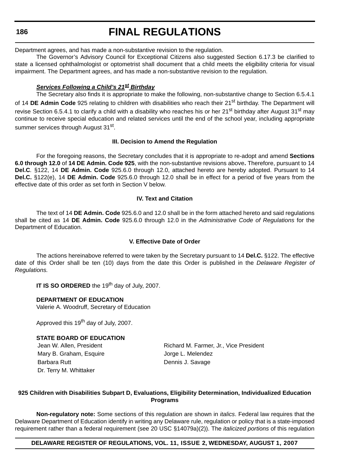#### **186**

# **FINAL REGULATIONS**

Department agrees, and has made a non-substantive revision to the regulation.

The Governor's Advisory Council for Exceptional Citizens also suggested Section 6.17.3 be clarified to state a licensed ophthalmologist or optometrist shall document that a child meets the eligibility criteria for visual impairment. The Department agrees, and has made a non-substantive revision to the regulation.

#### *Services Following a Child's 21st Birthday*

The Secretary also finds it is appropriate to make the following, non-substantive change to Section 6.5.4.1 of 14 **DE Admin Code** 925 relating to children with disabilities who reach their 21<sup>st</sup> birthday. The Department will revise Section 6.5.4.1 to clarify a child with a disability who reaches his or her 21<sup>st</sup> birthday after August 31<sup>st</sup> may continue to receive special education and related services until the end of the school year, including appropriate summer services through August 31<sup>st</sup>.

#### **III. Decision to Amend the Regulation**

For the foregoing reasons, the Secretary concludes that it is appropriate to re-adopt and amend **Sections 6.0 through 12.0** of **14 DE Admin. Code 925**, with the non-substantive revisions above**.** Therefore, pursuant to 14 **Del.C***.* §122, 14 **DE Admin. Code** 925.6.0 through 12.0, attached hereto are hereby adopted. Pursuant to 14 **Del.C.** §122(e), 14 **DE Admin. Code** 925.6.0 through 12.0 shall be in effect for a period of five years from the effective date of this order as set forth in Section V below.

#### **IV. Text and Citation**

The text of 14 **DE Admin. Code** 925.6.0 and 12.0 shall be in the form attached hereto and said regulations shall be cited as 14 **DE Admin. Code** 925.6.0 through 12.0 in the *Administrative Code of Regulations* for the Department of Education.

#### **V. Effective Date of Order**

The actions hereinabove referred to were taken by the Secretary pursuant to 14 **Del.C.** §122. The effective date of this Order shall be ten (10) days from the date this Order is published in the *Delaware Register of Regulations.*

**IT IS SO ORDERED** the 19<sup>th</sup> day of July, 2007.

#### **DEPARTMENT OF EDUCATION**

Valerie A. Woodruff, Secretary of Education

Approved this 19<sup>th</sup> day of July, 2007.

#### **STATE BOARD OF EDUCATION**

Mary B. Graham, Esquire **Internal and State State Jorge L. Melendez** Barbara Rutt **Dennis J. Savage** Dr. Terry M. Whittaker

Jean W. Allen, President **Richard M. Farmer, Jr., Vice President** 

#### **925 Children with Disabilities Subpart D, Evaluations, Eligibility Determination, Individualized Education Programs**

**Non-regulatory note:** Some sections of this regulation are shown in *italics*. Federal law requires that the Delaware Department of Education identify in writing any Delaware rule, regulation or policy that is a state-imposed requirement rather than a federal requirement (see 20 USC §14079a)(2)). The *italicized portions* of this regulation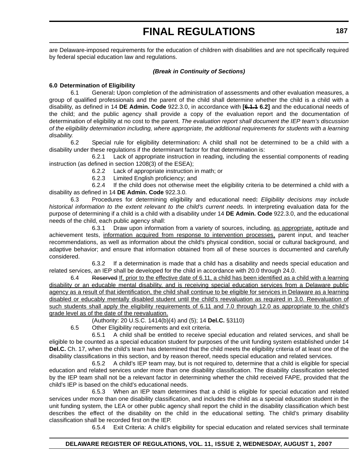are Delaware-imposed requirements for the education of children with disabilities and are not specifically required by federal special education law and regulations.

#### *(Break in Continuity of Sections)*

#### **6.0 Determination of Eligibility**

6.1 General**:** Upon completion of the administration of assessments and other evaluation measures, a group of qualified professionals and the parent of the child shall determine whether the child is a child with a disability, as defined in 14 **DE Admin. Code** 922.3.0, in accordance with **[6.1.1 6.2]** and the educational needs of the child; and the public agency shall provide a copy of the evaluation report and the documentation of determination of eligibility at no cost to the parent. *The evaluation report shall document the IEP team's discussion of the eligibility determination including, where appropriate, the additional requirements for students with a learning disability.* 

6.2 Special rule for eligibility determination**:** A child shall not be determined to be a child with a disability under these regulations if the determinant factor for that determination is:

6.2.1 Lack of appropriate instruction in reading, including the essential components of reading instruction (as defined in section 1208(3) of the ESEA);

6.2.2 Lack of appropriate instruction in math; or

6.2.3 Limited English proficiency; and

6.2.4 If the child does not otherwise meet the eligibility criteria to be determined a child with a disability as defined in 14 **DE Admin. Code** 922.3.0.

6.3 Procedures for determining eligibility and educational need**:** *Eligibility decisions may include* historical information to the extent relevant to the child's current needs. In interpreting evaluation data for the purpose of determining if a child is a child with a disability under 14 **DE Admin. Code** 922.3.0, and the educational needs of the child, each public agency shall:

6.3.1 Draw upon information from a variety of sources, including, as appropriate, aptitude and achievement tests, information acquired from response to intervention processes, parent input, and teacher recommendations, as well as information about the child's physical condition, social or cultural background, and adaptive behavior; and ensure that information obtained from all of these sources is documented and carefully considered.

6.3.2 If a determination is made that a child has a disability and needs special education and related services, an IEP shall be developed for the child in accordance with 20.0 through 24.0.

6.4 Reserved If, prior to the effective date of 6.11, a child has been identified as a child with a learning disability or an educable mental disability, and is receiving special education services from a Delaware public agency as a result of that identification, the child shall continue to be eligible for services in Delaware as a learning disabled or educably mentally disabled student until the child's reevaluation as required in 3.0. Reevaluation of such students shall apply the eligibility requirements of 6.11 and 7.0 through 12.0 as appropriate to the child's grade level as of the date of the reevaluation.

(Authority: 20 U.S.C. 1414(b)(4) and (5); 14 **Del.C.** §3110)

6.5 Other Eligibility requirements and exit criteria.

6.5.1 A child shall be entitled to receive special education and related services, and shall be eligible to be counted as a special education student for purposes of the unit funding system established under 14 **Del.C.** Ch. 17, when the child's team has determined that the child meets the eligibility criteria of at least one of the disability classifications in this section, and by reason thereof, needs special education and related services.

6.5.2 A child's IEP team may, but is not required to, determine that a child is eligible for special education and related services under more than one disability classification. The disability classification selected by the IEP team shall not be a relevant factor in determining whether the child received FAPE, provided that the child's IEP is based on the child's educational needs.

6.5.3 When an IEP team determines that a child is eligible for special education and related services under more than one disability classification, and includes the child as a special education student in the unit funding system, the LEA or other public agency shall report the child in the disability classification which best describes the effect of the disability on the child in the educational setting. The child's primary disability classification shall be recorded first on the IEP.

6.5.4 Exit Criteria: A child's eligibility for special education and related services shall terminate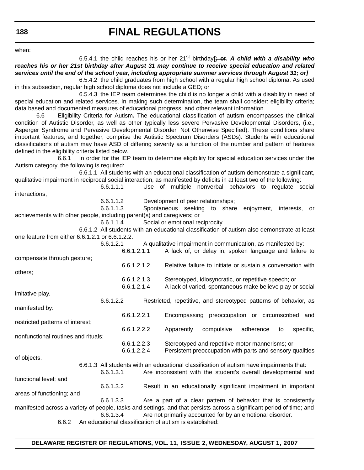when:

6.5.4.1 the child reaches his or her  $21^{st}$  birthday<sup>[</sup>; or. A child with a disability who *reaches his or her 21st birthday after August 31 may continue to receive special education and related services until the end of the school year, including appropriate summer services through August 31; or]*

6.5.4.2 the child graduates from high school with a regular high school diploma. As used in this subsection, regular high school diploma does not include a GED; or

6.5.4.3 the IEP team determines the child is no longer a child with a disability in need of special education and related services. In making such determination, the team shall consider: eligibility criteria; data based and documented measures of educational progress; and other relevant information.

6.6 Eligibility Criteria for Autism**.** The educational classification of autism encompasses the clinical condition of Autistic Disorder, as well as other typically less severe Pervasive Developmental Disorders, (i.e., Asperger Syndrome and Pervasive Developmental Disorder, Not Otherwise Specified). These conditions share important features, and together, comprise the Autistic Spectrum Disorders (ASDs). Students with educational classifications of autism may have ASD of differing severity as a function of the number and pattern of features defined in the eligibility criteria listed below.

6.6.1 In order for the IEP team to determine eligibility for special education services under the Autism category, the following is required:

6.6.1.1 All students with an educational classification of autism demonstrate a significant, qualitative impairment in reciprocal social interaction, as manifested by deficits in at least two of the following:

6.6.1.1.1 Use of multiple nonverbal behaviors to regulate social interactions;

6.6.1.1.2 Development of peer relationships;

6.6.1.1.3 Spontaneous seeking to share enjoyment, interests, or achievements with other people, including parent(s) and caregivers; or

6.6.1.1.4 Social or emotional reciprocity.

6.6.1.2 All students with an educational classification of autism also demonstrate at least one feature from either 6.6.1.2.1 or 6.6.1.2.2.

6.6.1.2.1 A qualitative impairment in communication, as manifested by:

6.6.1.2.1.1 A lack of, or delay in, spoken language and failure to compensate through gesture; 6.6.1.2.1.2 Relative failure to initiate or sustain a conversation with others; 6.6.1.2.1.3 Stereotyped, idiosyncratic, or repetitive speech; or 6.6.1.2.1.4 A lack of varied, spontaneous make believe play or social imitative play. 6.6.1.2.2 Restricted, repetitive, and stereotyped patterns of behavior, as manifested by: 6.6.1.2.2.1 Encompassing preoccupation or circumscribed and restricted patterns of interest; 6.6.1.2.2.2 Apparently compulsive adherence to specific, nonfunctional routines and rituals; 6.6.1.2.2.3 Stereotyped and repetitive motor mannerisms; or 6.6.1.2.2.4 Persistent preoccupation with parts and sensory qualities of objects. 6.6.1.3 All students with an educational classification of autism have impairments that: 6.6.1.3.1 Are inconsistent with the student's overall developmental and functional level; and 6.6.1.3.2 Result in an educationally significant impairment in important areas of functioning; and 6.6.1.3.3 Are a part of a clear pattern of behavior that is consistently manifested across a variety of people, tasks and settings, and that persists across a significant period of time; and 6.6.1.3.4 Are not primarily accounted for by an emotional disorder.

6.6.2 An educational classification of autism is established: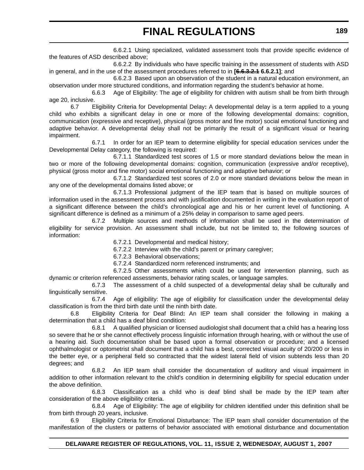6.6.2.1 Using specialized, validated assessment tools that provide specific evidence of the features of ASD described above;

6.6.2.2 By individuals who have specific training in the assessment of students with ASD in general, and in the use of the assessment procedures referred to in [6.6.3.2.4 6.6.2.1]; and

6.6.2.3 Based upon an observation of the student in a natural education environment, an observation under more structured conditions, and information regarding the student's behavior at home.

6.6.3 Age of Eligibility: The age of eligibility for children with autism shall be from birth through age 20, inclusive.

6.7 Eligibility Criteria for Developmental Delay**:** A developmental delay is a term applied to a young child who exhibits a significant delay in one or more of the following developmental domains: cognition, communication (expressive and receptive), physical (gross motor and fine motor) social emotional functioning and adaptive behavior. A developmental delay shall not be primarily the result of a significant visual or hearing impairment.

6.7.1 In order for an IEP team to determine eligibility for special education services under the Developmental Delay category, the following is required:

6.7.1.1 Standardized test scores of 1.5 or more standard deviations below the mean in two or more of the following developmental domains: cognition, communication (expressive and/or receptive), physical (gross motor and fine motor) social emotional functioning and adaptive behavior; or

6.7.1.2 Standardized test scores of 2.0 or more standard deviations below the mean in any one of the developmental domains listed above; or

6.7.1.3 Professional judgment of the IEP team that is based on multiple sources of information used in the assessment process and with justification documented in writing in the evaluation report of a significant difference between the child's chronological age and his or her current level of functioning. A significant difference is defined as a minimum of a 25% delay in comparison to same aged peers.

6.7.2 Multiple sources and methods of information shall be used in the determination of eligibility for service provision. An assessment shall include, but not be limited to, the following sources of information:

6.7.2.1 Developmental and medical history;

6.7.2.2 Interview with the child's parent or primary caregiver;

6.7.2.3 Behavioral observations;

6.7.2.4 Standardized norm referenced instruments; and

6.7.2.5 Other assessments which could be used for intervention planning, such as dynamic or criterion referenced assessments, behavior rating scales, or language samples.

6.7.3 The assessment of a child suspected of a developmental delay shall be culturally and linguistically sensitive.

6.7.4 Age of eligibility: The age of eligibility for classification under the developmental delay classification is from the third birth date until the ninth birth date.

6.8 Eligibility Criteria for Deaf Blind**:** An IEP team shall consider the following in making a determination that a child has a deaf blind condition:

6.8.1 A qualified physician or licensed audiologist shall document that a child has a hearing loss so severe that he or she cannot effectively process linguistic information through hearing, with or without the use of a hearing aid. Such documentation shall be based upon a formal observation or procedure; and a licensed ophthalmologist or optometrist shall document that a child has a best, corrected visual acuity of 20/200 or less in the better eye, or a peripheral field so contracted that the widest lateral field of vision subtends less than 20 degrees; and

6.8.2 An IEP team shall consider the documentation of auditory and visual impairment in addition to other information relevant to the child's condition in determining eligibility for special education under the above definition.

6.8.3 Classification as a child who is deaf blind shall be made by the IEP team after consideration of the above eligibility criteria.

6.8.4 Age of Eligibility: The age of eligibility for children identified under this definition shall be from birth through 20 years, inclusive.

6.9 Eligibility Criteria for Emotional Disturbance: The IEP team shall consider documentation of the manifestation of the clusters or patterns of behavior associated with emotional disturbance and documentation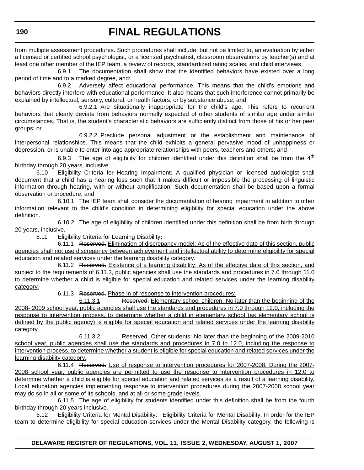from multiple assessment procedures. Such procedures shall include, but not be limited to, an evaluation by either a licensed or certified school psychologist, or a licensed psychiatrist, classroom observations by teacher(s) and at least one other member of the IEP team, a review of records, standardized rating scales, and child interviews.

6.9.1 The documentation shall show that the identified behaviors have existed over a long period of time and to a marked degree, and:

6.9.2 Adversely affect educational performance. This means that the child's emotions and behaviors directly interfere with educational performance. It also means that such interference cannot primarily be explained by intellectual, sensory, cultural, or health factors, or by substance abuse; and

6.9.2.1 Are situationally inappropriate for the child's age. This refers to recurrent behaviors that clearly deviate from behaviors normally expected of other students of similar age under similar circumstances. That is, the student's characteristic behaviors are sufficiently distinct from those of his or her peer groups; or

6.9.2.2 Preclude personal adjustment or the establishment and maintenance of interpersonal relationships. This means that the child exhibits a general pervasive mood of unhappiness or depression, or is unable to enter into age appropriate relationships with peers, teachers and others; and

6.9.3 The age of eligibility for children identified under this definition shall be from the  $4<sup>th</sup>$ birthday through 20 years, inclusive.

6.10 Eligibility Criteria for Hearing Impairment**:** A qualified physician or licensed audiologist shall document that a child has a hearing loss such that it makes difficult or impossible the processing of linguistic information through hearing, with or without amplification. Such documentation shall be based upon a formal observation or procedure; and

6.10.1 The IEP team shall consider the documentation of hearing impairment in addition to other information relevant to the child's condition in determining eligibility for special education under the above definition.

6.10.2 The age of eligibility of children identified under this definition shall be from birth through 20 years, inclusive.

6.11 Eligibility Criteria for Learning Disability**:**

6.11.1 Reserved. Elimination of discrepancy model: As of the effective date of this section, public agencies shall not use discrepancy between achievement and intellectual ability to determine eligibility for special education and related services under the learning disability category.

6.11.2 Reserved. Existence of a learning disability: As of the effective date of this section, and subject to the requirements of 6.11.3, public agencies shall use the standards and procedures in 7.0 through 11.0 to determine whether a child is eligible for special education and related services under the learning disability category.

6.11.3 Reserved. Phase in of response to intervention procedures:

6.11.3.1 Reserved. Elementary school children: No later than the beginning of the 2008- 2009 school year, public agencies shall use the standards and procedures in 7.0 through 12.0, including the response to intervention process, to determine whether a child in elementary school (as elementary school is defined by the public agency) is eligible for special education and related services under the learning disability category.

6.11.3.2 Reserved. Other students: No later than the beginning of the 2009-2010 school year, public agencies shall use the standards and procedures in 7.0 to 12.0, including the response to intervention process, to determine whether a student is eligible for special education and related services under the learning disability category.

6.11.4 Reserved. Use of response to intervention procedures for 2007-2008: During the 2007- 2008 school year, public agencies are permitted to use the response to intervention procedures in 12.0 to determine whether a child is eligible for special education and related services as a result of a learning disability. Local education agencies implementing response to intervention procedures during the 2007-2008 school year may do so in all or some of its schools, and at all or some grade levels.

6.11.5 The age of eligibility for students identified under this definition shall be from the fourth birthday through 20 years inclusive.

6.12 Eligibility Criteria for Mental Disability:Eligibility Criteria for Mental Disability: In order for the IEP team to determine eligibility for special education services under the Mental Disability category, the following is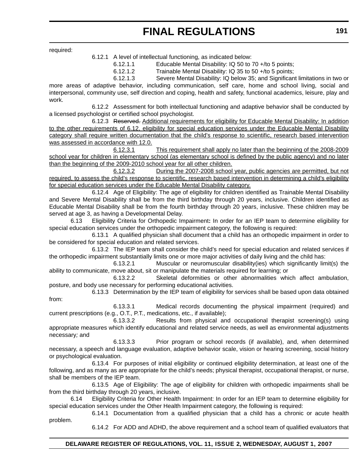required:

6.12.1 A level of intellectual functioning, as indicated below:

6.12.1.1 Educable Mental Disability: IQ 50 to 70 +/to 5 points;

6.12.1.2 Trainable Mental Disability: IQ 35 to 50 +/to 5 points;

6.12.1.3 Severe Mental Disability: IQ below 35; and Significant limitations in two or more areas of adaptive behavior, including communication, self care, home and school living, social and interpersonal, community use, self direction and coping, health and safety, functional academics, leisure, play and work.

6.12.2 Assessment for both intellectual functioning and adaptive behavior shall be conducted by a licensed psychologist or certified school psychologist.

6.12.3 Reserved. Additional requirements for eligibility for Educable Mental Disability: In addition to the other requirements of 6.12, eligibility for special education services under the Educable Mental Disability category shall require written documentation that the child's response to scientific, research based intervention was assessed in accordance with 12.0.

6.12.3.1 This requirement shall apply no later than the beginning of the 2008-2009 school year for children in elementary school (as elementary school is defined by the public agency) and no later than the beginning of the 2009-2010 school year for all other children.

6.12.3.2 During the 2007-2008 school year, public agencies are permitted, but not required, to assess the child's response to scientific, research based intervention in determining a child's eligibility for special education services under the Educable Mental Disability category.

6.12.4 Age of Eligibility: The age of eligibility for children identified as Trainable Mental Disability and Severe Mental Disability shall be from the third birthday through 20 years, inclusive. Children identified as Educable Mental Disability shall be from the fourth birthday through 20 years, inclusive. These children may be served at age 3, as having a Developmental Delay.

6.13 Eligibility Criteria for Orthopedic Impairment**:** In order for an IEP team to determine eligibility for special education services under the orthopedic impairment category, the following is required:

6.13.1 A qualified physician shall document that a child has an orthopedic impairment in order to be considered for special education and related services.

6.13.2 The IEP team shall consider the child's need for special education and related services if the orthopedic impairment substantially limits one or more major activities of daily living and the child has:

6.13.2.1 Muscular or neuromuscular disability(ies) which significantly limit(s) the ability to communicate, move about, sit or manipulate the materials required for learning; or

6.13.2.2 Skeletal deformities or other abnormalities which affect ambulation, posture, and body use necessary for performing educational activities.

6.13.3 Determination by the IEP team of eligibility for services shall be based upon data obtained from:

6.13.3.1 Medical records documenting the physical impairment (required) and current prescriptions (e.g., O.T., P.T., medications, etc., if available);

6.13.3.2 Results from physical and occupational therapist screening(s) using appropriate measures which identify educational and related service needs, as well as environmental adjustments necessary*;* and

6.13.3.3 Prior program or school records (if available), and, when determined necessary, a speech and language evaluation, adaptive behavior scale, vision or hearing screening, social history or psychological evaluation.

6.13.4 For purposes of initial eligibility or continued eligibility determination, at least one of the following, and as many as are appropriate for the child's needs; physical therapist, occupational therapist, or nurse, shall be members of the IEP team.

6.13.5 Age of Eligibility: The age of eligibility for children with orthopedic impairments shall be from the third birthday through 20 years, inclusive.

6.14 Eligibility Criteria for Other Health Impairment: In order for an IEP team to determine eligibility for special education services under the Other Health Impairment category, the following is required:

6.14.1 Documentation from a qualified physician that a child has a chronic or acute health problem.

6.14.2 For ADD and ADHD, the above requirement and a school team of qualified evaluators that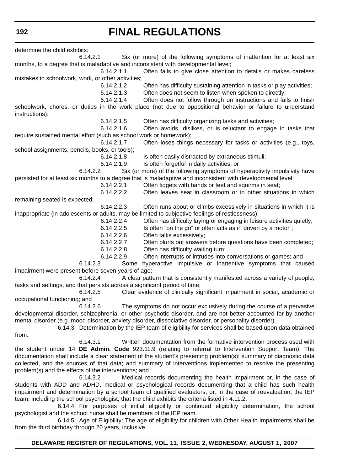**192**

# **FINAL REGULATIONS**

determine the child exhibits: 6.14.2.1 Six (or more) of the following symptoms of inattention for at least six months, to a degree that is maladaptive and inconsistent with developmental level; 6.14.2.1.1 Often fails to give close attention to details or makes careless mistakes in schoolwork, work, or other activities; 6.14.2.1.2 Often has difficulty sustaining attention in tasks or play activities; 6.14.2.1.3 Often does not seem to listen when spoken to directly; 6.14.2.1.4 Often does not follow through on instructions and fails to finish schoolwork, chores, or duties in the work place (not due to oppositional behavior or failure to understand instructions); 6.14.2.1.5 Often has difficulty organizing tasks and activities; 6.14.2.1.6 Often avoids, dislikes, or is reluctant to engage in tasks that require sustained mental effort (such as school work or homework); 6.14.2.1.7 Often loses things necessary for tasks or activities (e.g., toys, school assignments, pencils, books, or tools); 6.14.2.1.8 Is often easily distracted by extraneous stimuli; 6.14.2.1.9 Is often forgetful in daily activities; or 6.14.2.2 Six (or more) of the following symptoms of hyperactivity impulsivity have persisted for at least six months to a degree that is maladaptive and inconsistent with developmental level: 6.14.2.2.1 Often fidgets with hands or feet and squirms in seat; 6.14.2.2.2 Often leaves seat in classroom or in other situations in which remaining seated is expected; 6.14.2.2.3 Often runs about or climbs excessively in situations in which it is inappropriate (in adolescents or adults, may be limited to subjective feelings of restlessness); 6.14.2.2.4 Often has difficulty laying or engaging in leisure activities quietly; 6.14.2.2.5 Is often "on the go" or often acts as if "driven by a motor"; 6.14.2.2.6 Often talks excessively; 6.14.2.2.7 Often blurts out answers before questions have been completed; 6.14.2.2.8 Often has difficulty waiting turn; 6.14.2.2.9 Often interrupts or intrudes into conversations or games; and 6.14.2.3 Some hyperactive impulsive or inattentive symptoms that caused impairment were present before seven years of age; 6.14.2.4 A clear pattern that is consistently manifested across a variety of people, tasks and settings, and that persists across a significant period of time; 6.14.2.5 Clear evidence of clinically significant impairment in social, academic or occupational functioning; and 6.14.2.6 The symptoms do not occur exclusively during the course of a pervasive developmental disorder, schizophrenia, or other psychotic disorder, and are not better accounted for by another mental disorder (e.g. mood disorder, anxiety disorder, dissociative disorder, or personality disorder). 6.14.3 Determination by the IEP team of eligibility for services shall be based upon data obtained from:

6.14.3.1 Written documentation from the formative intervention process used with the student under 14 **DE Admin. Code** 923.11.9 (relating to referral to Intervention Support Team). The documentation shall include a clear statement of the student's presenting problem(s); summary of diagnostic data collected, and the sources of that data; and summary of interventions implemented to resolve the presenting problem(s) and the effects of the interventions; and

6.14.3.2 Medical records documenting the health impairment or, in the case of students with ADD and ADHD, medical or psychological records documenting that a child has such health impairment and determination by a school team of qualified evaluators, or, in the case of reevaluation, the IEP team, including the school psychologist, that the child exhibits the criteria listed in 4.11.2.

6.14.4 For purposes of initial eligibility or continued eligibility determination, the school psychologist and the school nurse shall be members of the IEP team.

6.14.5 Age of Eligibility: The age of eligibility for children with Other Health Impairments shall be from the third birthday through 20 years, inclusive.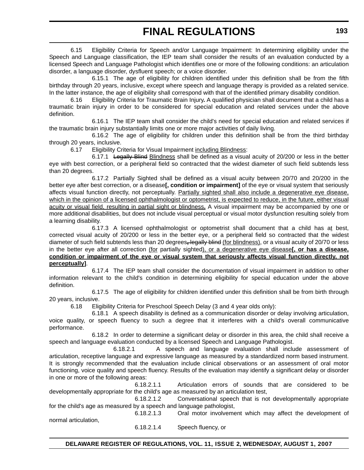6.15 Eligibility Criteria for Speech and/or Language Impairment: In determining eligibility under the Speech and Language classification, the IEP team shall consider the results of an evaluation conducted by a licensed Speech and Language Pathologist which identifies one or more of the following conditions: an articulation disorder, a language disorder, dysfluent speech; or a voice disorder.

6.15.1 The age of eligibility for children identified under this definition shall be from the fifth birthday through 20 years, inclusive, except where speech and language therapy is provided as a related service. In the latter instance, the age of eligibility shall correspond with that of the identified primary disability condition.

6.16 Eligibility Criteria for Traumatic Brain Injury**.** A qualified physician shall document that a child has a traumatic brain injury in order to be considered for special education and related services under the above definition.

6.16.1 The IEP team shall consider the child's need for special education and related services if the traumatic brain injury substantially limits one or more major activities of daily living.

6.16.2 The age of eligibility for children under this definition shall be from the third birthday through 20 years, inclusive.

6.17 Eligibility Criteria for Visual Impairment including Blindness:

6.17.1 Legally Blind Blindness shall be defined as a visual acuity of 20/200 or less in the better eye with best correction, or a peripheral field so contracted that the widest diameter of such field subtends less than 20 degrees.

6.17.2 Partially Sighted shall be defined as a visual acuity between 20/70 and 20/200 in the better eye after best correction, or a disease**[, condition or impairment]** of the eye or visual system that seriously affects visual function directly, not perceptually. Partially sighted shall also include a degenerative eye disease, which in the opinion of a licensed ophthalmologist or optometrist, is expected to reduce, in the future, either visual acuity or visual field, resulting in partial sight or blindness**.** A visual impairment may be accompanied by one or more additional disabilities, but does not include visual perceptual or visual motor dysfunction resulting solely from a learning disability.

6.17.3 A licensed ophthalmologist or optometrist shall document that a child has at best, corrected visual acuity of 20/200 or less in the better eye, or a peripheral field so contracted that the widest diameter of such field subtends less than 20 degrees**,** legally blind (for blindness), or a visual acuity of 20/70 or less in the better eye after all correction (for partially sighted), or a degenerative eye disease**[, or has a disease, condition or impairment of the eye or visual system that seriously affects visual function directly, not perceptually]**.

6.17.4 The IEP team shall consider the documentation of visual impairment in addition to other information relevant to the child's condition in determining eligibility for special education under the above definition.

6.17.5 The age of eligibility for children identified under this definition shall be from birth through 20 years, inclusive.

6.18 Eligibility Criteria for Preschool Speech Delay (3 and 4 year olds only):

6.18.1 A speech disability is defined as a communication disorder or delay involving articulation, voice quality, or speech fluency to such a degree that it interferes with a child's overall communicative performance.

6.18.2 In order to determine a significant delay or disorder in this area, the child shall receive a speech and language evaluation conducted by a licensed Speech and Language Pathologist.

6.18.2.1 A speech and language evaluation shall include assessment of articulation, receptive language and expressive language as measured by a standardized norm based instrument. It is strongly recommended that the evaluation include clinical observations or an assessment of oral motor functioning, voice quality and speech fluency. Results of the evaluation may identify a significant delay or disorder in one or more of the following areas:

6.18.2.1.1 Articulation errors of sounds that are considered to be developmentally appropriate for the child's age as measured by an articulation test,

6.18.2.1.2 Conversational speech that is not developmentally appropriate for the child's age as measured by a speech and language pathologist,

6.18.2.1.3 Oral motor involvement which may affect the development of normal articulation, 6.18.2.1.4 Speech fluency, or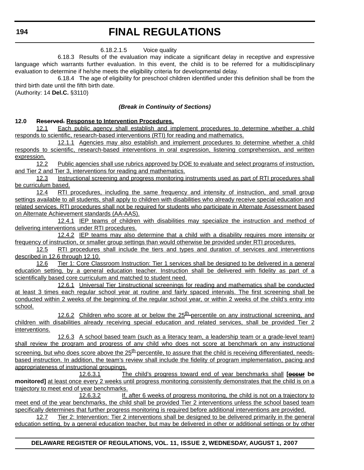6.18.2.1.5 Voice quality

6.18.3 Results of the evaluation may indicate a significant delay in receptive and expressive language which warrants further evaluation. In this event, the child is to be referred for a multidisciplinary evaluation to determine if he/she meets the eligibility criteria for developmental delay.

6.18.4 The age of eligibility for preschool children identified under this definition shall be from the third birth date until the fifth birth date.

(Authority: 14 **Del.C.** §3110)

### *(Break in Continuity of Sections)*

### **12.0 Reserved. Response to Intervention Procedures.**

12.1 Each public agency shall establish and implement procedures to determine whether a child responds to scientific, research-based interventions (RTI) for reading and mathematics.

12.1.1 Agencies may also establish and implement procedures to determine whether a child responds to scientific, research-based interventions in oral expression, listening comprehension, and written expression.

12.2 Public agencies shall use rubrics approved by DOE to evaluate and select programs of instruction, and Tier 2 and Tier 3, interventions for reading and mathematics.

 12.3 Instructional screening and progress monitoring instruments used as part of RTI procedures shall be curriculum based.

12.4 RTI procedures, including the same frequency and intensity of instruction, and small group settings available to all students, shall apply to children with disabilities who already receive special education and related services. RTI procedures shall not be required for students who participate in Alternate Assessment based on Alternate Achievement standards (AA-AAS).

12.4.1 IEP teams of children with disabilities may specialize the instruction and method of delivering interventions under RTI procedures.

12.4.2 IEP teams may also determine that a child with a disability requires more intensity or frequency of instruction, or smaller group settings than would otherwise be provided under RTI procedures.

12.5 RTI procedures shall include the tiers and types and duration of services and interventions described in 12.6 through 12.10.

12.6 Tier 1: Core Classroom Instruction: Tier 1 services shall be designed to be delivered in a general education setting, by a general education teacher. Instruction shall be delivered with fidelity as part of a scientifically based core curriculum and matched to student need.

12.6.1 Universal Tier 1instructional screenings for reading and mathematics shall be conducted at least 3 times each regular school year at routine and fairly spaced intervals. The first screening shall be conducted within 2 weeks of the beginning of the regular school year, or within 2 weeks of the child's entry into school.

12.6.2 Children who score at or below the  $25<sup>th</sup>$  percentile on any instructional screening, and children with disabilities already receiving special education and related services, shall be provided Tier 2 interventions.

12.6.3 A school based team (such as a literacy team, a leadership team or a grade-level team) shall review the program and progress of any child who does not score at benchmark on any instructional screening, but who does score above the  $25<sup>th</sup>$  percentile, to assure that the child is receiving differentiated, needsbased instruction. In addition, the team's review shall include the fidelity of program implementation, pacing and appropriateness of instructional groupings.

12.6.3.1 The child's progress toward end of year benchmarks shall **[occur be monitored]** at least once every 2 weeks until progress monitoring consistently demonstrates that the child is on a trajectory to meet end of year benchmarks.

12.6.3.2 If, after 6 weeks of progress monitoring, the child is not on a trajectory to meet end of the year benchmarks, the child shall be provided Tier 2 interventions unless the school based team specifically determines that further progress monitoring is required before additional interventions are provided.

12.7 Tier 2: Intervention: Tier 2 interventions shall be designed to be delivered primarily in the general education setting, by a general education teacher, but may be delivered in other or additional settings or by other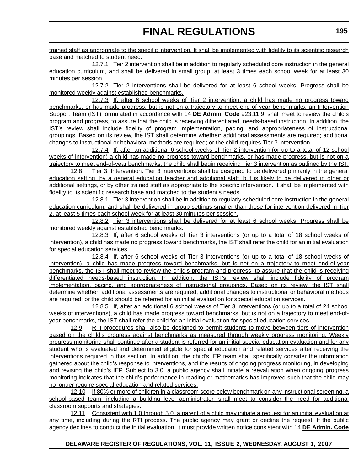trained staff as appropriate to the specific intervention. It shall be implemented with fidelity to its scientific research base and matched to student need.

12.7.1 Tier 2 intervention shall be in addition to regularly scheduled core instruction in the general education curriculum, and shall be delivered in small group, at least 3 times each school week for at least 30 minutes per session.

12.7.2 Tier 2 interventions shall be delivered for at least 6 school weeks. Progress shall be monitored weekly against established benchmarks.

12.7.3 If, after 6 school weeks of Tier 2 intervention, a child has made no progress toward benchmarks, or has made progress, but is not on a trajectory to meet end-of-year benchmarks, an Intervention Support Team (IST) formulated in accordance with 14 **DE Admin. Code** 923.11.9, shall meet to review the child's program and progress, to assure that the child is receiving differentiated, needs-based instruction. In addition, the IST's review shall include fidelity of program implementation, pacing, and appropriateness of instructional groupings. Based on its review, the IST shall determine whether: additional assessments are required; additional changes to instructional or behavioral methods are required; or the child requires Tier 3 intervention.

12.7.4 If, after an additional 6 school weeks of Tier 2 intervention (or up to a total of 12 school weeks of intervention) a child has made no progress toward benchmarks, or has made progress, but is not on a trajectory to meet end-of-year benchmarks, the child shall begin receiving Tier 3 intervention as outlined by the IST.

12.8 Tier 3: Intervention: Tier 3 interventions shall be designed to be delivered primarily in the general education setting, by a general education teacher and additional staff, but is likely to be delivered in other or additional settings, or by other trained staff as appropriate to the specific intervention. It shall be implemented with fidelity to its scientific research base and matched to the student's needs.

12.8.1 Tier 3 intervention shall be in addition to regularly scheduled core instruction in the general education curriculum, and shall be delivered in group settings smaller than those for intervention delivered in Tier 2, at least 5 times each school week for at least 30 minutes per session.

12.8.2 Tier 3 interventions shall be delivered for at least 6 school weeks. Progress shall be monitored weekly against established benchmarks.

12.8.3 If, after 6 school weeks of Tier 3 interventions (or up to a total of 18 school weeks of intervention), a child has made no progress toward benchmarks, the IST shall refer the child for an initial evaluation for special education services

12.8.4 If, after 6 school weeks of Tier 3 interventions (or up to a total of 18 school weeks of intervention), a child has made progress toward benchmarks, but is not on a trajectory to meet end-of-year benchmarks, the IST shall meet to review the child's program and progress, to assure that the child is receiving differentiated needs-based instruction. In addition, the IST's review shall include fidelity of program implementation, pacing, and appropriateness of instructional groupings. Based on its review, the IST shall determine whether: additional assessments are required; additional changes to instructional or behavioral methods are required; or the child should be referred for an initial evaluation for special education services.

12.8.5 If, after an additional 6 school weeks of Tier 3 interventions (or up to a total of 24 school weeks of interventions), a child has made progress toward benchmarks, but is not on a trajectory to meet end-ofyear benchmarks, the IST shall refer the child for an initial evaluation for special education services.

12.9 RTI procedures shall also be designed to permit students to move between tiers of intervention based on the child's progress against benchmarks as measured through weekly progress monitoring. Weekly progress monitoring shall continue after a student is referred for an initial special education evaluation and for any student who is evaluated and determined eligible for special education and related services after receiving the interventions required in this section. In addition, the child's IEP team shall specifically consider the information gathered about the child's response to interventions, and the results of ongoing progress monitoring, in developing and revising the child's IEP. Subject to 3.0, a public agency shall initiate a reevaluation when ongoing progress monitoring indicates that the child's performance in reading or mathematics has improved such that the child may no longer require special education and related services.

12.10 If 80% or more of children in a classroom score below benchmark on any instructional screening, a school-based team, including a building level administrator, shall meet to consider the need for additional classroom supports and strategies.

12.11 Consistent with 1.0 through 5.0, a parent of a child may initiate a request for an initial evaluation at any time, including during the RTI process. The public agency may grant or decline the request. If the public agency declines to conduct the initial evaluation, it must provide written notice consistent with 14 **DE Admin. Code**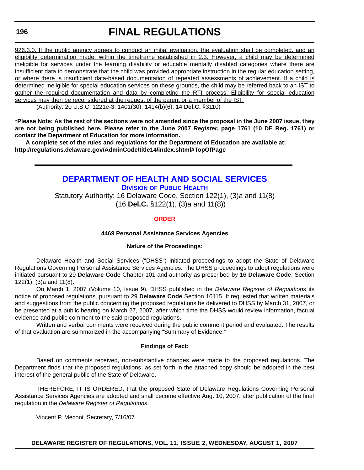#### **196**

# **FINAL REGULATIONS**

926.3.0. If the public agency agrees to conduct an initial evaluation, the evaluation shall be completed, and an eligibility determination made, within the timeframe established in 2.3. However, a child may be determined ineligible for services under the learning disability or educable mentally disabled categories where there are insufficient data to demonstrate that the child was provided appropriate instruction in the regular education setting, or where there is insufficient data-based documentation of repeated assessments of achievement. If a child is determined ineligible for special education services on these grounds, the child may be referred back to an IST to gather the required documentation and data by completing the RTI process. Eligibility for special education services may then be reconsidered at the request of the parent or a member of the IST.

(Authority: 20 U.S.C. 1221e-3; 1401(30); 1414(b)(6); 14 **Del.C.** §3110)

**\*Please Note: As the rest of the sections were not amended since the proposal in the June 2007 issue, they are not being published here. Please refer to the June 2007** *Register***, page 1761 (10 DE Reg. 1761) or contact the Department of Education for more information.** 

**A complete set of the rules and regulations for the Department of Education are available at: http://regulations.delaware.gov/AdminCode/title14/index.shtml#TopOfPage**

## **[DEPARTMENT OF HEALTH AND SOCIAL SERVICES](http://www.dhss.delaware.gov/dhss/dph/index.html) DIVISION OF PUBLIC HEALTH** Statutory Authority: 16 Delaware Code, Section 122(1), (3)a and 11(8) (16 **Del.C.** §122(1), (3)a and 11(8))

### **[ORDER](#page-3-0)**

#### **4469 Personal Assistance Services Agencies**

#### **Nature of the Proceedings:**

Delaware Health and Social Services ("DHSS") initiated proceedings to adopt the State of Delaware Regulations Governing Personal Assistance Services Agencies. The DHSS proceedings to adopt regulations were initiated pursuant to 29 **Delaware Code** Chapter 101 and authority as prescribed by 16 **Delaware Code**, Section 122(1), (3)a and 11(8).

On March 1, 2007 (Volume 10, Issue 9), DHSS published in the *Delaware Register of Regulations* its notice of proposed regulations, pursuant to 29 **Delaware Code** Section 10115. It requested that written materials and suggestions from the public concerning the proposed regulations be delivered to DHSS by March 31, 2007, or be presented at a public hearing on March 27, 2007, after which time the DHSS would review information, factual evidence and public comment to the said proposed regulations.

Written and verbal comments were received during the public comment period and evaluated. The results of that evaluation are summarized in the accompanying "Summary of Evidence."

#### **Findings of Fact:**

Based on comments received, non-substantive changes were made to the proposed regulations. The Department finds that the proposed regulations, as set forth in the attached copy should be adopted in the best interest of the general public of the State of Delaware.

THEREFORE, IT IS ORDERED, that the proposed State of Delaware Regulations Governing Personal Assistance Services Agencies are adopted and shall become effective Aug. 10, 2007, after publication of the final regulation in the *Delaware Register of Regulations*.

Vincent P. Meconi, Secretary, 7/16/07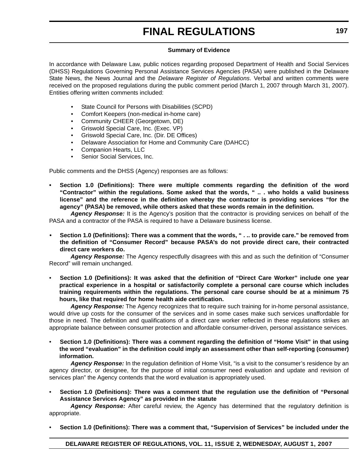#### **Summary of Evidence**

In accordance with Delaware Law, public notices regarding proposed Department of Health and Social Services (DHSS) Regulations Governing Personal Assistance Services Agencies (PASA) were published in the Delaware State News, the News Journal and the *Delaware Register of Regulations*. Verbal and written comments were received on the proposed regulations during the public comment period (March 1, 2007 through March 31, 2007). Entities offering written comments included:

- State Council for Persons with Disabilities (SCPD)
- Comfort Keepers (non-medical in-home care)
- Community CHEER (Georgetown, DE)
- Griswold Special Care, Inc. (Exec. VP)
- Griswold Special Care, Inc. (Dir. DE Offices)
- Delaware Association for Home and Community Care (DAHCC)
- Companion Hearts, LLC
- Senior Social Services, Inc.

Public comments and the DHSS (Agency) responses are as follows:

**• Section 1.0 (Definitions): There were multiple comments regarding the definition of the word "Contractor" within the regulations. Some asked that the words, " .. . who holds a valid business license" and the reference in the definition whereby the contractor is providing services "for the agency" (PASA) be removed, while others asked that these words remain in the definition.**

*Agency Response:* It is the Agency's position that the contractor is providing services on behalf of the PASA and a contractor of the PASA is required to have a Delaware business license.

**• Section 1.0 (Definitions): There was a comment that the words, " . .. to provide care." be removed from the definition of "Consumer Record" because PASA's do not provide direct care, their contracted direct care workers do.**

*Agency Response:* The Agency respectfully disagrees with this and as such the definition of "Consumer Record" will remain unchanged.

• **Section 1.0 (Definitions): It was asked that the definition of "Direct Care Worker" include one year practical experience in a hospital or satisfactorily complete a personal care course which includes training requirements within the regulations. The personal care course should be at a minimum 75 hours, like that required for home health aide certification.**

*Agency Response:* The Agency recognizes that to require such training for in-home personal assistance, would drive up costs for the consumer of the services and in some cases make such services unaffordable for those in need. The definition and qualifications of a direct care worker reflected in these regulations strikes an appropriate balance between consumer protection and affordable consumer-driven, personal assistance services.

• **Section 1.0 (Definitions): There was a comment regarding the definition of "Home Visit" in that using the word "evaluation" in the definition could imply an assessment other than self-reporting (consumer) information.**

*Agency Response:* In the regulation definition of Home Visit, "is a visit to the consumer's residence by an agency director, or designee, for the purpose of initial consumer need evaluation and update and revision of services plan" the Agency contends that the word evaluation is appropriately used.

• **Section 1.0 (Definitions): There was a comment that the regulation use the definition of "Personal Assistance Services Agency" as provided in the statute**

*Agency Response:* After careful review, the Agency has determined that the regulatory definition is appropriate.

• **Section 1.0 (Definitions): There was a comment that, "Supervision of Services" be included under the**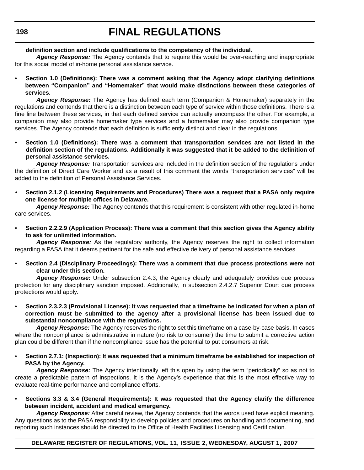### **definition section and include qualifications to the competency of the individual.**

*Agency Response:* The Agency contends that to require this would be over-reaching and inappropriate for this social model of in-home personal assistance service.

• **Section 1.0 (Definitions): There was a comment asking that the Agency adopt clarifying definitions between "Companion" and "Homemaker" that would make distinctions between these categories of services.**

*Agency Response:* The Agency has defined each term (Companion & Homemaker) separately in the regulations and contends that there is a distinction between each type of service within those definitions. There is a fine line between these services, in that each defined service can actually encompass the other. For example, a companion may also provide homemaker type services and a homemaker may also provide companion type services. The Agency contends that each definition is sufficiently distinct and clear in the regulations.

**• Section 1.0 (Definitions): There was a comment that transportation services are not listed in the definition section of the regulations. Additionally it was suggested that it be added to the definition of personal assistance services.**

*Agency Response:* Transportation services are included in the definition section of the regulations under the definition of Direct Care Worker and as a result of this comment the words "transportation services" will be added to the definition of Personal Assistance Services.

**• Section 2.1.2 (Licensing Requirements and Procedures) There was a request that a PASA only require one license for multiple offices in Delaware.**

*Agency Response:* The Agency contends that this requirement is consistent with other regulated in-home care services.

**• Section 2.2.2.9 (Application Process): There was a comment that this section gives the Agency ability to ask for unlimited information.**

*Agency Response:* As the regulatory authority, the Agency reserves the right to collect information regarding a PASA that it deems pertinent for the safe and effective delivery of personal assistance services.

• **Section 2.4 (Disciplinary Proceedings): There was a comment that due process protections were not clear under this section.**

*Agency Response:* Under subsection 2.4.3, the Agency clearly and adequately provides due process protection for any disciplinary sanction imposed. Additionally, in subsection 2.4.2.7 Superior Court due process protections would apply.

• **Section 2.3.2.3 (Provisional License): It was requested that a timeframe be indicated for when a plan of correction must be submitted to the agency after a provisional license has been issued due to substantial noncompliance with the regulations.**

*Agency Response:* The Agency reserves the right to set this timeframe on a case-by-case basis. In cases where the noncompliance is administrative in nature (no risk to consumer) the time to submit a corrective action plan could be different than if the noncompliance issue has the potential to put consumers at risk.

• **Section 2.7.1: (Inspection): It was requested that a minimum timeframe be established for inspection of PASA by the Agency.**

*Agency Response:* The Agency intentionally left this open by using the term "periodically" so as not to create a predictable pattern of inspections. It is the Agency's experience that this is the most effective way to evaluate real-time performance and compliance efforts.

• **Sections 3.3 & 3.4 (General Requirements): It was requested that the Agency clarify the difference between incident, accident and medical emergency.**

*Agency Response:* After careful review, the Agency contends that the words used have explicit meaning. Any questions as to the PASA responsibility to develop policies and procedures on handling and documenting, and reporting such instances should be directed to the Office of Health Facilities Licensing and Certification.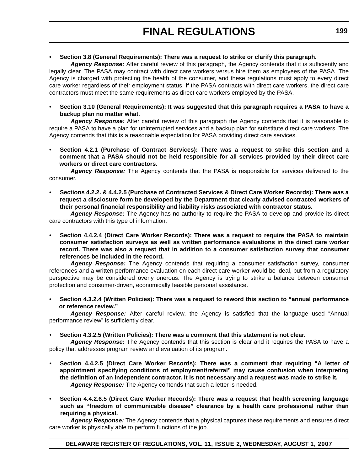### • **Section 3.8 (General Requirements): There was a request to strike or clarify this paragraph.**

*Agency Response:* After careful review of this paragraph, the Agency contends that it is sufficiently and legally clear. The PASA may contract with direct care workers versus hire them as employees of the PASA. The Agency is charged with protecting the health of the consumer, and these regulations must apply to every direct care worker regardless of their employment status. If the PASA contracts with direct care workers, the direct care contractors must meet the same requirements as direct care workers employed by the PASA.

• **Section 3.10 (General Requirements): It was suggested that this paragraph requires a PASA to have a backup plan no matter what.**

*Agency Response:* After careful review of this paragraph the Agency contends that it is reasonable to require a PASA to have a plan for uninterrupted services and a backup plan for substitute direct care workers. The Agency contends that this is a reasonable expectation for PASA providing direct care services.

• **Section 4.2.1 (Purchase of Contract Services): There was a request to strike this section and a comment that a PASA should not be held responsible for all services provided by their direct care workers or direct care contractors.**

*Agency Response:* The Agency contends that the PASA is responsible for services delivered to the consumer.

• **Sections 4.2.2. & 4.4.2.5 (Purchase of Contracted Services & Direct Care Worker Records): There was a request a disclosure form be developed by the Department that clearly advised contracted workers of their personal financial responsibility and liability risks associated with contractor status.**

*Agency Response:* The Agency has no authority to require the PASA to develop and provide its direct care contractors with this type of information.

• **Section 4.4.2.4 (Direct Care Worker Records): There was a request to require the PASA to maintain consumer satisfaction surveys as well as written performance evaluations in the direct care worker record. There was also a request that in addition to a consumer satisfaction survey that consumer references be included in the record.**

*Agency Response:* The Agency contends that requiring a consumer satisfaction survey, consumer references and a written performance evaluation on each direct care worker would be ideal, but from a regulatory perspective may be considered overly onerous. The Agency is trying to strike a balance between consumer protection and consumer-driven, economically feasible personal assistance.

• **Section 4.3.2.4 (Written Policies): There was a request to reword this section to "annual performance or reference review."**

*Agency Response:* After careful review, the Agency is satisfied that the language used "Annual performance review" is sufficiently clear.

• **Section 4.3.2.5 (Written Policies): There was a comment that this statement is not clear.**

*Agency Response:* The Agency contends that this section is clear and it requires the PASA to have a policy that addresses program review and evaluation of its program.

- **Section 4.4.2.5 (Direct Care Worker Records): There was a comment that requiring "A letter of appointment specifying conditions of employment/referral" may cause confusion when interpreting the definition of an independent contractor. It is not necessary and a request was made to strike it.** *Agency Response:* The Agency contends that such a letter is needed.
- **Section 4.4.2.6.5 (Direct Care Worker Records): There was a request that health screening language such as "freedom of communicable disease" clearance by a health care professional rather than requiring a physical.**

*Agency Response:* The Agency contends that a physical captures these requirements and ensures direct care worker is physically able to perform functions of the job.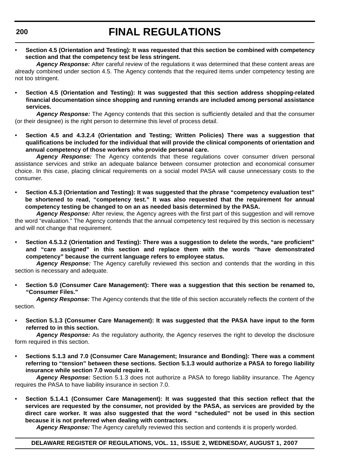**200**

# **FINAL REGULATIONS**

• **Section 4.5 (Orientation and Testing): It was requested that this section be combined with competency section and that the competency test be less stringent.**

*Agency Response:* After careful review of the regulations it was determined that these content areas are already combined under section 4.5. The Agency contends that the required items under competency testing are not too stringent.

• **Section 4.5 (Orientation and Testing): It was suggested that this section address shopping-related financial documentation since shopping and running errands are included among personal assistance services.**

*Agency Response:* The Agency contends that this section is sufficiently detailed and that the consumer (or their designee) is the right person to determine this level of process detail.

• **Section 4.5 and 4.3.2.4 (Orientation and Testing; Written Policies) There was a suggestion that qualifications be included for the individual that will provide the clinical components of orientation and annual competency of those workers who provide personal care.**

Agency Response: The Agency contends that these regulations cover consumer driven personal assistance services and strike an adequate balance between consumer protection and economical consumer choice. In this case, placing clinical requirements on a social model PASA will cause unnecessary costs to the consumer.

• **Section 4.5.3 (Orientation and Testing): It was suggested that the phrase "competency evaluation test" be shortened to read, "competency test." It was also requested that the requirement for annual competency testing be changed to on an as needed basis determined by the PASA.**

*Agency Response:* After review, the Agency agrees with the first part of this suggestion and will remove the word "evaluation." The Agency contends that the annual competency test required by this section is necessary and will not change that requirement.

• **Section 4.5.3.2 (Orientation and Testing): There was a suggestion to delete the words, "are proficient" and "care assigned" in this section and replace them with the words "have demonstrated competency" because the current language refers to employee status.**

*Agency Response:* The Agency carefully reviewed this section and contends that the wording in this section is necessary and adequate.

• **Section 5.0 (Consumer Care Management): There was a suggestion that this section be renamed to, "Consumer Files."**

*Agency Response:* The Agency contends that the title of this section accurately reflects the content of the section.

• **Section 5.1.3 (Consumer Care Management): It was suggested that the PASA have input to the form referred to in this section.**

*Agency Response:* As the regulatory authority, the Agency reserves the right to develop the disclosure form required in this section.

• **Sections 5.1.3 and 7.0 (Consumer Care Management; Insurance and Bonding): There was a comment referring to "tension" between these sections. Section 5.1.3 would authorize a PASA to forego liability insurance while section 7.0 would require it.**

*Agency Response:* Section 5.1.3 does not authorize a PASA to forego liability insurance. The Agency requires the PASA to have liability insurance in section 7.0.

• **Section 5.1.4.1 (Consumer Care Management): It was suggested that this section reflect that the services are requested by the consumer, not provided by the PASA, as services are provided by the direct care worker. It was also suggested that the word "scheduled" not be used in this section because it is not preferred when dealing with contractors.**

*Agency Response:* The Agency carefully reviewed this section and contends it is properly worded.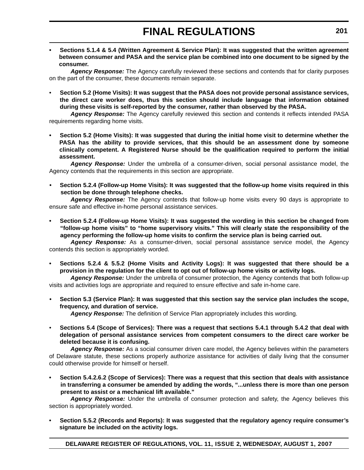**• Sections 5.1.4 & 5.4 (Written Agreement & Service Plan): It was suggested that the written agreement between consumer and PASA and the service plan be combined into one document to be signed by the consumer.**

*Agency Response:* The Agency carefully reviewed these sections and contends that for clarity purposes on the part of the consumer, these documents remain separate.

• **Section 5.2 (Home Visits): It was suggest that the PASA does not provide personal assistance services, the direct care worker does, thus this section should include language that information obtained during these visits is self-reported by the consumer, rather than observed by the PASA.**

*Agency Response:* The Agency carefully reviewed this section and contends it reflects intended PASA requirements regarding home visits.

**• Section 5.2 (Home Visits): It was suggested that during the initial home visit to determine whether the PASA has the ability to provide services, that this should be an assessment done by someone clinically competent. A Registered Nurse should be the qualification required to perform the initial assessment.**

*Agency Response:* Under the umbrella of a consumer-driven, social personal assistance model, the Agency contends that the requirements in this section are appropriate.

**• Section 5.2.4 (Follow-up Home Visits): It was suggested that the follow-up home visits required in this section be done through telephone checks.**

*Agency Response:* The Agency contends that follow-up home visits every 90 days is appropriate to ensure safe and effective in-home personal assistance services.

**• Section 5.2.4 (Follow-up Home Visits): It was suggested the wording in this section be changed from "follow-up home visits" to "home supervisory visits." This will clearly state the responsibility of the agency performing the follow-up home visits to confirm the service plan is being carried out.**

*Agency Response:* As a consumer-driven, social personal assistance service model, the Agency contends this section is appropriately worded.

**• Sections 5.2.4 & 5.5.2 (Home Visits and Activity Logs): It was suggested that there should be a provision in the regulation for the client to opt out of follow-up home visits or activity logs.**

*Agency Response:* Under the umbrella of consumer protection, the Agency contends that both follow-up visits and activities logs are appropriate and required to ensure effective and safe in-home care.

**• Section 5.3 (Service Plan): It was suggested that this section say the service plan includes the scope, frequency, and duration of service.**

*Agency Response:* The definition of Service Plan appropriately includes this wording.

• **Sections 5.4 (Scope of Services): There was a request that sections 5.4.1 through 5.4.2 that deal with delegation of personal assistance services from competent consumers to the direct care worker be deleted because it is confusing.**

*Agency Response:* As a social consumer driven care model, the Agency believes within the parameters of Delaware statute, these sections properly authorize assistance for activities of daily living that the consumer could otherwise provide for himself or herself.

**• Section 5.4.2.6.2 (Scope of Services): There was a request that this section that deals with assistance in transferring a consumer be amended by adding the words, "...unless there is more than one person present to assist or a mechanical lift available."**

*Agency Response:* Under the umbrella of consumer protection and safety, the Agency believes this section is appropriately worded.

**• Section 5.5.2 (Records and Reports): It was suggested that the regulatory agency require consumer's signature be included on the activity logs.**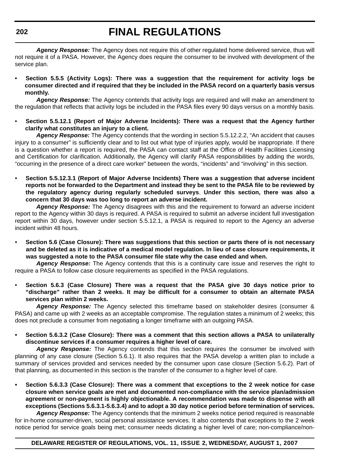*Agency Response:* The Agency does not require this of other regulated home delivered service, thus will not require it of a PASA. However, the Agency does require the consumer to be involved with development of the service plan.

**• Section 5.5.5 (Activity Logs): There was a suggestion that the requirement for activity logs be consumer directed and if required that they be included in the PASA record on a quarterly basis versus monthly.**

*Agency Response:* The Agency contends that activity logs are required and will make an amendment to the regulation that reflects that activity logs be included in the PASA files every 90 days versus on a monthly basis.

• **Section 5.5.12.1 (Report of Major Adverse Incidents): There was a request that the Agency further clarify what constitutes an injury to a client.**

*Agency Response:* The Agency contends that the wording in section 5.5.12.2.2, "An accident that causes injury to a consumer" is sufficiently clear and to list out what type of injuries apply, would be inappropriate. If there is a question whether a report is required, the PASA can contact staff at the Office of Health Facilities Licensing and Certification for clarification. Additionally, the Agency will clarify PASA responsibilities by adding the words, "occurring in the presence of a direct care worker" between the words, "incidents" and "involving" in this section.

• **Section 5.5.12.3.1 (Report of Major Adverse Incidents) There was a suggestion that adverse incident reports not be forwarded to the Department and instead they be sent to the PASA file to be reviewed by the regulatory agency during regularly scheduled surveys**. **Under this section, there was also a concern that 30 days was too long to report an adverse incident.**

*Agency Response:* The Agency disagrees with this and the requirement to forward an adverse incident report to the Agency within 30 days is required. A PASA is required to submit an adverse incident full investigation report within 30 days, however under section 5.5.12.1, a PASA is required to report to the Agency an adverse incident within 48 hours.

• **Section 5.6 (Case Closure): There was suggestions that this section or parts there of is not necessary and be deleted as it is indicative of a medical model regulation. In lieu of case closure requirements, it was suggested a note to the PASA consumer file state why the case ended and when.**

*Agency Response:* The Agency contends that this is a continuity care issue and reserves the right to require a PASA to follow case closure requirements as specified in the PASA regulations.

• **Section 5.6.3 (Case Closure) There was a request that the PASA give 30 days notice prior to "discharge" rather than 2 weeks. It may be difficult for a consumer to obtain an alternate PASA services plan within 2 weeks.**

Agency Response: The Agency selected this timeframe based on stakeholder desires (consumer & PASA) and came up with 2 weeks as an acceptable compromise. The regulation states a minimum of 2 weeks; this does not preclude a consumer from negotiating a longer timeframe with an outgoing PASA.

**• Section 5.6.3.2 (Case Closure): There was a comment that this section allows a PASA to unilaterally discontinue services if a consumer requires a higher level of care.**

*Agency Response:* The Agency contends that this section requires the consumer be involved with planning of any case closure (Section 5.6.1). It also requires that the PASA develop a written plan to include a summary of services provided and services needed by the consumer upon case closure (Section 5.6.2). Part of that planning, as documented in this section is the transfer of the consumer to a higher level of care.

**• Section 5.6.3.3 (Case Closure): There was a comment that exceptions to the 2 week notice for case closure when service goals are met and documented non-compliance with the service plan/admission agreement or non-payment is highly objectionable. A recommendation was made to dispense with all exceptions (Sections 5.6.3.1-5.6.3.4) and to adopt a 30 day notice period before termination of services.**

*Agency Response:* The Agency contends that the minimum 2 weeks notice period required is reasonable for in-home consumer-driven, social personal assistance services. It also contends that exceptions to the 2 week notice period for service goals being met; consumer needs dictating a higher level of care; non-compliance/non-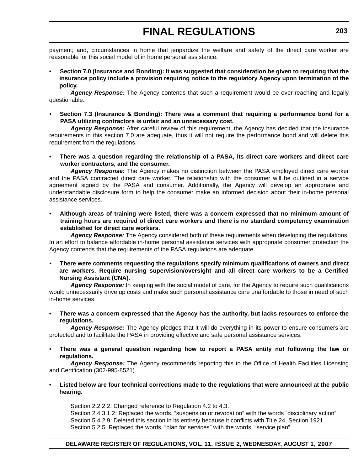payment; and, circumstances in home that jeopardize the welfare and safety of the direct care worker are reasonable for this social model of in home personal assistance.

**• Section 7.0 (Insurance and Bonding): It was suggested that consideration be given to requiring that the insurance policy include a provision requiring notice to the regulatory Agency upon termination of the policy.**

*Agency Response:* The Agency contends that such a requirement would be over-reaching and legally questionable.

• **Section 7.3 (Insurance & Bonding): There was a comment that requiring a performance bond for a PASA utilizing contractors is unfair and an unnecessary cost.**

*Agency Response:* After careful review of this requirement, the Agency has decided that the insurance requirements in this section 7.0 are adequate, thus it will not require the performance bond and will delete this requirement from the regulations.

**• There was a question regarding the relationship of a PASA, its direct care workers and direct care worker contractors, and the consumer.**

*Agency Response:* The Agency makes no distinction between the PASA employed direct care worker and the PASA contracted direct care worker. The relationship with the consumer will be outlined in a service agreement signed by the PASA and consumer. Additionally, the Agency will develop an appropriate and understandable disclosure form to help the consumer make an informed decision about their in-home personal assistance services.

• **Although areas of training were listed, there was a concern expressed that no minimum amount of training hours are required of direct care workers and there is no standard competency examination established for direct care workers.**

*Agency Response:* The Agency considered both of these requirements when developing the regulations. In an effort to balance affordable in-home personal assistance services with appropriate consumer protection the Agency contends that the requirements of the PASA regulations are adequate.

• **There were comments requesting the regulations specify minimum qualifications of owners and direct are workers. Require nursing supervision/oversight and all direct care workers to be a Certified Nursing Assistant (CNA).**

*Agency Response:* In keeping with the social model of care, for the Agency to require such qualifications would unnecessarily drive up costs and make such personal assistance care unaffordable to those in need of such in-home services.

**• There was a concern expressed that the Agency has the authority, but lacks resources to enforce the regulations.**

Agency Response: The Agency pledges that it will do everything in its power to ensure consumers are protected and to facilitate the PASA in providing effective and safe personal assistance services.

• **There was a general question regarding how to report a PASA entity not following the law or regulations.**

*Agency Response:* The Agency recommends reporting this to the Office of Health Facilities Licensing and Certification (302-995-8521).

**• Listed below are four technical corrections made to the regulations that were announced at the public hearing.**

Section 2.2.2.2: Changed reference to Regulation 4.2 to 4.3.

Section 2.4.3.1.2: Replaced the words, "suspension or revocation" with the words "disciplinary action" Section 5.4.2.9: Deleted this section in its entirety because it conflicts with Title 24, Section 1921 Section 5.2.5: Replaced the words, "plan for services" with the words, "service plan"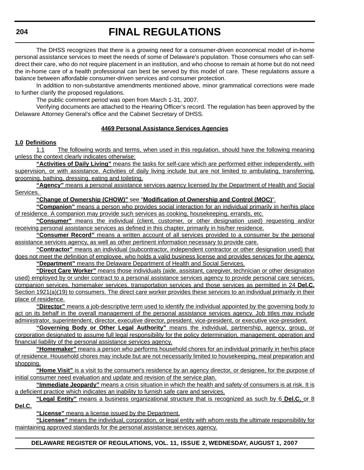The DHSS recognizes that there is a growing need for a consumer-driven economical model of in-home personal assistance services to meet the needs of some of Delaware's population. Those consumers who can selfdirect their care, who do not require placement in an institution, and who choose to remain at home but do not need the in-home care of a health professional can best be served by this model of care. These regulations assure a balance between affordable consumer-driven services and consumer protection.

In addition to non-substantive amendments mentioned above, minor grammatical corrections were made to further clarify the proposed regulations.

The public comment period was open from March 1-31, 2007.

Verifying documents are attached to the Hearing Officer's record. The regulation has been approved by the Delaware Attorney General's office and the Cabinet Secretary of DHSS.

### **4469 Personal Assistance Services Agencies**

### **1.0 Definitions**

1.1 The following words and terms, when used in this regulation, should have the following meaning unless the context clearly indicates otherwise:

**"Activities of Daily Living"** means the tasks for self-care which are performed either independently, with supervision, or with assistance. Activities of daily living include but are not limited to ambulating, transferring, grooming, bathing, dressing, eating and toileting.

**"Agency"** means a personal assistance services agency licensed by the Department of Health and Social Services.

### **"Change of Ownership (CHOW)"** see "**Modification of Ownership and Control (MOC)**".

**"Companion"** means a person who provides social interaction for an individual primarily in her/his place of residence. A companion may provide such services as cooking, housekeeping, errands, etc.

**"Consumer"** means the individual (client, customer, or other designation used) requesting and/or receiving personal assistance services as defined in this chapter, primarily in his/her residence.

**"Consumer Record"** means a written account of all services provided to a consumer by the personal assistance services agency, as well as other pertinent information necessary to provide care.

**"Contractor"** means an individual (subcontractor, independent contractor or other designation used) that does not meet the definition of employee, who holds a valid business license and provides services for the agency. **"Department"** means the Delaware Department of Health and Social Services.

**"Direct Care Worker"** means those individuals (aide, assistant, caregiver, technician or other designation

used) employed by or under contract to a personal assistance services agency to provide personal care services, companion services, homemaker services, transportation services and those services as permitted in 24 **Del.C.** Section 1921(a)(19) to consumers. The direct care worker provides these services to an individual primarily in their place of residence.

**"Director"** means a job-descriptive term used to identify the individual appointed by the governing body to act on its behalf in the overall management of the personal assistance services agency. Job titles may include administrator, superintendent, director, executive director, president, vice-president, or executive vice-president.

**"Governing Body or Other Legal Authority"** means the individual, partnership, agency, group, or corporation designated to assume full legal responsibility for the policy determination, management, operation and financial liability of the personal assistance services agency.

**"Homemaker"** means a person who performs household chores for an individual primarily in her/his place of residence. Household chores may include but are not necessarily limited to housekeeping, meal preparation and shopping.

**"Home Visit"** is a visit to the consumer's residence by an agency director, or designee, for the purpose of initial consumer need evaluation and update and revision of the service plan.

**"Immediate Jeopardy"** means a crisis situation in which the health and safety of consumers is at risk. It is a deficient practice which indicates an inability to furnish safe care and services.

**"Legal Entity"** means a business organizational structure that is recognized as such by 6 **Del.C.** or 8 **Del.C.**

**"License"** means a license issued by the Department.

**"Licensee"** means the individual, corporation, or legal entity with whom rests the ultimate responsibility for maintaining approved standards for the personal assistance services agency.

### **DELAWARE REGISTER OF REGULATIONS, VOL. 11, ISSUE 2, WEDNESDAY, AUGUST 1, 2007**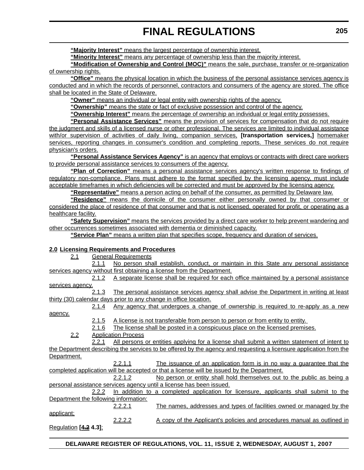**"Majority Interest"** means the largest percentage of ownership interest.

**"Minority Interest"** means any percentage of ownership less than the majority interest.

**"Modification of Ownership and Control (MOC)"** means the sale, purchase, transfer or re-organization of ownership rights.

**"Office"** means the physical location in which the business of the personal assistance services agency is conducted and in which the records of personnel, contractors and consumers of the agency are stored. The office shall be located in the State of Delaware.

**"Owner"** means an individual or legal entity with ownership rights of the agency.

**"Ownership"** means the state or fact of exclusive possession and control of the agency.

**"Ownership Interest"** means the percentage of ownership an individual or legal entity possesses.

**"Personal Assistance Services"** means the provision of services for compensation that do not require the judgment and skills of a licensed nurse or other professional. The services are limited to individual assistance with/or supervision of activities of daily living, companion services, **[transportation services,]** homemaker services, reporting changes in consumer's condition and completing reports. These services do not require physician's orders.

**"Personal Assistance Services Agency"** is an agency that employs or contracts with direct care workers to provide personal assistance services to consumers of the agency.

**"Plan of Correction"** means a personal assistance services agency's written response to findings of regulatory non-compliance. Plans must adhere to the format specified by the licensing agency, must include acceptable timeframes in which deficiencies will be corrected and must be approved by the licensing agency.

**"Representative"** means a person acting on behalf of the consumer, as permitted by Delaware law.

**"Residence"** means the domicile of the consumer either personally owned by that consumer or considered the place of residence of that consumer and that is not licensed, operated for profit, or operating as a healthcare facility.

**"Safety Supervision"** means the services provided by a direct care worker to help prevent wandering and other occurrences sometimes associated with dementia or diminished capacity.

**"Service Plan"** means a written plan that specifies scope, frequency and duration of services.

### **2.0 Licensing Requirements and Procedures**

2.1 General Requirements

2.1.1 No person shall establish, conduct, or maintain in this State any personal assistance services agency without first obtaining a license from the Department.

2.1.2 A separate license shall be required for each office maintained by a personal assistance services agency.

2.1.3 The personal assistance services agency shall advise the Department in writing at least thirty (30) calendar days prior to any change in office location.

2.1.4 Any agency that undergoes a change of ownership is required to re-apply as a new agency.

2.1.5 A license is not transferable from person to person or from entity to entity.

2.1.6 The license shall be posted in a conspicuous place on the licensed premises.

2.2 Application Process

2.2.1 All persons or entities applying for a license shall submit a written statement of intent to the Department describing the services to be offered by the agency and requesting a licensure application from the Department.

|                                                                                            | 2.2.1.1 | The issuance of an application form is in no way a guarantee that the                |  |  |  |  |
|--------------------------------------------------------------------------------------------|---------|--------------------------------------------------------------------------------------|--|--|--|--|
| completed application will be accepted or that a license will be issued by the Department. |         |                                                                                      |  |  |  |  |
|                                                                                            | 2.2.1.2 | No person or entity shall hold themselves out to the public as being a               |  |  |  |  |
|                                                                                            |         | personal assistance services agency until a license has been issued.                 |  |  |  |  |
| 2.2.2                                                                                      |         | In addition to a completed application for licensure, applicants shall submit to the |  |  |  |  |
| Department the following information:                                                      |         |                                                                                      |  |  |  |  |
|                                                                                            | 2.2.2.1 | The names, addresses and types of facilities owned or managed by the                 |  |  |  |  |
| applicant;                                                                                 |         |                                                                                      |  |  |  |  |
|                                                                                            | 2.2.2.2 | A copy of the Applicant's policies and procedures manual as outlined in              |  |  |  |  |
| <u>Regulation</u> [ <del><u>4.2</u> 4.3];</del>                                            |         |                                                                                      |  |  |  |  |
|                                                                                            |         |                                                                                      |  |  |  |  |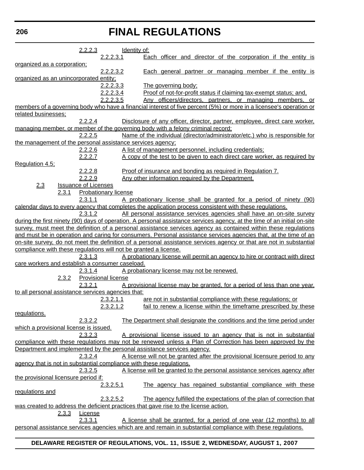|                                                                      | 2.2.2.3                     |                             | <u>Identity of:</u> |                                                                                                                                                                |
|----------------------------------------------------------------------|-----------------------------|-----------------------------|---------------------|----------------------------------------------------------------------------------------------------------------------------------------------------------------|
|                                                                      |                             | 2.2.2.3.1                   |                     | Each officer and director of the corporation if the entity is                                                                                                  |
| organized as a corporation;                                          |                             |                             |                     |                                                                                                                                                                |
|                                                                      |                             | 2.2.2.3.2                   |                     | <b>Each general partner or managing member if the entity is</b>                                                                                                |
| organized as an unincorporated entity;                               |                             |                             |                     |                                                                                                                                                                |
|                                                                      |                             | 2.2.2.3.3                   |                     | The governing body;                                                                                                                                            |
|                                                                      |                             | 2.2.2.3.4                   |                     | Proof of not-for-profit status if claiming tax-exempt status; and,                                                                                             |
|                                                                      |                             | 2.2.2.3.5                   |                     | Any officers/directors, partners, or managing members, or                                                                                                      |
|                                                                      |                             |                             |                     | members of a governing body who have a financial interest of five percent (5%) or more in a licensee's operation or                                            |
| related businesses;                                                  | 2.2.2.4                     |                             |                     |                                                                                                                                                                |
|                                                                      |                             |                             |                     | Disclosure of any officer, director, partner, employee, direct care worker,<br>managing member, or member of the governing body with a felony criminal record; |
|                                                                      | 2.2.2.5                     |                             |                     | Name of the individual (director/administrator/etc.) who is responsible for                                                                                    |
| the management of the personal assistance services agency;           |                             |                             |                     |                                                                                                                                                                |
|                                                                      | <u>2.2.2.6</u>              |                             |                     | A list of management personnel, including credentials;                                                                                                         |
|                                                                      | 2.2.2.7                     |                             |                     | A copy of the test to be given to each direct care worker, as required by                                                                                      |
| Regulation 4.5;                                                      |                             |                             |                     |                                                                                                                                                                |
|                                                                      | 2.2.2.8                     |                             |                     | Proof of insurance and bonding as required in Regulation 7.                                                                                                    |
|                                                                      | 2.2.2.9                     |                             |                     | Any other information required by the Department.                                                                                                              |
| 2.3                                                                  | <b>Issuance of Licenses</b> |                             |                     |                                                                                                                                                                |
| 2.3.1                                                                |                             | <b>Probationary license</b> |                     |                                                                                                                                                                |
|                                                                      | 2.3.1.1                     |                             |                     | <u>A probationary license shall be granted for a period of ninety (90)</u>                                                                                     |
|                                                                      |                             |                             |                     | calendar days to every agency that completes the application process consistent with these regulations.                                                        |
|                                                                      | 2.3.1.2                     |                             |                     | All personal assistance services agencies shall have an on-site survey                                                                                         |
|                                                                      |                             |                             |                     | during the first ninety (90) days of operation. A personal assistance services agency, at the time of an initial on-site                                       |
|                                                                      |                             |                             |                     | survey, must meet the definition of a personal assistance services agency as contained within these regulations                                                |
|                                                                      |                             |                             |                     | and must be in operation and caring for consumers. Personal assistance services agencies that, at the time of an                                               |
|                                                                      |                             |                             |                     | on-site survey, do not meet the definition of a personal assistance services agency or that are not in substantial                                             |
| compliance with these regulations will not be granted a license.     |                             |                             |                     |                                                                                                                                                                |
|                                                                      | 2.3.1.3                     |                             |                     | A probationary license will permit an agency to hire or contract with direct                                                                                   |
| care workers and establish a consumer caseload.                      |                             |                             |                     |                                                                                                                                                                |
|                                                                      | 2.3.1.4                     |                             |                     | A probationary license may not be renewed.                                                                                                                     |
| 2.3.2                                                                |                             | <b>Provisional license</b>  |                     |                                                                                                                                                                |
|                                                                      | 2.3.2.1                     |                             |                     | A provisional license may be granted, for a period of less than one year,                                                                                      |
| to all personal assistance services agencies that:                   |                             |                             |                     |                                                                                                                                                                |
|                                                                      |                             | 2.3.2.1.1                   |                     | are not in substantial compliance with these regulations; or                                                                                                   |
|                                                                      |                             | 2.3.2.1.2                   |                     | fail to renew a license within the timeframe prescribed by these                                                                                               |
| regulations.                                                         |                             |                             |                     |                                                                                                                                                                |
|                                                                      | 2.3.2.2                     |                             |                     | The Department shall designate the conditions and the time period under                                                                                        |
| which a provisional license is issued.                               |                             |                             |                     |                                                                                                                                                                |
|                                                                      | 2.3.2.3                     |                             |                     | A provisional license issued to an agency that is not in substantial                                                                                           |
|                                                                      |                             |                             |                     | compliance with these regulations may not be renewed unless a Plan of Correction has been approved by the                                                      |
|                                                                      |                             |                             |                     | Department and implemented by the personal assistance services agency.<br>A license will not be granted after the provisional licensure period to any          |
| agency that is not in substantial compliance with these regulations. | 2.3.2.4                     |                             |                     |                                                                                                                                                                |
|                                                                      | 2.3.2.5                     |                             |                     | A license will be granted to the personal assistance services agency after                                                                                     |
| the provisional licensure period if:                                 |                             |                             |                     |                                                                                                                                                                |
|                                                                      |                             | 2.3.2.5.1                   |                     | The agency has regained substantial compliance with these                                                                                                      |
| regulations and                                                      |                             |                             |                     |                                                                                                                                                                |
|                                                                      |                             | 2.3.2.5.2                   |                     | The agency fulfilled the expectations of the plan of correction that                                                                                           |
|                                                                      |                             |                             |                     | was created to address the deficient practices that gave rise to the license action.                                                                           |
| <u>2.3.3</u>                                                         | License                     |                             |                     |                                                                                                                                                                |
|                                                                      | 2.3.3.1                     |                             |                     | A license shall be granted, for a period of one year (12 months) to all                                                                                        |
|                                                                      |                             |                             |                     | personal assistance services agencies which are and remain in substantial compliance with these regulations.                                                   |

### **DELAWARE REGISTER OF REGULATIONS, VOL. 11, ISSUE 2, WEDNESDAY, AUGUST 1, 2007**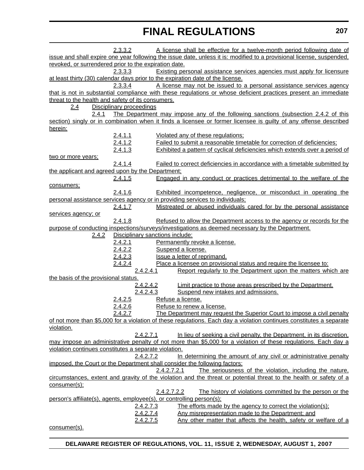|                                                       | 2.3.3.2                         | A license shall be effective for a twelve-month period following date of                                              |
|-------------------------------------------------------|---------------------------------|-----------------------------------------------------------------------------------------------------------------------|
|                                                       |                                 | issue and shall expire one year following the issue date, unless it is: modified to a provisional license, suspended, |
| revoked, or surrendered prior to the expiration date. |                                 |                                                                                                                       |
|                                                       | 2.3.3.3                         | Existing personal assistance services agencies must apply for licensure                                               |
|                                                       |                                 | at least thirty (30) calendar days prior to the expiration date of the license.                                       |
|                                                       | 2.3.3.4                         | A license may not be issued to a personal assistance services agency                                                  |
|                                                       |                                 | that is not in substantial compliance with these regulations or whose deficient practices present an immediate        |
| threat to the health and safety of its consumers.     |                                 |                                                                                                                       |
| 2.4                                                   | <b>Disciplinary proceedings</b> |                                                                                                                       |
| 2,4.1                                                 |                                 | The Department may impose any of the following sanctions (subsection 2.4.2 of this                                    |
|                                                       |                                 | section) singly or in combination when it finds a licensee or former licensee is guilty of any offense described      |
| herein:                                               |                                 |                                                                                                                       |
|                                                       | 2.4.1.1                         | Violated any of these regulations:                                                                                    |
|                                                       | 2.4.1.2                         | Failed to submit a reasonable timetable for correction of deficiencies;                                               |
|                                                       | 2.4.1.3                         | Exhibited a pattern of cyclical deficiencies which extends over a period of                                           |
| two or more years;                                    |                                 |                                                                                                                       |
|                                                       | 2.4.1.4                         | Failed to correct deficiencies in accordance with a timetable submitted by                                            |
| the applicant and agreed upon by the Department;      |                                 |                                                                                                                       |
|                                                       | 2.4.1.5                         | Engaged in any conduct or practices detrimental to the welfare of the                                                 |
| consumers;                                            |                                 |                                                                                                                       |
|                                                       | 2.4.1.6                         | <b>Exhibited incompetence, negligence, or misconduct in operating the</b>                                             |
|                                                       |                                 | personal assistance services agency or in providing services to individuals;                                          |
|                                                       | 2.4.1.7                         | Mistreated or abused individuals cared for by the personal assistance                                                 |
| <u>services agency; or</u>                            |                                 |                                                                                                                       |
|                                                       | 2.4.1.8                         | Refused to allow the Department access to the agency or records for the                                               |
|                                                       |                                 | purpose of conducting inspections/surveys/investigations as deemed necessary by the Department.                       |
| <u>2.4.2</u>                                          | Disciplinary sanctions include: |                                                                                                                       |
|                                                       | 2.4.2.1                         | Permanently revoke a license.                                                                                         |
|                                                       | 2.4.2.2                         | Suspend a license.                                                                                                    |
|                                                       | 2.4.2.3                         | Issue a letter of reprimand.                                                                                          |
|                                                       | 2.4.2.4                         | Place a licensee on provisional status and require the licensee to:                                                   |
|                                                       | 2.4.2.4.1                       | Report regularly to the Department upon the matters which are                                                         |
| the basis of the provisional status.                  |                                 |                                                                                                                       |
|                                                       | 2.4.2.4.2                       | Limit practice to those areas prescribed by the Department.                                                           |
|                                                       | 2.4.2.4.3                       | Suspend new intakes and admissions.                                                                                   |
|                                                       | 2.4.2.5                         | Refuse a license.                                                                                                     |
|                                                       | 2.4.2.6                         | Refuse to renew a license.                                                                                            |
|                                                       | 2.4.2.7                         | The Department may request the Superior Court to impose a civil penalty                                               |
|                                                       |                                 | of not more than \$5,000 for a violation of these regulations. Each day a violation continues constitutes a separate  |
| violation.                                            |                                 |                                                                                                                       |
|                                                       | 2.4.2.7.1                       | In lieu of seeking a civil penalty, the Department, in its discretion,                                                |
|                                                       |                                 | may impose an administrative penalty of not more than \$5,000 for a violation of these regulations. Each day a        |
| violation continues constitutes a separate violation. |                                 |                                                                                                                       |
|                                                       | 2.4.2.7.2                       | In determining the amount of any civil or administrative penalty                                                      |
|                                                       |                                 | imposed, the Court or the Department shall consider the following factors:                                            |
|                                                       |                                 | 2.4.2.7.2.1<br>The seriousness of the violation, including the nature,                                                |
|                                                       |                                 | circumstances, extent and gravity of the violation and the threat or potential threat to the health or safety of a    |
| consumer(s);                                          |                                 |                                                                                                                       |
|                                                       |                                 | The history of violations committed by the person or the<br>2.4.2.7.2.2                                               |
|                                                       |                                 | person's affiliate(s), agents, employee(s), or controlling person(s);                                                 |
|                                                       | 2.4.2.7.3                       | The efforts made by the agency to correct the violation(s);                                                           |
|                                                       | 2.4.2.7.4                       | Any misrepresentation made to the Department; and                                                                     |
|                                                       | 2.4.2.7.5                       | Any other matter that affects the health, safety or welfare of a                                                      |
| consumer(s).                                          |                                 |                                                                                                                       |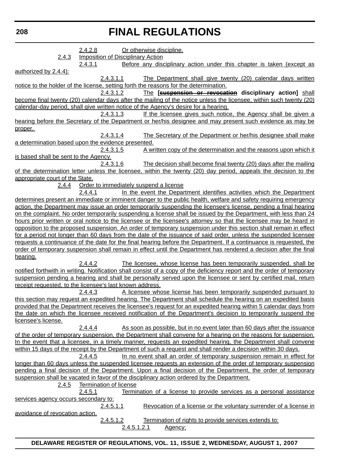**208**

# **FINAL REGULATIONS**

|                                                                                       | 2.4.2.8                                  |             | Or otherwise discipline. |                                                                                                                         |
|---------------------------------------------------------------------------------------|------------------------------------------|-------------|--------------------------|-------------------------------------------------------------------------------------------------------------------------|
| 2.4.3                                                                                 | <b>Imposition of Disciplinary Action</b> |             |                          |                                                                                                                         |
|                                                                                       | 2.4.3.1                                  |             |                          | Before any disciplinary action under this chapter is taken (except as                                                   |
| authorized by 2.4.4):                                                                 |                                          |             |                          |                                                                                                                         |
|                                                                                       | 2.4.3.1.1                                |             |                          | The Department shall give twenty (20) calendar days written                                                             |
| notice to the holder of the license, setting forth the reasons for the determination. |                                          |             |                          |                                                                                                                         |
|                                                                                       | 2.4.3.1.2                                |             |                          | The [suspension or revocation disciplinary action] shall                                                                |
|                                                                                       |                                          |             |                          | become final twenty (20) calendar days after the mailing of the notice unless the licensee, within such twenty (20)     |
| calendar-day period, shall give written notice of the Agency's desire for a hearing.  |                                          |             |                          |                                                                                                                         |
|                                                                                       | 2.4.3.1.3                                |             |                          | If the licensee gives such notice, the Agency shall be given a                                                          |
|                                                                                       |                                          |             |                          | hearing before the Secretary of the Department or her/his designee and may present such evidence as may be              |
| proper.                                                                               |                                          |             |                          |                                                                                                                         |
|                                                                                       | 2.4.3.1.4                                |             |                          | The Secretary of the Department or her/his designee shall make                                                          |
| a determination based upon the evidence presented.                                    |                                          |             |                          |                                                                                                                         |
|                                                                                       | 2.4.3.1.5                                |             |                          | A written copy of the determination and the reasons upon which it                                                       |
| is based shall be sent to the Agency.                                                 |                                          |             |                          |                                                                                                                         |
|                                                                                       | 2.4.3.1.6                                |             |                          | The decision shall become final twenty (20) days after the mailing                                                      |
|                                                                                       |                                          |             |                          | of the determination letter unless the licensee, within the twenty (20) day period, appeals the decision to the         |
| appropriate court of the State.                                                       |                                          |             |                          |                                                                                                                         |
| 2.4.4                                                                                 | Order to immediately suspend a license   |             |                          |                                                                                                                         |
|                                                                                       | 2.4.4.1                                  |             |                          | In the event the Department identifies activities which the Department                                                  |
|                                                                                       |                                          |             |                          | determines present an immediate or imminent danger to the public health, welfare and safety requiring emergency         |
|                                                                                       |                                          |             |                          | action, the Department may issue an order temporarily suspending the licensee's license, pending a final hearing        |
|                                                                                       |                                          |             |                          | on the complaint. No order temporarily suspending a license shall be issued by the Department, with less than 24        |
|                                                                                       |                                          |             |                          |                                                                                                                         |
|                                                                                       |                                          |             |                          | hours prior written or oral notice to the licensee or the licensee's attorney so that the licensee may be heard in      |
|                                                                                       |                                          |             |                          | opposition to the proposed suspension. An order of temporary suspension under this section shall remain in effect       |
|                                                                                       |                                          |             |                          | for a period not longer than 60 days from the date of the issuance of said order, unless the suspended licensee         |
|                                                                                       |                                          |             |                          | requests a continuance of the date for the final hearing before the Department. If a continuance is requested, the      |
|                                                                                       |                                          |             |                          | order of temporary suspension shall remain in effect until the Department has rendered a decision after the final       |
| hearing.                                                                              |                                          |             |                          |                                                                                                                         |
|                                                                                       | 2.4.4.2                                  |             |                          | The licensee, whose license has been temporarily suspended, shall be                                                    |
|                                                                                       |                                          |             |                          | notified forthwith in writing. Notification shall consist of a copy of the deficiency report and the order of temporary |
|                                                                                       |                                          |             |                          | suspension pending a hearing and shall be personally served upon the licensee or sent by certified mail, return         |
| receipt requested, to the licensee's last known address.                              |                                          |             |                          |                                                                                                                         |
|                                                                                       | 2.4.4.3                                  |             |                          | A licensee whose license has been temporarily suspended pursuant to                                                     |
|                                                                                       |                                          |             |                          | this section may request an expedited hearing. The Department shall schedule the hearing on an expedited basis          |
|                                                                                       |                                          |             |                          | provided that the Department receives the licensee's request for an expedited hearing within 5 calendar days from       |
|                                                                                       |                                          |             |                          | the date on which the licensee received notification of the Department's decision to temporarily suspend the            |
| <u>licensee's license.</u>                                                            |                                          |             |                          |                                                                                                                         |
|                                                                                       | 2.4.4.4                                  |             |                          | As soon as possible, but in no event later than 60 days after the issuance                                              |
|                                                                                       |                                          |             |                          | of the order of temporary suspension, the Department shall convene for a hearing on the reasons for suspension.         |
|                                                                                       |                                          |             |                          | In the event that a licensee, in a timely manner, requests an expedited hearing, the Department shall convene           |
|                                                                                       |                                          |             |                          | within 15 days of the receipt by the Department of such a request and shall render a decision within 30 days.           |
|                                                                                       | 2.4.4.5                                  |             |                          | In no event shall an order of temporary suspension remain in effect for                                                 |
|                                                                                       |                                          |             |                          | longer than 60 days unless the suspended licensee requests an extension of the order of temporary suspension            |
|                                                                                       |                                          |             |                          | pending a final decision of the Department. Upon a final decision of the Department, the order of temporary             |
|                                                                                       |                                          |             |                          | suspension shall be vacated in favor of the disciplinary action ordered by the Department.                              |
|                                                                                       |                                          |             |                          |                                                                                                                         |
| <u>2.4.5</u>                                                                          | <b>Termination of license</b>            |             |                          |                                                                                                                         |
|                                                                                       | 2.4.5.1                                  |             |                          | Termination of a license to provide services as a personal assistance                                                   |
| services agency occurs secondary to:                                                  |                                          |             |                          |                                                                                                                         |
|                                                                                       | 2.4.5.1.1                                |             |                          | Revocation of a license or the voluntary surrender of a license in                                                      |
| avoidance of revocation action.                                                       |                                          |             |                          |                                                                                                                         |
|                                                                                       | 2.4.5.1.2                                |             |                          | Termination of rights to provide services extends to:                                                                   |
|                                                                                       |                                          | 2.4.5.1.2.1 | Agency:                  |                                                                                                                         |
|                                                                                       |                                          |             |                          |                                                                                                                         |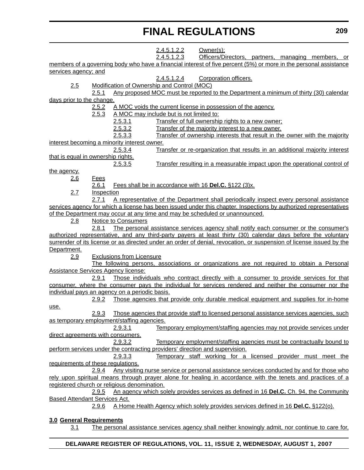2.4.5.1.2.2 Owner(s); 2.4.5.1.2.3 Officers/Directors, partners, managing members, or members of a governing body who have a financial interest of five percent (5%) or more in the personal assistance services agency; and 2.4.5.1.2.4 Corporation officers. 2.5 Modification of Ownership and Control (MOC) 2.5.1 Any proposed MOC must be reported to the Department a minimum of thirty (30) calendar days prior to the change. 2.5.2 A MOC voids the current license in possession of the agency. 2.5.3 A MOC may include but is not limited to: 2.5.3.1 Transfer of full ownership rights to a new owner; 2.5.3.2 Transfer of the majority interest to a new owner. 2.5.3.3 Transfer of ownership interests that result in the owner with the majority interest becoming a minority interest owner. 2.5.3.4 Transfer or re-organization that results in an additional majority interest that is equal in ownership rights. 2.5.3.5 Transfer resulting in a measurable impact upon the operational control of the agency. 2.6 Fees 2.6.1 Fees shall be in accordance with 16 **Del.C.** §122 (3)x. 2.7 Inspection 2.7.1 A representative of the Department shall periodically inspect every personal assistance services agency for which a license has been issued under this chapter. Inspections by authorized representatives of the Department may occur at any time and may be scheduled or unannounced. 2.8 Notice to Consumers 2.8.1 The personal assistance services agency shall notify each consumer or the consumer's authorized representative, and any third-party payers at least thirty (30) calendar days before the voluntary surrender of its license or as directed under an order of denial, revocation, or suspension of license issued by the Department. 2.9 Exclusions from Licensure The following persons, associations or organizations are not required to obtain a Personal Assistance Services Agency license: 2.9.1 Those individuals who contract directly with a consumer to provide services for that consumer, where the consumer pays the individual for services rendered and neither the consumer nor the individual pays an agency on a periodic basis. 2.9.2 Those agencies that provide only durable medical equipment and supplies for in-home use. 2.9.3 Those agencies that provide staff to licensed personal assistance services agencies, such as temporary employment/staffing agencies. 2.9.3.1 Temporary employment/staffing agencies may not provide services under direct agreements with consumers. 2.9.3.2 Temporary employment/staffing agencies must be contractually bound to perform services under the contracting providers' direction and supervision. 2.9.3.3 Temporary staff working for a licensed provider must meet the requirements of these regulations. 2.9.4 Any visiting nurse service or personal assistance services conducted by and for those who rely upon spiritual means through prayer alone for healing in accordance with the tenets and practices of a registered church or religious denomination. 2.9.5 An agency which solely provides services as defined in 16 **Del.C.** Ch. 94, the Community Based Attendant Services Act. 2.9.6 A Home Health Agency which solely provides services defined in 16 **Del.C.** §122(o). **3.0 General Requirements**

3.1 The personal assistance services agency shall neither knowingly admit, nor continue to care for,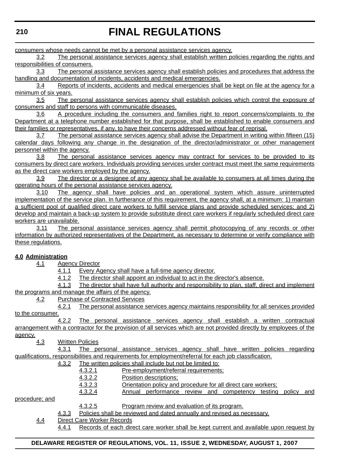consumers whose needs cannot be met by a personal assistance services agency.

3.2 The personal assistance services agency shall establish written policies regarding the rights and responsibilities of consumers.

3.3 The personal assistance services agency shall establish policies and procedures that address the handling and documentation of incidents, accidents and medical emergencies.

3.4 Reports of incidents, accidents and medical emergencies shall be kept on file at the agency for a minimum of six years.

3.5 The personal assistance services agency shall establish policies which control the exposure of consumers and staff to persons with communicable diseases.

3.6 A procedure including the consumers and families right to report concerns/complaints to the Department at a telephone number established for that purpose, shall be established to enable consumers and their families or representatives, if any, to have their concerns addressed without fear of reprisal.

3.7 The personal assistance services agency shall advise the Department in writing within fifteen (15) calendar days following any change in the designation of the director/administrator or other management personnel within the agency.

3.8 The personal assistance services agency may contract for services to be provided to its consumers by direct care workers. Individuals providing services under contract must meet the same requirements as the direct care workers employed by the agency.

3.9 The director or a designee of any agency shall be available to consumers at all times during the operating hours of the personal assistance services agency.

3.10 The agency shall have policies and an operational system which assure uninterrupted implementation of the service plan. In furtherance of this requirement, the agency shall, at a minimum: 1) maintain a sufficient pool of qualified direct care workers to fulfill service plans and provide scheduled services; and 2) develop and maintain a back-up system to provide substitute direct care workers if regularly scheduled direct care workers are unavailable.

3.11 The personal assistance services agency shall permit photocopying of any records or other information by authorized representatives of the Department, as necessary to determine or verify compliance with these regulations.

### **4.0 Administration**

4.1 Agency Director

4.1.1 Every Agency shall have a full-time agency director.

4.1.2 The director shall appoint an individual to act in the director's absence.

4.1.3 The director shall have full authority and responsibility to plan, staff, direct and implement the programs and manage the affairs of the agency.

4.2 Purchase of Contracted Services

4.2.1 The personal assistance services agency maintains responsibility for all services provided to the consumer.

4.2.2 The personal assistance services agency shall establish a written contractual arrangement with a contractor for the provision of all services which are not provided directly by employees of the agency.

4.3 Written Policies

4.3.1 The personal assistance services agency shall have written policies regarding qualifications, responsibilities and requirements for employment/referral for each job classification.

#### 4.3.2 The written policies shall include but not be limited to:

4.3.2.1 Pre-employment/referral requirements;

- 4.3.2.2 Position descriptions;
- 4.3.2.3 Orientation policy and procedure for all direct care workers;

4.3.2.4 Annual performance review and competency testing policy and

procedure; and

4.3.2.5 Program review and evaluation of its program.

- 4.3.3 Policies shall be reviewed and dated annually and revised as necessary.
- 4.4 Direct Care Worker Records

4.4.1 Records of each direct care worker shall be kept current and available upon request by

### **DELAWARE REGISTER OF REGULATIONS, VOL. 11, ISSUE 2, WEDNESDAY, AUGUST 1, 2007**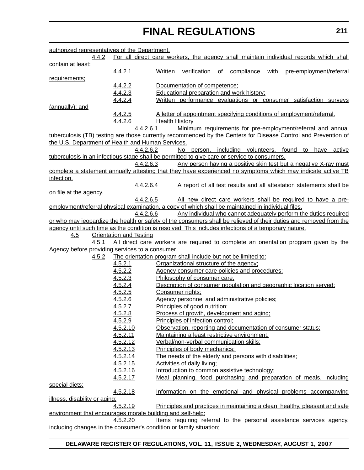| authorized representatives of the Department.              |                                |                                                                                                                    |
|------------------------------------------------------------|--------------------------------|--------------------------------------------------------------------------------------------------------------------|
| 4.4.2                                                      |                                | For all direct care workers, the agency shall maintain individual records which shall                              |
| contain at least:                                          |                                |                                                                                                                    |
|                                                            | 4.4.2.1                        | of compliance with pre-employment/referral<br>Written<br>verification                                              |
| requirements;                                              |                                |                                                                                                                    |
|                                                            | 4.4.2.2                        | Documentation of competence;                                                                                       |
|                                                            | 4.4.2.3                        | <b>Educational preparation and work history:</b>                                                                   |
|                                                            | 4.4.2.4                        | Written performance evaluations or consumer satisfaction surveys                                                   |
| (annually); and                                            |                                |                                                                                                                    |
|                                                            | 4.4.2.5<br>4.4.2.6             | A letter of appointment specifying conditions of employment/referral.<br><b>Health History</b>                     |
|                                                            | 4.4.2.6.1                      | Minimum requirements for pre-employment/referral and annual                                                        |
|                                                            |                                | tuberculosis (TB) testing are those currently recommended by the Centers for Disease Control and Prevention of     |
| the U.S. Department of Health and Human Services.          |                                |                                                                                                                    |
|                                                            | 4.4.2.6.2                      | No person, including volunteers, found to have active                                                              |
|                                                            |                                | tuberculosis in an infectious stage shall be permitted to give care or service to consumers.                       |
|                                                            | 4.4.2.6.3                      | Any person having a positive skin test but a negative X-ray must                                                   |
|                                                            |                                | complete a statement annually attesting that they have experienced no symptoms which may indicate active TB        |
| infection.                                                 |                                |                                                                                                                    |
|                                                            | 4.4.2.6.4                      | A report of all test results and all attestation statements shall be                                               |
| on file at the agency.                                     |                                |                                                                                                                    |
|                                                            | 4.4.2.6.5                      | All new direct care workers shall be required to have a pre-                                                       |
|                                                            |                                | employment/referral physical examination, a copy of which shall be maintained in individual files.                 |
|                                                            | 4.4.2.6.6                      | Any individual who cannot adequately perform the duties required                                                   |
|                                                            |                                | or who may jeopardize the health or safety of the consumers shall be relieved of their duties and removed from the |
|                                                            |                                | agency until such time as the condition is resolved. This includes infections of a temporary nature.               |
| <u>4.5</u>                                                 | <b>Orientation and Testing</b> |                                                                                                                    |
| 4.5.1                                                      |                                | All direct care workers are required to complete an orientation program given by the                               |
| Agency before providing services to a consumer.            |                                |                                                                                                                    |
| 4.5.2                                                      |                                | The orientation program shall include but not be limited to:                                                       |
|                                                            | 4.5.2.1                        | Organizational structure of the agency;                                                                            |
|                                                            | 4.5.2.2                        | Agency consumer care policies and procedures:                                                                      |
|                                                            | 4.5.2.3                        | Philosophy of consumer care:                                                                                       |
|                                                            | 4.5.2.4                        | Description of consumer population and geographic location served;                                                 |
|                                                            | 4.5.2.5                        | Consumer rights;                                                                                                   |
|                                                            | 4.5.2.6                        | Agency personnel and administrative policies:                                                                      |
|                                                            | 4.5.2.7                        | Principles of good nutrition;                                                                                      |
|                                                            | 4.5.2.8                        | Process of growth, development and aging:                                                                          |
|                                                            | 4.5.2.9                        | Principles of infection control;                                                                                   |
|                                                            | 4.5.2.10                       | Observation, reporting and documentation of consumer status;                                                       |
|                                                            | 4.5.2.11                       | Maintaining a least restrictive environment;                                                                       |
|                                                            |                                | Verbal/non-verbal communication skills;                                                                            |
|                                                            | 4.5.2.12<br>4.5.2.13           |                                                                                                                    |
|                                                            | 4.5.2.14                       | Principles of body mechanics;                                                                                      |
|                                                            |                                | The needs of the elderly and persons with disabilities:                                                            |
|                                                            | 4.5.2.15                       | <b>Activities of daily living:</b>                                                                                 |
|                                                            | 4.5.2.16                       | Introduction to common assistive technology;                                                                       |
|                                                            | 4.5.2.17                       | Meal planning, food purchasing and preparation of meals, including                                                 |
| special diets;                                             |                                |                                                                                                                    |
|                                                            | 4.5.2.18                       | Information on the emotional and physical problems accompanying                                                    |
| illness, disability or aging;                              |                                |                                                                                                                    |
|                                                            | 4.5.2.19                       | Principles and practices in maintaining a clean, healthy, pleasant and safe                                        |
| environment that encourages morale building and self-help; |                                |                                                                                                                    |
|                                                            | 4.5.2.20                       | Items requiring referral to the personal assistance services agency.                                               |
|                                                            |                                | including changes in the consumer's condition or family situation;                                                 |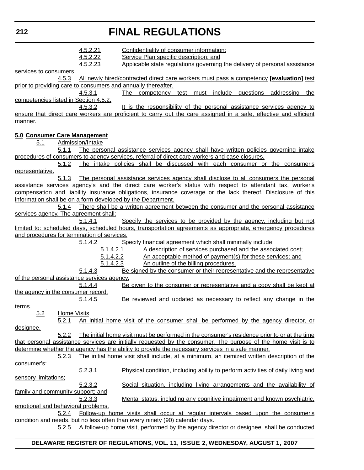| 212                                         |                    |                                  | <b>FINAL REGULATIONS</b>                                                                                                                                                                                                                                                                                                                                                        |
|---------------------------------------------|--------------------|----------------------------------|---------------------------------------------------------------------------------------------------------------------------------------------------------------------------------------------------------------------------------------------------------------------------------------------------------------------------------------------------------------------------------|
|                                             |                    | 4.5.2.21<br>4.5.2.22<br>4.5.2.23 | Confidentiality of consumer information;<br>Service Plan specific description; and<br>Applicable state regulations governing the delivery of personal assistance                                                                                                                                                                                                                |
| services to consumers.                      | 4.5.3              |                                  | All newly hired/contracted direct care workers must pass a competency [evaluation] test                                                                                                                                                                                                                                                                                         |
|                                             |                    | 4.5.3.1                          | prior to providing care to consumers and annually thereafter.<br>The competency<br>test must include questions addressing<br>the                                                                                                                                                                                                                                                |
| competencies listed in Section 4.5.2.       |                    | 4.5.3.2                          | It is the responsibility of the personal assistance services agency to                                                                                                                                                                                                                                                                                                          |
| manner.                                     |                    |                                  | ensure that direct care workers are proficient to carry out the care assigned in a safe, effective and efficient                                                                                                                                                                                                                                                                |
| 5.0 Consumer Care Management<br>5.1         |                    | Admission/Intake                 |                                                                                                                                                                                                                                                                                                                                                                                 |
|                                             | 5.1.1<br>5.1.2     |                                  | The personal assistance services agency shall have written policies governing intake<br>procedures of consumers to agency services, referral of direct care workers and case closures.<br>The intake policies shall be discussed with each consumer or the consumer's                                                                                                           |
| representative.                             | 5.1.3              |                                  |                                                                                                                                                                                                                                                                                                                                                                                 |
|                                             |                    |                                  | The personal assistance services agency shall disclose to all consumers the personal<br>assistance services agency's and the direct care worker's status with respect to attendant tax, worker's<br>compensation and liability insurance obligations, insurance coverage or the lack thereof. Disclosure of this<br>information shall be on a form developed by the Department. |
| services agency. The agreement shall:       | 5.1.4              |                                  | There shall be a written agreement between the consumer and the personal assistance                                                                                                                                                                                                                                                                                             |
| and procedures for termination of services. |                    | 5.1.4.1                          | Specify the services to be provided by the agency, including but not<br>limited to: scheduled days, scheduled hours, transportation agreements as appropriate, emergency procedures                                                                                                                                                                                             |
|                                             |                    | 5.1.4.2                          | Specify financial agreement which shall minimally include:                                                                                                                                                                                                                                                                                                                      |
|                                             |                    | 5.1.4.2.1                        | A description of services purchased and the associated cost;                                                                                                                                                                                                                                                                                                                    |
|                                             |                    | 5.1.4.2.2<br>5.1.4.2.3           | An acceptable method of payment(s) for these services; and<br>An outline of the billing procedures.                                                                                                                                                                                                                                                                             |
|                                             |                    | 5.1.4.3                          | Be signed by the consumer or their representative and the representative                                                                                                                                                                                                                                                                                                        |
| of the personal assistance services agency. |                    |                                  |                                                                                                                                                                                                                                                                                                                                                                                 |
|                                             |                    | 5.1.4.4                          | Be given to the consumer or representative and a copy shall be kept at                                                                                                                                                                                                                                                                                                          |
| the agency in the consumer record.          |                    |                                  |                                                                                                                                                                                                                                                                                                                                                                                 |
|                                             |                    | 5.1.4.5                          | Be reviewed and updated as necessary to reflect any change in the                                                                                                                                                                                                                                                                                                               |
| terms.<br>5.2                               | <b>Home Visits</b> |                                  |                                                                                                                                                                                                                                                                                                                                                                                 |
|                                             | 5.2.1              |                                  | <u>An initial home visit of the consumer shall be performed by the agency director, or</u>                                                                                                                                                                                                                                                                                      |
| designee.                                   | 5.2.2              |                                  | The initial home visit must be performed in the consumer's residence prior to or at the time                                                                                                                                                                                                                                                                                    |
|                                             |                    |                                  | that personal assistance services are initially requested by the consumer. The purpose of the home visit is to                                                                                                                                                                                                                                                                  |
|                                             |                    |                                  | determine whether the agency has the ability to provide the necessary services in a safe manner.                                                                                                                                                                                                                                                                                |
|                                             | 5.2.3              |                                  | The initial home visit shall include, at a minimum, an itemized written description of the                                                                                                                                                                                                                                                                                      |
| consumer's:<br>sensory limitations;         |                    | 5.2.3.1                          | Physical condition, including ability to perform activities of daily living and                                                                                                                                                                                                                                                                                                 |
| family and community support; and           |                    | 5.2.3.2                          | Social situation, including living arrangements and the availability of                                                                                                                                                                                                                                                                                                         |
|                                             |                    | 5.2.3.3                          | Mental status, including any cognitive impairment and known psychiatric,                                                                                                                                                                                                                                                                                                        |
| emotional and behavioral problems.          | 5.2.4              |                                  | Follow-up home visits shall occur at regular intervals based upon the consumer's                                                                                                                                                                                                                                                                                                |
|                                             | 5.2.5              |                                  | condition and needs, but no less often than every ninety (90) calendar days.<br>A follow-up home visit, performed by the agency director or designee, shall be conducted                                                                                                                                                                                                        |
|                                             |                    |                                  |                                                                                                                                                                                                                                                                                                                                                                                 |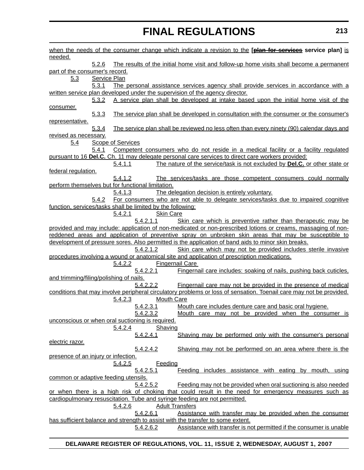| <u>needed.</u>                                                                                                                                                                |
|-------------------------------------------------------------------------------------------------------------------------------------------------------------------------------|
| The results of the initial home visit and follow-up home visits shall become a permanent<br>5.2.6                                                                             |
| part of the consumer's record.                                                                                                                                                |
| 5.3<br><b>Service Plan</b>                                                                                                                                                    |
| The personal assistance services agency shall provide services in accordance with a<br>5.3.1                                                                                  |
| written service plan developed under the supervision of the agency director.                                                                                                  |
| A service plan shall be developed at intake based upon the initial home visit of the<br>5.3.2                                                                                 |
| consumer.                                                                                                                                                                     |
| 5.3.3<br>The service plan shall be developed in consultation with the consumer or the consumer's                                                                              |
| representative.                                                                                                                                                               |
| The service plan shall be reviewed no less often than every ninety (90) calendar days and<br><u>5.3.4</u>                                                                     |
| revised as necessary.                                                                                                                                                         |
| <b>Scope of Services</b><br><u>5.4</u>                                                                                                                                        |
| Competent consumers who do not reside in a medical facility or a facility regulated<br>5.4.1                                                                                  |
| pursuant to 16 Del.C. Ch. 11 may delegate personal care services to direct care workers provided:                                                                             |
| The nature of the service/task is not excluded by <b>Del.C.</b> or other state or<br>5.4.1.1                                                                                  |
| federal regulation.                                                                                                                                                           |
| 5.4.1.2<br>The services/tasks are those competent consumers could normally                                                                                                    |
| perform themselves but for functional limitation.                                                                                                                             |
| The delegation decision is entirely voluntary.<br>5.4.1.3                                                                                                                     |
| For consumers who are not able to delegate services/tasks due to impaired cognitive<br>5.4.2                                                                                  |
| function, services/tasks shall be limited by the following:<br><b>Skin Care</b>                                                                                               |
| <u>5.4.2.1</u><br>5.4.2.1.1                                                                                                                                                   |
| Skin care which is preventive rather than therapeutic may be<br>provided and may include: application of non-medicated or non-prescribed lotions or creams, massaging of non- |
| reddened areas and application of preventive spray on unbroken skin areas that may be susceptible to                                                                          |
| development of pressure sores. Also permitted is the application of band aids to minor skin breaks.                                                                           |
| 5.4.2.1.2<br>Skin care which may not be provided includes sterile invasive                                                                                                    |
| procedures involving a wound or anatomical site and application of prescription medications.                                                                                  |
| <b>Fingernail Care</b><br><u>5.4.2.2</u>                                                                                                                                      |
|                                                                                                                                                                               |
|                                                                                                                                                                               |
| 5.4.2.2.1<br>Fingernail care includes: soaking of nails, pushing back cuticles,                                                                                               |
| and trimming/filing/polishing of nails.                                                                                                                                       |
| 5.4.2.2.2<br>Fingernail care may not be provided in the presence of medical                                                                                                   |
| conditions that may involve peripheral circulatory problems or loss of sensation. Toenail care may not be provided.                                                           |
| <b>Mouth Care</b><br><u>5.4.2.3</u>                                                                                                                                           |
| 5.4.2.3.1<br>Mouth care includes denture care and basic oral hygiene.                                                                                                         |
| <u>5.4.2.3.2</u><br><u>Mouth care may not be provided when the consumer is</u>                                                                                                |
| unconscious or when oral suctioning is required.                                                                                                                              |
| Shaving<br>5.4.2.4                                                                                                                                                            |
| 5.4.2.4.1<br>Shaving may be performed only with the consumer's personal                                                                                                       |
| electric razor.                                                                                                                                                               |
| Shaving may not be performed on an area where there is the<br>5.4.2.4.2                                                                                                       |
| presence of an injury or infection.                                                                                                                                           |
| <u>5.4.2.5</u><br><b>Feeding</b>                                                                                                                                              |
| 5.4.2.5.1<br>Feeding includes assistance with eating by mouth, using                                                                                                          |
| common or adaptive feeding utensils.                                                                                                                                          |
| Feeding may not be provided when oral suctioning is also needed<br>5.4.2.5.2                                                                                                  |
| or when there is a high risk of choking that could result in the need for emergency measures such as                                                                          |
| cardiopulmonary resuscitation. Tube and syringe feeding are not permitted.                                                                                                    |
| <b>Adult Transfers</b><br><u>5.4.2.6</u>                                                                                                                                      |
| 5.4.2.6.1<br>Assistance with transfer may be provided when the consumer<br>has sufficient balance and strength to assist with the transfer to some extent.                    |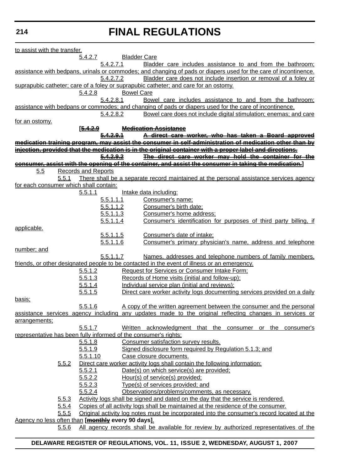### **214**

# **FINAL REGULATIONS**

| to assist with the transfer.                       |              |                             |                     |                                                                                                                  |
|----------------------------------------------------|--------------|-----------------------------|---------------------|------------------------------------------------------------------------------------------------------------------|
|                                                    |              | 5.4.2.7                     | <b>Bladder Care</b> |                                                                                                                  |
|                                                    |              | 5.4.2.7.1                   |                     | Bladder care includes assistance to and from the bathroom;                                                       |
|                                                    |              |                             |                     | assistance with bedpans, urinals or commodes; and changing of pads or diapers used for the care of incontinence. |
|                                                    |              | 5.4.2.7.2                   |                     | Bladder care does not include insertion or removal of a foley or                                                 |
|                                                    |              |                             |                     | suprapubic catheter; care of a foley or suprapubic catheter; and care for an ostomy.                             |
|                                                    |              | 5.4.2.8                     | <b>Bowel Care</b>   |                                                                                                                  |
|                                                    |              | 5.4.2.8.1                   |                     | Bowel care includes assistance to and from the bathroom;                                                         |
|                                                    |              |                             |                     | assistance with bedpans or commodes; and changing of pads or diapers used for the care of incontinence.          |
|                                                    |              | 5.4.2.8.2                   |                     | Bowel care does not include digital stimulation; enemas; and care                                                |
| for an ostomy.                                     |              |                             |                     |                                                                                                                  |
|                                                    |              | <u> [<del>5.4.2.9</del></u> |                     | <b>Medication Assistance</b>                                                                                     |
|                                                    |              |                             |                     | A direct care worker, who has taken a Board approved                                                             |
|                                                    |              |                             |                     | medication training program, may assist the consumer in self-administration of medication other than by          |
|                                                    |              |                             |                     | injection, provided that the medication is in the original container with a proper label and directions.         |
|                                                    |              | <del>5.4.2.9.2</del>        |                     | The direct care worker may hold the container for the                                                            |
|                                                    |              |                             |                     | consumer, assist with the opening of the container, and assist the consumer in taking the medication.]           |
| 5.5                                                |              | <b>Records and Reports</b>  |                     |                                                                                                                  |
|                                                    | 5.5.1        |                             |                     | There shall be a separate record maintained at the personal assistance services agency                           |
| for each consumer which shall contain:             |              |                             |                     |                                                                                                                  |
|                                                    |              | 5.5.1.1                     |                     | Intake data including:                                                                                           |
|                                                    |              | 5.5.1.1.1                   |                     | Consumer's name;                                                                                                 |
|                                                    |              | 5.5.1.1.2                   |                     | Consumer's birth date;                                                                                           |
|                                                    |              | 5.5.1.1.3                   |                     | Consumer's home address;                                                                                         |
|                                                    |              | 5.5.1.1.4                   |                     | Consumer's identification for purposes of third party billing, if                                                |
| applicable.                                        |              |                             |                     |                                                                                                                  |
|                                                    |              | 5.5.1.1.5                   |                     | Consumer's date of intake;                                                                                       |
|                                                    |              | 5.5.1.1.6                   |                     | Consumer's primary physician's name, address and telephone                                                       |
| number; and                                        |              |                             |                     |                                                                                                                  |
|                                                    |              | 5.5.1.1.7                   |                     | Names, addresses and telephone numbers of family members,                                                        |
|                                                    |              |                             |                     | friends, or other designated people to be contacted in the event of illness or an emergency.                     |
|                                                    |              | 5.5.1.2                     |                     | <b>Request for Services or Consumer Intake Form;</b>                                                             |
|                                                    |              | 5.5.1.3                     |                     | Records of Home visits (initial and follow-up);                                                                  |
|                                                    |              | 5.5.1.4                     |                     | Individual service plan (initial and reviews);                                                                   |
|                                                    |              | 5.5.1.5                     |                     | Direct care worker activity logs documenting services provided on a daily                                        |
| <u>basis;</u>                                      |              |                             |                     |                                                                                                                  |
|                                                    |              | 5.5.1.6                     |                     | A copy of the written agreement between the consumer and the personal                                            |
|                                                    |              |                             |                     | assistance services agency including any updates made to the original reflecting changes in services or          |
| arrangements;                                      |              |                             |                     |                                                                                                                  |
|                                                    |              | 5.5.1.7                     |                     | Written acknowledgment that the consumer or the consumer's                                                       |
|                                                    |              |                             |                     | representative has been fully informed of the consumer's rights:                                                 |
|                                                    |              | 5.5.1.8                     |                     | Consumer satisfaction survey results.                                                                            |
|                                                    |              |                             |                     |                                                                                                                  |
|                                                    |              | 5.5.1.9                     |                     | Signed disclosure form required by Regulation 5.1.3; and                                                         |
|                                                    |              | 5.5.1.10                    |                     | Case closure documents.                                                                                          |
|                                                    | 5.5.2        |                             |                     | Direct care worker activity logs shall contain the following information:                                        |
|                                                    |              | 5.5.2.1                     |                     | Date(s) on which service(s) are provided;                                                                        |
|                                                    |              | 5.5.2.2                     |                     | Hour(s) of service(s) provided;                                                                                  |
|                                                    |              | 5.5.2.3                     |                     | Type(s) of services provided; and                                                                                |
|                                                    |              | 5.5.2.4                     |                     | Observations/problems/comments, as necessary.                                                                    |
|                                                    | 5.5.3        |                             |                     | Activity logs shall be signed and dated on the day that the service is rendered.                                 |
|                                                    | <u>5.5.4</u> |                             |                     | Copies of all activity logs shall be maintained at the residence of the consumer.                                |
|                                                    | 5.5.5        |                             |                     | Original activity log notes must be incorporated into the consumer's record located at the                       |
| Agency no less often than [monthly every 90 days]. |              |                             |                     |                                                                                                                  |
|                                                    | 5.5.6        |                             |                     | All agency records shall be available for review by authorized representatives of the                            |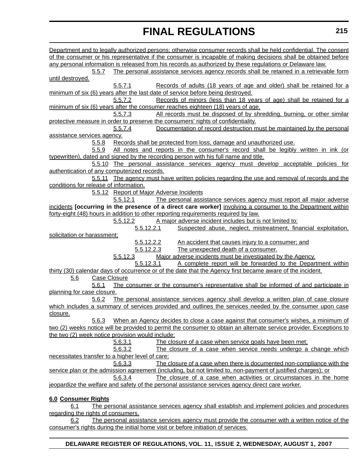| Department and to legally authorized persons; otherwise consumer records shall be held confidential. The consent                                                                                   |  |
|----------------------------------------------------------------------------------------------------------------------------------------------------------------------------------------------------|--|
| of the consumer or his representative if the consumer is incapable of making decisions shall be obtained before                                                                                    |  |
| any personal information is released from his records as authorized by these regulations or Delaware law.                                                                                          |  |
| 5.5.7<br>The personal assistance services agency records shall be retained in a retrievable form                                                                                                   |  |
| until destroyed.                                                                                                                                                                                   |  |
| Records of adults (18 years of age and older) shall be retained for a<br>5.5.7.1                                                                                                                   |  |
| minimum of six (6) years after the last date of service before being destroyed.                                                                                                                    |  |
| 5.5.7.2<br>Records of minors (less than 18 years of age) shall be retained for a                                                                                                                   |  |
| minimum of six (6) years after the consumer reaches eighteen (18) years of age.                                                                                                                    |  |
| All records must be disposed of by shredding, burning, or other similar<br>5.5.7.3                                                                                                                 |  |
| protective measure in order to preserve the consumers' rights of confidentiality.                                                                                                                  |  |
| Documentation of record destruction must be maintained by the personal<br>5.5.7.4                                                                                                                  |  |
| <u>assistance services agency.</u>                                                                                                                                                                 |  |
| Records shall be protected from loss, damage and unauthorized use.<br><u>5.5.8</u>                                                                                                                 |  |
| All notes and reports in the consumer's record shall be legibly written in ink (or<br>5.5.9                                                                                                        |  |
| typewritten), dated and signed by the recording person with his full name and title.                                                                                                               |  |
| 5.5.10 The personal assistance services agency must develop acceptable policies for                                                                                                                |  |
| authentication of any computerized records.                                                                                                                                                        |  |
| 5.5.11 The agency must have written policies regarding the use and removal of records and the                                                                                                      |  |
| conditions for release of information.                                                                                                                                                             |  |
| 5.5.12 Report of Major Adverse Incidents                                                                                                                                                           |  |
| 5.5.12.1<br>The personal assistance services agency must report all major adverse                                                                                                                  |  |
| incidents [occurring in the presence of a direct care worker] involving a consumer to the Department within<br>forty-eight (48) hours in addition to other reporting requirements required by law. |  |
| A major adverse incident includes but is not limited to:<br>5.5.12.2                                                                                                                               |  |
| 5.5.12.2.1<br>Suspected abuse, neglect, mistreatment, financial exploitation,                                                                                                                      |  |
| solicitation or harassment;                                                                                                                                                                        |  |
| 5.5.12.2.2<br>An accident that causes injury to a consumer; and                                                                                                                                    |  |
| 5.5.12.2.3<br>The unexpected death of a consumer.                                                                                                                                                  |  |
| Major adverse incidents must be investigated by the Agency.<br><u>5.5.12.3</u>                                                                                                                     |  |
| 5.5.12.3.1<br>A complete report will be forwarded to the Department within                                                                                                                         |  |
| thirty (30) calendar days of occurrence or of the date that the Agency first became aware of the incident.                                                                                         |  |
| Case Closure<br><u>5.6</u>                                                                                                                                                                         |  |
| The consumer or the consumer's representative shall be informed of and participate in<br>5.6.1                                                                                                     |  |
| planning for case closure.                                                                                                                                                                         |  |
| 5.6.2<br>The personal assistance services agency shall develop a written plan of case closure                                                                                                      |  |
| which includes a summary of services provided and outlines the services needed by the consumer upon case                                                                                           |  |
| closure.                                                                                                                                                                                           |  |
| When an Agency decides to close a case against that consumer's wishes, a minimum of<br>5.6.3                                                                                                       |  |
| two (2) weeks notice will be provided to permit the consumer to obtain an alternate service provider. Exceptions to                                                                                |  |
| the two (2) week notice provision would include:                                                                                                                                                   |  |
| 5.6.3.1<br>The closure of a case when service goals have been met:                                                                                                                                 |  |
| 5.6.3.2<br>The closure of a case when service needs undergo a change which                                                                                                                         |  |
| necessitates transfer to a higher level of care:                                                                                                                                                   |  |
| 5.6.3.3<br>The closure of a case when there is documented non-compliance with the                                                                                                                  |  |
| service plan or the admission agreement (including, but not limited to, non-payment of justified charges); or                                                                                      |  |
| 5.6.3.4<br>The closure of a case when activities or circumstances in the home                                                                                                                      |  |
| jeopardize the welfare and safety of the personal assistance services agency direct care worker.                                                                                                   |  |
|                                                                                                                                                                                                    |  |
| 6.0 Consumer Rights                                                                                                                                                                                |  |

6.1 The personal assistance services agency shall establish and implement policies and procedures regarding the rights of consumers.

6.2 The personal assistance services agency must provide the consumer with a written notice of the consumer's rights during the initial home visit or before initiation of services.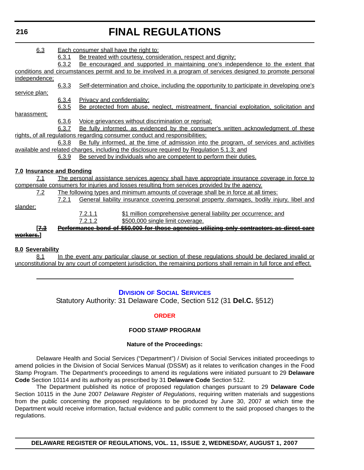## **216**

# **FINAL REGULATIONS**

| 6.3                                                                                       |       | Each consumer shall have the right to:                                                                       |  |  |
|-------------------------------------------------------------------------------------------|-------|--------------------------------------------------------------------------------------------------------------|--|--|
|                                                                                           | 6.3.1 | Be treated with courtesy, consideration, respect and dignity;                                                |  |  |
|                                                                                           | 6.3.2 | Be encouraged and supported in maintaining one's independence to the extent that                             |  |  |
|                                                                                           |       | conditions and circumstances permit and to be involved in a program of services designed to promote personal |  |  |
| independence;                                                                             |       |                                                                                                              |  |  |
|                                                                                           | 6.3.3 | Self-determination and choice, including the opportunity to participate in developing one's                  |  |  |
| service plan;                                                                             |       |                                                                                                              |  |  |
|                                                                                           | 6.3.4 | <b>Privacy and confidentiality:</b>                                                                          |  |  |
|                                                                                           | 6.3.5 | Be protected from abuse, neglect, mistreatment, financial exploitation, solicitation and                     |  |  |
| harassment;                                                                               |       |                                                                                                              |  |  |
|                                                                                           | 6.3.6 | Voice grievances without discrimination or reprisal;                                                         |  |  |
|                                                                                           | 6.3.7 | Be fully informed, as evidenced by the consumer's written acknowledgment of these                            |  |  |
|                                                                                           |       | rights, of all regulations regarding consumer conduct and responsibilities;                                  |  |  |
|                                                                                           | 6.3.8 | Be fully informed, at the time of admission into the program, of services and activities                     |  |  |
| available and related charges, including the disclosure required by Regulation 5.1.3; and |       |                                                                                                              |  |  |
|                                                                                           | 6.3.9 | Be served by individuals who are competent to perform their duties.                                          |  |  |
| 7.0 Insurance and Bonding                                                                 |       |                                                                                                              |  |  |
| 7.1                                                                                       |       | The personal assistance services agency shall have appropriate insurance coverage in force to                |  |  |
|                                                                                           |       | compensate consumers for injuries and losses resulting from services provided by the agency.                 |  |  |
| 7.2                                                                                       |       | The following types and minimum amounts of coverage shall be in force at all times:                          |  |  |
|                                                                                           | 7.2.1 | General liability insurance covering personal property damages, bodily injury, libel and                     |  |  |
| slander:                                                                                  |       |                                                                                                              |  |  |
|                                                                                           |       | 7.2.1.1<br>\$1 million comprehensive general liability per occurrence; and                                   |  |  |
|                                                                                           |       | \$500,000 single limit coverage.<br>7.2.1.2                                                                  |  |  |
| <u> 17.3</u>                                                                              |       | <del>Performance bond of \$50,000 for those agencies utilizing only contractors as direct care</del>         |  |  |
| <del>workers.</del> 1                                                                     |       |                                                                                                              |  |  |
|                                                                                           |       |                                                                                                              |  |  |
| 8.0 Severability                                                                          |       |                                                                                                              |  |  |

8.1 In the event any particular clause or section of these regulations should be declared invalid or unconstitutional by any court of competent jurisdiction, the remaining portions shall remain in full force and effect.

# **DIVISION [OF SOCIAL SERVICES](http://www.dhss.delaware.gov/dhss/dss/index.html)**

Statutory Authority: 31 Delaware Code, Section 512 (31 **Del.C.** §512)

### **[ORDER](#page-3-0)**

## **FOOD STAMP PROGRAM**

### **Nature of the Proceedings:**

Delaware Health and Social Services ("Department") / Division of Social Services initiated proceedings to amend policies in the Division of Social Services Manual (DSSM) as it relates to verification changes in the Food Stamp Program. The Department's proceedings to amend its regulations were initiated pursuant to 29 **Delaware Code** Section 10114 and its authority as prescribed by 31 **Delaware Code** Section 512.

The Department published its notice of proposed regulation changes pursuant to 29 **Delaware Code** Section 10115 in the June 2007 *Delaware Register of Regulations*, requiring written materials and suggestions from the public concerning the proposed regulations to be produced by June 30, 2007 at which time the Department would receive information, factual evidence and public comment to the said proposed changes to the regulations.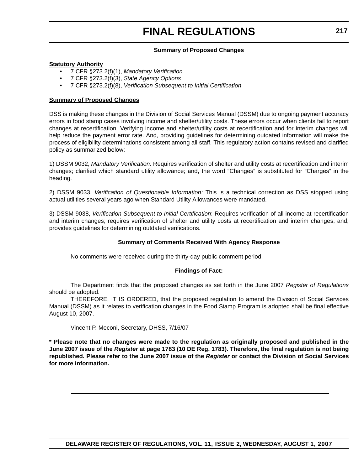### **Summary of Proposed Changes**

## **Statutory Authority**

- 7 CFR §273.2(f)(1), *Mandatory Verification*
- 7 CFR §273.2(f)(3), *State Agency Options*
- 7 CFR §273.2(f)(8), *Verification Subsequent to Initial Certification*

## **Summary of Proposed Changes**

DSS is making these changes in the Division of Social Services Manual (DSSM) due to ongoing payment accuracy errors in food stamp cases involving income and shelter/utility costs. These errors occur when clients fail to report changes at recertification. Verifying income and shelter/utility costs at recertification and for interim changes will help reduce the payment error rate. And, providing guidelines for determining outdated information will make the process of eligibility determinations consistent among all staff. This regulatory action contains revised and clarified policy as summarized below:

1) DSSM 9032, *Mandatory Verification:* Requires verification of shelter and utility costs at recertification and interim changes; clarified which standard utility allowance; and, the word "Changes" is substituted for "Charges" in the heading.

2) DSSM 9033, *Verification of Questionable Information:* This is a technical correction as DSS stopped using actual utilities several years ago when Standard Utility Allowances were mandated.

3) DSSM 9038, *Verification Subsequent to Initial Certification*: Requires verification of all income at recertification and interim changes; requires verification of shelter and utility costs at recertification and interim changes; and, provides guidelines for determining outdated verifications.

# **Summary of Comments Received With Agency Response**

No comments were received during the thirty-day public comment period.

### **Findings of Fact:**

The Department finds that the proposed changes as set forth in the June 2007 *Register of Regulations* should be adopted.

THEREFORE, IT IS ORDERED, that the proposed regulation to amend the Division of Social Services Manual (DSSM) as it relates to verification changes in the Food Stamp Program is adopted shall be final effective August 10, 2007.

### Vincent P. Meconi, Secretary, DHSS, 7/16/07

**\* Please note that no changes were made to the regulation as originally proposed and published in the June 2007 issue of the** *Register* **at page 1783 (10 DE Reg. 1783). Therefore, the final regulation is not being republished. Please refer to the June 2007 issue of the** *Register* **or contact the Division of Social Services for more information.**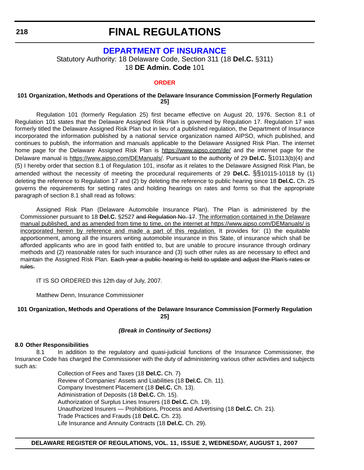# **[DEPARTMENT OF INSURANCE](http://www.delawareinsurance.gov/)**

Statutory Authority: 18 Delaware Code, Section 311 (18 **Del.C.** §311) 18 **DE Admin. Code** 101

#### **[ORDER](#page-4-0)**

#### **101 Organization, Methods and Operations of the Delaware Insurance Commission [Formerly Regulation 25]**

Regulation 101 (formerly Regulation 25) first became effective on August 20, 1976. Section 8.1 of Regulation 101 states that the Delaware Assigned Risk Plan is governed by Regulation 17. Regulation 17 was formerly titled the Delaware Assigned Risk Plan but in lieu of a published regulation, the Department of Insurance incorporated the information published by a national service organization named AIPSO, which published, and continues to publish, the information and manuals applicable to the Delaware Assigned Risk Plan. The internet home page for the Delaware Assigned Risk Plan is https://www.aipso.com/de/ and the internet page for the Delaware manual is https://www.aipso.com/DEManuals/. Pursuant to the authority of 29 **Del.C.** §10113(b)(4) and (5) I hereby order that section 8.1 of Regulation 101, insofar as it relates to the Delaware Assigned Risk Plan, be amended without the necessity of meeting the procedural requirements of 29 **Del.C.** §§10115-10118 by (1) deleting the reference to Regulation 17 and (2) by deleting the reference to public hearing since 18 **Del.C.** Ch. 25 governs the requirements for setting rates and holding hearings on rates and forms so that the appropriate paragraph of section 8.1 shall read as follows:

Assigned Risk Plan (Delaware Automobile Insurance Plan). The Plan is administered by the Commissioner pursuant to 18 **Del.C.** §2527 and Regulation No. 17. The information contained in the Delaware manual published, and as amended from time to time, on the internet at https://www.aipso.com/DEManuals/ is incorporated herein by reference and made a part of this regulation. It provides for: (1) the equitable apportionment, among all the insurers writing automobile insurance in this State, of insurance which shall be afforded applicants who are in good faith entitled to, but are unable to procure insurance through ordinary methods and (2) reasonable rates for such insurance and (3) such other rules as are necessary to effect and maintain the Assigned Risk Plan. Each year a public hearing is held to update and adjust the Plan's rates or rules.

IT IS SO ORDERED this 12th day of July, 2007.

Matthew Denn, Insurance Commissioner

### **101 Organization, Methods and Operations of the Delaware Insurance Commission [Formerly Regulation 25]**

### *(Break in Continuity of Sections)*

#### **8.0 Other Responsibilities**

8.1 In addition to the regulatory and quasi-judicial functions of the Insurance Commissioner, the Insurance Code has charged the Commissioner with the duty of administering various other activities and subjects such as:

> Collection of Fees and Taxes (18 **Del.C.** Ch. 7) Review of Companies' Assets and Liabilities (18 **Del.C.** Ch. 11). Company Investment Placement (18 **Del.C.** Ch. 13). Administration of Deposits (18 **Del.C.** Ch. 15). Authorization of Surplus Lines Insurers (18 **Del.C.** Ch. 19). Unauthorized Insurers — Prohibitions, Process and Advertising (18 **Del.C.** Ch. 21). Trade Practices and Frauds (18 **Del.C.** Ch. 23). Life Insurance and Annuity Contracts (18 **Del.C.** Ch. 29).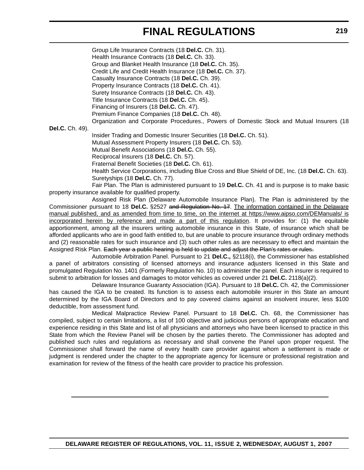Group Life Insurance Contracts (18 **Del.C.** Ch. 31). Health Insurance Contracts (18 **Del.C.** Ch. 33). Group and Blanket Health Insurance (18 **Del.C.** Ch. 35). Credit Life and Credit Health Insurance (18 **Del.C.** Ch. 37). Casualty Insurance Contracts (18 **Del.C.** Ch. 39). Property Insurance Contracts (18 **Del.C.** Ch. 41). Surety Insurance Contracts (18 **Del.C.** Ch. 43). Title Insurance Contracts (18 **Del.C.** Ch. 45). Financing of Insurers (18 **Del.C.** Ch. 47). Premium Finance Companies (18 **Del.C.** Ch. 48). Organization and Corporate Procedures., Powers of Domestic Stock and Mutual Insurers (18 **Del.C.** Ch. 49). Insider Trading and Domestic Insurer Securities (18 **Del.C.** Ch. 51). Mutual Assessment Property Insurers (18 **Del.C.** Ch. 53). Mutual Benefit Associations (18 **Del.C.** Ch. 55). Reciprocal Insurers (18 **Del.C.** Ch. 57). Fraternal Benefit Societies (18 **Del.C.** Ch. 61). Health Service Corporations, including Blue Cross and Blue Shield of DE, Inc. (18 **Del.C.** Ch. 63). Suretyships (18 **Del.C.** Ch. 77). Fair Plan. The Plan is administered pursuant to 19 **Del.C.** Ch. 41 and is purpose is to make basic property insurance available for qualified property. Assigned Risk Plan (Delaware Automobile Insurance Plan). The Plan is administered by the

Commissioner pursuant to 18 **Del.C.** §2527 and Regulation No. 17. The information contained in the Delaware manual published, and as amended from time to time, on the internet at https://www.aipso.com/DEManuals/ is incorporated herein by reference and made a part of this regulation. It provides for: (1) the equitable apportionment, among all the insurers writing automobile insurance in this State, of insurance which shall be afforded applicants who are in good faith entitled to, but are unable to procure insurance through ordinary methods and (2) reasonable rates for such insurance and (3) such other rules as are necessary to effect and maintain the Assigned Risk Plan. Each year a public hearing is held to update and adjust the Plan's rates or rules.

Automobile Arbitration Panel. Pursuant to 21 **Del.C.,** §2118(i), the Commissioner has established a panel of arbitrators consisting of licensed attorneys and insurance adjusters licensed in this State and promulgated Regulation No. 1401 (Formerly Regulation No. 10) to administer the panel. Each insurer is required to submit to arbitration for losses and damages to motor vehicles as covered under 21 **Del.C.** 2118(a)(2).

Delaware Insurance Guaranty Association (IGA). Pursuant to 18 **Del.C.** Ch. 42, the Commissioner has caused the IGA to be created. Its function is to assess each automobile insurer in this State an amount determined by the IGA Board of Directors and to pay covered claims against an insolvent insurer, less \$100 deductible, from assessment fund.

Medical Malpractice Review Panel. Pursuant to 18 **Del.C.** Ch. 68, the Commissioner has compiled, subject to certain limitations, a list of 100 objective and judicious persons of appropriate education and experience residing in this State and list of all physicians and attorneys who have been licensed to practice in this State from which the Review Panel will be chosen by the parties thereto. The Commissioner has adopted and published such rules and regulations as necessary and shall convene the Panel upon proper request. The Commissioner shall forward the name of every health care provider against whom a settlement is made or judgment is rendered under the chapter to the appropriate agency for licensure or professional registration and examination for review of the fitness of the health care provider to practice his profession.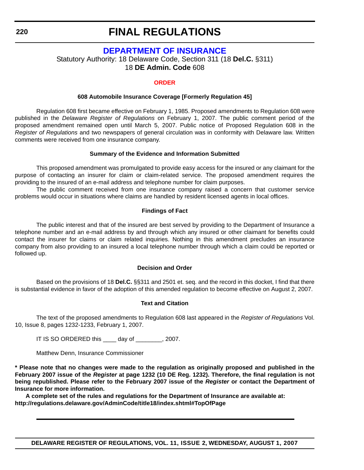# **[DEPARTMENT OF INSURANCE](http://www.delawareinsurance.gov/)**

Statutory Authority: 18 Delaware Code, Section 311 (18 **Del.C.** §311) 18 **DE Admin. Code** 608

# **[ORDER](#page-4-0)**

## **608 Automobile Insurance Coverage [Formerly Regulation 45]**

Regulation 608 first became effective on February 1, 1985. Proposed amendments to Regulation 608 were published in the *Delaware Register of Regulations* on February 1, 2007. The public comment period of the proposed amendment remained open until March 5, 2007. Public notice of Proposed Regulation 608 in the *Register of Regulations* and two newspapers of general circulation was in conformity with Delaware law. Written comments were received from one insurance company.

## **Summary of the Evidence and Information Submitted**

This proposed amendment was promulgated to provide easy access for the insured or any claimant for the purpose of contacting an insurer for claim or claim-related service. The proposed amendment requires the providing to the insured of an e-mail address and telephone number for claim purposes.

The public comment received from one insurance company raised a concern that customer service problems would occur in situations where claims are handled by resident licensed agents in local offices.

## **Findings of Fact**

The public interest and that of the insured are best served by providing to the Department of Insurance a telephone number and an e-mail address by and through which any insured or other claimant for benefits could contact the insurer for claims or claim related inquiries. Nothing in this amendment precludes an insurance company from also providing to an insured a local telephone number through which a claim could be reported or followed up.

### **Decision and Order**

Based on the provisions of 18 **Del.C.** §§311 and 2501 et. seq. and the record in this docket, I find that there is substantial evidence in favor of the adoption of this amended regulation to become effective on August 2, 2007.

# **Text and Citation**

The text of the proposed amendments to Regulation 608 last appeared in the *Register of Regulations* Vol. 10, Issue 8, pages 1232-1233, February 1, 2007.

IT IS SO ORDERED this \_\_\_\_ day of \_\_\_\_\_\_\_\_, 2007.

Matthew Denn, Insurance Commissioner

**\* Please note that no changes were made to the regulation as originally proposed and published in the February 2007 issue of the** *Register* **at page 1232 (10 DE Reg. 1232). Therefore, the final regulation is not being republished. Please refer to the February 2007 issue of the** *Register* **or contact the Department of Insurance for more information.**

**A complete set of the rules and regulations for the Department of Insurance are available at: http://regulations.delaware.gov/AdminCode/title18/index.shtml#TopOfPage**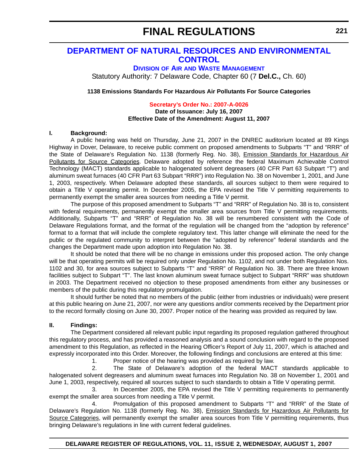# **[DEPARTMENT OF NATURAL RESOURCES AND ENVIRONMENTAL](http://www.dnrec.delaware.gov/)  CONTROL**

**DIVISION OF AIR AND WASTE MANAGEMENT**

Statutory Authority: 7 Delaware Code, Chapter 60 (7 **Del.C.,** Ch. 60)

**1138 Emissions Standards For Hazardous Air Pollutants For Source Categories**

**[Secretary's Order No.: 2007-A-0026](#page-4-0)**

**Date of Issuance: July 16, 2007 Effective Date of the Amendment: August 11, 2007**

## **I. Background:**

A public hearing was held on Thursday, June 21, 2007 in the DNREC auditorium located at 89 Kings Highway in Dover, Delaware, to receive public comment on proposed amendments to Subparts "T" and "RRR" of the State of Delaware's Regulation No. 1138 (formerly Reg. No. 38), *Emission Standards for Hazardous Air* Pollutants for Source Categories. Delaware adopted by reference the federal Maximum Achievable Control Technology (MACT) standards applicable to halogenated solvent degreasers (40 CFR Part 63 Subpart "T") and aluminum sweat furnaces (40 CFR Part 63 Subpart "RRR") into Regulation No. 38 on November 1, 2001, and June 1, 2003, respectively. When Delaware adopted these standards, all sources subject to them were required to obtain a Title V operating permit. In December 2005, the EPA revised the Title V permitting requirements to permanently exempt the smaller area sources from needing a Title V permit.

The purpose of this proposed amendment to Subparts "T" and "RRR" of Regulation No. 38 is to, consistent with federal requirements, permanently exempt the smaller area sources from Title V permitting requirements. Additionally, Subparts "T" and "RRR" of Regulation No. 38 will be renumbered consistent with the Code of Delaware Regulations format, and the format of the regulation will be changed from the "adoption by reference" format to a format that will include the complete regulatory text. This latter change will eliminate the need for the public or the regulated community to interpret between the "adopted by reference" federal standards and the changes the Department made upon adoption into Regulation No. 38.

It should be noted that there will be no change in emissions under this proposed action. The only change will be that operating permits will be required only under Regulation No. 1102, and not under both Regulation Nos. 1102 and 30, for area sources subject to Subparts "T" and "RRR" of Regulation No. 38. There are three known facilities subject to Subpart "T". The last known aluminum sweat furnace subject to Subpart "RRR" was shutdown in 2003. The Department received no objection to these proposed amendments from either any businesses or members of the public during this regulatory promulgation.

 It should further be noted that no members of the public (either from industries or individuals) were present at this public hearing on June 21, 2007, nor were any questions and/or comments received by the Department prior to the record formally closing on June 30, 2007. Proper notice of the hearing was provided as required by law.

# **II. Findings:**

The Department considered all relevant public input regarding its proposed regulation gathered throughout this regulatory process, and has provided a reasoned analysis and a sound conclusion with regard to the proposed amendment to this Regulation, as reflected in the Hearing Officer's Report of July 11, 2007, which is attached and expressly incorporated into this Order. Moreover, the following findings and conclusions are entered at this time:

1. Proper notice of the hearing was provided as required by law.

2. The State of Delaware's adoption of the federal MACT standards applicable to halogenated solvent degreasers and aluminum sweat furnaces into Regulation No. 38 on November 1, 2001 and June 1, 2003, respectively, required all sources subject to such standards to obtain a Title V operating permit.

3. In December 2005, the EPA revised the Title V permitting requirements to permanently exempt the smaller area sources from needing a Title V permit.

4. Promulgation of this proposed amendment to Subparts "T" and "RRR" of the State of Delaware's Regulation No. 1138 (formerly Reg. No. 38), Emission Standards for Hazardous Air Pollutants for Source Categories, will permanently exempt the smaller area sources from Title V permitting requirements, thus bringing Delaware's regulations in line with current federal guidelines.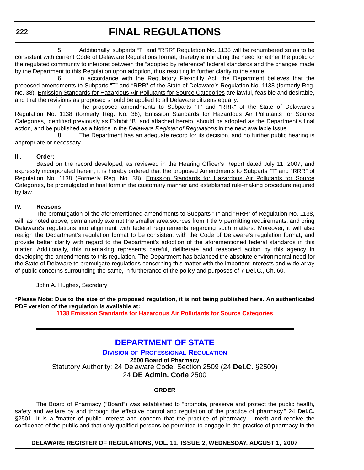**222**

# **FINAL REGULATIONS**

5. Additionally, subparts "T" and "RRR" Regulation No. 1138 will be renumbered so as to be consistent with current Code of Delaware Regulations format, thereby eliminating the need for either the public or the regulated community to interpret between the "adopted by reference" federal standards and the changes made by the Department to this Regulation upon adoption, thus resulting in further clarity to the same.

6. In accordance with the Regulatory Flexibility Act, the Department believes that the proposed amendments to Subparts "T" and "RRR" of the State of Delaware's Regulation No. 1138 (formerly Reg. No. 38), Emission Standards for Hazardous Air Pollutants for Source Categories are lawful, feasible and desirable, and that the revisions as proposed should be applied to all Delaware citizens equally.

7. The proposed amendments to Subparts "T" and "RRR" of the State of Delaware's Regulation No. 1138 (formerly Reg. No. 38), Emission Standards for Hazardous Air Pollutants for Source Categories, identified previously as Exhibit "B" and attached hereto, should be adopted as the Department's final action, and be published as a Notice in the *Delaware Register of Regulations* in the next available issue.

8. The Department has an adequate record for its decision, and no further public hearing is appropriate or necessary.

# **[III. Order:](#page-4-0)**

Based on the record developed, as reviewed in the Hearing Officer's Report dated July 11, 2007, and expressly incorporated herein, it is hereby ordered that the proposed Amendments to Subparts "T" and "RRR" of Regulation No. 1138 (Formerly Reg. No. 38), Emission Standards for Hazardous Air Pollutants for Source Categories, be promulgated in final form in the customary manner and established rule-making procedure required by law.

# **IV. Reasons**

The promulgation of the aforementioned amendments to Subparts "T" and "RRR" of Regulation No. 1138, will, as noted above, permanently exempt the smaller area sources from Title V permitting requirements, and bring Delaware's regulations into alignment with federal requirements regarding such matters. Moreover, it will also realign the Department's regulation format to be consistent with the Code of Delaware's regulation format, and provide better clarity with regard to the Department's adoption of the aforementioned federal standards in this matter. Additionally, this rulemaking represents careful, deliberate and reasoned action by this agency in developing the amendments to this regulation. The Department has balanced the absolute environmental need for the State of Delaware to promulgate regulations concerning this matter with the important interests and wide array of public concerns surrounding the same, in furtherance of the policy and purposes of 7 **Del.C.**, Ch. 60.

John A. Hughes, Secretary

**\*Please Note: Due to the size of the proposed regulation, it is not being published here. An authenticated PDF version of the regulation is available at:** 

**[1138 Emission Standards for Hazardous Air Pollutants for Source Categories](http://regulations.delaware.gov/register/august2007/final/11 DE Reg 221 08-01-07.pdf)**

# **[DEPARTMENT OF STATE](http://dpr.delaware.gov/default.shtml)**

**DIVISION OF PROFESSIONAL REGULATION 2500 Board of Pharmacy** Statutory Authority: 24 Delaware Code, Section 2509 (24 **Del.C.** §2509) 24 **DE Admin. Code** 2500

# **ORDER**

The Board of Pharmacy ("Board") was established to "promote, preserve and protect the public health, safety and welfare by and through the effective control and regulation of the practice of pharmacy." 24 **Del.C.** §2501. It is a "matter of public interest and concern that the practice of pharmacy... merit and receive the confidence of the public and that only qualified persons be permitted to engage in the practice of pharmacy in the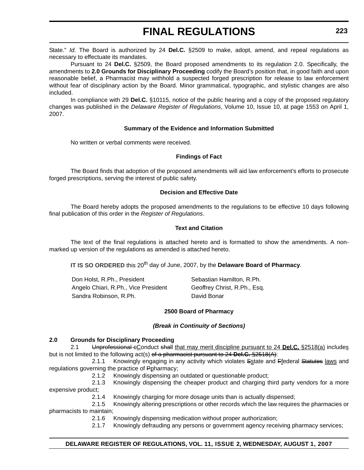State." *Id.* The Board is authorized by 24 **Del.C.** §2509 to make, adopt, amend, and repeal regulations as necessary to effectuate its mandates.

Pursuant to 24 **Del.C.** §2509, the Board proposed amendments to its regulation 2.0. Specifically, the amendments to **2.0 Grounds for Disciplinary Proceeding** codify the Board's position that, in good faith and upon reasonable belief, a Pharmacist may withhold a suspected forged prescription for release to law enforcement without fear of disciplinary action by the Board. Minor grammatical, typographic, and stylistic changes are also included.

In compliance with 29 **Del.C.** §10115, notice of the public hearing and a copy of the proposed regulatory changes was published in the *Delaware Register of Regulations*, Volume 10, Issue 10, at page 1553 on April 1, 2007.

## **Summary of the Evidence and Information Submitted**

No written or verbal comments were received.

## **Findings of Fact**

The Board finds that adoption of the proposed amendments will aid law enforcement's efforts to prosecute forged prescriptions, serving the interest of public safety.

# **Decision and Effective Date**

The Board hereby adopts the proposed amendments to the regulations to be effective 10 days following final publication of this order in the *Register of Regulations*.

## **Text and Citation**

The text of the final regulations is attached hereto and is formatted to show the amendments. A nonmarked up version of the regulations as amended is attached hereto.

**IT IS SO ORDERED** this 20<sup>th</sup> day of June, 2007, by the **Delaware Board of Pharmacy**.

| Don Holst, R.Ph., President          | Sebastian Hamilton, R.Ph.    |
|--------------------------------------|------------------------------|
| Angelo Chiari, R.Ph., Vice President | Geoffrey Christ, R.Ph., Esq. |
| Sandra Robinson, R.Ph.               | David Bonar                  |

### **2500 Board of Pharmacy**

### *(Break in Continuity of Sections)*

### **2.0 Grounds for Disciplinary Proceeding**

2.1 Unprofessional cConduct shall that may merit discipline pursuant to 24 **Del.C.** §2518(a) includes but is not limited to the following act(s) of a pharmacist pursuant to 24 **Del.C.** §2518(A):

2.1.1 Knowingly engaging in any activity which violates Sstate and Ffederal Statutes laws and regulations governing the practice of Ppharmacy;

2.1.2 Knowingly dispensing an outdated or questionable product;

2.1.3 Knowingly dispensing the cheaper product and charging third party vendors for a more expensive product;

2.1.4 Knowingly charging for more dosage units than is actually dispensed;

2.1.5 Knowingly altering prescriptions or other records which the law requires the pharmacies or pharmacists to maintain;

2.1.6 Knowingly dispensing medication without proper authorization;

2.1.7 Knowingly defrauding any persons or government agency receiving pharmacy services;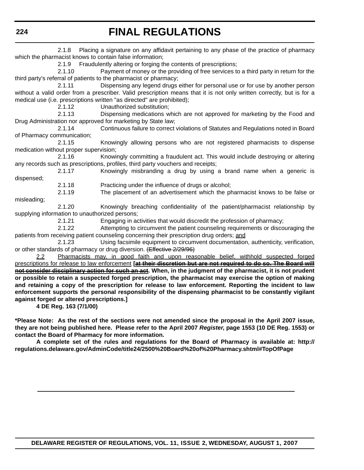2.1.8 Placing a signature on any affidavit pertaining to any phase of the practice of pharmacy which the pharmacist knows to contain false information;

2.1.9 Fraudulently altering or forging the contents of prescriptions;

2.1.10 Payment of money or the providing of free services to a third party in return for the third party's referral of patients to the pharmacist or pharmacy;

2.1.11 Dispensing any legend drugs either for personal use or for use by another person without a valid order from a prescriber. Valid prescription means that it is not only written correctly, but is for a medical use (i.e. prescriptions written "as directed" are prohibited);

2.1.12 Unauthorized substitution;

2.1.13 Dispensing medications which are not approved for marketing by the Food and Drug Administration nor approved for marketing by State law;

2.1.14 Continuous failure to correct violations of Statutes and Regulations noted in Board of Pharmacy communication;

2.1.15 Knowingly allowing persons who are not registered pharmacists to dispense medication without proper supervision;

2.1.16 Knowingly committing a fraudulent act. This would include destroying or altering any records such as prescriptions, profiles, third party vouchers and receipts;

2.1.17 Knowingly misbranding a drug by using a brand name when a generic is dispensed;

2.1.18 Practicing under the influence of drugs or alcohol;

2.1.19 The placement of an advertisement which the pharmacist knows to be false or misleading;

2.1.20 Knowingly breaching confidentiality of the patient/pharmacist relationship by supplying information to unauthorized persons;

2.1.21 Engaging in activities that would discredit the profession of pharmacy;

2.1.22 Attempting to circumvent the patient counseling requirements or discouraging the patients from receiving patient counseling concerning their prescription drug orders; and

2.1.23 Using facsimile equipment to circumvent documentation, authenticity, verification, or other standards of pharmacy or drug diversion. (Effective 2/29/96)

2.2 Pharmacists may, in good faith and upon reasonable belief, withhold suspected forged prescriptions for release to law enforcement **[at their discretion but are not required to do so. The Board will not consider disciplinary action for such an act. When, in the judgment of the pharmacist, it is not prudent or possible to retain a suspected forged prescription, the pharmacist may exercise the option of making and retaining a copy of the prescription for release to law enforcement. Reporting the incident to law enforcement supports the personal responsibility of the dispensing pharmacist to be constantly vigilant against forged or altered prescriptions.]**

**4 DE Reg. 163 (7/1/00)**

**\*Please Note: As the rest of the sections were not amended since the proposal in the April 2007 issue, they are not being published here. Please refer to the April 2007** *Register***, page 1553 (10 DE Reg. 1553) or contact the Board of Pharmacy for more information.** 

**A complete set of the rules and regulations for the Board of Pharmacy is available at: http:// regulations.delaware.gov/AdminCode/title24/2500%20Board%20of%20Pharmacy.shtml#TopOfPage**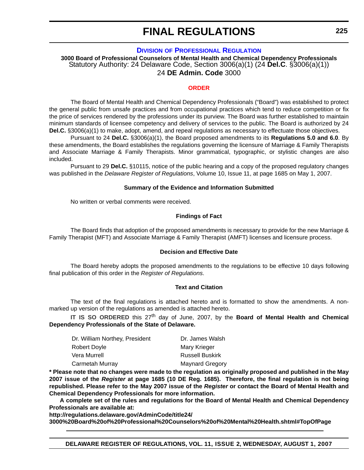# **DIVISION [OF PROFESSIONAL REGULATION](http://dpr.delaware.gov/default.shtml)**

**3000 Board of Professional Counselors of Mental Health and Chemical Dependency Professionals** Statutory Authority: 24 Delaware Code, Section 3006(a)(1) (24 **Del.C**. §3006(a)(1)) 24 **DE Admin. Code** 3000

### **[ORDER](#page-4-0)**

The Board of Mental Health and Chemical Dependency Professionals ("Board") was established to protect the general public from unsafe practices and from occupational practices which tend to reduce competition or fix the price of services rendered by the professions under its purview. The Board was further established to maintain minimum standards of licensee competency and delivery of services to the public. The Board is authorized by 24 **Del.C.** §3006(a)(1) to make, adopt, amend, and repeal regulations as necessary to effectuate those objectives.

Pursuant to 24 **Del.C.** §3006(a)(1), the Board proposed amendments to its **Regulations 5.0 and 6.0**. By these amendments, the Board establishes the regulations governing the licensure of Marriage & Family Therapists and Associate Marriage & Family Therapists. Minor grammatical, typographic, or stylistic changes are also included.

Pursuant to 29 **Del.C.** §10115, notice of the public hearing and a copy of the proposed regulatory changes was published in the *Delaware Register of Regulations*, Volume 10, Issue 11, at page 1685 on May 1, 2007.

## **Summary of the Evidence and Information Submitted**

No written or verbal comments were received.

## **Findings of Fact**

The Board finds that adoption of the proposed amendments is necessary to provide for the new Marriage & Family Therapist (MFT) and Associate Marriage & Family Therapist (AMFT) licenses and licensure process.

# **Decision and Effective Date**

The Board hereby adopts the proposed amendments to the regulations to be effective 10 days following final publication of this order in the *Register of Regulations*.

## **Text and Citation**

The text of the final regulations is attached hereto and is formatted to show the amendments. A nonmarked up version of the regulations as amended is attached hereto.

IT IS SO ORDERED this 27<sup>th</sup> day of June, 2007, by the **Board of Mental Health and Chemical Dependency Professionals of the State of Delaware.**

| Dr. William Northey, President | Dr. James Walsh        |
|--------------------------------|------------------------|
| Robert Doyle                   | Mary Krieger           |
| Vera Murrell                   | <b>Russell Buskirk</b> |
| Carmetah Murray                | <b>Maynard Gregory</b> |

**\* Please note that no changes were made to the regulation as originally proposed and published in the May 2007 issue of the** *Register* **at page 1685 (10 DE Reg. 1685). Therefore, the final regulation is not being republished. Please refer to the May 2007 issue of the** *Register* **or contact the Board of Mental Health and Chemical Dependency Professionals for more information.**

**A complete set of the rules and regulations for the Board of Mental Health and Chemical Dependency Professionals are available at:**

**http://regulations.delaware.gov/AdminCode/title24/ 3000%20Board%20of%20Professional%20Counselors%20of%20Mental%20Health.shtml#TopOfPage**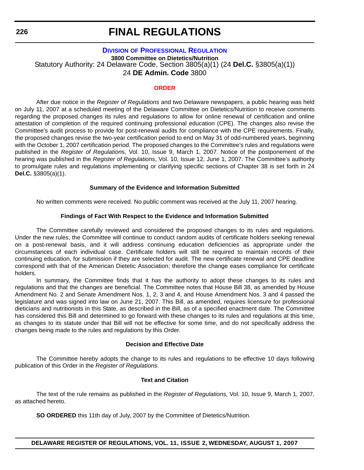# **DIVISION [OF PROFESSIONAL REGULATION](http://dpr.delaware.gov/default.shtml)**

**3800 Committee on Dietetics/Nutrition** Statutory Authority: 24 Delaware Code, Section 3805(a)(1) (24 **Del.C.** §3805(a)(1)) 24 **DE Admin. Code** 3800

### **[ORDER](#page-4-0)**

After due notice in the *Register of Regulations* and two Delaware newspapers, a public hearing was held on July 11, 2007 at a scheduled meeting of the Delaware Committee on Dietetics/Nutrition to receive comments regarding the proposed changes its rules and regulations to allow for online renewal of certification and online attestation of completion of the required continuing professional education (CPE). The changes also revise the Committee's audit process to provide for post-renewal audits for compliance with the CPE requirements. Finally, the proposed changes revise the two-year certification period to end on May 31 of odd-numbered years, beginning with the October 1, 2007 certification period. The proposed changes to the Committee's rules and regulations were published in the *Register of Regulation*s, Vol. 10, Issue 9, March 1, 2007. Notice of the postponement of the hearing was published in the *Register of Regulations*, Vol. 10, Issue 12, June 1, 2007. The Committee's authority to promulgate rules and regulations implementing or clarifying specific sections of Chapter 38 is set forth in 24 **Del.C.** §3805(a)(1).

# **Summary of the Evidence and Information Submitted**

No written comments were received. No public comment was received at the July 11, 2007 hearing.

## **Findings of Fact With Respect to the Evidence and Information Submitted**

The Committee carefully reviewed and considered the proposed changes to its rules and regulations. Under the new rules, the Committee will continue to conduct random audits of certificate holders seeking renewal on a post-renewal basis, and it will address continuing education deficiencies as appropriate under the circumstances of each individual case. Certificate holders will still be required to maintain records of their continuing education, for submission if they are selected for audit. The new certificate renewal and CPE deadline correspond with that of the American Dietetic Association; therefore the change eases compliance for certificate holders.

In summary, the Committee finds that it has the authority to adopt these changes to its rules and regulations and that the changes are beneficial. The Committee notes that House Bill 38, as amended by House Amendment No. 2 and Senate Amendment Nos. 1, 2, 3 and 4, and House Amendment Nos. 3 and 4 passed the legislature and was signed into law on June 21, 2007. This Bill, as amended, requires licensure for professional dieticians and nutritionists in this State, as described in the Bill, as of a specified enactment date. The Committee has considered this Bill and determined to go forward with these changes to its rules and regulations at this time, as changes to its statute under that Bill will not be effective for some time, and do not specifically address the changes being made to the rules and regulations by this Order.

### **Decision and Effective Date**

The Committee hereby adopts the change to its rules and regulations to be effective 10 days following publication of this Order in the *Register of Regulations*.

## **Text and Citation**

The text of the rule remains as published in the *Register of Regulations*, Vol. 10, Issue 9, March 1, 2007, as attached hereto.

**SO ORDERED** this 11th day of July, 2007 by the Committee of Dietetics/Nutrition.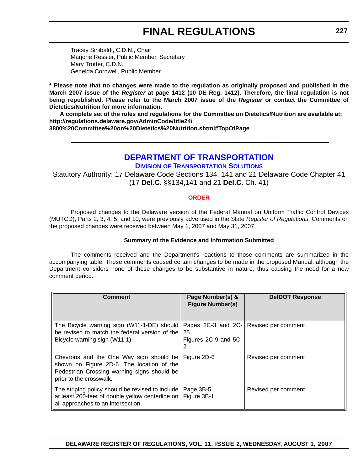Tracey Sinibaldi, C.D.N., Chair Marjorie Ressler, Public Member, Secretary Mary Trotter, C.D.N. Genelda Cornwell, Public Member

**\* Please note that no changes were made to the regulation as originally proposed and published in the March 2007 issue of the** *Register* **at page 1412 (10 DE Reg. 1412). Therefore, the final regulation is not being republished. Please refer to the March 2007 issue of the** *Register* **or contact the Committee of Dietetics/Nutrition for more information.**

**A complete set of the rules and regulations for the Committee on Dietetics/Nutrition are available at: http://regulations.delaware.gov/AdminCode/title24/**

**3800%20Committee%20on%20Dietetics%20Nutrition.shtml#TopOfPage**

# **[DEPARTMENT OF TRANSPORTATION](http://www.deldot.gov/index.shtml)**

**DIVISION OF TRANSPORTATION SOLUTIONS**

Statutory Authority: 17 Delaware Code Sections 134, 141 and 21 Delaware Code Chapter 41 (17 **Del.C.** §§134,141 and 21 **Del.C.** Ch. 41)

# **[ORDER](#page-4-0)**

Proposed changes to the Delaware version of the Federal Manual on Uniform Traffic Control Devices (MUTCD), Parts 2, 3, 4, 5, and 10, were previously advertised in the State *Register of Regulations*. Comments on the proposed changes were received between May 1, 2007 and May 31, 2007.

# **Summary of the Evidence and Information Submitted**

The comments received and the Department's reactions to those comments are summarized in the accompanying table. These comments caused certain changes to be made in the proposed Manual, although the Department considers none of these changes to be substantive in nature, thus causing the need for a new comment period.

| <b>Comment</b>                                                                                                                                                 | Page Number(s) &<br><b>Figure Number(s)</b>          | <b>DeIDOT Response</b> |
|----------------------------------------------------------------------------------------------------------------------------------------------------------------|------------------------------------------------------|------------------------|
| The Bicycle warning sign (W11-1-DE) should<br>be revised to match the federal version of the<br>Bicycle warning sign (W11-1).                                  | Pages $2C-3$ and $2C-$<br>25<br>Figures 2C-9 and 5C- | Revised per comment    |
| Chevrons and the One Way sign should be<br>shown on Figure 2D-6. The location of the<br>Pedestrian Crossing warning signs should be<br>prior to the crosswalk. | Figure 2D-6                                          | Revised per comment    |
| The striping policy should be revised to include<br>at least 200-feet of double yellow centerline on<br>all approaches to an intersection.                     | Page 3B-5<br>Figure 3B-1                             | Revised per comment    |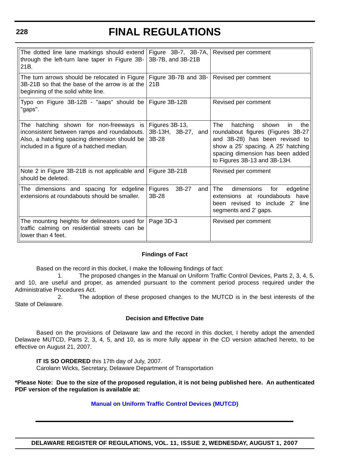### **228**

# **FINAL REGULATIONS**

| The dotted line lane markings should extend<br>through the left-turn lane taper in Figure 3B-<br>21B.                                                                                           | Figure 3B-7, 3B-7A,<br>3B-7B, and 3B-21B        | Revised per comment                                                                                                                                                                                                    |
|-------------------------------------------------------------------------------------------------------------------------------------------------------------------------------------------------|-------------------------------------------------|------------------------------------------------------------------------------------------------------------------------------------------------------------------------------------------------------------------------|
| The turn arrows should be relocated in Figure<br>3B-21B so that the base of the arrow is at the<br>beginning of the solid white line.                                                           | Figure 3B-7B and 3B-<br>21 <sub>B</sub>         | Revised per comment                                                                                                                                                                                                    |
| Typo on Figure 3B-12B - "aaps" should be<br>"gaps".                                                                                                                                             | Figure 3B-12B                                   | Revised per comment                                                                                                                                                                                                    |
| The<br>hatching shown for non-freeways<br><b>is</b><br>inconsistent between ramps and roundabouts.<br>Also, a hatching spacing dimension should be<br>included in a figure of a hatched median. | Figures 3B-13,<br>3B-13H, 3B-27, and<br>$3B-28$ | The<br>hatching<br>shown<br>the<br>in<br>roundabout figures (Figures 3B-27<br>and 3B-28) has been revised to<br>show a 25' spacing. A 25' hatching<br>spacing dimension has been added<br>to Figures 3B-13 and 3B-13H. |
| Note 2 in Figure 3B-21B is not applicable and<br>should be deleted.                                                                                                                             | Figure 3B-21B                                   | Revised per comment                                                                                                                                                                                                    |
| The dimensions and spacing for edgeline<br>extensions at roundabouts should be smaller.                                                                                                         | Figures<br>3B-27<br>and<br>3B-28                | The<br>dimensions<br>for<br>edgeline<br>extensions at roundabouts<br>have<br>been revised to include 2'<br>line<br>segments and 2' gaps.                                                                               |
| The mounting heights for delineators used for<br>traffic calming on residential streets can be<br>lower than 4 feet.                                                                            | Page 3D-3                                       | Revised per comment                                                                                                                                                                                                    |

## **Findings of Fact**

Based on the record in this docket, I make the following findings of fact:

1. The proposed changes in the Manual on Uniform Traffic Control Devices, Parts 2, 3, 4, 5, and 10, are useful and proper, as amended pursuant to the comment period process required under the Administrative Procedures Act.

2. The adoption of these proposed changes to the MUTCD is in the best interests of the State of Delaware.

# **Decision and Effective Date**

Based on the provisions of Delaware law and the record in this docket, I hereby adopt the amended Delaware MUTCD, Parts 2, 3, 4, 5, and 10, as is more fully appear in the CD version attached hereto, to be effective on August 21, 2007.

**IT IS SO ORDERED** this 17th day of July, 2007. Carolann Wicks, Secretary, Delaware Department of Transportation

**\*Please Note: Due to the size of the proposed regulation, it is not being published here. An authenticated PDF version of the regulation is available at:**

**[Manual on Uniform Traffic Control Devices \(MUTCD\)](http://regulations.delaware.gov/register/august2007/final/Introduction.pdf)**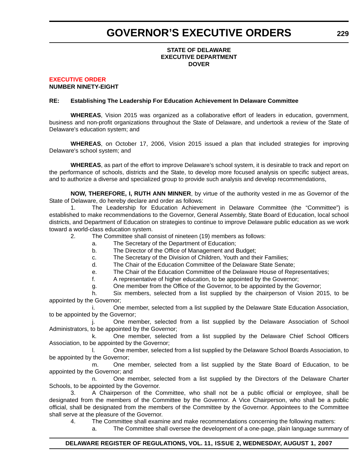# **GOVERNOR'S EXECUTIVE ORDERS**

### **STATE OF DELAWARE EXECUTIVE DEPARTMENT DOVER**

#### **[EXECUTIVE ORDER](#page-4-0) NUMBER NINETY-EIGHT**

# **RE: Establishing The Leadership For Education Achievement In Delaware Committee**

**WHEREAS**, Vision 2015 was organized as a collaborative effort of leaders in education, government, business and non-profit organizations throughout the State of Delaware, and undertook a review of the State of Delaware's education system; and

**WHEREAS**, on October 17, 2006, Vision 2015 issued a plan that included strategies for improving Delaware's school system; and

**WHEREAS**, as part of the effort to improve Delaware's school system, it is desirable to track and report on the performance of schools, districts and the State, to develop more focused analysis on specific subject areas, and to authorize a diverse and specialized group to provide such analysis and develop recommendations,

**NOW, THEREFORE, I, RUTH ANN MINNER**, by virtue of the authority vested in me as Governor of the State of Delaware, do hereby declare and order as follows:

1. The Leadership for Education Achievement in Delaware Committee (the "Committee") is established to make recommendations to the Governor, General Assembly, State Board of Education, local school districts, and Department of Education on strategies to continue to improve Delaware public education as we work toward a world-class education system.

2. The Committee shall consist of nineteen (19) members as follows:

- a. The Secretary of the Department of Education;
- b. The Director of the Office of Management and Budget;
- c. The Secretary of the Division of Children, Youth and their Families;
- d. The Chair of the Education Committee of the Delaware State Senate;
- e. The Chair of the Education Committee of the Delaware House of Representatives;

f. A representative of higher education, to be appointed by the Governor;

g. One member from the Office of the Governor, to be appointed by the Governor;

h. Six members, selected from a list supplied by the chairperson of Vision 2015, to be appointed by the Governor;

i. One member, selected from a list supplied by the Delaware State Education Association, to be appointed by the Governor;

One member, selected from a list supplied by the Delaware Association of School Administrators, to be appointed by the Governor;

k. One member, selected from a list supplied by the Delaware Chief School Officers Association, to be appointed by the Governor;

l. One member, selected from a list supplied by the Delaware School Boards Association, to be appointed by the Governor;

m. One member, selected from a list supplied by the State Board of Education, to be appointed by the Governor; and

One member, selected from a list supplied by the Directors of the Delaware Charter Schools, to be appointed by the Governor.

3. A Chairperson of the Committee, who shall not be a public official or employee, shall be designated from the members of the Committee by the Governor. A Vice Chairperson, who shall be a public official, shall be designated from the members of the Committee by the Governor. Appointees to the Committee shall serve at the pleasure of the Governor.

4. The Committee shall examine and make recommendations concerning the following matters:

a. The Committee shall oversee the development of a one-page, plain language summary of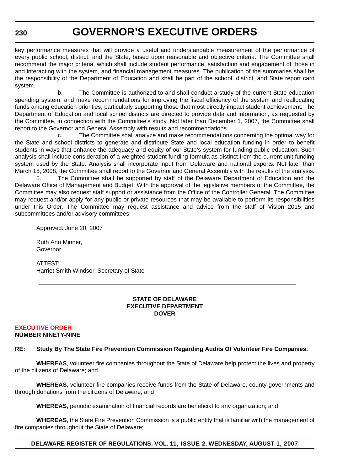# **GOVERNOR'S EXECUTIVE ORDERS**

key performance measures that will provide a useful and understandable measurement of the performance of every public school, district, and the State, based upon reasonable and objective criteria. The Committee shall recommend the major criteria, which shall include student performance, satisfaction and engagement of those in and interacting with the system, and financial management measures. The publication of the summaries shall be the responsibility of the Department of Education and shall be part of the school, district, and State report card system.

b. The Committee is authorized to and shall conduct a study of the current State education spending system, and make recommendations for improving the fiscal efficiency of the system and reallocating funds among education priorities, particularly supporting those that most directly impact student achievement. The Department of Education and local school districts are directed to provide data and information, as requested by the Committee, in connection with the Committee's study. Not later than December 1, 2007, the Committee shall report to the Governor and General Assembly with results and recommendations.

c. The Committee shall analyze and make recommendations concerning the optimal way for the State and school districts to generate and distribute State and local education funding in order to benefit students in ways that enhance the adequacy and equity of our State's system for funding public education. Such analysis shall include consideration of a weighted student funding formula as distinct from the current unit funding system used by the State. Analysis shall incorporate input from Delaware and national experts. Not later than March 15, 2008, the Committee shall report to the Governor and General Assembly with the results of the analysis.

5. The Committee shall be supported by staff of the Delaware Department of Education and the Delaware Office of Management and Budget. With the approval of the legislative members of the Committee, the Committee may also request staff support or assistance from the Office of the Controller General. The Committee may request and/or apply for any public or private resources that may be available to perform its responsibilities under this Order. The Committee may request assistance and advice from the staff of Vision 2015 and subcommittees and/or advisory committees.

Approved: June 20, 2007

Ruth Ann Minner, Governor

ATTEST: Harriet Smith Windsor, Secretary of State

### **STATE OF DELAWARE EXECUTIVE DEPARTMENT DOVER**

# **[EXECUTIVE ORDER](#page-4-0)**

# **NUMBER NINETY-NINE**

# **RE: Study By The State Fire Prevention Commission Regarding Audits Of Volunteer Fire Companies.**

**WHEREAS**, volunteer fire companies throughout the State of Delaware help protect the lives and property of the citizens of Delaware; and

**WHEREAS**, volunteer fire companies receive funds from the State of Delaware, county governments and through donations from the citizens of Delaware; and

**WHEREAS**, periodic examination of financial records are beneficial to any organization; and

**WHEREAS**, the State Fire Prevention Commission is a public entity that is familiar with the management of fire companies throughout the State of Delaware;

# **DELAWARE REGISTER OF REGULATIONS, VOL. 11, ISSUE 2, WEDNESDAY, AUGUST 1, 2007**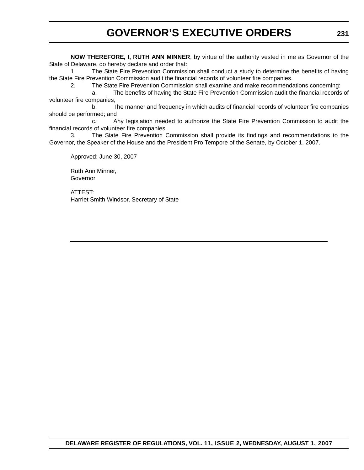# **GOVERNOR'S EXECUTIVE ORDERS**

**NOW THEREFORE, I, RUTH ANN MINNER**, by virtue of the authority vested in me as Governor of the State of Delaware, do hereby declare and order that:

1. The State Fire Prevention Commission shall conduct a study to determine the benefits of having the State Fire Prevention Commission audit the financial records of volunteer fire companies.

2. The State Fire Prevention Commission shall examine and make recommendations concerning:

a. The benefits of having the State Fire Prevention Commission audit the financial records of volunteer fire companies;

b. The manner and frequency in which audits of financial records of volunteer fire companies should be performed; and

c. Any legislation needed to authorize the State Fire Prevention Commission to audit the financial records of volunteer fire companies.

3. The State Fire Prevention Commission shall provide its findings and recommendations to the Governor, the Speaker of the House and the President Pro Tempore of the Senate, by October 1, 2007.

Approved: June 30, 2007

Ruth Ann Minner, Governor

ATTEST: Harriet Smith Windsor, Secretary of State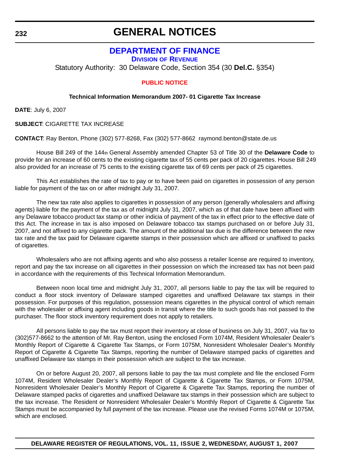# **GENERAL NOTICES**

# **[DEPARTMENT OF FINANCE](http://finance.delaware.gov/)**

**DIVISION OF REVENUE**

Statutory Authority: 30 Delaware Code, Section 354 (30 **Del.C.** §354)

# **[PUBLIC NOTICE](#page-4-0)**

# **Technical Information Memorandum 2007- 01 Cigarette Tax Increase**

**DATE**: July 6, 2007

**SUBJECT**: CIGARETTE TAX INCREASE

**CONTACT**: Ray Benton, Phone (302) 577-8268, Fax (302) 577-8662 raymond.benton@state.de.us

House Bill 249 of the 144th General Assembly amended Chapter 53 of Title 30 of the **Delaware Code** to provide for an increase of 60 cents to the existing cigarette tax of 55 cents per pack of 20 cigarettes. House Bill 249 also provided for an increase of 75 cents to the existing cigarette tax of 69 cents per pack of 25 cigarettes.

This Act establishes the rate of tax to pay or to have been paid on cigarettes in possession of any person liable for payment of the tax on or after midnight July 31, 2007.

The new tax rate also applies to cigarettes in possession of any person (generally wholesalers and affixing agents) liable for the payment of the tax as of midnight July 31, 2007, which as of that date have been affixed with any Delaware tobacco product tax stamp or other indicia of payment of the tax in effect prior to the effective date of this Act. The increase in tax is also imposed on Delaware tobacco tax stamps purchased on or before July 31, 2007, and not affixed to any cigarette pack. The amount of the additional tax due is the difference between the new tax rate and the tax paid for Delaware cigarette stamps in their possession which are affixed or unaffixed to packs of cigarettes.

Wholesalers who are not affixing agents and who also possess a retailer license are required to inventory, report and pay the tax increase on all cigarettes in their possession on which the increased tax has not been paid in accordance with the requirements of this Technical Information Memorandum.

Between noon local time and midnight July 31, 2007, all persons liable to pay the tax will be required to conduct a floor stock inventory of Delaware stamped cigarettes and unaffixed Delaware tax stamps in their possession. For purposes of this regulation, possession means cigarettes in the physical control of which remain with the wholesaler or affixing agent including goods in transit where the title to such goods has not passed to the purchaser. The floor stock inventory requirement does not apply to retailers.

All persons liable to pay the tax must report their inventory at close of business on July 31, 2007, via fax to (302)577-8662 to the attention of Mr. Ray Benton, using the enclosed Form 1074M, Resident Wholesaler Dealer's Monthly Report of Cigarette & Cigarette Tax Stamps, or Form 1075M, Nonresident Wholesaler Dealer's Monthly Report of Cigarette & Cigarette Tax Stamps, reporting the number of Delaware stamped packs of cigarettes and unaffixed Delaware tax stamps in their possession which are subject to the tax increase.

On or before August 20, 2007, all persons liable to pay the tax must complete and file the enclosed Form 1074M, Resident Wholesaler Dealer's Monthly Report of Cigarette & Cigarette Tax Stamps, or Form 1075M, Nonresident Wholesaler Dealer's Monthly Report of Cigarette & Cigarette Tax Stamps, reporting the number of Delaware stamped packs of cigarettes and unaffixed Delaware tax stamps in their possession which are subject to the tax increase. The Resident or Nonresident Wholesaler Dealer's Monthly Report of Cigarette & Cigarette Tax Stamps must be accompanied by full payment of the tax increase. Please use the revised Forms 1074M or 1075M, which are enclosed.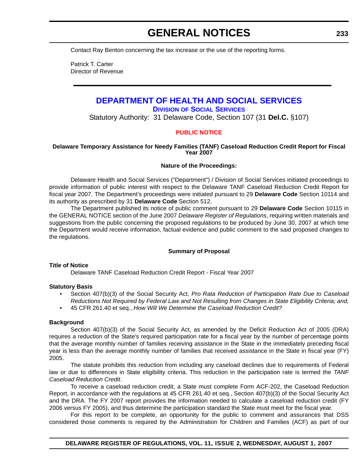# **GENERAL NOTICES**

Contact Ray Benton concerning the tax increase or the use of the reporting forms.

Patrick T. Carter Director of Revenue

# **[DEPARTMENT OF HEALTH AND SOCIAL SERVICES](http://www.dhss.delaware.gov/dhss/dss/index.html)**

**DIVISION OF SOCIAL SERVICES**

Statutory Authority: 31 Delaware Code, Section 107 (31 **Del.C.** §107)

# **[PUBLIC NOTICE](#page-4-0)**

### **Delaware Temporary Assistance for Needy Families (TANF) Caseload Reduction Credit Report for Fiscal Year 2007**

### **Nature of the Proceedings:**

Delaware Health and Social Services ("Department") / Division of Social Services initiated proceedings to provide information of public interest with respect to the Delaware TANF Caseload Reduction Credit Report for fiscal year 2007. The Department's proceedings were initiated pursuant to 29 **Delaware Code** Section 10114 and its authority as prescribed by 31 **Delaware Code** Section 512.

The Department published its notice of public comment pursuant to 29 **Delaware Code** Section 10115 in the GENERAL NOTICE section of the June 2007 *Delaware Register of Regulations*, requiring written materials and suggestions from the public concerning the proposed regulations to be produced by June 30, 2007 at which time the Department would receive information, factual evidence and public comment to the said proposed changes to the regulations.

# **Summary of Proposal**

### **Title of Notice**

Delaware TANF Caseload Reduction Credit Report - Fiscal Year 2007

### **Statutory Basis**

- Section 407(b)(3) of the Social Security Act, *Pro Rata Reduction of Participation Rate Due to Caseload Reductions Not Required by Federal Law and Not Resulting from Changes in State Eligibility Criteria; and,*
- 45 CFR 261.40 et seq., *How Will We Determine the Caseload Reduction Credit?*

### **Background**

Section 407(b)(3) of the Social Security Act, as amended by the Deficit Reduction Act of 2005 (DRA) requires a reduction of the State's required participation rate for a fiscal year by the number of percentage points that the average monthly number of families receiving assistance in the State in the immediately preceding fiscal year is less than the average monthly number of families that received assistance in the State in fiscal year (FY) 2005.

The statute prohibits this reduction from including any caseload declines due to requirements of Federal law or due to differences in State eligibility criteria. This reduction in the participation rate is termed the *TANF Caseload Reduction Credit*.

To receive a caseload reduction credit, a State must complete Form ACF-202, the Caseload Reduction Report, in accordance with the regulations at 45 CFR 261.40 et seq., Section 407(b)(3) of the Social Security Act and the DRA. The FY 2007 report provides the information needed to calculate a caseload reduction credit (FY 2006 versus FY 2005), and thus determine the participation standard the State must meet for the fiscal year.

For this report to be complete, an opportunity for the public to comment and assurances that DSS considered those comments is required by the Administration for Children and Families (ACF) as part of our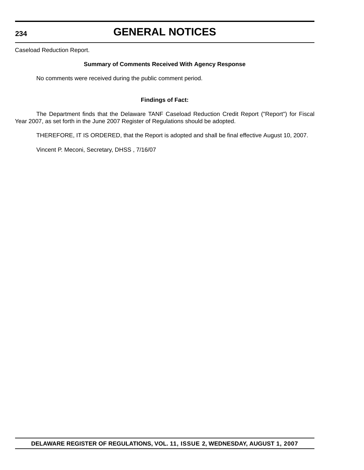**234**

# **GENERAL NOTICES**

Caseload Reduction Report.

# **Summary of Comments Received With Agency Response**

No comments were received during the public comment period.

# **Findings of Fact:**

The Department finds that the Delaware TANF Caseload Reduction Credit Report ("Report") for Fiscal Year 2007, as set forth in the June 2007 Register of Regulations should be adopted.

THEREFORE, IT IS ORDERED, that the Report is adopted and shall be final effective August 10, 2007.

Vincent P. Meconi, Secretary, DHSS , 7/16/07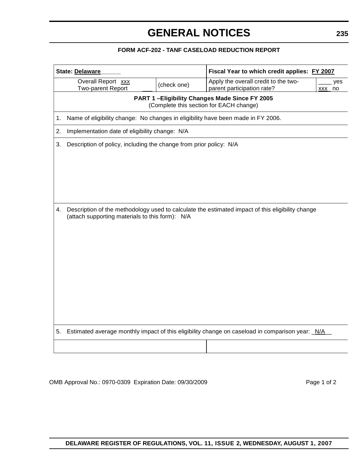# **GENERAL NOTICES**

# **FORM ACF-202 - TANF CASELOAD REDUCTION REPORT**

| <b>State: Delaware</b>                                        |                                                                                                                                                     |                                                                    | Fiscal Year to which credit applies: FY 2007                                                    |  |
|---------------------------------------------------------------|-----------------------------------------------------------------------------------------------------------------------------------------------------|--------------------------------------------------------------------|-------------------------------------------------------------------------------------------------|--|
| Overall Report xxx<br>(check one)<br><b>Two-parent Report</b> |                                                                                                                                                     | Apply the overall credit to the two-<br>parent participation rate? | yes<br>XXX<br>no                                                                                |  |
|                                                               | PART 1-Eligibility Changes Made Since FY 2005<br>(Complete this section for EACH change)                                                            |                                                                    |                                                                                                 |  |
| 1.                                                            | Name of eligibility change: No changes in eligibility have been made in FY 2006.                                                                    |                                                                    |                                                                                                 |  |
| 2.                                                            | Implementation date of eligibility change: N/A                                                                                                      |                                                                    |                                                                                                 |  |
| 3.                                                            | Description of policy, including the change from prior policy: N/A                                                                                  |                                                                    |                                                                                                 |  |
|                                                               |                                                                                                                                                     |                                                                    |                                                                                                 |  |
|                                                               |                                                                                                                                                     |                                                                    |                                                                                                 |  |
|                                                               |                                                                                                                                                     |                                                                    |                                                                                                 |  |
|                                                               |                                                                                                                                                     |                                                                    |                                                                                                 |  |
|                                                               |                                                                                                                                                     |                                                                    |                                                                                                 |  |
| 4.                                                            | Description of the methodology used to calculate the estimated impact of this eligibility change<br>(attach supporting materials to this form): N/A |                                                                    |                                                                                                 |  |
|                                                               |                                                                                                                                                     |                                                                    |                                                                                                 |  |
|                                                               |                                                                                                                                                     |                                                                    |                                                                                                 |  |
|                                                               |                                                                                                                                                     |                                                                    |                                                                                                 |  |
|                                                               |                                                                                                                                                     |                                                                    |                                                                                                 |  |
|                                                               |                                                                                                                                                     |                                                                    |                                                                                                 |  |
|                                                               |                                                                                                                                                     |                                                                    |                                                                                                 |  |
|                                                               |                                                                                                                                                     |                                                                    |                                                                                                 |  |
|                                                               |                                                                                                                                                     |                                                                    |                                                                                                 |  |
|                                                               |                                                                                                                                                     |                                                                    |                                                                                                 |  |
| 5.                                                            |                                                                                                                                                     |                                                                    | Estimated average monthly impact of this eligibility change on caseload in comparison year: N/A |  |
|                                                               |                                                                                                                                                     |                                                                    |                                                                                                 |  |

OMB Approval No.: 0970-0309 Expiration Date: 09/30/2009 **Page 1 of 2** Page 1 of 2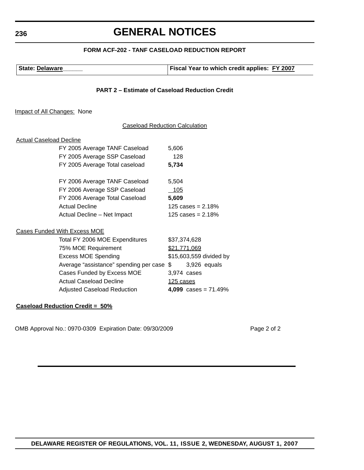# **GENERAL NOTICES**

# **FORM ACF-202 - TANF CASELOAD REDUCTION REPORT**

| State: Delaware | <b>Fiscal Year to which credit applies: FY 2007</b> |
|-----------------|-----------------------------------------------------|
|                 |                                                     |

# **PART 2 – Estimate of Caseload Reduction Credit**

Impact of All Changes: None

### Caseload Reduction Calculation

### Actual Caseload Decline

| FY 2005 Average TANF Caseload  | 5,606               |
|--------------------------------|---------------------|
| FY 2005 Average SSP Caseload   | 128                 |
| FY 2005 Average Total caseload | 5,734               |
| FY 2006 Average TANF Caseload  | 5,504               |
| FY 2006 Average SSP Caseload   | 105                 |
| FY 2006 Average Total Caseload | 5,609               |
| Actual Decline                 | 125 cases = $2.18%$ |
| Actual Decline - Net Impact    | 125 cases = $2.18%$ |

#### Cases Funded With Excess MOE

| Total FY 2006 MOE Expenditures            | \$37,374,628            |
|-------------------------------------------|-------------------------|
| 75% MOE Requirement                       | \$21,771,069            |
| <b>Excess MOE Spending</b>                | \$15,603,559 divided by |
| Average "assistance" spending per case \$ | 3,926 equals            |
| Cases Funded by Excess MOE                | 3,974 cases             |
| <b>Actual Caseload Decline</b>            | 125 cases               |
| <b>Adjusted Caseload Reduction</b>        | 4,099 cases = $71.49%$  |

### **Caseload Reduction Credit = 50%**

OMB Approval No.: 0970-0309 Expiration Date: 09/30/2009 Page 2 of 2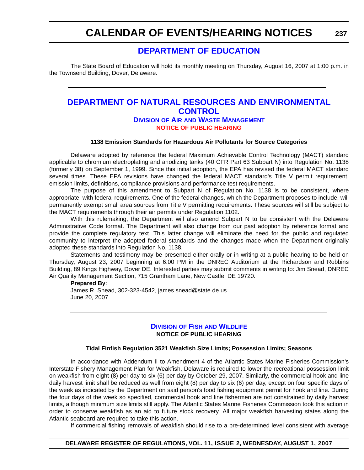**237**

# **[DEPARTMENT OF EDUCATION](http://www.doe.k12.de.us/)**

The State Board of Education will hold its monthly meeting on Thursday, August 16, 2007 at 1:00 p.m. in the Townsend Building, Dover, Delaware.

# **[DEPARTMENT OF NATURAL RESOURCES AND ENVIRONMENTAL](http://www.dnrec.delaware.gov/)  CONTROL DIVISION OF AIR AND WASTE MANAGEMENT**

# **[NOTICE OF PUBLIC HEARING](#page-4-0)**

#### **1138 Emission Standards for Hazardous Air Pollutants for Source Categories**

Delaware adopted by reference the federal Maximum Achievable Control Technology (MACT) standard applicable to chromium electroplating and anodizing tanks (40 CFR Part 63 Subpart N) into Regulation No. 1138 (formerly 38) on September 1, 1999. Since this initial adoption, the EPA has revised the federal MACT standard several times. These EPA revisions have changed the federal MACT standard's Title V permit requirement, emission limits, definitions, compliance provisions and performance test requirements.

The purpose of this amendment to Subpart N of Regulation No. 1138 is to be consistent, where appropriate, with federal requirements. One of the federal changes, which the Department proposes to include, will permanently exempt small area sources from Title V permitting requirements. These sources will still be subject to the MACT requirements through their air permits under Regulation 1102.

With this rulemaking, the Department will also amend Subpart N to be consistent with the Delaware Administrative Code format. The Department will also change from our past adoption by reference format and provide the complete regulatory text. This latter change will eliminate the need for the public and regulated community to interpret the adopted federal standards and the changes made when the Department originally adopted these standards into Regulation No. 1138.

Statements and testimony may be presented either orally or in writing at a public hearing to be held on Thursday, August 23, 2007 beginning at 6:00 PM in the DNREC Auditorium at the Richardson and Robbins Building, 89 Kings Highway, Dover DE. Interested parties may submit comments in writing to: Jim Snead, DNREC Air Quality Management Section, 715 Grantham Lane, New Castle, DE 19720.

#### **Prepared By**:

James R. Snead, 302-323-4542, james.snead@state.de.us June 20, 2007

# **DIVISION OF FISH [AND WILDLIFE](http://www.dnrec.delaware.gov/) NOTICE OF PUBLIC HEARING**

#### **Tidal Finfish Regulation 3521 Weakfish Size Limits; Possession Limits; Seasons**

In accordance with Addendum II to Amendment 4 of the Atlantic States Marine Fisheries Commission's Interstate Fishery Management Plan for Weakfish, Delaware is required to lower the recreational possession limit on weakfish from eight (8) per day to six (6) per day by October 29, 2007. Similarly, the commercial hook and line daily harvest limit shall be reduced as well from eight (8) per day to six (6) per day, except on four specific days of the week as indicated by the Department on said person's food fishing equipment permit for hook and line. During the four days of the week so specified, commercial hook and line fishermen are not constrained by daily harvest limits, although minimum size limits still apply. The Atlantic States Marine Fisheries Commission took this action in order to conserve weakfish as an aid to future stock recovery. All major weakfish harvesting states along the Atlantic seaboard are required to take this action.

If commercial fishing removals of weakfish should rise to a pre-determined level consistent with average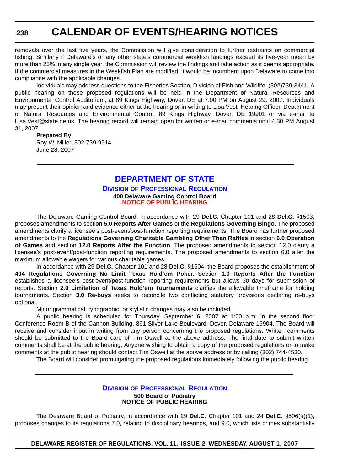removals over the last five years, the Commission will give consideration to further restraints on commercial fishing. Similarly if Delaware's or any other state's commercial weakfish landings exceed its five-year mean by more than 25% in any single year, the Commission will review the findings and take action as it deems appropriate. If the commercial measures in the Weakfish Plan are modified, it would be incumbent upon Delaware to come into compliance with the applicable changes.

Individuals may address questions to the Fisheries Section, Division of Fish and Wildlife, (302)739-3441. A public hearing on these proposed regulations will be held in the Department of Natural Resources and Environmental Control Auditorium, at 89 Kings Highway, Dover, DE at 7:00 PM on August 29, 2007. Individuals may present their opinion and evidence either at the hearing or in writing to Lisa Vest, Hearing Officer, Department of Natural Resources and Environmental Control, 89 Kings Highway, Dover, DE 19901 or via e-mail to Lisa.Vest@state.de.us. The hearing record will remain open for written or e-mail comments until 4:30 PM August 31, 2007.

#### **Prepared By**:

Roy W. Miller, 302-739-9914 June 28, 2007

# **[DEPARTMENT OF STATE](http://dpr.delaware.gov/default.shtml)**

### **DIVISION OF PROFESSIONAL REGULATION 400 Delaware Gaming Control Board [NOTICE OF PUBLIC HEARING](#page-4-0)**

The Delaware Gaming Control Board, in accordance with 29 **Del.C.** Chapter 101 and 28 **Del.C.** §1503, proposes amendments to section **5.0 Reports After Games** of the **Regulations Governing Bingo**. The proposed amendments clarify a licensee's post-event/post-function reporting requirements. The Board has further proposed amendments to the **Regulations Governing Charitable Gambling Other Than Raffles** in section **6.0 Operation of Games** and section **12.0 Reports After the Function**. The proposed amendments to section 12.0 clarify a licensee's post-event/post-function reporting requirements. The proposed amendments to section 6.0 alter the maximum allowable wagers for various charitable games.

In accordance with 29 **Del.C.** Chapter 101 and 28 **Del.C.** §1504, the Board proposes the establishment of **404 Regulations Governing No Limit Texas Hold'em Poker**. Section **1.0 Reports After the Function** establishes a licensee's post-event/post-function reporting requirements but allows 30 days for submission of reports. Section **2.0 Limitation of Texas Hold'em Tournaments** clarifies the allowable timeframe for holding tournaments. Section **3.0 Re-buys** seeks to reconcile two conflicting statutory provisions declaring re-buys optional.

Minor grammatical, typographic, or stylistic changes may also be included.

A public hearing is scheduled for Thursday, September 6, 2007 at 1:00 p.m. in the second floor Conference Room B of the Cannon Building, 861 Silver Lake Boulevard, Dover, Delaware 19904. The Board will receive and consider input in writing from any person concerning the proposed regulations. Written comments should be submitted to the Board care of Tim Oswell at the above address. The final date to submit written comments shall be at the public hearing. Anyone wishing to obtain a copy of the proposed regulations or to make comments at the public hearing should contact Tim Oswell at the above address or by calling (302) 744-4530.

The Board will consider promulgating the proposed regulations immediately following the public hearing.

### **DIVISION [OF PROFESSIONAL REGULATION](http://dpr.delaware.gov/default.shtml) 500 Board of Podiatry NOTICE OF PUBLIC HEARING**

The Delaware Board of Podiatry, in accordance with 29 **Del.C.** Chapter 101 and 24 **Del.C.** §506(a)(1), proposes changes to its regulations 7.0, relating to disciplinary hearings, and 9.0, which lists crimes substantially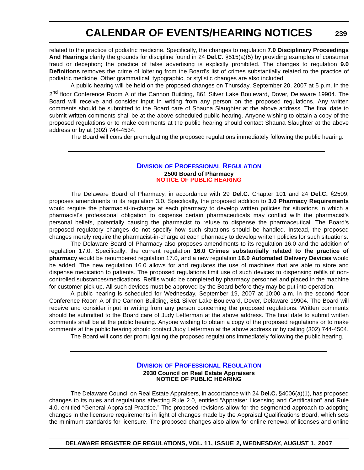related to the practice of podiatric medicine. Specifically, the changes to regulation **7.0 Disciplinary Proceedings And Hearings** clarify the grounds for discipline found in 24 **Del.C.** §515(a)(5) by providing examples of consumer fraud or deception; the practice of false advertising is explicitly prohibited. The changes to regulation **9.0 Definitions** removes the crime of loitering from the Board's list of crimes substantially related to the practice of podiatric medicine. Other grammatical, typographic, or stylistic changes are also included.

A public hearing will be held on the proposed changes on Thursday, September 20, 2007 at 5 p.m. in the 2<sup>nd</sup> floor Conference Room A of the Cannon Building, 861 Silver Lake Boulevard, Dover, Delaware 19904. The Board will receive and consider input in writing from any person on the proposed regulations. Any written comments should be submitted to the Board care of Shauna Slaughter at the above address. The final date to submit written comments shall be at the above scheduled public hearing. Anyone wishing to obtain a copy of the proposed regulations or to make comments at the public hearing should contact Shauna Slaughter at the above address or by at (302) 744-4534.

The Board will consider promulgating the proposed regulations immediately following the public hearing.

### **DIVISION [OF PROFESSIONAL REGULATION](http://dpr.delaware.gov/default.shtml) 2500 Board of Pharmacy [NOTICE OF PUBLIC HEARING](#page-4-0)**

The Delaware Board of Pharmacy, in accordance with 29 **Del.C.** Chapter 101 and 24 **Del.C.** §2509, proposes amendments to its regulation 3.0. Specifically, the proposed addition to **3.0 Pharmacy Requirements** would require the pharmacist-in-charge at each pharmacy to develop written policies for situations in which a pharmacist's professional obligation to dispense certain pharmaceuticals may conflict with the pharmacist's personal beliefs, potentially causing the pharmacist to refuse to dispense the pharmaceutical. The Board's proposed regulatory changes do not specify how such situations should be handled. Instead, the proposed changes merely require the pharmacist-in-charge at each pharmacy to develop written policies for such situations.

The Delaware Board of Pharmacy also proposes amendments to its regulation 16.0 and the addition of regulation 17.0. Specifically, the current regulation **16.0 Crimes substantially related to the practice of pharmacy** would be renumbered regulation 17.0, and a new regulation **16.0 Automated Delivery Devices** would be added. The new regulation 16.0 allows for and regulates the use of machines that are able to store and dispense medication to patients. The proposed regulations limit use of such devices to dispensing refills of noncontrolled substances/medications. Refills would be completed by pharmacy personnel and placed in the machine for customer pick up. All such devices must be approved by the Board before they may be put into operation.

A public hearing is scheduled for Wednesday, September 19, 2007 at 10:00 a.m. in the second floor Conference Room A of the Cannon Building, 861 Silver Lake Boulevard, Dover, Delaware 19904. The Board will receive and consider input in writing from any person concerning the proposed regulations. Written comments should be submitted to the Board care of Judy Letterman at the above address. The final date to submit written comments shall be at the public hearing. Anyone wishing to obtain a copy of the proposed regulations or to make comments at the public hearing should contact Judy Letterman at the above address or by calling (302) 744-4504.

The Board will consider promulgating the proposed regulations immediately following the public hearing.

### **DIVISION OF PROFESSIONAL REGULATION 2930 Council on Real Estate Appraisers NOTICE OF PUBLIC HEARING**

The Delaware Council on Real Estate Appraisers, in accordance with 24 **Del.C.** §4006(a)(1), has proposed changes to its rules and regulations affecting Rule 2.0, entitled "Appraiser Licensing and Certification" and Rule 4.0, entitled "General Appraisal Practice." The proposed revisions allow for the segmented approach to adopting changes in the licensure requirements in light of changes made by the Appraisal Qualifications Board, which sets the minimum standards for licensure. The proposed changes also allow for online renewal of licenses and online